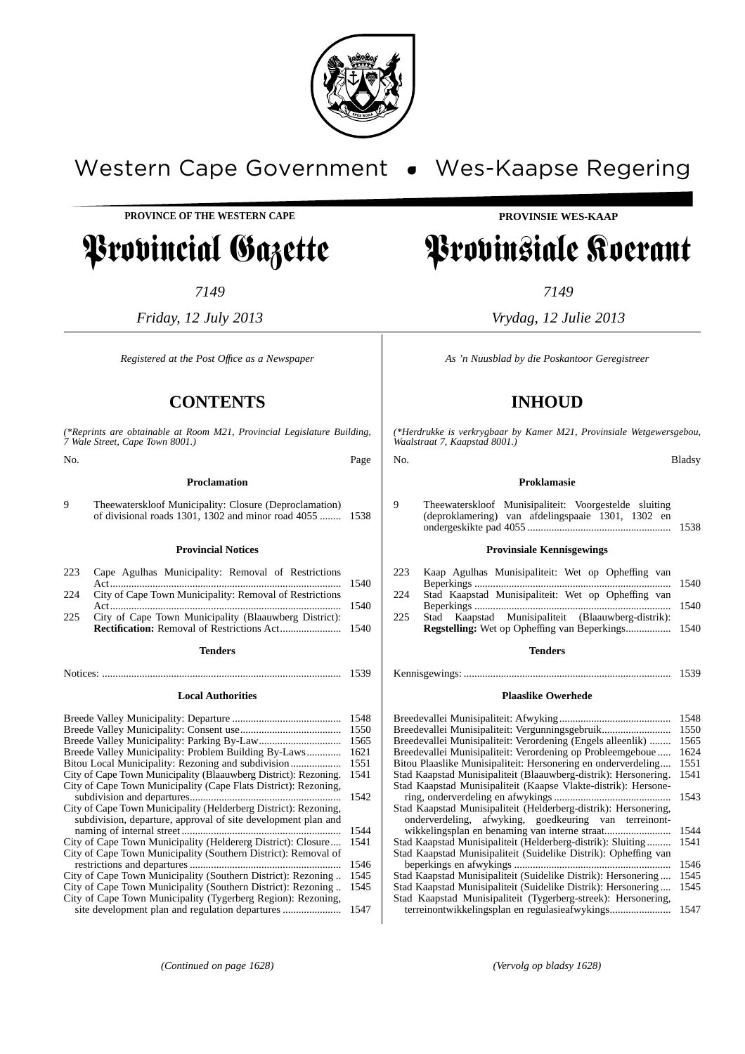

# Western Cape Government • Wes-Kaapse Regering

**PROVINCE OF THE WESTERN CAPE**

# Provincial Gazette

*7149*

*Friday, 12 July 2013*

*Registered at the Post Offıce as a Newspaper*

## **CONTENTS**

*(\*Reprints are obtainable at Room M21, Provincial Legislature Building, 7 Wale Street, Cape Town 8001.)*

No. Page

**Proclamation**

9 Theewaterskloof Municipality: Closure (Deproclamation) of divisional roads 1301, 1302 and minor road 4055 ........ 1538

#### **Provincial Notices**

| 223 Cape Agulhas Municipality: Removal of Restrictions      |  |
|-------------------------------------------------------------|--|
| 224 City of Cape Town Municipality: Removal of Restrictions |  |
|                                                             |  |
| 225 City of Cape Town Municipality (Blaauwberg District):   |  |
|                                                             |  |
| Tenderc                                                     |  |

### **Tenders** Notices: .......................................................................................... 1539

**Local Authorities**

|                                                                 | 1548 |
|-----------------------------------------------------------------|------|
|                                                                 | 1550 |
|                                                                 | 1565 |
|                                                                 | 1621 |
|                                                                 | 1551 |
| City of Cape Town Municipality (Blaauwberg District): Rezoning. | 1541 |
| City of Cape Town Municipality (Cape Flats District): Rezoning, |      |
|                                                                 | 1542 |
| City of Cape Town Municipality (Helderberg District): Rezoning, |      |
| subdivision, departure, approval of site development plan and   |      |
|                                                                 | 1544 |
| City of Cape Town Municipality (Heldererg District): Closure    | 1541 |
| City of Cape Town Municipality (Southern District): Removal of  |      |
|                                                                 | 1546 |
| City of Cape Town Municipality (Southern District): Rezoning    | 1545 |
| City of Cape Town Municipality (Southern District): Rezoning    | 1545 |
| City of Cape Town Municipality (Tygerberg Region): Rezoning,    |      |
|                                                                 | 1547 |
|                                                                 |      |

### **PROVINSIE WES-KAAP**

# Provinsiale Koerant

*7149*

*Vrydag, 12 Julie 2013*

*As 'n Nuusblad by die Poskantoor Geregistreer*

## **INHOUD**

*(\*Herdrukke is verkrygbaar by Kamer M21, Provinsiale Wetgewersgebou, Waalstraat 7, Kaapstad 8001.)*

No. Bladsy

#### **Proklamasie**

9 Theewaterskloof Munisipaliteit: Voorgestelde sluiting (deproklamering) van afdelingspaaie 1301, 1302 en ondergeskikte pad 4055 ...................................................... 1538

#### **Provinsiale Kennisgewings**

| 223 | Kaap Agulhas Munisipaliteit: Wet op Opheffing van  |  |
|-----|----------------------------------------------------|--|
|     |                                                    |  |
| 224 | Stad Kaapstad Munisipaliteit: Wet op Opheffing van |  |
|     |                                                    |  |

225 Stad Kaapstad Munisipaliteit (Blaauwberg-distrik): **Regstelling:** Wet op Opheffing van Beperkings................. 1540

#### **Tenders**

Kennisgewings: .............................................................................. 1539

#### **Plaaslike Owerhede**

|                                                                 | 1548 |
|-----------------------------------------------------------------|------|
| Breedevallei Munisipaliteit: Vergunningsgebruik                 | 1550 |
| Breedevallei Munisipaliteit: Verordening (Engels alleenlik)     | 1565 |
| Breedevallei Munisipaliteit: Verordening op Probleemgeboue      | 1624 |
| Bitou Plaaslike Munisipaliteit: Hersonering en onderverdeling   | 1551 |
| Stad Kaapstad Munisipaliteit (Blaauwberg-distrik): Hersonering. | 1541 |
| Stad Kaapstad Munisipaliteit (Kaapse Vlakte-distrik): Hersone-  |      |
|                                                                 | 1543 |
| Stad Kaapstad Munisipaliteit (Helderberg-distrik): Hersonering, |      |
| onderverdeling, afwyking, goedkeuring van terreinont-           |      |
|                                                                 | 1544 |
| Stad Kaapstad Munisipaliteit (Helderberg-distrik): Sluiting     | 1541 |
| Stad Kaapstad Munisipaliteit (Suidelike Distrik): Opheffing van |      |
|                                                                 | 1546 |
| Stad Kaapstad Munisipaliteit (Suidelike Distrik): Hersonering   | 1545 |
| Stad Kaapstad Munisipaliteit (Suidelike Distrik): Hersonering   | 1545 |
| Stad Kaapstad Munisipaliteit (Tygerberg-streek): Hersonering,   |      |
| terreinontwikkelingsplan en regulasieafwykings                  | 1547 |
|                                                                 |      |

*(Continued on page 1628) (Vervolg op bladsy 1628)*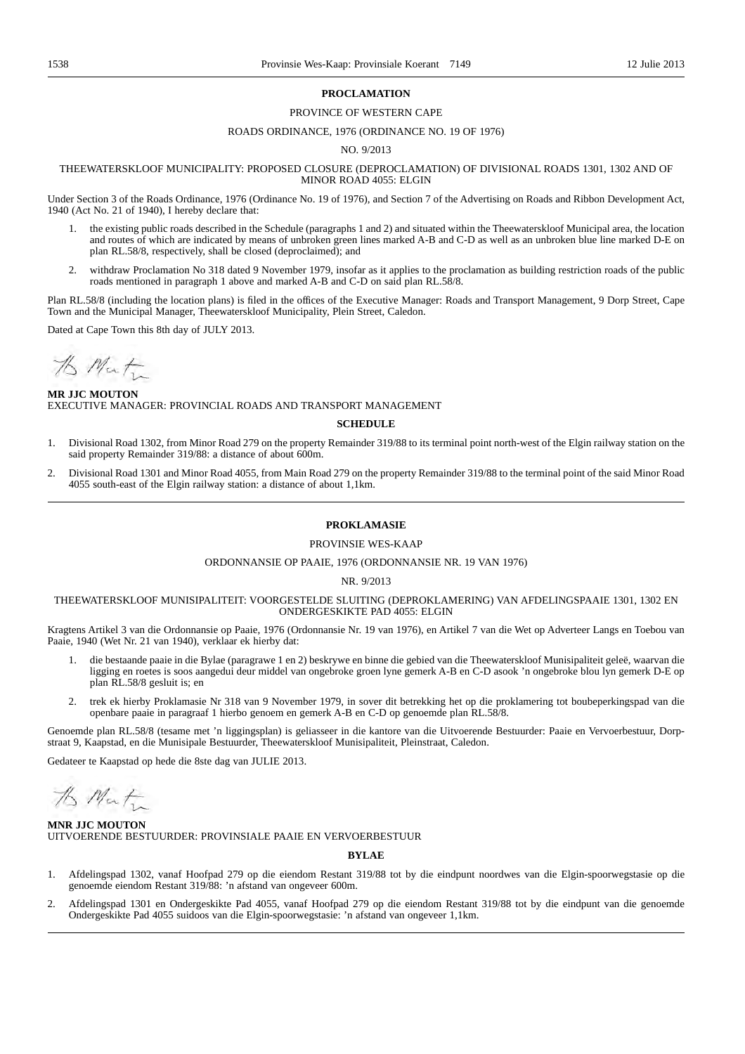#### **PROCLAMATION**

#### PROVINCE OF WESTERN CAPE

#### ROADS ORDINANCE, 1976 (ORDINANCE NO. 19 OF 1976)

#### NO. 9/2013

#### THEEWATERSKLOOF MUNICIPALITY: PROPOSED CLOSURE (DEPROCLAMATION) OF DIVISIONAL ROADS 1301, 1302 AND OF MINOR ROAD 4055: ELGIN

Under Section 3 of the Roads Ordinance, 1976 (Ordinance No. 19 of 1976), and Section 7 of the Advertising on Roads and Ribbon Development Act, 1940 (Act No. 21 of 1940), I hereby declare that:

- 1. the existing public roads described in the Schedule (paragraphs 1 and 2) and situated within the Theewaterskloof Municipal area, the location and routes of which are indicated by means of unbroken green lines marked A-B and C-D as well as an unbroken blue line marked D-E on plan RL.58/8, respectively, shall be closed (deproclaimed); and
- 2. withdraw Proclamation No 318 dated 9 November 1979, insofar as it applies to the proclamation as building restriction roads of the public roads mentioned in paragraph 1 above and marked A-B and C-D on said plan RL.58/8.

Plan RL.58/8 (including the location plans) is filed in the offices of the Executive Manager: Roads and Transport Management, 9 Dorp Street, Cape Town and the Municipal Manager, Theewaterskloof Municipality, Plein Street, Caledon.

Dated at Cape Town this 8th day of JULY 2013.

to Mat

**MR JJC MOUTON** EXECUTIVE MANAGER: PROVINCIAL ROADS AND TRANSPORT MANAGEMENT

#### **SCHEDULE**

- 1. Divisional Road 1302, from Minor Road 279 on the property Remainder 319/88 to its terminal point north-west of the Elgin railway station on the said property Remainder 319/88: a distance of about 600m.
- 2. Divisional Road 1301 and Minor Road 4055, from Main Road 279 on the property Remainder 319/88 to the terminal point of the said Minor Road 4055 south-east of the Elgin railway station: a distance of about 1,1km.

#### **PROKLAMASIE**

#### PROVINSIE WES-KAAP

#### ORDONNANSIE OP PAAIE, 1976 (ORDONNANSIE NR. 19 VAN 1976)

#### NR. 9/2013

#### THEEWATERSKLOOF MUNISIPALITEIT: VOORGESTELDE SLUITING (DEPROKLAMERING) VAN AFDELINGSPAAIE 1301, 1302 EN ONDERGESKIKTE PAD 4055: ELGIN

Kragtens Artikel 3 van die Ordonnansie op Paaie, 1976 (Ordonnansie Nr. 19 van 1976), en Artikel 7 van die Wet op Adverteer Langs en Toebou van Paaie, 1940 (Wet Nr. 21 van 1940), verklaar ek hierby dat:

- 1. die bestaande paaie in die Bylae (paragrawe 1 en 2) beskrywe en binne die gebied van die Theewaterskloof Munisipaliteit geleë, waarvan die ligging en roetes is soos aangedui deur middel van ongebroke groen lyne gemerk A-B en C-D asook 'n ongebroke blou lyn gemerk D-E op plan RL.58/8 gesluit is; en
- 2. trek ek hierby Proklamasie Nr 318 van 9 November 1979, in sover dit betrekking het op die proklamering tot boubeperkingspad van die openbare paaie in paragraaf 1 hierbo genoem en gemerk A-B en C-D op genoemde plan RL.58/8.

Genoemde plan RL.58/8 (tesame met 'n liggingsplan) is geliasseer in die kantore van die Uitvoerende Bestuurder: Paaie en Vervoerbestuur, Dorpstraat 9, Kaapstad, en die Munisipale Bestuurder, Theewaterskloof Munisipaliteit, Pleinstraat, Caledon.

Gedateer te Kaapstad op hede die 8ste dag van JULIE 2013.

the Mat

**MNR JJC MOUTON** UITVOERENDE BESTUURDER: PROVINSIALE PAAIE EN VERVOERBESTUUR

#### **BYLAE**

- 1. Afdelingspad 1302, vanaf Hoofpad 279 op die eiendom Restant 319/88 tot by die eindpunt noordwes van die Elgin-spoorwegstasie op die genoemde eiendom Restant 319/88: 'n afstand van ongeveer 600m.
- 2. Afdelingspad 1301 en Ondergeskikte Pad 4055, vanaf Hoofpad 279 op die eiendom Restant 319/88 tot by die eindpunt van die genoemde Ondergeskikte Pad 4055 suidoos van die Elgin-spoorwegstasie: 'n afstand van ongeveer 1,1km.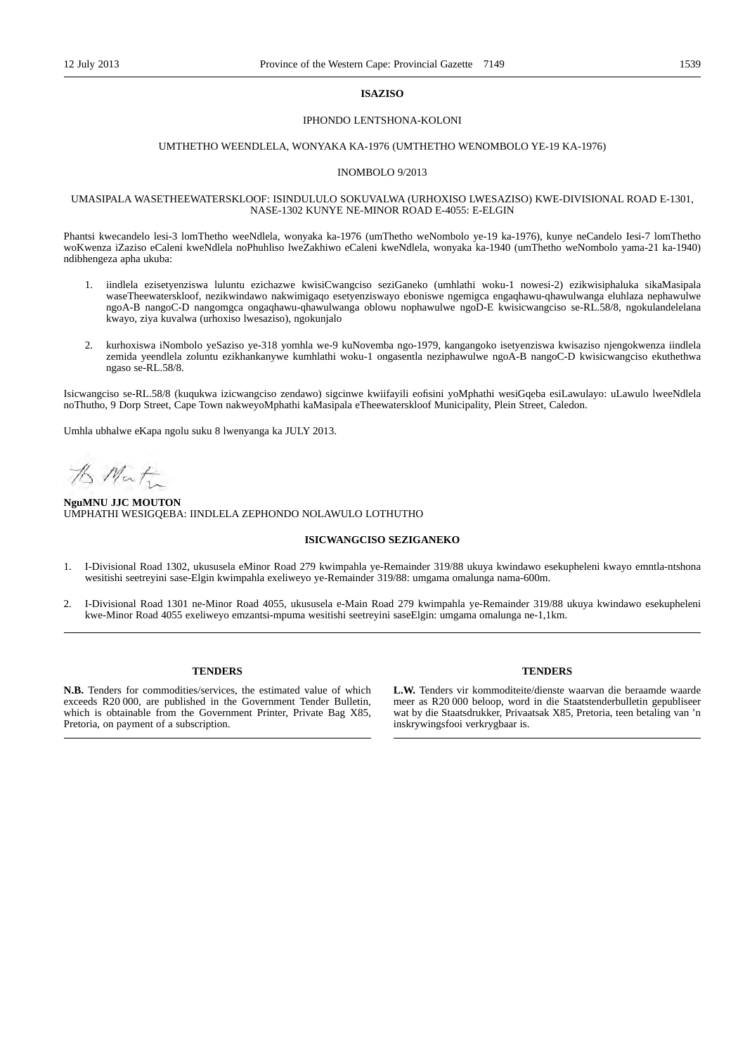#### **ISAZISO**

#### IPHONDO LENTSHONA-KOLONI

#### UMTHETHO WEENDLELA, WONYAKA KA-1976 (UMTHETHO WENOMBOLO YE-19 KA-1976)

#### INOMBOLO 9/2013

#### UMASIPALA WASETHEEWATERSKLOOF: ISINDULULO SOKUVALWA (URHOXISO LWESAZISO) KWE-DIVISIONAL ROAD E-1301, NASE-1302 KUNYE NE-MINOR ROAD E-4055: E-ELGIN

Phantsi kwecandelo lesi-3 lomThetho weeNdlela, wonyaka ka-1976 (umThetho weNombolo ye-19 ka-1976), kunye neCandelo Iesi-7 lomThetho woKwenza iZaziso eCaleni kweNdlela noPhuhliso lweZakhiwo eCaleni kweNdlela, wonyaka ka-1940 (umThetho weNombolo yama-21 ka-1940) ndibhengeza apha ukuba:

- 1. iindlela ezisetyenziswa luluntu ezichazwe kwisiCwangciso seziGaneko (umhlathi woku-1 nowesi-2) ezikwisiphaluka sikaMasipala waseTheewaterskloof, nezikwindawo nakwimigaqo esetyenziswayo eboniswe ngemigca engaqhawu-qhawulwanga eluhlaza nephawulwe ngoA-B nangoC-D nangomgca ongaqhawu-qhawulwanga oblowu nophawulwe ngoD-E kwisicwangciso se-RL.58/8, ngokulandelelana kwayo, ziya kuvalwa (urhoxiso lwesaziso), ngokunjalo
- 2. kurhoxiswa iNombolo yeSaziso ye-318 yomhla we-9 kuNovemba ngo-1979, kangangoko isetyenziswa kwisaziso njengokwenza iindlela zemida yeendlela zoluntu ezikhankanywe kumhlathi woku-1 ongasentla neziphawulwe ngoA-B nangoC-D kwisicwangciso ekuthethwa ngaso se-RL.58/8.

Isicwangciso se-RL.58/8 (kuqukwa izicwangciso zendawo) sigcinwe kwiifayili eofisini yoMphathi wesiGqeba esiLawulayo: uLawulo lweeNdlela noThutho, 9 Dorp Street, Cape Town nakweyoMphathi kaMasipala eTheewaterskloof Municipality, Plein Street, Caledon.

Umhla ubhalwe eKapa ngolu suku 8 lwenyanga ka JULY 2013.

the Mat

#### **NguMNU JJC MOUTON** UMPHATHI WESIGQEBA: IINDLELA ZEPHONDO NOLAWULO LOTHUTHO

#### **ISICWANGCISO SEZIGANEKO**

- 1. I-Divisional Road 1302, ukususela eMinor Road 279 kwimpahla ye-Remainder 319/88 ukuya kwindawo esekupheleni kwayo emntla-ntshona wesitishi seetreyini sase-Elgin kwimpahla exeliweyo ye-Remainder 319/88: umgama omalunga nama-600m.
- 2. I-Divisional Road 1301 ne-Minor Road 4055, ukususela e-Main Road 279 kwimpahla ye-Remainder 319/88 ukuya kwindawo esekupheleni kwe-Minor Road 4055 exeliweyo emzantsi-mpuma wesitishi seetreyini saseElgin: umgama omalunga ne-1,1km.

#### **TENDERS**

**N.B.** Tenders for commodities/services, the estimated value of which exceeds R20 000, are published in the Government Tender Bulletin, which is obtainable from the Government Printer, Private Bag X85, Pretoria, on payment of a subscription.

#### **TENDERS**

**L.W.** Tenders vir kommoditeite/dienste waarvan die beraamde waarde meer as R20 000 beloop, word in die Staatstenderbulletin gepubliseer wat by die Staatsdrukker, Privaatsak X85, Pretoria, teen betaling van 'n inskrywingsfooi verkrygbaar is.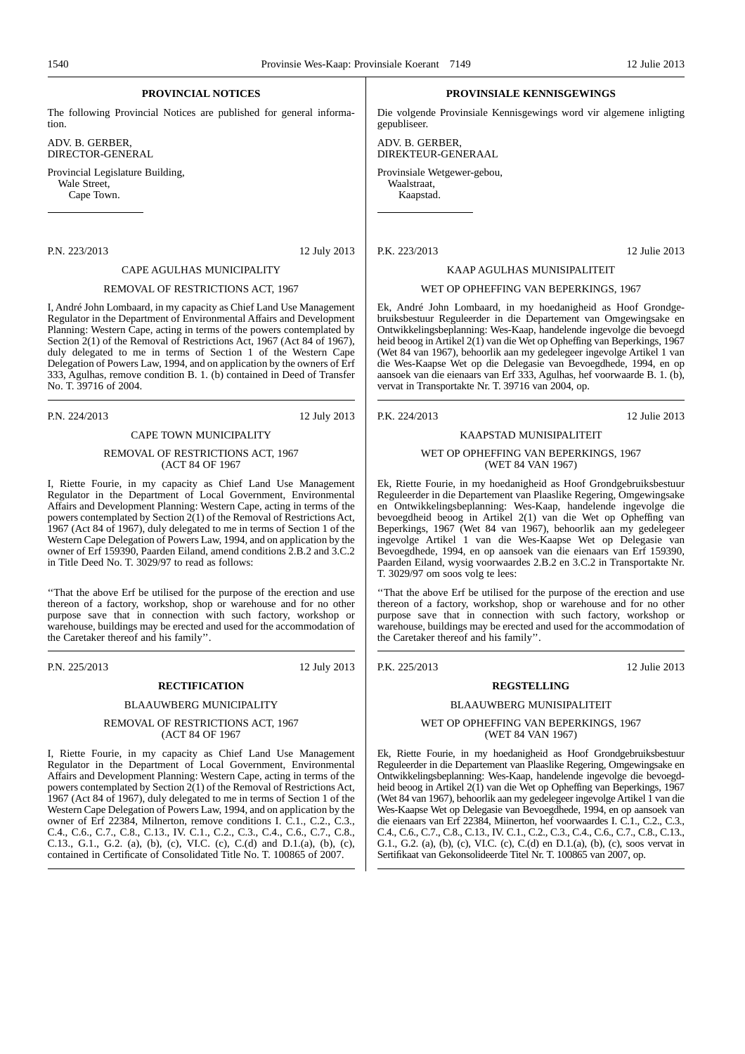### **PROVINCIAL NOTICES**

The following Provincial Notices are published for general information.

ADV. B. GERBER, DIRECTOR-GENERAL

Provincial Legislature Building, Wale Street, Cape Town.

P.N. 223/2013 12 July 2013

#### CAPE AGULHAS MUNICIPALITY

#### REMOVAL OF RESTRICTIONS ACT, 1967

I, André John Lombaard, in my capacity as Chief Land Use Management Regulator in the Department of Environmental Affairs and Development Planning: Western Cape, acting in terms of the powers contemplated by Section 2(1) of the Removal of Restrictions Act, 1967 (Act 84 of 1967), duly delegated to me in terms of Section 1 of the Western Cape Delegation of Powers Law, 1994, and on application by the owners of Erf 333, Agulhas, remove condition B. 1. (b) contained in Deed of Transfer No. T. 39716 of 2004.

P.N. 224/2013 12 July 2013

#### CAPE TOWN MUNICIPALITY

#### REMOVAL OF RESTRICTIONS ACT, 1967 (ACT 84 OF 1967

I, Riette Fourie, in my capacity as Chief Land Use Management Regulator in the Department of Local Government, Environmental Affairs and Development Planning: Western Cape, acting in terms of the powers contemplated by Section 2(1) of the Removal of Restrictions Act, 1967 (Act 84 of 1967), duly delegated to me in terms of Section 1 of the Western Cape Delegation of Powers Law, 1994, and on application by the owner of Erf 159390, Paarden Eiland, amend conditions 2.B.2 and 3.C.2 in Title Deed No. T. 3029/97 to read as follows:

''That the above Erf be utilised for the purpose of the erection and use thereon of a factory, workshop, shop or warehouse and for no other purpose save that in connection with such factory, workshop or warehouse, buildings may be erected and used for the accommodation of the Caretaker thereof and his family''.

#### P.N. 225/2013 12 July 2013

### **RECTIFICATION**

### BLAAUWBERG MUNICIPALITY

#### REMOVAL OF RESTRICTIONS ACT, 1967 (ACT 84 OF 1967

I, Riette Fourie, in my capacity as Chief Land Use Management Regulator in the Department of Local Government, Environmental Affairs and Development Planning: Western Cape, acting in terms of the powers contemplated by Section  $2(1)$  of the Removal of Restrictions Act, 1967 (Act 84 of 1967), duly delegated to me in terms of Section 1 of the Western Cape Delegation of Powers Law, 1994, and on application by the owner of Erf 22384, Milnerton, remove conditions I. C.1., C.2., C.3., C.4., C.6., C.7., C.8., C.13., IV. C.1., C.2., C.3., C.4., C.6., C.7., C.8., C.13., G.1., G.2. (a), (b), (c), VI.C. (c), C.(d) and D.1.(a), (b), (c), contained in Certificate of Consolidated Title No. T. 100865 of 2007.

#### **PROVINSIALE KENNISGEWINGS**

Die volgende Provinsiale Kennisgewings word vir algemene inligting gepubliseer.

ADV. B. GERBER, DIREKTEUR-GENERAAL

Provinsiale Wetgewer-gebou, Waalstraat,

Kaapstad.

P.K. 223/2013 12 Julie 2013

#### KAAP AGULHAS MUNISIPALITEIT

#### WET OP OPHEFFING VAN BEPERKINGS, 1967

Ek, André John Lombaard, in my hoedanigheid as Hoof Grondgebruiksbestuur Reguleerder in die Departement van Omgewingsake en Ontwikkelingsbeplanning: Wes-Kaap, handelende ingevolge die bevoegd heid beoog in Artikel 2(1) van die Wet op Opheffing van Beperkings, 1967 (Wet 84 van 1967), behoorlik aan my gedelegeer ingevolge Artikel 1 van die Wes-Kaapse Wet op die Delegasie van Bevoegdhede, 1994, en op aansoek van die eienaars van Erf 333, Agulhas, hef voorwaarde B. 1. (b), vervat in Transportakte Nr. T. 39716 van 2004, op.

P.K. 224/2013 12 Julie 2013

### KAAPSTAD MUNISIPALITEIT

#### WET OP OPHEFFING VAN BEPERKINGS, 1967 (WET 84 VAN 1967)

Ek, Riette Fourie, in my hoedanigheid as Hoof Grondgebruiksbestuur Reguleerder in die Departement van Plaaslike Regering, Omgewingsake en Ontwikkelingsbeplanning: Wes-Kaap, handelende ingevolge die bevoegdheid beoog in Artikel 2(1) van die Wet op Opheffing van Beperkings, 1967 (Wet 84 van 1967), behoorlik aan my gedelegeer ingevolge Artikel 1 van die Wes-Kaapse Wet op Delegasie van Bevoegdhede, 1994, en op aansoek van die eienaars van Erf 159390, Paarden Eiland, wysig voorwaardes 2.B.2 en 3.C.2 in Transportakte Nr. T. 3029/97 om soos volg te lees:

''That the above Erf be utilised for the purpose of the erection and use thereon of a factory, workshop, shop or warehouse and for no other purpose save that in connection with such factory, workshop or warehouse, buildings may be erected and used for the accommodation of the Caretaker thereof and his family''.

P.K. 225/2013 12 Julie 2013

#### **REGSTELLING**

#### BLAAUWBERG MUNISIPALITEIT

WET OP OPHEFFING VAN BEPERKINGS, 1967 (WET 84 VAN 1967)

Ek, Riette Fourie, in my hoedanigheid as Hoof Grondgebruiksbestuur Reguleerder in die Departement van Plaaslike Regering, Omgewingsake en Ontwikkelingsbeplanning: Wes-Kaap, handelende ingevolge die bevoegdheid beoog in Artikel 2(1) van die Wet op Opheffing van Beperkings, 1967 (Wet 84 van 1967), behoorlik aan my gedelegeer ingevolge Artikel 1 van die Wes-Kaapse Wet op Delegasie van Bevoegdhede, 1994, en op aansoek van die eienaars van Erf 22384, Miinerton, hef voorwaardes I. C.1., C.2., C.3., C.4., C.6., C.7., C.8., C.13., IV. C.1., C.2., C.3., C.4., C.6., C.7., C.8., C.13., G.1., G.2. (a), (b), (c), VI.C. (c), C.(d) en D.1.(a), (b), (c), soos vervat in Sertifikaat van Gekonsolideerde Titel Nr. T. 100865 van 2007, op.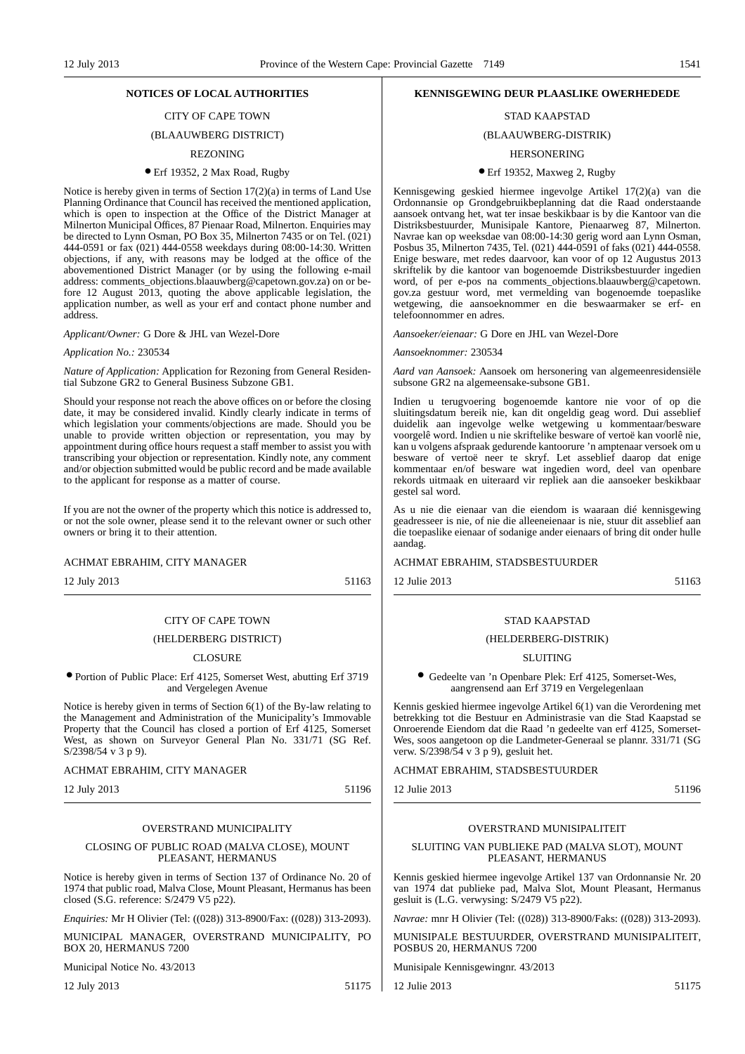### CITY OF CAPE TOWN

### (BLAAUWBERG DISTRICT)

#### REZONING

#### ● Erf 19352, 2 Max Road, Rugby

Notice is hereby given in terms of Section 17(2)(a) in terms of Land Use Planning Ordinance that Council has received the mentioned application, which is open to inspection at the Office of the District Manager at Milnerton Municipal Offices, 87 Pienaar Road, Milnerton. Enquiries may be directed to Lynn Osman, PO Box 35, Milnerton 7435 or on Tel. (021) 444-0591 or fax (021) 444-0558 weekdays during 08:00-14:30. Written objections, if any, with reasons may be lodged at the office of the abovementioned District Manager (or by using the following e-mail address: comments\_objections.blaauwberg@capetown.gov.za) on or before 12 August 2013, quoting the above applicable legislation, the application number, as well as your erf and contact phone number and address.

*Applicant/Owner:* G Dore & JHL van Wezel-Dore

#### *Application No.:* 230534

*Nature of Application:* Application for Rezoning from General Residential Subzone GR2 to General Business Subzone GB1.

Should your response not reach the above offices on or before the closing date, it may be considered invalid. Kindly clearly indicate in terms of which legislation your comments/objections are made. Should you be unable to provide written objection or representation, you may by appointment during office hours request a staff member to assist you with transcribing your objection or representation. Kindly note, any comment and/or objection submitted would be public record and be made available to the applicant for response as a matter of course.

If you are not the owner of the property which this notice is addressed to, or not the sole owner, please send it to the relevant owner or such other owners or bring it to their attention.

#### ACHMAT EBRAHIM, CITY MANAGER

12 July 2013 51163

#### CITY OF CAPE TOWN

#### (HELDERBERG DISTRICT)

#### **CLOSURE**

#### ● Portion of Public Place: Erf 4125, Somerset West, abutting Erf 3719 and Vergelegen Avenue

Notice is hereby given in terms of Section 6(1) of the By-law relating to the Management and Administration of the Municipality's Immovable Property that the Council has closed a portion of Erf 4125, Somerset West, as shown on Surveyor General Plan No. 331/71 (SG Ref. S/2398/54 v 3 p 9).

ACHMAT EBRAHIM, CITY MANAGER

12 July 2013 51196

### OVERSTRAND MUNICIPALITY

#### CLOSING OF PUBLIC ROAD (MALVA CLOSE), MOUNT PLEASANT, HERMANUS

Notice is hereby given in terms of Section 137 of Ordinance No. 20 of 1974 that public road, Malva Close, Mount Pleasant, Hermanus has been closed (S.G. reference: S/2479 V5 p22).

*Enquiries:* Mr H Olivier (Tel: ((028)) 313-8900/Fax: ((028)) 313-2093).

MUNICIPAL MANAGER, OVERSTRAND MUNICIPALITY, PO BOX 20, HERMANUS 7200

Municipal Notice No. 43/2013

12 July 2013 51175

### **NOTICES OF LOCAL AUTHORITIES KENNISGEWING DEUR PLAASLIKE OWERHEDEDE**

### STAD KAAPSTAD

#### (BLAAUWBERG-DISTRIK)

#### HERSONERING

#### ● Erf 19352, Maxweg 2, Rugby

Kennisgewing geskied hiermee ingevolge Artikel 17(2)(a) van die Ordonnansie op Grondgebruikbeplanning dat die Raad onderstaande aansoek ontvang het, wat ter insae beskikbaar is by die Kantoor van die Distriksbestuurder, Munisipale Kantore, Pienaarweg 87, Milnerton. Navrae kan op weeksdae van 08:00-14:30 gerig word aan Lynn Osman, Posbus 35, Milnerton 7435, Tel. (021) 444-0591 of faks (021) 444-0558. Enige besware, met redes daarvoor, kan voor of op 12 Augustus 2013 skriftelik by die kantoor van bogenoemde Distriksbestuurder ingedien word, of per e-pos na comments\_objections.blaauwberg@capetown. gov.za gestuur word, met vermelding van bogenoemde toepaslike wetgewing, die aansoeknommer en die beswaarmaker se erf- en telefoonnommer en adres.

*Aansoeker/eienaar:* G Dore en JHL van Wezel-Dore

#### *Aansoeknommer:* 230534

*Aard van Aansoek:* Aansoek om hersonering van algemeenresidensiële subsone GR2 na algemeensake-subsone GB1.

Indien u terugvoering bogenoemde kantore nie voor of op die sluitingsdatum bereik nie, kan dit ongeldig geag word. Dui asseblief duidelik aan ingevolge welke wetgewing u kommentaar/besware voorgelê word. Indien u nie skriftelike besware of vertoë kan voorlê nie, kan u volgens afspraak gedurende kantoorure 'n amptenaar versoek om u besware of vertoë neer te skryf. Let asseblief daarop dat enige kommentaar en/of besware wat ingedien word, deel van openbare rekords uitmaak en uiteraard vir repliek aan die aansoeker beskikbaar gestel sal word.

As u nie die eienaar van die eiendom is waaraan dié kennisgewing geadresseer is nie, of nie die alleeneienaar is nie, stuur dit asseblief aan die toepaslike eienaar of sodanige ander eienaars of bring dit onder hulle aandag.

#### ACHMAT EBRAHIM, STADSBESTUURDER

12 Julie 2013 51163

#### STAD KAAPSTAD

#### (HELDERBERG-DISTRIK)

### SLUITING

● Gedeelte van 'n Openbare Plek: Erf 4125, Somerset-Wes, aangrensend aan Erf 3719 en Vergelegenlaan

Kennis geskied hiermee ingevolge Artikel 6(1) van die Verordening met betrekking tot die Bestuur en Administrasie van die Stad Kaapstad se Onroerende Eiendom dat die Raad 'n gedeelte van erf 4125, Somerset-Wes, soos aangetoon op die Landmeter-Generaal se plannr. 331/71 (SG verw.  $S/2398/\overline{5}4$  v 3 p 9), gesluit het.

ACHMAT EBRAHIM, STADSBESTUURDER

## 12 Julie 2013 51196

### OVERSTRAND MUNISIPALITEIT

#### SLUITING VAN PUBLIEKE PAD (MALVA SLOT), MOUNT PLEASANT, HERMANUS

Kennis geskied hiermee ingevolge Artikel 137 van Ordonnansie Nr. 20 van 1974 dat publieke pad, Malva Slot, Mount Pleasant, Hermanus gesluit is (L.G. verwysing: S/2479 V5 p22).

*Navrae:* mnr H Olivier (Tel: ((028)) 313-8900/Faks: ((028)) 313-2093).

MUNISIPALE BESTUURDER, OVERSTRAND MUNISIPALITEIT, POSBUS 20, HERMANUS 7200

Munisipale Kennisgewingnr. 43/2013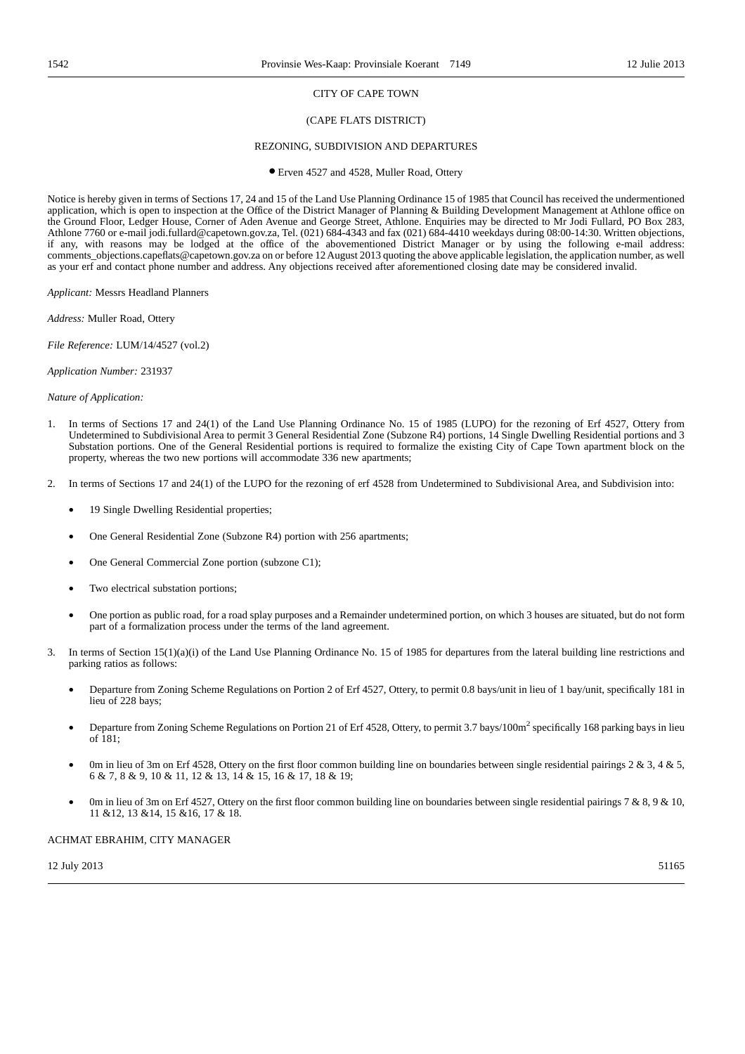### CITY OF CAPE TOWN

#### (CAPE FLATS DISTRICT)

#### REZONING, SUBDIVISION AND DEPARTURES

● Erven 4527 and 4528, Muller Road, Ottery

Notice is hereby given in terms of Sections 17, 24 and 15 of the Land Use Planning Ordinance 15 of 1985 that Council has received the undermentioned application, which is open to inspection at the Office of the District Manager of Planning & Building Development Management at Athlone office on the Ground Floor, Ledger House, Corner of Aden Avenue and George Street, Athlone. Enquiries may be directed to Mr Jodi Fullard, PO Box 283, Athlone 7760 or e-mail jodi.fullard@capetown.gov.za, Tel. (021) 684-4343 and fax (021) 684-4410 weekdays during 08:00-14:30. Written objections, if any, with reasons may be lodged at the office of the abovementioned District Manager or by using the following e-mail address: comments\_objections.capeflats@capetown.gov.za on or before 12 August 2013 quoting the above applicable legislation, the application number, as well as your erf and contact phone number and address. Any objections received after aforementioned closing date may be considered invalid.

*Applicant:* Messrs Headland Planners

*Address:* Muller Road, Ottery

*File Reference:* LUM/14/4527 (vol.2)

*Application Number:* 231937

*Nature of Application:*

- 1. In terms of Sections 17 and 24(1) of the Land Use Planning Ordinance No. 15 of 1985 (LUPO) for the rezoning of Erf 4527, Ottery from Undetermined to Subdivisional Area to permit 3 General Residential Zone (Subzone R4) portions, 14 Single Dwelling Residential portions and 3 Substation portions. One of the General Residential portions is required to formalize the existing City of Cape Town apartment block on the property, whereas the two new portions will accommodate 336 new apartments;
- 2. In terms of Sections 17 and 24(1) of the LUPO for the rezoning of erf 4528 from Undetermined to Subdivisional Area, and Subdivision into:
	- 19 Single Dwelling Residential properties;
	- One General Residential Zone (Subzone R4) portion with 256 apartments;
	- One General Commercial Zone portion (subzone C1);
	- Two electrical substation portions;
	- One portion as public road, for a road splay purposes and a Remainder undetermined portion, on which 3 houses are situated, but do not form part of a formalization process under the terms of the land agreement.
- 3. In terms of Section 15(1)(a)(i) of the Land Use Planning Ordinance No. 15 of 1985 for departures from the lateral building line restrictions and parking ratios as follows:
	- Departure from Zoning Scheme Regulations on Portion 2 of Erf 4527, Ottery, to permit 0.8 bays/unit in lieu of 1 bay/unit, specifically 181 in lieu of 228 bays;
	- Departure from Zoning Scheme Regulations on Portion 21 of Erf 4528, Ottery, to permit 3.7 bays/100m2 specifically 168 parking bays in lieu of 181;
	- Om in lieu of 3m on Erf 4528, Ottery on the first floor common building line on boundaries between single residential pairings  $2 \& 3$ ,  $4 \& 5$ , 6 & 7, 8 & 9, 10 & 11, 12 & 13, 14 & 15, 16 & 17, 18 & 19;
	- 0m in lieu of 3m on Erf 4527, Ottery on the first floor common building line on boundaries between single residential pairings 7 & 8, 9 & 10, 11 &12, 13 &14, 15 &16, 17 & 18.

ACHMAT EBRAHIM, CITY MANAGER

 $12$  July 2013  $51165$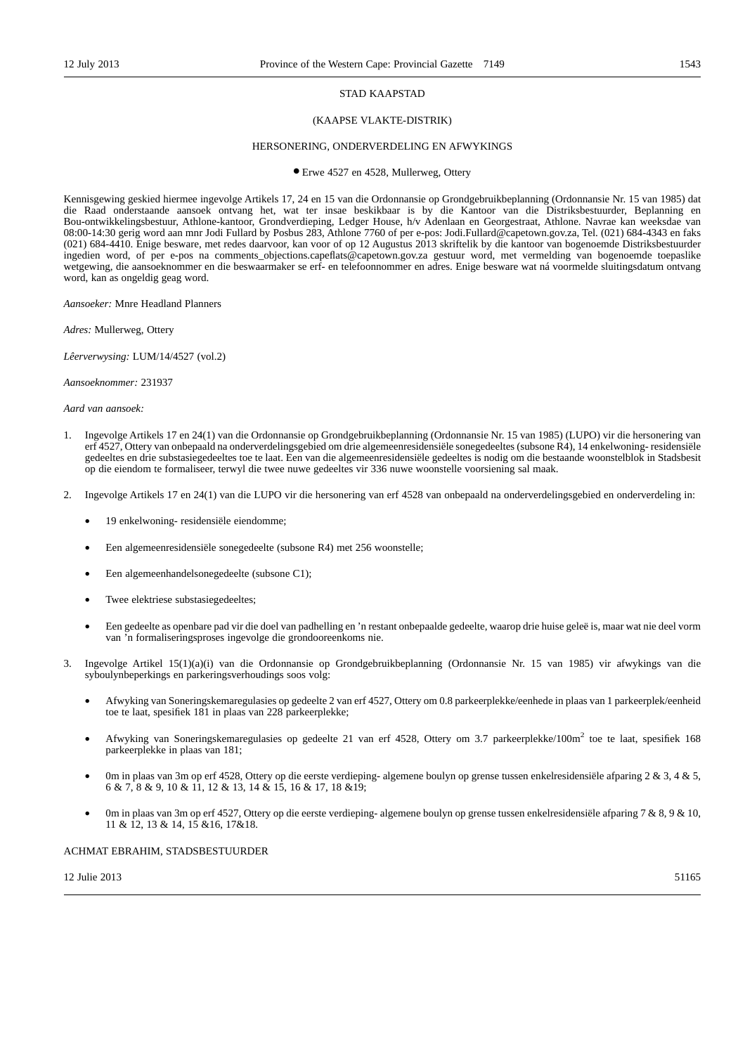#### STAD KAAPSTAD

#### (KAAPSE VLAKTE-DISTRIK)

#### HERSONERING, ONDERVERDELING EN AFWYKINGS

● Erwe 4527 en 4528, Mullerweg, Ottery

Kennisgewing geskied hiermee ingevolge Artikels 17, 24 en 15 van die Ordonnansie op Grondgebruikbeplanning (Ordonnansie Nr. 15 van 1985) dat die Raad onderstaande aansoek ontvang het, wat ter insae beskikbaar is by die Kantoor van die Distriksbestuurder, Beplanning en Bou-ontwikkelingsbestuur, Athlone-kantoor, Grondverdieping, Ledger House, h/v Adenlaan en Georgestraat, Athlone. Navrae kan weeksdae van 08:00-14:30 gerig word aan mnr Jodi Fullard by Posbus 283, Athlone 7760 of per e-pos: Jodi.Fullard@capetown.gov.za, Tel. (021) 684-4343 en faks (021) 684-4410. Enige besware, met redes daarvoor, kan voor of op 12 Augustus 2013 skriftelik by die kantoor van bogenoemde Distriksbestuurder ingedien word, of per e-pos na comments\_objections.capeflats@capetown.gov.za gestuur word, met vermelding van bogenoemde toepaslike wetgewing, die aansoeknommer en die beswaarmaker se erf- en telefoonnommer en adres. Enige besware wat ná voormelde sluitingsdatum ontvang word, kan as ongeldig geag word.

*Aansoeker:* Mnre Headland Planners

*Adres:* Mullerweg, Ottery

*Lêerverwysing:* LUM/14/4527 (vol.2)

*Aansoeknommer:* 231937

*Aard van aansoek:*

- 1. Ingevolge Artikels 17 en 24(1) van die Ordonnansie op Grondgebruikbeplanning (Ordonnansie Nr. 15 van 1985) (LUPO) vir die hersonering van erf 4527, Ottery van onbepaald na onderverdelingsgebied om drie algemeenresidensiële sonegedeeltes (subsone R4), 14 enkelwoning- residensiële gedeeltes en drie substasiegedeeltes toe te laat. Een van die algemeenresidensiële gedeeltes is nodig om die bestaande woonstelblok in Stadsbesit op die eiendom te formaliseer, terwyl die twee nuwe gedeeltes vir 336 nuwe woonstelle voorsiening sal maak.
- 2. Ingevolge Artikels 17 en 24(1) van die LUPO vir die hersonering van erf 4528 van onbepaald na onderverdelingsgebied en onderverdeling in:
	- 19 enkelwoning- residensiële eiendomme;
	- Een algemeenresidensiële sonegedeelte (subsone R4) met 256 woonstelle;
	- Een algemeenhandelsonegedeelte (subsone C1);
	- Twee elektriese substasiegedeeltes;
	- Een gedeelte as openbare pad vir die doel van padhelling en 'n restant onbepaalde gedeelte, waarop drie huise geleë is, maar wat nie deel vorm van 'n formaliseringsproses ingevolge die grondooreenkoms nie.
- 3. Ingevolge Artikel 15(1)(a)(i) van die Ordonnansie op Grondgebruikbeplanning (Ordonnansie Nr. 15 van 1985) vir afwykings van die syboulynbeperkings en parkeringsverhoudings soos volg:
	- Afwyking van Soneringskemaregulasies op gedeelte 2 van erf 4527, Ottery om 0.8 parkeerplekke/eenhede in plaas van 1 parkeerplek/eenheid toe te laat, spesifiek 181 in plaas van 228 parkeerplekke;
	- Afwyking van Soneringskemaregulasies op gedeelte 21 van erf 4528, Ottery om 3.7 parkeerplekke/100m2 toe te laat, spesifiek 168 parkeerplekke in plaas van 181;
	- 0m in plaas van 3m op erf 4528, Ottery op die eerste verdieping- algemene boulyn op grense tussen enkelresidensiële afparing 2 & 3, 4 & 5, 6 & 7, 8 & 9, 10 & 11, 12 & 13, 14 & 15, 16 & 17, 18 &19;
	- 0m in plaas van 3m op erf 4527, Ottery op die eerste verdieping- algemene boulyn op grense tussen enkelresidensiële afparing 7 & 8, 9 & 10, 11 & 12, 13 & 14, 15 &16, 17&18.

### ACHMAT EBRAHIM, STADSBESTUURDER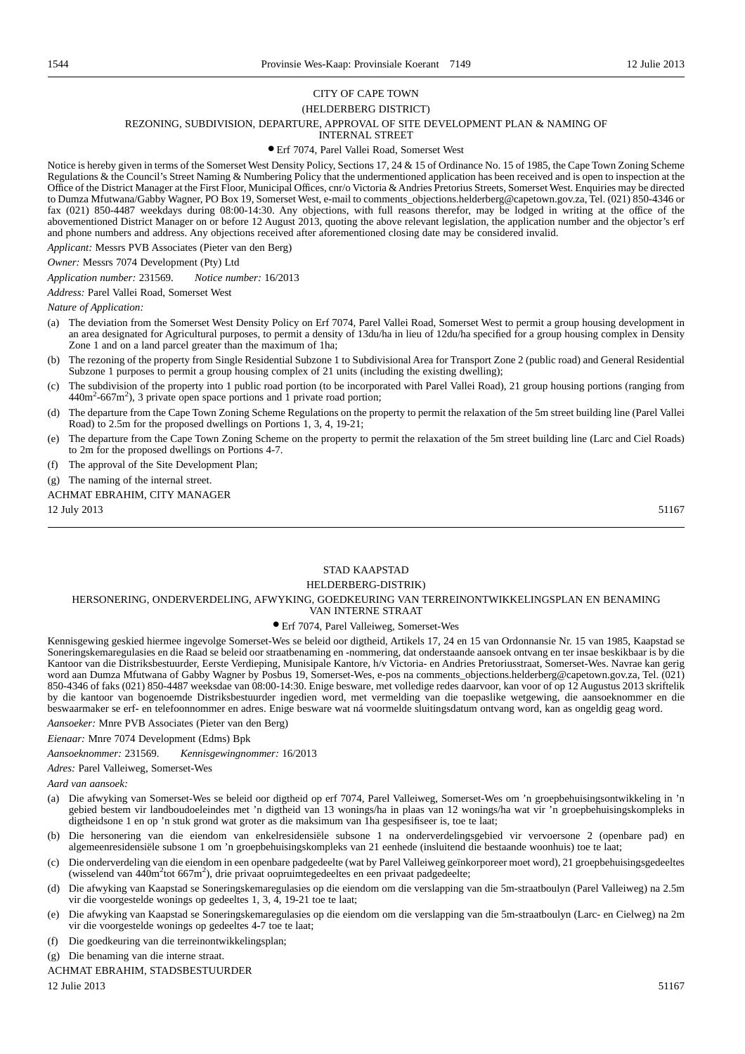#### CITY OF CAPE TOWN (HELDERBERG DISTRICT)

### REZONING, SUBDIVISION, DEPARTURE, APPROVAL OF SITE DEVELOPMENT PLAN & NAMING OF

INTERNAL STREET

#### ● Erf 7074, Parel Vallei Road, Somerset West

Notice is hereby given in terms of the Somerset West Density Policy, Sections 17, 24 & 15 of Ordinance No. 15 of 1985, the Cape Town Zoning Scheme Regulations & the Council's Street Naming & Numbering Policy that the undermentioned application has been received and is open to inspection at the Office of the District Manager at the First Floor, Municipal Offices, cnr/o Victoria & Andries Pretorius Streets, Somerset West. Enquiries may be directed to Dumza Mfutwana/Gabby Wagner, PO Box 19, Somerset West, e-mail to comments\_objections.helderberg@capetown.gov.za, Tel. (021) 850-4346 or fax (021) 850-4487 weekdays during 08:00-14:30. Any objections, with full reasons therefor, may be lodged in writing at the office of the abovementioned District Manager on or before 12 August 2013, quoting the above relevant legislation, the application number and the objector's erf and phone numbers and address. Any objections received after aforementioned closing date may be considered invalid.

*Applicant:* Messrs PVB Associates (Pieter van den Berg)

*Owner:* Messrs 7074 Development (Pty) Ltd

*Application number:* 231569. *Notice number:* 16/2013

*Address:* Parel Vallei Road, Somerset West

*Nature of Application:*

- (a) The deviation from the Somerset West Density Policy on Erf 7074, Parel Vallei Road, Somerset West to permit a group housing development in an area designated for Agricultural purposes, to permit a density of 13du/ha in lieu of 12du/ha specified for a group housing complex in Density Zone 1 and on a land parcel greater than the maximum of 1ha;
- (b) The rezoning of the property from Single Residential Subzone 1 to Subdivisional Area for Transport Zone 2 (public road) and General Residential Subzone 1 purposes to permit a group housing complex of 21 units (including the existing dwelling);
- (c) The subdivision of the property into 1 public road portion (to be incorporated with Parel Vallei Road), 21 group housing portions (ranging from 440m<sup>2</sup>-667m<sup>2</sup>), 3 private open space portions and 1 private road portion;
- (d) The departure from the Cape Town Zoning Scheme Regulations on the property to permit the relaxation of the 5m street building line (Parel Vallei Road) to 2.5m for the proposed dwellings on Portions 1, 3, 4, 19-21;
- (e) The departure from the Cape Town Zoning Scheme on the property to permit the relaxation of the 5m street building line (Larc and Ciel Roads) to 2m for the proposed dwellings on Portions 4-7.
- (f) The approval of the Site Development Plan;
- (g) The naming of the internal street.

#### ACHMAT EBRAHIM, CITY MANAGER

 $12$  July 2013  $51167$ 

### STAD KAAPSTAD

### HELDERBERG-DISTRIK)

#### HERSONERING, ONDERVERDELING, AFWYKING, GOEDKEURING VAN TERREINONTWIKKELINGSPLAN EN BENAMING VAN INTERNE STRAAT

#### ● Erf 7074, Parel Valleiweg, Somerset-Wes

Kennisgewing geskied hiermee ingevolge Somerset-Wes se beleid oor digtheid, Artikels 17, 24 en 15 van Ordonnansie Nr. 15 van 1985, Kaapstad se Soneringskemaregulasies en die Raad se beleid oor straatbenaming en -nommering, dat onderstaande aansoek ontvang en ter insae beskikbaar is by die Kantoor van die Distriksbestuurder, Eerste Verdieping, Munisipale Kantore, h/v Victoria- en Andries Pretoriusstraat, Somerset-Wes. Navrae kan gerig word aan Dumza Mfutwana of Gabby Wagner by Posbus 19, Somerset-Wes, e-pos na comments\_objections.helderberg@capetown.gov.za, Tel. (021) 850-4346 of faks (021) 850-4487 weeksdae van 08:00-14:30. Enige besware, met volledige redes daarvoor, kan voor of op 12 Augustus 2013 skriftelik by die kantoor van bogenoemde Distriksbestuurder ingedien word, met vermelding van die toepaslike wetgewing, die aansoeknommer en die beswaarmaker se erf- en telefoonnommer en adres. Enige besware wat ná voormelde sluitingsdatum ontvang word, kan as ongeldig geag word.

*Aansoeker:* Mnre PVB Associates (Pieter van den Berg)

*Eienaar:* Mnre 7074 Development (Edms) Bpk

*Aansoeknommer:* 231569. *Kennisgewingnommer:* 16/2013

*Adres:* Parel Valleiweg, Somerset-Wes

*Aard van aansoek:*

- (a) Die afwyking van Somerset-Wes se beleid oor digtheid op erf 7074, Parel Valleiweg, Somerset-Wes om 'n groepbehuisingsontwikkeling in 'n gebied bestem vir landboudoeleindes met 'n digtheid van 13 wonings/ha in plaas van 12 wonings/ha wat vir 'n groepbehuisingskompleks in digtheidsone 1 en op 'n stuk grond wat groter as die maksimum van 1ha gespesifiseer is, toe te laat;
- (b) Die hersonering van die eiendom van enkelresidensiële subsone 1 na onderverdelingsgebied vir vervoersone 2 (openbare pad) en algemeenresidensiële subsone 1 om 'n groepbehuisingskompleks van 21 eenhede (insluitend die bestaande woonhuis) toe te laat;
- (c) Die onderverdeling van die eiendom in een openbare padgedeelte (wat by Parel Valleiweg geïnkorporeer moet word), 21 groepbehuisingsgedeeltes (wisselend van 440m<sup>2</sup>tot 667m<sup>2</sup>), drie privaat oopruimtegedeeltes en een privaat padgedeelte;
- (d) Die afwyking van Kaapstad se Soneringskemaregulasies op die eiendom om die verslapping van die 5m-straatboulyn (Parel Valleiweg) na 2.5m vir die voorgestelde wonings op gedeeltes 1, 3, 4, 19-21 toe te laat;
- (e) Die afwyking van Kaapstad se Soneringskemaregulasies op die eiendom om die verslapping van die 5m-straatboulyn (Larc- en Cielweg) na 2m vir die voorgestelde wonings op gedeeltes 4-7 toe te laat;

(f) Die goedkeuring van die terreinontwikkelingsplan;

- (g) Die benaming van die interne straat.
- ACHMAT EBRAHIM, STADSBESTUURDER

 $12 \text{ Julie } 2013$  51167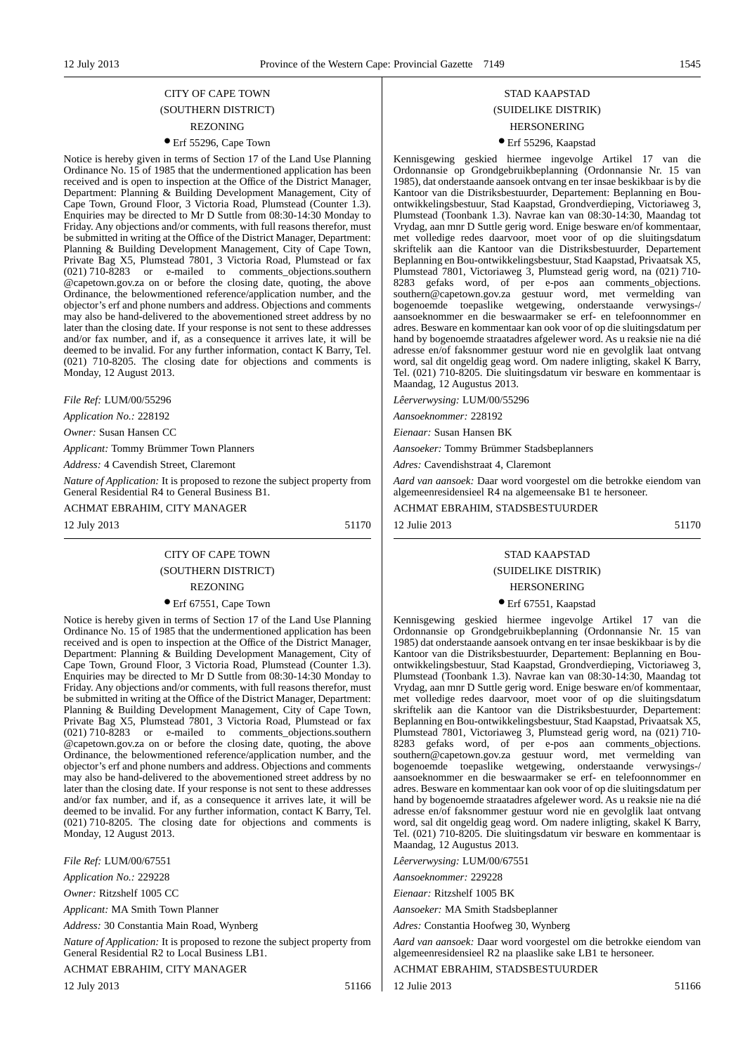## CITY OF CAPE TOWN (SOUTHERN DISTRICT) REZONING

### ● Erf 55296, Cape Town

Notice is hereby given in terms of Section 17 of the Land Use Planning Ordinance No. 15 of 1985 that the undermentioned application has been received and is open to inspection at the Office of the District Manager, Department: Planning & Building Development Management, City of Cape Town, Ground Floor, 3 Victoria Road, Plumstead (Counter 1.3). Enquiries may be directed to Mr D Suttle from 08:30-14:30 Monday to Friday. Any objections and/or comments, with full reasons therefor, must be submitted in writing at the Office of the District Manager, Department: Planning & Building Development Management, City of Cape Town, Private Bag X5, Plumstead 7801, 3 Victoria Road, Plumstead or fax (021) 710-8283 or e-mailed to comments\_objections.southern @capetown.gov.za on or before the closing date, quoting, the above Ordinance, the belowmentioned reference/application number, and the objector's erf and phone numbers and address. Objections and comments may also be hand-delivered to the abovementioned street address by no later than the closing date. If your response is not sent to these addresses and/or fax number, and if, as a consequence it arrives late, it will be deemed to be invalid. For any further information, contact K Barry, Tel. (021) 710-8205. The closing date for objections and comments is Monday, 12 August 2013.

*File Ref:* LUM/00/55296

*Application No.:* 228192

*Owner:* Susan Hansen CC

*Applicant:* Tommy Brümmer Town Planners

*Address:* 4 Cavendish Street, Claremont

*Nature of Application:* It is proposed to rezone the subject property from General Residential R4 to General Business B1.

ACHMAT EBRAHIM, CITY MANAGER

12 July 2013 51170

## CITY OF CAPE TOWN (SOUTHERN DISTRICT)

### REZONING

#### ● Erf 67551, Cape Town

Notice is hereby given in terms of Section 17 of the Land Use Planning Ordinance No. 15 of 1985 that the undermentioned application has been received and is open to inspection at the Office of the District Manager, Department: Planning & Building Development Management, City of Cape Town, Ground Floor, 3 Victoria Road, Plumstead (Counter 1.3). Enquiries may be directed to Mr D Suttle from 08:30-14:30 Monday to Friday. Any objections and/or comments, with full reasons therefor, must be submitted in writing at the Office of the District Manager, Department: Planning & Building Development Management, City of Cape Town, Private Bag X5, Plumstead 7801, 3 Victoria Road, Plumstead or fax (021) 710-8283 or e-mailed to comments\_objections.southern @capetown.gov.za on or before the closing date, quoting, the above Ordinance, the belowmentioned reference/application number, and the objector's erf and phone numbers and address. Objections and comments may also be hand-delivered to the abovementioned street address by no later than the closing date. If your response is not sent to these addresses and/or fax number, and if, as a consequence it arrives late, it will be deemed to be invalid. For any further information, contact K Barry, Tel. (021) 710-8205. The closing date for objections and comments is Monday, 12 August 2013.

*File Ref:* LUM/00/67551

*Application No.:* 229228

*Owner:* Ritzshelf 1005 CC

*Applicant:* MA Smith Town Planner

*Address:* 30 Constantia Main Road, Wynberg

*Nature of Application:* It is proposed to rezone the subject property from General Residential R2 to Local Business LB1.

ACHMAT EBRAHIM, CITY MANAGER

12 July 2013 51166

## STAD KAAPSTAD (SUIDELIKE DISTRIK)

### HERSONERING ● Erf 55296, Kaapstad

Kennisgewing geskied hiermee ingevolge Artikel 17 van die Ordonnansie op Grondgebruikbeplanning (Ordonnansie Nr. 15 van 1985), dat onderstaande aansoek ontvang en ter insae beskikbaar is by die Kantoor van die Distriksbestuurder, Departement: Beplanning en Bouontwikkelingsbestuur, Stad Kaapstad, Grondverdieping, Victoriaweg 3, Plumstead (Toonbank 1.3). Navrae kan van 08:30-14:30, Maandag tot Vrydag, aan mnr D Suttle gerig word. Enige besware en/of kommentaar, met volledige redes daarvoor, moet voor of op die sluitingsdatum skriftelik aan die Kantoor van die Distriksbestuurder, Departement Beplanning en Bou-ontwikkelingsbestuur, Stad Kaapstad, Privaatsak X5, Plumstead 7801, Victoriaweg 3, Plumstead gerig word, na (021) 710- 8283 gefaks word, of per e-pos aan comments\_objections. southern@capetown.gov.za gestuur word, met vermelding van bogenoemde toepaslike wetgewing, onderstaande verwysings-/ aansoeknommer en die beswaarmaker se erf- en telefoonnommer en adres. Besware en kommentaar kan ook voor of op die sluitingsdatum per hand by bogenoemde straatadres afgelewer word. As u reaksie nie na dié adresse en/of faksnommer gestuur word nie en gevolglik laat ontvang word, sal dit ongeldig geag word. Om nadere inligting, skakel K Barry, Tel. (021) 710-8205. Die sluitingsdatum vir besware en kommentaar is Maandag, 12 Augustus 2013.

*Lêerverwysing:* LUM/00/55296

*Aansoeknommer:* 228192

*Eienaar:* Susan Hansen BK

*Aansoeker:* Tommy Brümmer Stadsbeplanners

*Adres:* Cavendishstraat 4, Claremont

*Aard van aansoek:* Daar word voorgestel om die betrokke eiendom van algemeenresidensieel R4 na algemeensake B1 te hersoneer.

ACHMAT EBRAHIM, STADSBESTUURDER

12 Julie 2013 51170

### STAD KAAPSTAD

## (SUIDELIKE DISTRIK)

## HERSONERING

● Erf 67551, Kaapstad

Kennisgewing geskied hiermee ingevolge Artikel 17 van die Ordonnansie op Grondgebruikbeplanning (Ordonnansie Nr. 15 van 1985) dat onderstaande aansoek ontvang en ter insae beskikbaar is by die Kantoor van die Distriksbestuurder, Departement: Beplanning en Bouontwikkelingsbestuur, Stad Kaapstad, Grondverdieping, Victoriaweg 3, Plumstead (Toonbank 1.3). Navrae kan van 08:30-14:30, Maandag tot Vrydag, aan mnr D Suttle gerig word. Enige besware en/of kommentaar, met volledige redes daarvoor, moet voor of op die sluitingsdatum skriftelik aan die Kantoor van die Distriksbestuurder, Departement: Beplanning en Bou-ontwikkelingsbestuur, Stad Kaapstad, Privaatsak X5, Plumstead 7801, Victoriaweg 3, Plumstead gerig word, na (021) 710- 8283 gefaks word, of per e-pos aan comments\_objections. southern@capetown.gov.za gestuur word, met vermelding van bogenoemde toepaslike wetgewing, onderstaande verwysings-/ aansoeknommer en die beswaarmaker se erf- en telefoonnommer en adres. Besware en kommentaar kan ook voor of op die sluitingsdatum per hand by bogenoemde straatadres afgelewer word. As u reaksie nie na dié adresse en/of faksnommer gestuur word nie en gevolglik laat ontvang word, sal dit ongeldig geag word. Om nadere inligting, skakel K Barry, Tel. (021) 710-8205. Die sluitingsdatum vir besware en kommentaar is Maandag, 12 Augustus 2013.

*Lêerverwysing:* LUM/00/67551

*Aansoeknommer:* 229228

*Eienaar:* Ritzshelf 1005 BK

*Aansoeker:* MA Smith Stadsbeplanner

*Adres:* Constantia Hoofweg 30, Wynberg

*Aard van aansoek:* Daar word voorgestel om die betrokke eiendom van algemeenresidensieel R2 na plaaslike sake LB1 te hersoneer.

ACHMAT EBRAHIM, STADSBESTUURDER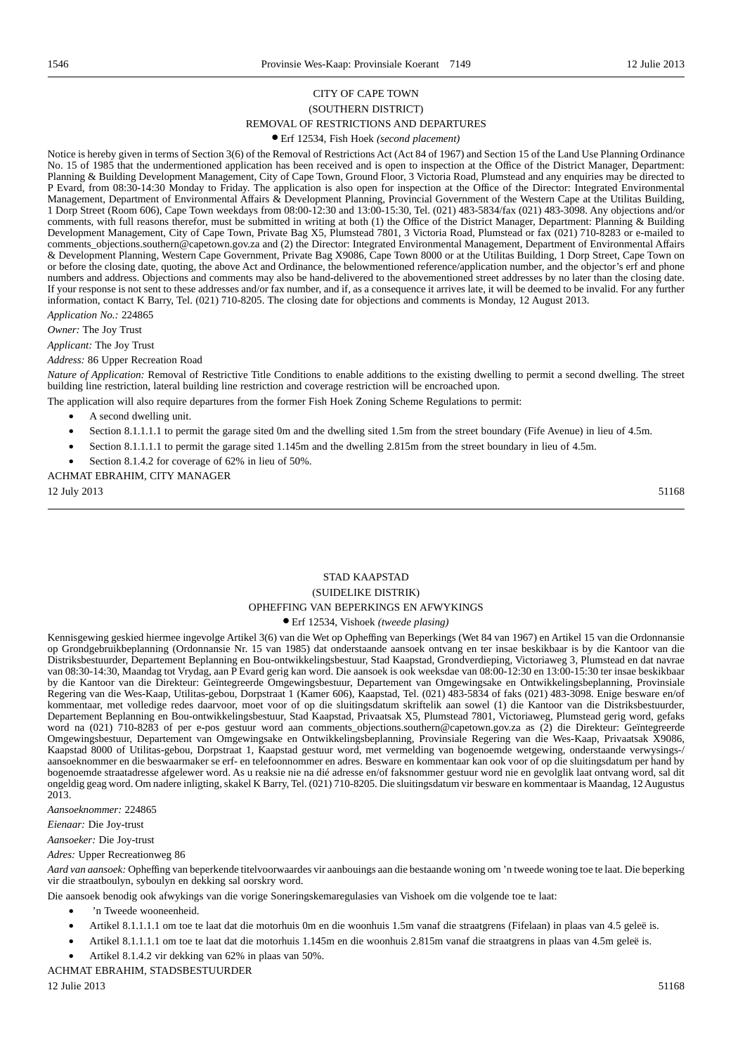### CITY OF CAPE TOWN (SOUTHERN DISTRICT) REMOVAL OF RESTRICTIONS AND DEPARTURES

### ● Erf 12534, Fish Hoek *(second placement)*

Notice is hereby given in terms of Section 3(6) of the Removal of Restrictions Act (Act 84 of 1967) and Section 15 of the Land Use Planning Ordinance No. 15 of 1985 that the undermentioned application has been received and is open to inspection at the Office of the District Manager, Department: Planning & Building Development Management, City of Cape Town, Ground Floor, 3 Victoria Road, Plumstead and any enquiries may be directed to P Evard, from 08:30-14:30 Monday to Friday. The application is also open for inspection at the Office of the Director: Integrated Environmental Management, Department of Environmental Affairs & Development Planning, Provincial Government of the Western Cape at the Utilitas Building, 1 Dorp Street (Room 606), Cape Town weekdays from 08:00-12:30 and 13:00-15:30, Tel. (021) 483-5834/fax (021) 483-3098. Any objections and/or comments, with full reasons therefor, must be submitted in writing at both (1) the Office of the District Manager, Department: Planning & Building Development Management, City of Cape Town, Private Bag X5, Plumstead 7801, 3 Victoria Road, Plumstead or fax (021) 710-8283 or e-mailed to comments\_objections.southern@capetown.gov.za and (2) the Director: Integrated Environmental Management, Department of Environmental Affairs & Development Planning, Western Cape Government, Private Bag X9086, Cape Town 8000 or at the Utilitas Building, 1 Dorp Street, Cape Town on or before the closing date, quoting, the above Act and Ordinance, the belowmentioned reference/application number, and the objector's erf and phone numbers and address. Objections and comments may also be hand-delivered to the abovementioned street addresses by no later than the closing date. If your response is not sent to these addresses and/or fax number, and if, as a consequence it arrives late, it will be deemed to be invalid. For any further information, contact K Barry, Tel. (021) 710-8205. The closing date for objections and comments is Monday, 12 August 2013.

*Application No.:* 224865

*Owner:* The Joy Trust

*Applicant:* The Joy Trust

#### *Address:* 86 Upper Recreation Road

*Nature of Application:* Removal of Restrictive Title Conditions to enable additions to the existing dwelling to permit a second dwelling. The street building line restriction, lateral building line restriction and coverage restriction will be encroached upon.

The application will also require departures from the former Fish Hoek Zoning Scheme Regulations to permit:

- A second dwelling unit.
- Section 8.1.1.1.1 to permit the garage sited 0m and the dwelling sited 1.5m from the street boundary (Fife Avenue) in lieu of 4.5m.
- Section 8.1.1.1.1 to permit the garage sited 1.145m and the dwelling 2.815m from the street boundary in lieu of 4.5m.
- Section 8.1.4.2 for coverage of 62% in lieu of 50%.

ACHMAT EBRAHIM, CITY MANAGER

 $12$  July 2013  $51168$ 

## STAD KAAPSTAD (SUIDELIKE DISTRIK) OPHEFFING VAN BEPERKINGS EN AFWYKINGS

### ● Erf 12534, Vishoek *(tweede plasing)*

Kennisgewing geskied hiermee ingevolge Artikel 3(6) van die Wet op Opheffing van Beperkings (Wet 84 van 1967) en Artikel 15 van die Ordonnansie op Grondgebruikbeplanning (Ordonnansie Nr. 15 van 1985) dat onderstaande aansoek ontvang en ter insae beskikbaar is by die Kantoor van die Distriksbestuurder, Departement Beplanning en Bou-ontwikkelingsbestuur, Stad Kaapstad, Grondverdieping, Victoriaweg 3, Plumstead en dat navrae van 08:30-14:30, Maandag tot Vrydag, aan P Evard gerig kan word. Die aansoek is ook weeksdae van 08:00-12:30 en 13:00-15:30 ter insae beskikbaar by die Kantoor van die Direkteur: Geïntegreerde Omgewingsbestuur, Departement van Omgewingsake en Ontwikkelingsbeplanning, Provinsiale Regering van die Wes-Kaap, Utilitas-gebou, Dorpstraat 1 (Kamer 606), Kaapstad, Tel. (021) 483-5834 of faks (021) 483-3098. Enige besware en/of kommentaar, met volledige redes daarvoor, moet voor of op die sluitingsdatum skriftelik aan sowel (1) die Kantoor van die Distriksbestuurder, Departement Beplanning en Bou-ontwikkelingsbestuur, Stad Kaapstad, Privaatsak X5, Plumstead 7801, Victoriaweg, Plumstead gerig word, gefaks word na (021) 710-8283 of per e-pos gestuur word aan comments\_objections.southern@capetown.gov.za as (2) die Direkteur: Geïntegreerde Omgewingsbestuur, Departement van Omgewingsake en Ontwikkelingsbeplanning, Provinsiale Regering van die Wes-Kaap, Privaatsak X9086, Kaapstad 8000 of Utilitas-gebou, Dorpstraat 1, Kaapstad gestuur word, met vermelding van bogenoemde wetgewing, onderstaande verwysings-/ aansoeknommer en die beswaarmaker se erf- en telefoonnommer en adres. Besware en kommentaar kan ook voor of op die sluitingsdatum per hand by bogenoemde straatadresse afgelewer word. As u reaksie nie na dié adresse en/of faksnommer gestuur word nie en gevolglik laat ontvang word, sal dit ongeldig geag word. Om nadere inligting, skakel K Barry, Tel. (021) 710-8205. Die sluitingsdatum vir besware en kommentaar is Maandag, 12 Augustus 2013.

*Aansoeknommer:* 224865

*Eienaar:* Die Joy-trust

*Aansoeker:* Die Joy-trust

*Adres:* Upper Recreationweg 86

*Aard van aansoek:* Opheffing van beperkende titelvoorwaardes vir aanbouings aan die bestaande woning om 'n tweede woning toe te laat. Die beperking vir die straatboulyn, syboulyn en dekking sal oorskry word.

Die aansoek benodig ook afwykings van die vorige Soneringskemaregulasies van Vishoek om die volgende toe te laat:

- 'n Tweede wooneenheid.
- Artikel 8.1.1.1.1 om toe te laat dat die motorhuis 0m en die woonhuis 1.5m vanaf die straatgrens (Fifelaan) in plaas van 4.5 geleë is.
- Artikel 8.1.1.1.1 om toe te laat dat die motorhuis 1.145m en die woonhuis 2.815m vanaf die straatgrens in plaas van 4.5m geleë is.
- Artikel 8.1.4.2 vir dekking van 62% in plaas van 50%.

ACHMAT EBRAHIM, STADSBESTUURDER

 $12 \text{ Julie } 2013$  51168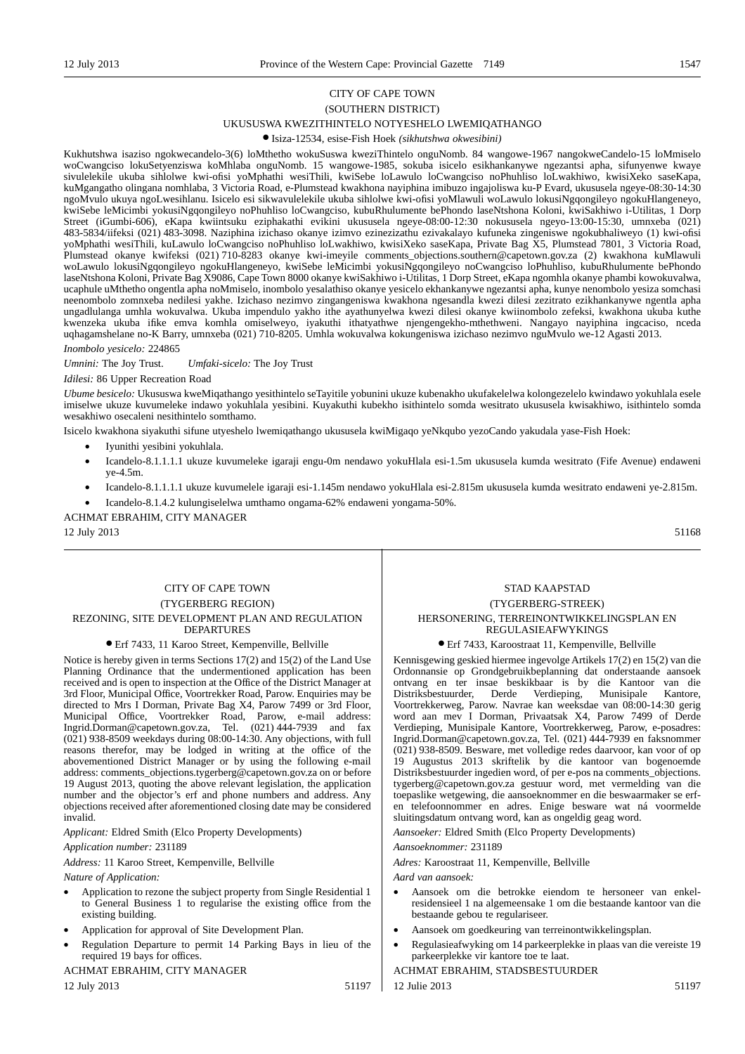### CITY OF CAPE TOWN (SOUTHERN DISTRICT) UKUSUSWA KWEZITHINTELO NOTYESHELO LWEMIQATHANGO

#### ● Isiza-12534, esise-Fish Hoek *(sikhutshwa okwesibini)*

Kukhutshwa isaziso ngokwecandelo-3(6) loMthetho wokuSuswa kweziThintelo onguNomb. 84 wangowe-1967 nangokweCandelo-15 loMmiselo woCwangciso lokuSetyenziswa koMhlaba onguNomb. 15 wangowe-1985, sokuba isicelo esikhankanywe ngezantsi apha, sifunyenwe kwaye sivulelekile ukuba sihlolwe kwi-ofisi yoMphathi wesiThili, kwiSebe loLawulo loCwangciso noPhuhliso loLwakhiwo, kwisiXeko saseKapa, kuMgangatho olingana nomhlaba, 3 Victoria Road, e-Plumstead kwakhona nayiphina imibuzo ingajoliswa ku-P Evard, ukususela ngeye-08:30-14:30 ngoMvulo ukuya ngoLwesihlanu. Isicelo esi sikwavulelekile ukuba sihlolwe kwi-ofisi yoMlawuli woLawulo lokusiNgqongileyo ngokuHlangeneyo, kwiSebe leMicimbi yokusiNgqongileyo noPhuhliso loCwangciso, kubuRhulumente bePhondo laseNtshona Koloni, kwiSakhiwo i-Utilitas, 1 Dorp Street (iGumbi-606), eKapa kwiintsuku eziphakathi evikini ukususela ngeye-08:00-12:30 nokususela ngeyo-13:00-15:30, umnxeba (021) 483-5834/iifeksi (021) 483-3098. Naziphina izichaso okanye izimvo ezinezizathu ezivakalayo kufuneka zingeniswe ngokubhaliweyo (1) kwi-ofisi yoMphathi wesiThili, kuLawulo loCwangciso noPhuhliso loLwakhiwo, kwisiXeko saseKapa, Private Bag X5, Plumstead 7801, 3 Victoria Road, Plumstead okanye kwifeksi (021) 710-8283 okanye kwi-imeyile comments\_objections.southern@capetown.gov.za (2) kwakhona kuMlawuli woLawulo lokusiNgqongileyo ngokuHlangeneyo, kwiSebe leMicimbi yokusiNgqongileyo noCwangciso loPhuhliso, kubuRhulumente bePhondo laseNtshona Koloni, Private Bag X9086, Cape Town 8000 okanye kwiSakhiwo i-Utilitas, 1 Dorp Street, eKapa ngomhla okanye phambi kowokuvalwa, ucaphule uMthetho ongentla apha noMmiselo, inombolo yesalathiso okanye yesicelo ekhankanywe ngezantsi apha, kunye nenombolo yesiza somchasi neenombolo zomnxeba nedilesi yakhe. Izichaso nezimvo zingangeniswa kwakhona ngesandla kwezi dilesi zezitrato ezikhankanywe ngentla apha ungadlulanga umhla wokuvalwa. Ukuba impendulo yakho ithe ayathunyelwa kwezi dilesi okanye kwiinombolo zefeksi, kwakhona ukuba kuthe kwenzeka ukuba ifike emva komhla omiselweyo, iyakuthi ithatyathwe njengengekho-mthethweni. Nangayo nayiphina ingcaciso, nceda uqhagamshelane no-K Barry, umnxeba (021) 710-8205. Umhla wokuvalwa kokungeniswa izichaso nezimvo nguMvulo we-12 Agasti 2013.

#### *Inombolo yesicelo:* 224865

*Umnini:* The Joy Trust. *Umfaki-sicelo:* The Joy Trust

*Idilesi:* 86 Upper Recreation Road

*Ubume besicelo:* Ukususwa kweMiqathango yesithintelo seTayitile yobunini ukuze kubenakho ukufakelelwa kolongezelelo kwindawo yokuhlala esele imiselwe ukuze kuvumeleke indawo yokuhlala yesibini. Kuyakuthi kubekho isithintelo somda wesitrato ukususela kwisakhiwo, isithintelo somda wesakhiwo osecaleni nesithintelo somthamo.

Isicelo kwakhona siyakuthi sifune utyeshelo lwemiqathango ukususela kwiMigaqo yeNkqubo yezoCando yakudala yase-Fish Hoek:

- Iyunithi yesibini yokuhlala.
- Icandelo-8.1.1.1.1 ukuze kuvumeleke igaraji engu-0m nendawo yokuHlala esi-1.5m ukususela kumda wesitrato (Fife Avenue) endaweni ye-4.5m.
- Icandelo-8.1.1.1.1 ukuze kuvumelele igaraji esi-1.145m nendawo yokuHlala esi-2.815m ukususela kumda wesitrato endaweni ye-2.815m.
- Icandelo-8.1.4.2 kulungiselelwa umthamo ongama-62% endaweni yongama-50%.

ACHMAT EBRAHIM, CITY MANAGER

 $12$  July 2013  $51168$ 

#### CITY OF CAPE TOWN (TYGERBERG REGION) REZONING, SITE DEVELOPMENT PLAN AND REGULATION DEPARTURES

#### ● Erf 7433, 11 Karoo Street, Kempenville, Bellville

Notice is hereby given in terms Sections 17(2) and 15(2) of the Land Use Planning Ordinance that the undermentioned application has been received and is open to inspection at the Office of the District Manager at 3rd Floor, Municipal Office, Voortrekker Road, Parow. Enquiries may be directed to Mrs I Dorman, Private Bag X4, Parow 7499 or 3rd Floor, Municipal Office, Voortrekker Road, Parow, e-mail address: Ingrid.Dorman@capetown.gov.za, Tel. (021) 444-7939 and fax (021) 938-8509 weekdays during 08:00-14:30. Any objections, with full reasons therefor, may be lodged in writing at the office of the abovementioned District Manager or by using the following e-mail address: comments\_objections.tygerberg@capetown.gov.za on or before 19 August 2013, quoting the above relevant legislation, the application number and the objector's erf and phone numbers and address. Any objections received after aforementioned closing date may be considered invalid.

*Applicant:* Eldred Smith (Elco Property Developments)

*Application number:* 231189

*Address:* 11 Karoo Street, Kempenville, Bellville

*Nature of Application:*

- Application to rezone the subject property from Single Residential 1 to General Business 1 to regularise the existing office from the existing building.
- Application for approval of Site Development Plan.
- Regulation Departure to permit 14 Parking Bays in lieu of the required 19 bays for offices.

#### ACHMAT EBRAHIM, CITY MANAGER

12 July 2013 51197

#### STAD KAAPSTAD (TYGERBERG-STREEK) HERSONERING, TERREINONTWIKKELINGSPLAN EN REGULASIEAFWYKINGS

#### ● Erf 7433, Karoostraat 11, Kempenville, Bellville

Kennisgewing geskied hiermee ingevolge Artikels 17(2) en 15(2) van die Ordonnansie op Grondgebruikbeplanning dat onderstaande aansoek ontvang en ter insae beskikbaar is by die Kantoor van die Distriksbestuurder, Derde Verdieping, Munisipale Kantore, Voortrekkerweg, Parow. Navrae kan weeksdae van 08:00-14:30 gerig word aan mev I Dorman, Privaatsak X4, Parow 7499 of Derde Verdieping, Munisipale Kantore, Voortrekkerweg, Parow, e-posadres: Ingrid.Dorman@capetown.gov.za, Tel. (021) 444-7939 en faksnommer (021) 938-8509. Besware, met volledige redes daarvoor, kan voor of op 19 Augustus 2013 skriftelik by die kantoor van bogenoemde Distriksbestuurder ingedien word, of per e-pos na comments\_objections. tygerberg@capetown.gov.za gestuur word, met vermelding van die toepaslike wetgewing, die aansoeknommer en die beswaarmaker se erfen telefoonnommer en adres. Enige besware wat ná voormelde sluitingsdatum ontvang word, kan as ongeldig geag word.

*Aansoeker:* Eldred Smith (Elco Property Developments)

*Aansoeknommer:* 231189

*Adres:* Karoostraat 11, Kempenville, Bellville

*Aard van aansoek:*

- Aansoek om die betrokke eiendom te hersoneer van enkelresidensieel 1 na algemeensake 1 om die bestaande kantoor van die bestaande gebou te regulariseer.
- Aansoek om goedkeuring van terreinontwikkelingsplan.
- Regulasieafwyking om 14 parkeerplekke in plaas van die vereiste 19 parkeerplekke vir kantore toe te laat.

#### ACHMAT EBRAHIM, STADSBESTUURDER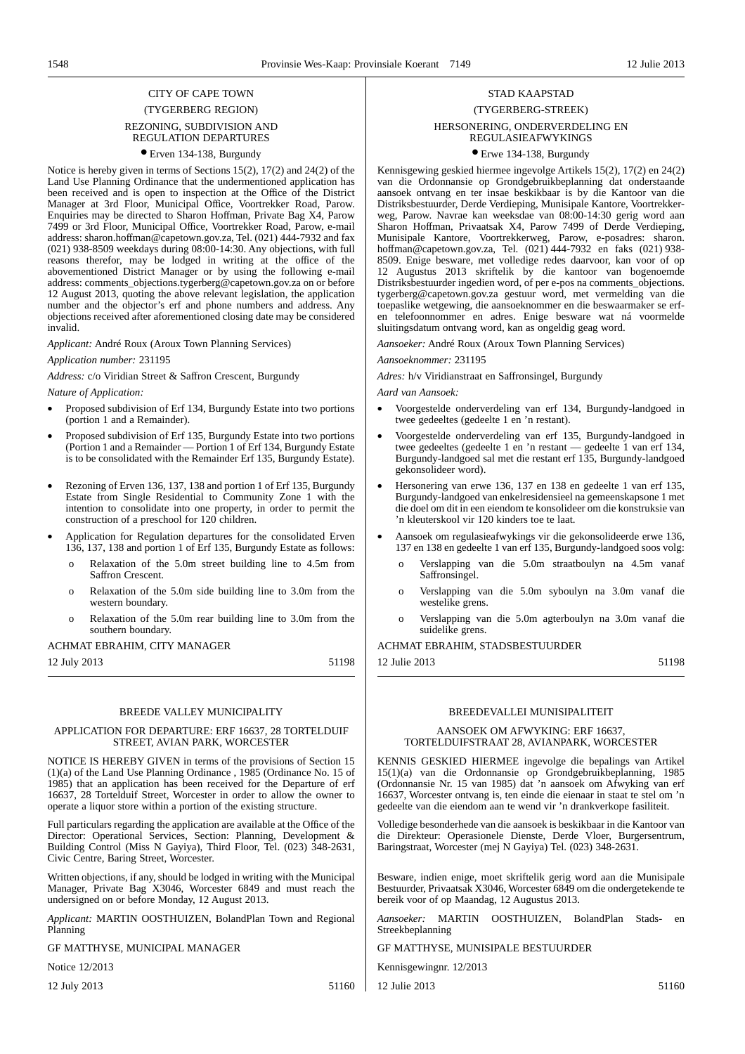### CITY OF CAPE TOWN (TYGERBERG REGION) REZONING, SUBDIVISION AND REGULATION DEPARTURES

#### ● Erven 134-138, Burgundy

Notice is hereby given in terms of Sections 15(2), 17(2) and 24(2) of the Land Use Planning Ordinance that the undermentioned application has been received and is open to inspection at the Office of the District Manager at 3rd Floor, Municipal Office, Voortrekker Road, Parow. Enquiries may be directed to Sharon Hoffman, Private Bag X4, Parow 7499 or 3rd Floor, Municipal Office, Voortrekker Road, Parow, e-mail address: sharon.hoffman@capetown.gov.za, Tel. (021) 444-7932 and fax (021) 938-8509 weekdays during 08:00-14:30. Any objections, with full reasons therefor, may be lodged in writing at the office of the abovementioned District Manager or by using the following e-mail address: comments\_objections.tygerberg@capetown.gov.za on or before 12 August 2013, quoting the above relevant legislation, the application number and the objector's erf and phone numbers and address. Any objections received after aforementioned closing date may be considered invalid.

*Applicant:* André Roux (Aroux Town Planning Services)

#### *Application number:* 231195

*Address:* c/o Viridian Street & Saffron Crescent, Burgundy

*Nature of Application:*

- Proposed subdivision of Erf 134, Burgundy Estate into two portions (portion 1 and a Remainder).
- Proposed subdivision of Erf 135, Burgundy Estate into two portions (Portion 1 and a Remainder — Portion 1 of Erf 134, Burgundy Estate is to be consolidated with the Remainder Erf 135, Burgundy Estate).
- Rezoning of Erven 136, 137, 138 and portion 1 of Erf 135, Burgundy Estate from Single Residential to Community Zone 1 with the intention to consolidate into one property, in order to permit the construction of a preschool for 120 children.
- Application for Regulation departures for the consolidated Erven 136, 137, 138 and portion 1 of Erf 135, Burgundy Estate as follows:
	- o Relaxation of the 5.0m street building line to 4.5m from Saffron Crescent.
	- o Relaxation of the 5.0m side building line to 3.0m from the western boundary.
	- o Relaxation of the 5.0m rear building line to 3.0m from the southern boundary.

#### ACHMAT EBRAHIM, CITY MANAGER

12 July 2013 51198

#### BREEDE VALLEY MUNICIPALITY

#### APPLICATION FOR DEPARTURE: ERF 16637, 28 TORTELDUIF STREET, AVIAN PARK, WORCESTER

NOTICE IS HEREBY GIVEN in terms of the provisions of Section 15 (1)(a) of the Land Use Planning Ordinance , 1985 (Ordinance No. 15 of 1985) that an application has been received for the Departure of erf 16637, 28 Tortelduif Street, Worcester in order to allow the owner to operate a liquor store within a portion of the existing structure.

Full particulars regarding the application are available at the Office of the Director: Operational Services, Section: Planning, Development & Building Control (Miss N Gayiya), Third Floor, Tel. (023) 348-2631, Civic Centre, Baring Street, Worcester.

Written objections, if any, should be lodged in writing with the Municipal Manager, Private Bag X3046, Worcester 6849 and must reach the undersigned on or before Monday, 12 August 2013.

*Applicant:* MARTIN OOSTHUIZEN, BolandPlan Town and Regional Planning

GF MATTHYSE, MUNICIPAL MANAGER

Notice 12/2013

12 July 2013 51160

### STAD KAAPSTAD (TYGERBERG-STREEK) HERSONERING, ONDERVERDELING EN REGULASIEAFWYKINGS

#### ● Erwe 134-138, Burgundy

Kennisgewing geskied hiermee ingevolge Artikels 15(2), 17(2) en 24(2) van die Ordonnansie op Grondgebruikbeplanning dat onderstaande aansoek ontvang en ter insae beskikbaar is by die Kantoor van die Distriksbestuurder, Derde Verdieping, Munisipale Kantore, Voortrekkerweg, Parow. Navrae kan weeksdae van 08:00-14:30 gerig word aan Sharon Hoffman, Privaatsak X4, Parow 7499 of Derde Verdieping, Munisipale Kantore, Voortrekkerweg, Parow, e-posadres: sharon. hoffman@capetown.gov.za, Tel. (021) 444-7932 en faks (021) 938- 8509. Enige besware, met volledige redes daarvoor, kan voor of op 12 Augustus 2013 skriftelik by die kantoor van bogenoemde Distriksbestuurder ingedien word, of per e-pos na comments\_objections. tygerberg@capetown.gov.za gestuur word, met vermelding van die toepaslike wetgewing, die aansoeknommer en die beswaarmaker se erfen telefoonnommer en adres. Enige besware wat ná voormelde sluitingsdatum ontvang word, kan as ongeldig geag word.

*Aansoeker:* André Roux (Aroux Town Planning Services)

#### *Aansoeknommer:* 231195

*Adres:* h/v Viridianstraat en Saffronsingel, Burgundy

*Aard van Aansoek:*

- Voorgestelde onderverdeling van erf 134, Burgundy-landgoed in twee gedeeltes (gedeelte 1 en 'n restant).
- Voorgestelde onderverdeling van erf 135, Burgundy-landgoed in twee gedeeltes (gedeelte 1 en 'n restant — gedeelte 1 van erf 134, Burgundy-landgoed sal met die restant erf 135, Burgundy-landgoed gekonsolideer word).
- Hersonering van erwe 136, 137 en 138 en gedeelte 1 van erf 135, Burgundy-landgoed van enkelresidensieel na gemeenskapsone 1 met die doel om dit in een eiendom te konsolideer om die konstruksie van 'n kleuterskool vir 120 kinders toe te laat.
- Aansoek om regulasieafwykings vir die gekonsolideerde erwe 136, 137 en 138 en gedeelte 1 van erf 135, Burgundy-landgoed soos volg:
	- o Verslapping van die 5.0m straatboulyn na 4.5m vanaf Saffronsingel.
	- o Verslapping van die 5.0m syboulyn na 3.0m vanaf die westelike grens.
	- o Verslapping van die 5.0m agterboulyn na 3.0m vanaf die suidelike grens.

#### ACHMAT EBRAHIM, STADSBESTUURDER

12 Julie 2013 51198

#### BREEDEVALLEI MUNISIPALITEIT

#### AANSOEK OM AFWYKING: ERF 16637, TORTELDUIFSTRAAT 28, AVIANPARK, WORCESTER

KENNIS GESKIED HIERMEE ingevolge die bepalings van Artikel 15(1)(a) van die Ordonnansie op Grondgebruikbeplanning, 1985 (Ordonnansie Nr. 15 van 1985) dat 'n aansoek om Afwyking van erf 16637, Worcester ontvang is, ten einde die eienaar in staat te stel om 'n gedeelte van die eiendom aan te wend vir 'n drankverkope fasiliteit.

Volledige besonderhede van die aansoek is beskikbaar in die Kantoor van die Direkteur: Operasionele Dienste, Derde Vloer, Burgersentrum, Baringstraat, Worcester (mej N Gayiya) Tel. (023) 348-2631.

Besware, indien enige, moet skriftelik gerig word aan die Munisipale Bestuurder, Privaatsak X3046, Worcester 6849 om die ondergetekende te bereik voor of op Maandag, 12 Augustus 2013.

*Aansoeker:* MARTIN OOSTHUIZEN, BolandPlan Stads- en Streekbeplanning

GF MATTHYSE, MUNISIPALE BESTUURDER

Kennisgewingnr. 12/2013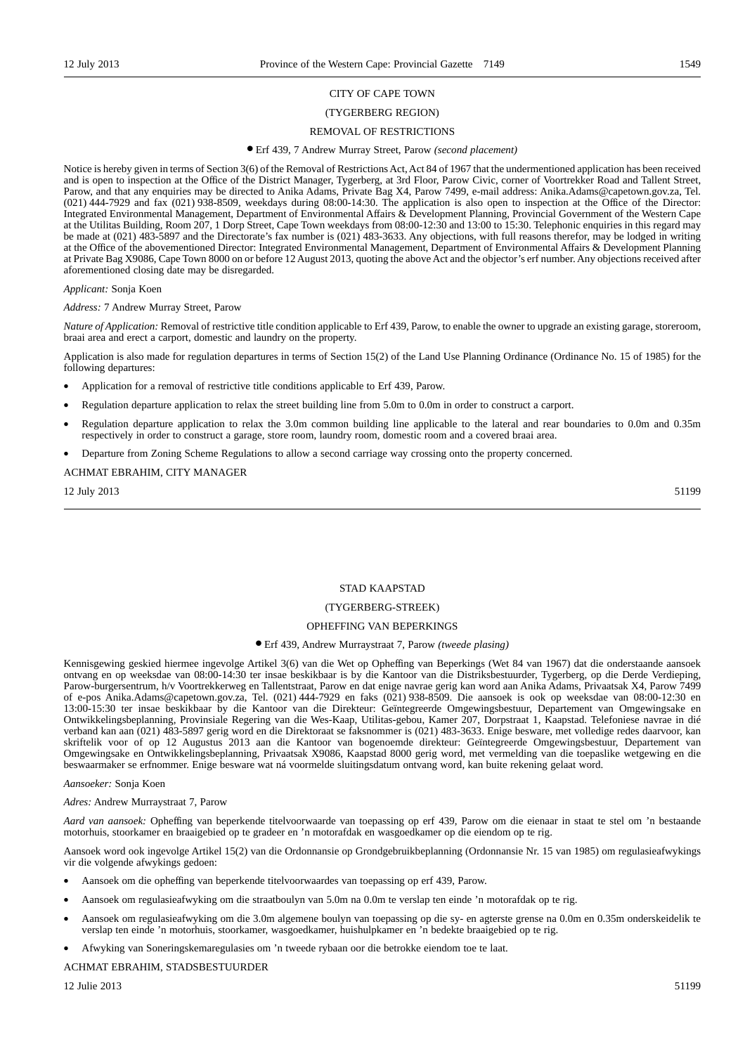### CITY OF CAPE TOWN

#### (TYGERBERG REGION)

#### REMOVAL OF RESTRICTIONS

#### ● Erf 439, 7 Andrew Murray Street, Parow *(second placement)*

Notice is hereby given in terms of Section 3(6) of the Removal of Restrictions Act, Act 84 of 1967 that the undermentioned application has been received and is open to inspection at the Office of the District Manager, Tygerberg, at 3rd Floor, Parow Civic, corner of Voortrekker Road and Tallent Street, Parow, and that any enquiries may be directed to Anika Adams, Private Bag X4, Parow 7499, e-mail address: Anika.Adams@capetown.gov.za, Tel. (021) 444-7929 and fax (021) 938-8509, weekdays during 08:00-14:30. The application is also open to inspection at the Office of the Director: Integrated Environmental Management, Department of Environmental Affairs & Development Planning, Provincial Government of the Western Cape at the Utilitas Building, Room 207, 1 Dorp Street, Cape Town weekdays from 08:00-12:30 and 13:00 to 15:30. Telephonic enquiries in this regard may be made at (021) 483-5897 and the Directorate's fax number is (021) 483-3633. Any objections, with full reasons therefor, may be lodged in writing at the Office of the abovementioned Director: Integrated Environmental Management, Department of Environmental Affairs & Development Planning at Private Bag X9086, Cape Town 8000 on or before 12 August 2013, quoting the above Act and the objector's erf number. Any objections received after aforementioned closing date may be disregarded.

#### *Applicant:* Sonja Koen

#### *Address:* 7 Andrew Murray Street, Parow

*Nature of Application:* Removal of restrictive title condition applicable to Erf 439, Parow, to enable the owner to upgrade an existing garage, storeroom, braai area and erect a carport, domestic and laundry on the property.

Application is also made for regulation departures in terms of Section 15(2) of the Land Use Planning Ordinance (Ordinance No. 15 of 1985) for the following departures:

- Application for a removal of restrictive title conditions applicable to Erf 439, Parow.
- Regulation departure application to relax the street building line from 5.0m to 0.0m in order to construct a carport.
- Regulation departure application to relax the 3.0m common building line applicable to the lateral and rear boundaries to 0.0m and 0.35m respectively in order to construct a garage, store room, laundry room, domestic room and a covered braai area.
- Departure from Zoning Scheme Regulations to allow a second carriage way crossing onto the property concerned.

ACHMAT EBRAHIM, CITY MANAGER

12 July 2013 51199

#### STAD KAAPSTAD

#### (TYGERBERG-STREEK)

#### OPHEFFING VAN BEPERKINGS

### ● Erf 439, Andrew Murraystraat 7, Parow *(tweede plasing)*

Kennisgewing geskied hiermee ingevolge Artikel 3(6) van die Wet op Opheffing van Beperkings (Wet 84 van 1967) dat die onderstaande aansoek ontvang en op weeksdae van 08:00-14:30 ter insae beskikbaar is by die Kantoor van die Distriksbestuurder, Tygerberg, op die Derde Verdieping, Parow-burgersentrum, h/v Voortrekkerweg en Tallentstraat, Parow en dat enige navrae gerig kan word aan Anika Adams, Privaatsak X4, Parow 7499 of e-pos Anika.Adams@capetown.gov.za, Tel. (021) 444-7929 en faks (021) 938-8509. Die aansoek is ook op weeksdae van 08:00-12:30 en 13:00-15:30 ter insae beskikbaar by die Kantoor van die Direkteur: Geïntegreerde Omgewingsbestuur, Departement van Omgewingsake en Ontwikkelingsbeplanning, Provinsiale Regering van die Wes-Kaap, Utilitas-gebou, Kamer 207, Dorpstraat 1, Kaapstad. Telefoniese navrae in dié verband kan aan (021) 483-5897 gerig word en die Direktoraat se faksnommer is (021) 483-3633. Enige besware, met volledige redes daarvoor, kan skriftelik voor of op 12 Augustus 2013 aan die Kantoor van bogenoemde direkteur: Geïntegreerde Omgewingsbestuur, Departement van Omgewingsake en Ontwikkelingsbeplanning, Privaatsak X9086, Kaapstad 8000 gerig word, met vermelding van die toepaslike wetgewing en die beswaarmaker se erfnommer. Enige besware wat ná voormelde sluitingsdatum ontvang word, kan buite rekening gelaat word.

#### *Aansoeker:* Sonja Koen

#### *Adres:* Andrew Murraystraat 7, Parow

*Aard van aansoek:* Opheffing van beperkende titelvoorwaarde van toepassing op erf 439, Parow om die eienaar in staat te stel om 'n bestaande motorhuis, stoorkamer en braaigebied op te gradeer en 'n motorafdak en wasgoedkamer op die eiendom op te rig.

Aansoek word ook ingevolge Artikel 15(2) van die Ordonnansie op Grondgebruikbeplanning (Ordonnansie Nr. 15 van 1985) om regulasieafwykings vir die volgende afwykings gedoen:

- Aansoek om die opheffing van beperkende titelvoorwaardes van toepassing op erf 439, Parow.
- Aansoek om regulasieafwyking om die straatboulyn van 5.0m na 0.0m te verslap ten einde 'n motorafdak op te rig.
- Aansoek om regulasieafwyking om die 3.0m algemene boulyn van toepassing op die sy- en agterste grense na 0.0m en 0.35m onderskeidelik te verslap ten einde 'n motorhuis, stoorkamer, wasgoedkamer, huishulpkamer en 'n bedekte braaigebied op te rig.
- Afwyking van Soneringskemaregulasies om 'n tweede rybaan oor die betrokke eiendom toe te laat.

### ACHMAT EBRAHIM, STADSBESTUURDER

 $12 \text{ Julie } 2013$  51199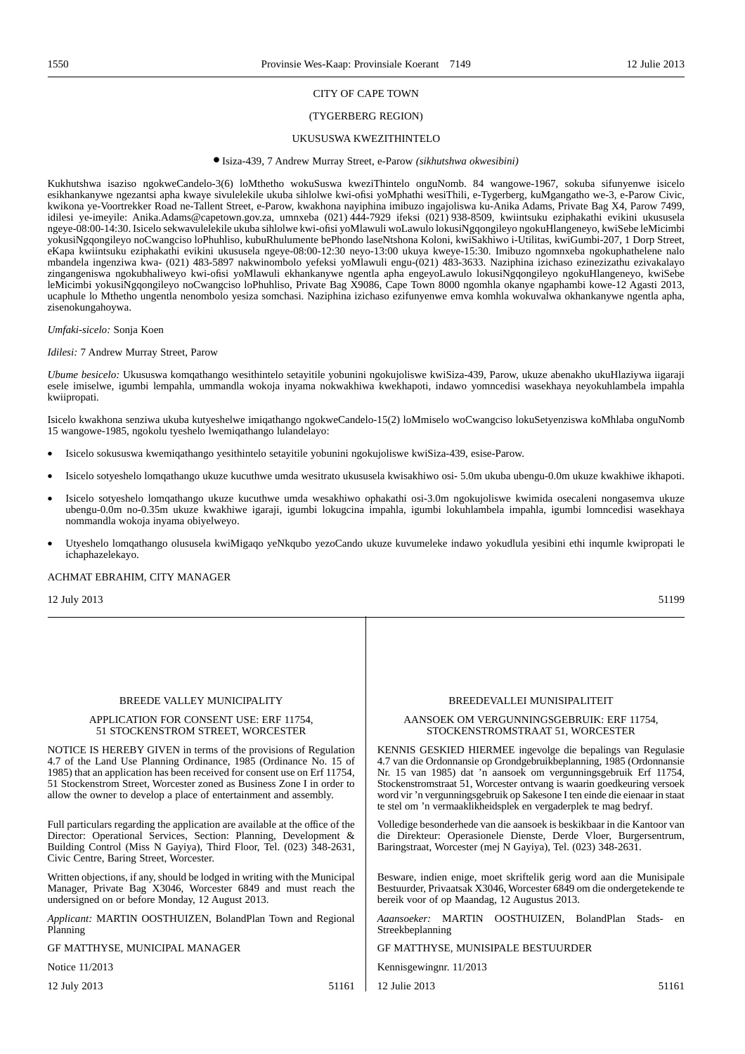#### CITY OF CAPE TOWN

#### (TYGERBERG REGION)

#### UKUSUSWA KWEZITHINTELO

#### ● Isiza-439, 7 Andrew Murray Street, e-Parow *(sikhutshwa okwesibini)*

Kukhutshwa isaziso ngokweCandelo-3(6) loMthetho wokuSuswa kweziThintelo onguNomb. 84 wangowe-1967, sokuba sifunyenwe isicelo esikhankanywe ngezantsi apha kwaye sivulelekile ukuba sihlolwe kwi-ofisi yoMphathi wesiThili, e-Tygerberg, kuMgangatho we-3, e-Parow Civic, kwikona ye-Voortrekker Road ne-Tallent Street, e-Parow, kwakhona nayiphina imibuzo ingajoliswa ku-Anika Adams, Private Bag X4, Parow 7499, idilesi ye-imeyile: Anika.Adams@capetown.gov.za, umnxeba (021) 444-7929 ifeksi (021) 938-8509, kwiintsuku eziphakathi evikini ukususela ngeye-08:00-14:30. Isicelo sekwavulelekile ukuba sihlolwe kwi-ofisi yoMlawuli woLawulo lokusiNgqongileyo ngokuHlangeneyo, kwiSebe leMicimbi yokusiNgqongileyo noCwangciso loPhuhliso, kubuRhulumente bePhondo laseNtshona Koloni, kwiSakhiwo i-Utilitas, kwiGumbi-207, 1 Dorp Street, eKapa kwiintsuku eziphakathi evikini ukususela ngeye-08:00-12:30 neyo-13:00 ukuya kweye-15:30. Imibuzo ngomnxeba ngokuphathelene nalo mbandela ingenziwa kwa- (021) 483-5897 nakwinombolo yefeksi yoMlawuli engu-(021) 483-3633. Naziphina izichaso ezinezizathu ezivakalayo zingangeniswa ngokubhaliweyo kwi-ofisi yoMlawuli ekhankanywe ngentla apha engeyoLawulo lokusiNgqongileyo ngokuHlangeneyo, kwiSebe leMicimbi yokusiNgqongileyo noCwangciso loPhuhliso, Private Bag X9086, Cape Town 8000 ngomhla okanye ngaphambi kowe-12 Agasti 2013, ucaphule lo Mthetho ungentla nenombolo yesiza somchasi. Naziphina izichaso ezifunyenwe emva komhla wokuvalwa okhankanywe ngentla apha, zisenokungahoywa.

#### *Umfaki-sicelo:* Sonja Koen

#### *Idilesi:* 7 Andrew Murray Street, Parow

*Ubume besicelo:* Ukususwa komqathango wesithintelo setayitile yobunini ngokujoliswe kwiSiza-439, Parow, ukuze abenakho ukuHlaziywa iigaraji esele imiselwe, igumbi lempahla, ummandla wokoja inyama nokwakhiwa kwekhapoti, indawo yomncedisi wasekhaya neyokuhlambela impahla kwiipropati.

Isicelo kwakhona senziwa ukuba kutyeshelwe imiqathango ngokweCandelo-15(2) loMmiselo woCwangciso lokuSetyenziswa koMhlaba onguNomb 15 wangowe-1985, ngokolu tyeshelo lwemiqathango lulandelayo:

- Isicelo sokususwa kwemiqathango yesithintelo setayitile yobunini ngokujoliswe kwiSiza-439, esise-Parow.
- Isicelo sotyeshelo lomqathango ukuze kucuthwe umda wesitrato ukususela kwisakhiwo osi- 5.0m ukuba ubengu-0.0m ukuze kwakhiwe ikhapoti.
- Isicelo sotyeshelo lomqathango ukuze kucuthwe umda wesakhiwo ophakathi osi-3.0m ngokujoliswe kwimida osecaleni nongasemva ukuze ubengu-0.0m no-0.35m ukuze kwakhiwe igaraji, igumbi lokugcina impahla, igumbi lokuhlambela impahla, igumbi lomncedisi wasekhaya nommandla wokoja inyama obiyelweyo.
- Utyeshelo lomqathango olususela kwiMigaqo yeNkqubo yezoCando ukuze kuvumeleke indawo yokudlula yesibini ethi inqumle kwipropati le ichaphazelekayo.

#### ACHMAT EBRAHIM, CITY MANAGER

 $12$  July 2013  $51199$ 

#### BREEDE VALLEY MUNICIPALITY APPLICATION FOR CONSENT USE: ERF 11754, 51 STOCKENSTROM STREET, WORCESTER NOTICE IS HEREBY GIVEN in terms of the provisions of Regulation 4.7 of the Land Use Planning Ordinance, 1985 (Ordinance No. 15 of 1985) that an application has been received for consent use on Erf 11754, 51 Stockenstrom Street, Worcester zoned as Business Zone I in order to allow the owner to develop a place of entertainment and assembly. Full particulars regarding the application are available at the office of the Director: Operational Services, Section: Planning, Development & Building Control (Miss N Gayiya), Third Floor, Tel. (023) 348-2631, Civic Centre, Baring Street, Worcester. Written objections, if any, should be lodged in writing with the Municipal Manager, Private Bag X3046, Worcester 6849 and must reach the undersigned on or before Monday, 12 August 2013. *Applicant:* MARTIN OOSTHUIZEN, BolandPlan Town and Regional Planning GF MATTHYSE, MUNICIPAL MANAGER Notice 11/2013 BREEDEVALLEI MUNISIPALITEIT AANSOEK OM VERGUNNINGSGEBRUIK: ERF 11754, STOCKENSTROMSTRAAT 51, WORCESTER KENNIS GESKIED HIERMEE ingevolge die bepalings van Regulasie 4.7 van die Ordonnansie op Grondgebruikbeplanning, 1985 (Ordonnansie Nr. 15 van 1985) dat 'n aansoek om vergunningsgebruik Erf 11754, Stockenstromstraat 51, Worcester ontvang is waarin goedkeuring versoek word vir 'n vergunningsgebruik op Sakesone I ten einde die eienaar in staat te stel om 'n vermaaklikheidsplek en vergaderplek te mag bedryf. Volledige besonderhede van die aansoek is beskikbaar in die Kantoor van die Direkteur: Operasionele Dienste, Derde Vloer, Burgersentrum, Baringstraat, Worcester (mej N Gayiya), Tel. (023) 348-2631. Besware, indien enige, moet skriftelik gerig word aan die Munisipale Bestuurder, Privaatsak X3046, Worcester 6849 om die ondergetekende te bereik voor of op Maandag, 12 Augustus 2013. *Aaansoeker:* MARTIN OOSTHUIZEN, BolandPlan Stads- en Streekbeplanning GF MATTHYSE, MUNISIPALE BESTUURDER Kennisgewingnr. 11/2013

12 Julie 2013 51161

12 July 2013 51161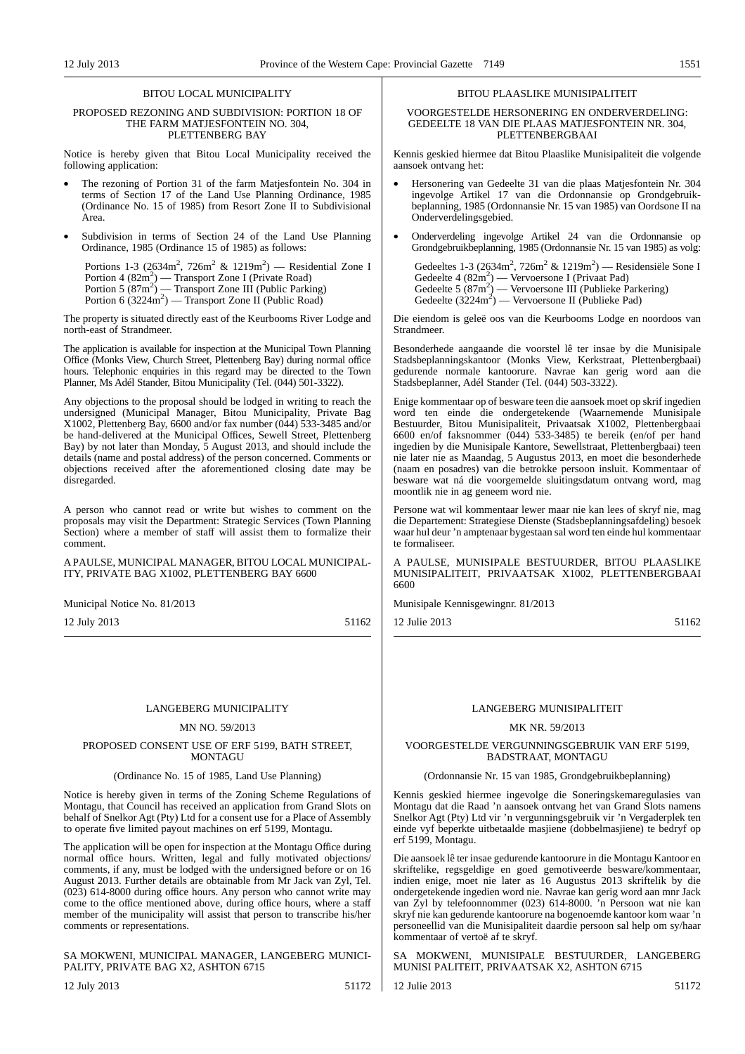#### BITOU LOCAL MUNICIPALITY

#### PROPOSED REZONING AND SUBDIVISION: PORTION 18 OF THE FARM MATJESFONTEIN NO. 304, PLETTENBERG BAY

Notice is hereby given that Bitou Local Municipality received the following application:

- The rezoning of Portion 31 of the farm Matjesfontein No. 304 in terms of Section 17 of the Land Use Planning Ordinance, 1985 (Ordinance No. 15 of 1985) from Resort Zone II to Subdivisional Area.
- Subdivision in terms of Section 24 of the Land Use Planning Ordinance, 1985 (Ordinance 15 of 1985) as follows:

Portions 1-3 (2634m<sup>2</sup>, 726m<sup>2</sup> & 1219m<sup>2</sup>) — Residential Zone I Portion 4 (82m<sup>2</sup>) — Transport Zone I (Private Road)<br>Portion 5 (87m<sup>2</sup>) — Transport Zone III (Public Parking) Portion 6 (3224m<sup>2</sup>) — Transport Zone II (Public Road)

The property is situated directly east of the Keurbooms River Lodge and north-east of Strandmeer.

The application is available for inspection at the Municipal Town Planning Office (Monks View, Church Street, Plettenberg Bay) during normal office hours. Telephonic enquiries in this regard may be directed to the Town Planner, Ms Adél Stander, Bitou Municipality (Tel. (044) 501-3322).

Any objections to the proposal should be lodged in writing to reach the undersigned (Municipal Manager, Bitou Municipality, Private Bag X1002, Plettenberg Bay, 6600 and/or fax number  $(044)$  533-3485 and/or be hand-delivered at the Municipal Offices, Sewell Street, Plettenberg Bay) by not later than Monday, 5 August 2013, and should include the details (name and postal address) of the person concerned. Comments or objections received after the aforementioned closing date may be disregarded.

A person who cannot read or write but wishes to comment on the proposals may visit the Department: Strategic Services (Town Planning Section) where a member of staff will assist them to formalize their comment.

A PAULSE, MUNICIPAL MANAGER, BITOU LOCAL MUNICIPAL-ITY, PRIVATE BAG X1002, PLETTENBERG BAY 6600

Municipal Notice No. 81/2013

12 July 2013 51162

#### LANGEBERG MUNICIPALITY

#### MN NO. 59/2013

#### PROPOSED CONSENT USE OF ERF 5199, BATH STREET, MONTAGU

#### (Ordinance No. 15 of 1985, Land Use Planning)

Notice is hereby given in terms of the Zoning Scheme Regulations of Montagu, that Council has received an application from Grand Slots on behalf of Snelkor Agt (Pty) Ltd for a consent use for a Place of Assembly to operate five limited payout machines on erf 5199, Montagu.

The application will be open for inspection at the Montagu Office during normal office hours. Written, legal and fully motivated objections/ comments, if any, must be lodged with the undersigned before or on 16 August 2013. Further details are obtainable from Mr Jack van Zyl, Tel. (023) 614-8000 during office hours. Any person who cannot write may come to the office mentioned above, during office hours, where a staff member of the municipality will assist that person to transcribe his/her comments or representations.

SA MOKWENI, MUNICIPAL MANAGER, LANGEBERG MUNICI-PALITY, PRIVATE BAG X2, ASHTON 6715

12 July 2013 51172

#### BITOU PLAASLIKE MUNISIPALITEIT

VOORGESTELDE HERSONERING EN ONDERVERDELING: GEDEELTE 18 VAN DIE PLAAS MATJESFONTEIN NR. 304, PLETTENBERGBAAI

Kennis geskied hiermee dat Bitou Plaaslike Munisipaliteit die volgende aansoek ontvang het:

- Hersonering van Gedeelte 31 van die plaas Matjesfontein Nr. 304 ingevolge Artikel 17 van die Ordonnansie op Grondgebruikbeplanning, 1985 (Ordonnansie Nr. 15 van 1985) van Oordsone II na Onderverdelingsgebied.
- Onderverdeling ingevolge Artikel 24 van die Ordonnansie op Grondgebruikbeplanning, 1985 (Ordonnansie Nr. 15 van 1985) as volg:

Gedeeltes 1-3 (2634m<sup>2</sup>, 726m<sup>2</sup> & 1219m<sup>2</sup>) — Residensiële Sone I<br>Gedeelte 4 (82m<sup>2</sup>) — Vervoersone I (Privaat Pad) Gedeelte 5  $(87m^2)$  — Vervoersone III (Publieke Parkering) Gedeelte  $(3224m^2)$  — Vervoersone II (Publieke Pad)

Die eiendom is geleë oos van die Keurbooms Lodge en noordoos van Strandmeer.

Besonderhede aangaande die voorstel lê ter insae by die Munisipale Stadsbeplanningskantoor (Monks View, Kerkstraat, Plettenbergbaai) gedurende normale kantoorure. Navrae kan gerig word aan die Stadsbeplanner, Adél Stander (Tel. (044) 503-3322).

Enige kommentaar op of besware teen die aansoek moet op skrif ingedien word ten einde die ondergetekende (Waarnemende Munisipale Bestuurder, Bitou Munisipaliteit, Privaatsak X1002, Plettenbergbaai 6600 en/of faksnommer (044) 533-3485) te bereik (en/of per hand ingedien by die Munisipale Kantore, Sewellstraat, Plettenbergbaai) teen nie later nie as Maandag, 5 Augustus 2013, en moet die besonderhede (naam en posadres) van die betrokke persoon insluit. Kommentaar of besware wat ná die voorgemelde sluitingsdatum ontvang word, mag moontlik nie in ag geneem word nie.

Persone wat wil kommentaar lewer maar nie kan lees of skryf nie, mag die Departement: Strategiese Dienste (Stadsbeplanningsafdeling) besoek waar hul deur 'n amptenaar bygestaan sal word ten einde hul kommentaar te formaliseer.

A PAULSE, MUNISIPALE BESTUURDER, BITOU PLAASLIKE MUNISIPALITEIT, PRIVAATSAK X1002, PLETTENBERGBAAI 6600

Munisipale Kennisgewingnr. 81/2013

12 Julie 2013 51162

#### LANGEBERG MUNISIPALITEIT

#### MK NR. 59/2013

VOORGESTELDE VERGUNNINGSGEBRUIK VAN ERF 5199, BADSTRAAT, MONTAGU

### (Ordonnansie Nr. 15 van 1985, Grondgebruikbeplanning)

Kennis geskied hiermee ingevolge die Soneringskemaregulasies van Montagu dat die Raad 'n aansoek ontvang het van Grand Slots namens Snelkor Agt (Pty) Ltd vir 'n vergunningsgebruik vir 'n Vergaderplek ten einde vyf beperkte uitbetaalde masjiene (dobbelmasjiene) te bedryf op erf 5199, Montagu.

Die aansoek lê ter insae gedurende kantoorure in die Montagu Kantoor en skriftelike, regsgeldige en goed gemotiveerde besware/kommentaar, indien enige, moet nie later as 16 Augustus 2013 skriftelik by die ondergetekende ingedien word nie. Navrae kan gerig word aan mnr Jack van Zyl by telefoonnommer (023) 614-8000. 'n Persoon wat nie kan skryf nie kan gedurende kantoorure na bogenoemde kantoor kom waar 'n personeellid van die Munisipaliteit daardie persoon sal help om sy/haar kommentaar of vertoë af te skryf.

SA MOKWENI, MUNISIPALE BESTUURDER, LANGEBERG MUNISI PALITEIT, PRIVAATSAK X2, ASHTON 6715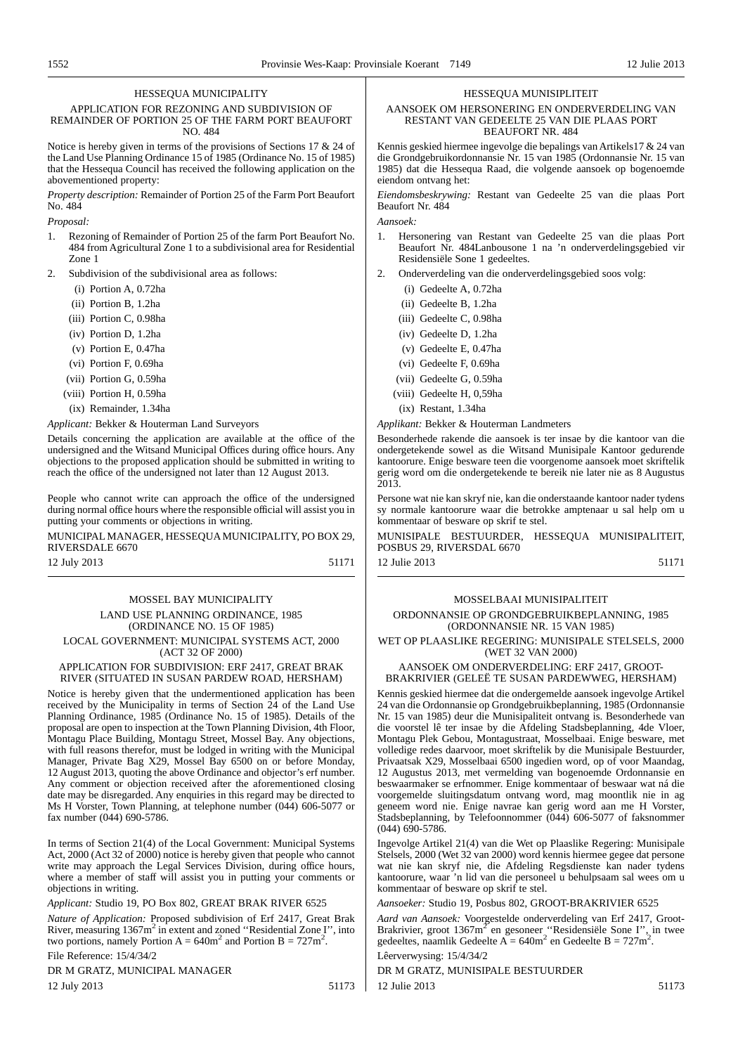#### HESSEQUA MUNICIPALITY

APPLICATION FOR REZONING AND SUBDIVISION OF REMAINDER OF PORTION 25 OF THE FARM PORT BEAUFORT NO. 484

Notice is hereby given in terms of the provisions of Sections 17 & 24 of the Land Use Planning Ordinance 15 of 1985 (Ordinance No. 15 of 1985) that the Hessequa Council has received the following application on the abovementioned property:

*Property description:* Remainder of Portion 25 of the Farm Port Beaufort No. 484

*Proposal:*

- Rezoning of Remainder of Portion 25 of the farm Port Beaufort No. 484 from Agricultural Zone 1 to a subdivisional area for Residential Zone 1
- Subdivision of the subdivisional area as follows:
	- (i) Portion A, 0.72ha
	- (ii) Portion B, 1.2ha
	- (iii) Portion C, 0.98ha
	- (iv) Portion D, 1.2ha
	- (v) Portion E, 0.47ha
	- (vi) Portion F, 0.69ha
	- (vii) Portion G, 0.59ha
	- (viii) Portion H, 0.59ha
	- (ix) Remainder, 1.34ha

*Applicant:* Bekker & Houterman Land Surveyors

Details concerning the application are available at the office of the undersigned and the Witsand Municipal Offices during office hours. Any objections to the proposed application should be submitted in writing to reach the office of the undersigned not later than 12 August 2013.

People who cannot write can approach the office of the undersigned during normal office hours where the responsible official will assist you in putting your comments or objections in writing.

MUNICIPAL MANAGER, HESSEQUAMUNICIPALITY, PO BOX 29, RIVERSDALE 6670

12 July 2013 51171

#### MOSSEL BAY MUNICIPALITY LAND USE PLANNING ORDINANCE, 1985 (ORDINANCE NO. 15 OF 1985) LOCAL GOVERNMENT: MUNICIPAL SYSTEMS ACT, 2000 (ACT 32 OF 2000)

APPLICATION FOR SUBDIVISION: ERF 2417, GREAT BRAK

RIVER (SITUATED IN SUSAN PARDEW ROAD, HERSHAM)

Notice is hereby given that the undermentioned application has been received by the Municipality in terms of Section 24 of the Land Use Planning Ordinance, 1985 (Ordinance No. 15 of 1985). Details of the proposal are open to inspection at the Town Planning Division, 4th Floor, Montagu Place Building, Montagu Street, Mossel Bay. Any objections, with full reasons therefor, must be lodged in writing with the Municipal Manager, Private Bag X29, Mossel Bay 6500 on or before Monday, 12 August 2013, quoting the above Ordinance and objector's erf number. Any comment or objection received after the aforementioned closing date may be disregarded. Any enquiries in this regard may be directed to Ms H Vorster, Town Planning, at telephone number (044) 606-5077 or fax number (044) 690-5786.

In terms of Section 21(4) of the Local Government: Municipal Systems Act, 2000 (Act 32 of 2000) notice is hereby given that people who cannot write may approach the Legal Services Division, during office hours, where a member of staff will assist you in putting your comments or objections in writing.

*Applicant:* Studio 19, PO Box 802, GREAT BRAK RIVER 6525

*Nature of Application:* Proposed subdivision of Erf 2417, Great Brak River, measuring 1367m<sup>2</sup> in extent and zoned "Residential Zone I", into two portions, namely Portion  $A = 640m^2$  and Portion  $B = 727m^2$ .

File Reference: 15/4/34/2

DR M GRATZ, MUNICIPAL MANAGER

12 July 2013 51173

#### HESSEQUA MUNISIPLITEIT

#### AANSOEK OM HERSONERING EN ONDERVERDELING VAN RESTANT VAN GEDEELTE 25 VAN DIE PLAAS PORT BEAUFORT NR. 484

Kennis geskied hiermee ingevolge die bepalings van Artikels17 & 24 van die Grondgebruikordonnansie Nr. 15 van 1985 (Ordonnansie Nr. 15 van 1985) dat die Hessequa Raad, die volgende aansoek op bogenoemde eiendom ontvang het:

*Eiendomsbeskrywing:* Restant van Gedeelte 25 van die plaas Port Beaufort Nr. 484

*Aansoek:*

- 1. Hersonering van Restant van Gedeelte 25 van die plaas Port Beaufort Nr. 484Lanbousone 1 na 'n onderverdelingsgebied vir Residensiële Sone 1 gedeeltes.
- 2. Onderverdeling van die onderverdelingsgebied soos volg:
	- (i) Gedeelte A, 0.72ha
	- (ii) Gedeelte B, 1.2ha
	- (iii) Gedeelte C, 0.98ha
	- (iv) Gedeelte D, 1.2ha
	- (v) Gedeelte E, 0.47ha
	- (vi) Gedeelte F, 0.69ha
	- (vii) Gedeelte G, 0.59ha
	- (viii) Gedeelte H, 0,59ha
	- (ix) Restant, 1.34ha

*Applikant:* Bekker & Houterman Landmeters

Besonderhede rakende die aansoek is ter insae by die kantoor van die ondergetekende sowel as die Witsand Munisipale Kantoor gedurende kantoorure. Enige besware teen die voorgenome aansoek moet skriftelik gerig word om die ondergetekende te bereik nie later nie as 8 Augustus 2013.

Persone wat nie kan skryf nie, kan die onderstaande kantoor nader tydens sy normale kantoorure waar die betrokke amptenaar u sal help om u kommentaar of besware op skrif te stel.

MUNISIPALE BESTUURDER, HESSEQUA MUNISIPALITEIT, POSBUS 29, RIVERSDAL 6670

12 Julie 2013 51171

#### MOSSELBAAI MUNISIPALITEIT

ORDONNANSIE OP GRONDGEBRUIKBEPLANNING, 1985 (ORDONNANSIE NR. 15 VAN 1985)

WET OP PLAASLIKE REGERING: MUNISIPALE STELSELS, 2000 (WET 32 VAN 2000)

#### AANSOEK OM ONDERVERDELING: ERF 2417, GROOT-BRAKRIVIER (GELEË TE SUSAN PARDEWWEG, HERSHAM)

Kennis geskied hiermee dat die ondergemelde aansoek ingevolge Artikel 24 van die Ordonnansie op Grondgebruikbeplanning, 1985 (Ordonnansie Nr. 15 van 1985) deur die Munisipaliteit ontvang is. Besonderhede van die voorstel lê ter insae by die Afdeling Stadsbeplanning, 4de Vloer, Montagu Plek Gebou, Montagustraat, Mosselbaai. Enige besware, met volledige redes daarvoor, moet skriftelik by die Munisipale Bestuurder, Privaatsak X29, Mosselbaai 6500 ingedien word, op of voor Maandag, 12 Augustus 2013, met vermelding van bogenoemde Ordonnansie en beswaarmaker se erfnommer. Enige kommentaar of beswaar wat ná die voorgemelde sluitingsdatum ontvang word, mag moontlik nie in ag geneem word nie. Enige navrae kan gerig word aan me H Vorster, Stadsbeplanning, by Telefoonnommer (044) 606-5077 of faksnommer  $(044)$  690-5786.

Ingevolge Artikel 21(4) van die Wet op Plaaslike Regering: Munisipale Stelsels, 2000 (Wet 32 van 2000) word kennis hiermee gegee dat persone wat nie kan skryf nie, die Afdeling Regsdienste kan nader tydens kantoorure, waar 'n lid van die personeel u behulpsaam sal wees om u kommentaar of besware op skrif te stel.

*Aansoeker:* Studio 19, Posbus 802, GROOT-BRAKRIVIER 6525

*Aard van Aansoek:* Voorgestelde onderverdeling van Erf 2417, Groot-Brakrivier, groot  $1367 \text{m}^2$  en gesoneer "Residensiële Sone I", in twee gedeeltes, naamlik Gedeelte A =  $640m^2$  en Gedeelte B =  $727m^2$ .

Lêerverwysing: 15/4/34/2

DR M GRATZ, MUNISIPALE BESTUURDER 12 Julie 2013 51173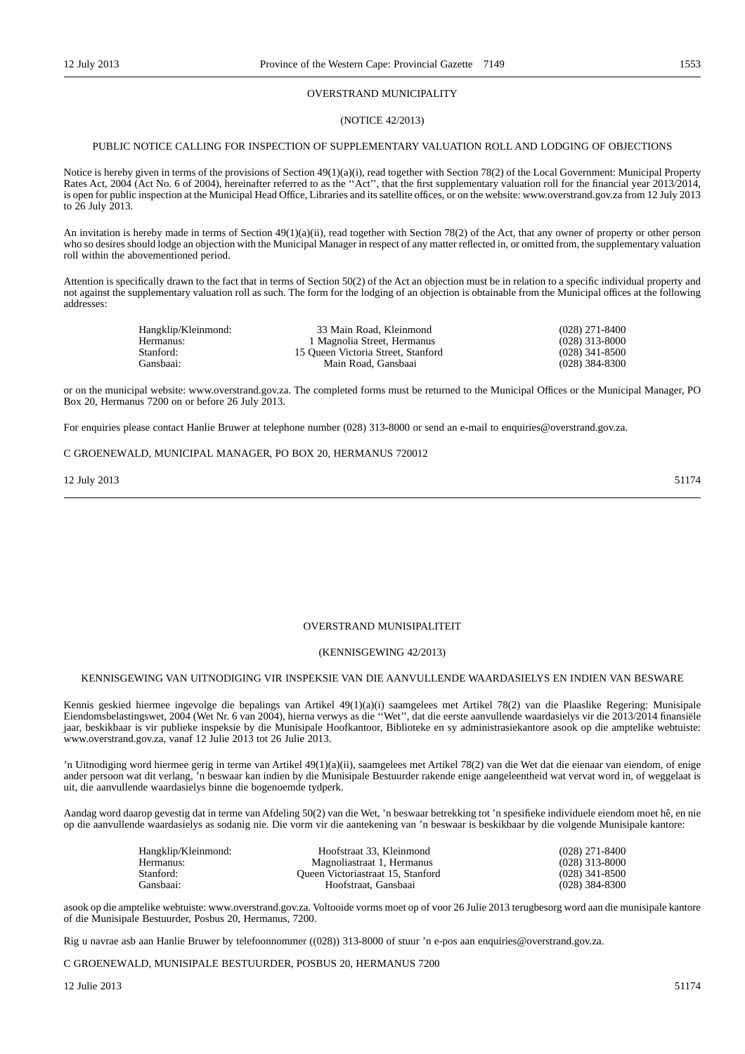#### OVERSTRAND MUNICIPALITY

#### (NOTICE 42/2013)

#### PUBLIC NOTICE CALLING FOR INSPECTION OF SUPPLEMENTARY VALUATION ROLL AND LODGING OF OBJECTIONS

Notice is hereby given in terms of the provisions of Section 49(1)(a)(i), read together with Section 78(2) of the Local Government: Municipal Property Rates Act, 2004 (Act No. 6 of 2004), hereinafter referred to as the "Act", that the first supplementary valuation roll for the financial year 2013/2014, is open for public inspection at the Municipal Head Office, Libraries and its satellite offices, or on the website: www.overstrand.gov.za from 12 July 2013 to 26 July 2013.

An invitation is hereby made in terms of Section 49(1)(a)(ii), read together with Section 78(2) of the Act, that any owner of property or other person who so desires should lodge an objection with the Municipal Manager in respect of any matter reflected in, or omitted from, the supplementary valuation roll within the abovementioned period.

Attention is specifically drawn to the fact that in terms of Section 50(2) of the Act an objection must be in relation to a specific individual property and not against the supplementary valuation roll as such. The form for the lodging of an objection is obtainable from the Municipal offices at the following addresses:

| Hangklip/Kleinmond: | 33 Main Road, Kleinmond            | $(028)$ 271-8400 |
|---------------------|------------------------------------|------------------|
| Hermanus:           | 1 Magnolia Street, Hermanus        | $(028)$ 313-8000 |
| Stanford:           | 15 Oueen Victoria Street, Stanford | $(028)$ 341-8500 |
| Gansbaai:           | Main Road, Gansbaai                | $(028)$ 384-8300 |

or on the municipal website: www.overstrand.gov.za. The completed forms must be returned to the Municipal Offices or the Municipal Manager, PO Box 20, Hermanus 7200 on or before 26 July 2013.

For enquiries please contact Hanlie Bruwer at telephone number (028) 313-8000 or send an e-mail to enquiries@overstrand.gov.za.

#### C GROENEWALD, MUNICIPAL MANAGER, PO BOX 20, HERMANUS 720012

12 July 2013 51174

#### OVERSTRAND MUNISIPALITEIT

#### (KENNISGEWING 42/2013)

### KENNISGEWING VAN UITNODIGING VIR INSPEKSIE VAN DIE AANVULLENDE WAARDASIELYS EN INDIEN VAN BESWARE

Kennis geskied hiermee ingevolge die bepalings van Artikel 49(1)(a)(i) saamgelees met Artikel 78(2) van die Plaaslike Regering: Munisipale Eiendomsbelastingswet, 2004 (Wet Nr. 6 van 2004), hierna verwys as die ''Wet'', dat die eerste aanvullende waardasielys vir die 2013/2014 finansiële jaar, beskikbaar is vir publieke inspeksie by die Munisipale Hoofkantoor, Biblioteke en sy administrasiekantore asook op die amptelike webtuiste: www.overstrand.gov.za, vanaf 12 Julie 2013 tot 26 Julie 2013.

'n Uitnodiging word hiermee gerig in terme van Artikel 49(1)(a)(ii), saamgelees met Artikel 78(2) van die Wet dat die eienaar van eiendom, of enige ander persoon wat dit verlang, 'n beswaar kan indien by die Munisipale Bestuurder rakende enige aangeleentheid wat vervat word in, of weggelaat is uit, die aanvullende waardasielys binne die bogenoemde tydperk.

Aandag word daarop gevestig dat in terme van Afdeling 50(2) van die Wet, 'n beswaar betrekking tot 'n spesifieke individuele eiendom moet hê, en nie op die aanvullende waardasielys as sodanig nie. Die vorm vir die aantekening van 'n beswaar is beskikbaar by die volgende Munisipale kantore:

| Hangklip/Kleinmond: | Hoofstraat 33. Kleinmond          | $(028)$ 271-8400 |
|---------------------|-----------------------------------|------------------|
| Hermanus:           | Magnoliastraat 1. Hermanus        | $(028)$ 313-8000 |
| Stanford:           | Oueen Victoriastraat 15, Stanford | $(028)$ 341-8500 |
| Gansbaai:           | Hoofstraat, Gansbaai              | $(028)$ 384-8300 |

asook op die amptelike webtuiste: www.overstrand.gov.za. Voltooide vorms moet op of voor 26 Julie 2013 terugbesorg word aan die munisipale kantore of die Munisipale Bestuurder, Posbus 20, Hermanus, 7200.

Rig u navrae asb aan Hanlie Bruwer by telefoonnommer ((028)) 313-8000 of stuur 'n e-pos aan enquiries@overstrand.gov.za.

C GROENEWALD, MUNISIPALE BESTUURDER, POSBUS 20, HERMANUS 7200

 $12 \text{ Julie } 2013$  51174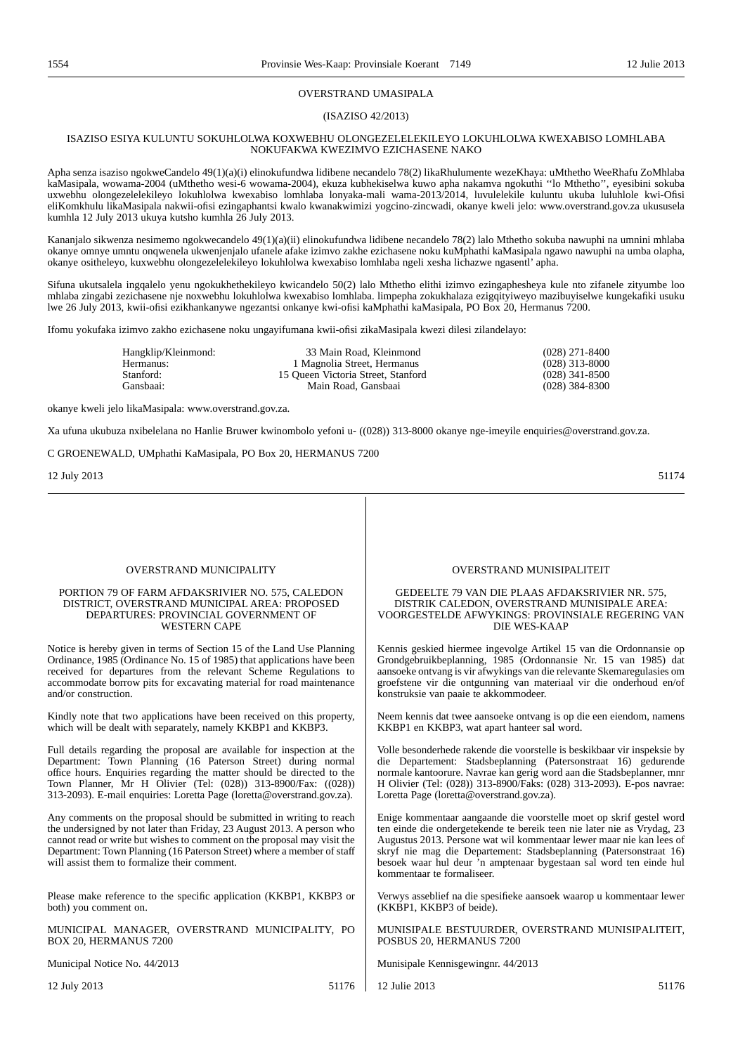#### OVERSTRAND UMASIPALA

### (ISAZISO 42/2013)

#### ISAZISO ESIYA KULUNTU SOKUHLOLWA KOXWEBHU OLONGEZELELEKILEYO LOKUHLOLWA KWEXABISO LOMHLABA NOKUFAKWA KWEZIMVO EZICHASENE NAKO

Apha senza isaziso ngokweCandelo 49(1)(a)(i) elinokufundwa lidibene necandelo 78(2) likaRhulumente wezeKhaya: uMthetho WeeRhafu ZoMhlaba kaMasipala, wowama-2004 (uMthetho wesi-6 wowama-2004), ekuza kubhekiselwa kuwo apha nakamva ngokuthi ''lo Mthetho'', eyesibini sokuba uxwebhu olongezelelekileyo lokuhlolwa kwexabiso lomhlaba lonyaka-mali wama-2013/2014, luvulelekile kuluntu ukuba luluhlole kwi-Ofisi eliKomkhulu likaMasipala nakwii-ofisi ezingaphantsi kwalo kwanakwimizi yogcino-zincwadi, okanye kweli jelo: www.overstrand.gov.za ukususela kumhla 12 July 2013 ukuya kutsho kumhla 26 July 2013.

Kananjalo sikwenza nesimemo ngokwecandelo 49(1)(a)(ii) elinokufundwa lidibene necandelo 78(2) lalo Mthetho sokuba nawuphi na umnini mhlaba okanye omnye umntu onqwenela ukwenjenjalo ufanele afake izimvo zakhe ezichasene noku kuMphathi kaMasipala ngawo nawuphi na umba olapha, okanye ositheleyo, kuxwebhu olongezelelekileyo lokuhlolwa kwexabiso lomhlaba ngeli xesha lichazwe ngasentl' apha.

Sifuna ukutsalela ingqalelo yenu ngokukhethekileyo kwicandelo 50(2) lalo Mthetho elithi izimvo ezingaphesheya kule nto zifanele zityumbe loo mhlaba zingabi zezichasene nje noxwebhu lokuhlolwa kwexabiso lomhlaba. limpepha zokukhalaza ezigqityiweyo mazibuyiselwe kungekafiki usuku lwe 26 July 2013, kwii-ofisi ezikhankanywe ngezantsi onkanye kwi-ofisi kaMphathi kaMasipala, PO Box 20, Hermanus 7200.

Ifomu yokufaka izimvo zakho ezichasene noku ungayifumana kwii-ofisi zikaMasipala kwezi dilesi zilandelayo:

| Hangklip/Kleinmond: | 33 Main Road, Kleinmond            | $(028)$ 271-8400 |
|---------------------|------------------------------------|------------------|
| Hermanus:           | 1 Magnolia Street, Hermanus        | $(028)$ 313-8000 |
| Stanford:           | 15 Oueen Victoria Street. Stanford | $(028)$ 341-8500 |
| Gansbaai:           | Main Road, Gansbaai                | $(028)$ 384-8300 |
|                     |                                    |                  |

okanye kweli jelo likaMasipala: www.overstrand.gov.za.

Xa ufuna ukubuza nxibelelana no Hanlie Bruwer kwinombolo yefoni u- ((028)) 313-8000 okanye nge-imeyile enquiries@overstrand.gov.za.

C GROENEWALD, UMphathi KaMasipala, PO Box 20, HERMANUS 7200

 $12$  July 2013  $51174$ 

#### OVERSTRAND MUNICIPALITY

#### PORTION 79 OF FARM AFDAKSRIVIER NO. 575, CALEDON DISTRICT, OVERSTRAND MUNICIPAL AREA: PROPOSED DEPARTURES: PROVINCIAL GOVERNMENT OF WESTERN CAPE

Notice is hereby given in terms of Section 15 of the Land Use Planning Ordinance, 1985 (Ordinance No. 15 of 1985) that applications have been received for departures from the relevant Scheme Regulations to accommodate borrow pits for excavating material for road maintenance and/or construction.

Kindly note that two applications have been received on this property, which will be dealt with separately, namely KKBP1 and KKBP3.

Full details regarding the proposal are available for inspection at the Department: Town Planning (16 Paterson Street) during normal office hours. Enquiries regarding the matter should be directed to the Town Planner, Mr H Olivier (Tel: (028)) 313-8900/Fax: ((028)) 313-2093). E-mail enquiries: Loretta Page (loretta@overstrand.gov.za).

Any comments on the proposal should be submitted in writing to reach the undersigned by not later than Friday, 23 August 2013. A person who cannot read or write but wishes to comment on the proposal may visit the Department: Town Planning (16 Paterson Street) where a member of staff will assist them to formalize their comment.

Please make reference to the specific application (KKBP1, KKBP3 or both) you comment on.

MUNICIPAL MANAGER, OVERSTRAND MUNICIPALITY, PO BOX 20, HERMANUS 7200

Municipal Notice No. 44/2013

12 July 2013 51176

OVERSTRAND MUNISIPALITEIT

#### GEDEELTE 79 VAN DIE PLAAS AFDAKSRIVIER NR. 575, DISTRIK CALEDON, OVERSTRAND MUNISIPALE AREA: VOORGESTELDE AFWYKINGS: PROVINSIALE REGERING VAN DIE WES-KAAP

Kennis geskied hiermee ingevolge Artikel 15 van die Ordonnansie op Grondgebruikbeplanning, 1985 (Ordonnansie Nr. 15 van 1985) dat aansoeke ontvang is vir afwykings van die relevante Skemaregulasies om groefstene vir die ontgunning van materiaal vir die onderhoud en/of konstruksie van paaie te akkommodeer.

Neem kennis dat twee aansoeke ontvang is op die een eiendom, namens KKBP1 en KKBP3, wat apart hanteer sal word.

Volle besonderhede rakende die voorstelle is beskikbaar vir inspeksie by die Departement: Stadsbeplanning (Patersonstraat 16) gedurende normale kantoorure. Navrae kan gerig word aan die Stadsbeplanner, mnr H Olivier (Tel: (028)) 313-8900/Faks: (028) 313-2093). E-pos navrae: Loretta Page (loretta@overstrand.gov.za).

Enige kommentaar aangaande die voorstelle moet op skrif gestel word ten einde die ondergetekende te bereik teen nie later nie as Vrydag, 23 Augustus 2013. Persone wat wil kommentaar lewer maar nie kan lees of skryf nie mag die Departement: Stadsbeplanning (Patersonstraat 16) besoek waar hul deur 'n amptenaar bygestaan sal word ten einde hul kommentaar te formaliseer.

Verwys asseblief na die spesifieke aansoek waarop u kommentaar lewer (KKBP1, KKBP3 of beide).

MUNISIPALE BESTUURDER, OVERSTRAND MUNISIPALITEIT, POSBUS 20, HERMANUS 7200

Munisipale Kennisgewingnr. 44/2013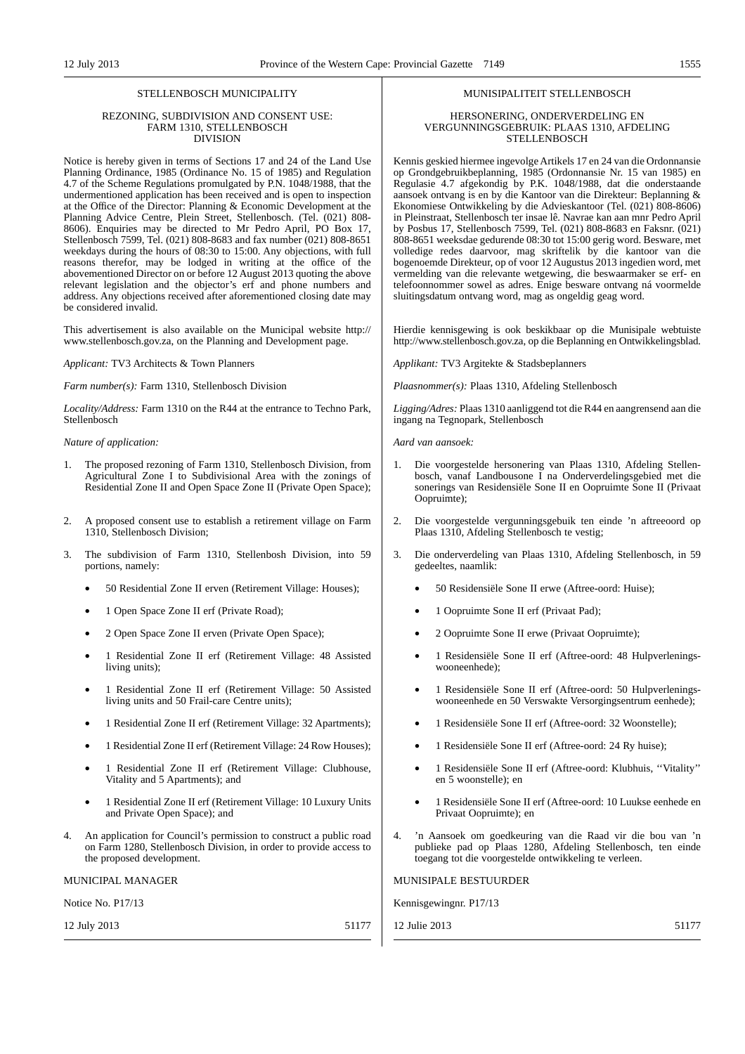#### STELLENBOSCH MUNICIPALITY

#### REZONING, SUBDIVISION AND CONSENT USE: FARM 1310, STELLENBOSCH DIVISION

Notice is hereby given in terms of Sections 17 and 24 of the Land Use Planning Ordinance, 1985 (Ordinance No. 15 of 1985) and Regulation 4.7 of the Scheme Regulations promulgated by P.N. 1048/1988, that the undermentioned application has been received and is open to inspection at the Office of the Director: Planning & Economic Development at the Planning Advice Centre, Plein Street, Stellenbosch. (Tel. (021) 808- 8606). Enquiries may be directed to Mr Pedro April, PO Box 17, Stellenbosch 7599, Tel. (021) 808-8683 and fax number (021) 808-8651 weekdays during the hours of 08:30 to 15:00. Any objections, with full reasons therefor, may be lodged in writing at the office of the abovementioned Director on or before 12 August 2013 quoting the above relevant legislation and the objector's erf and phone numbers and address. Any objections received after aforementioned closing date may be considered invalid.

This advertisement is also available on the Municipal website http:// www.stellenbosch.gov.za, on the Planning and Development page.

*Applicant:* TV3 Architects & Town Planners

*Farm number(s):* Farm 1310, Stellenbosch Division

*Locality/Address:* Farm 1310 on the R44 at the entrance to Techno Park, Stellenbosch

#### *Nature of application:*

- 1. The proposed rezoning of Farm 1310, Stellenbosch Division, from Agricultural Zone I to Subdivisional Area with the zonings of Residential Zone II and Open Space Zone II (Private Open Space);
- 2. A proposed consent use to establish a retirement village on Farm 1310, Stellenbosch Division;
- 3. The subdivision of Farm 1310, Stellenbosh Division, into 59 portions, namely:
	- 50 Residential Zone II erven (Retirement Village: Houses);
	- 1 Open Space Zone II erf (Private Road);
	- 2 Open Space Zone II erven (Private Open Space);
	- 1 Residential Zone II erf (Retirement Village: 48 Assisted living units);
	- 1 Residential Zone II erf (Retirement Village: 50 Assisted living units and 50 Frail-care Centre units);
	- 1 Residential Zone II erf (Retirement Village: 32 Apartments);
	- 1 Residential Zone II erf (Retirement Village: 24 Row Houses);
	- 1 Residential Zone II erf (Retirement Village: Clubhouse, Vitality and 5 Apartments); and
	- 1 Residential Zone II erf (Retirement Village: 10 Luxury Units and Private Open Space); and
- 4. An application for Council's permission to construct a public road on Farm 1280, Stellenbosch Division, in order to provide access to the proposed development.

#### MUNICIPAL MANAGER

Notice No. P17/13

12 July 2013 51177

#### MUNISIPALITEIT STELLENBOSCH

#### HERSONERING, ONDERVERDELING EN VERGUNNINGSGEBRUIK: PLAAS 1310, AFDELING STELLENBOSCH

Kennis geskied hiermee ingevolge Artikels 17 en 24 van die Ordonnansie op Grondgebruikbeplanning, 1985 (Ordonnansie Nr. 15 van 1985) en Regulasie 4.7 afgekondig by P.K. 1048/1988, dat die onderstaande aansoek ontvang is en by die Kantoor van die Direkteur: Beplanning & Ekonomiese Ontwikkeling by die Advieskantoor (Tel. (021) 808-8606) in Pleinstraat, Stellenbosch ter insae lê. Navrae kan aan mnr Pedro April by Posbus 17, Stellenbosch 7599, Tel. (021) 808-8683 en Faksnr. (021) 808-8651 weeksdae gedurende 08:30 tot 15:00 gerig word. Besware, met volledige redes daarvoor, mag skriftelik by die kantoor van die bogenoemde Direkteur, op of voor 12 Augustus 2013 ingedien word, met vermelding van die relevante wetgewing, die beswaarmaker se erf- en telefoonnommer sowel as adres. Enige besware ontvang ná voormelde sluitingsdatum ontvang word, mag as ongeldig geag word.

Hierdie kennisgewing is ook beskikbaar op die Munisipale webtuiste http://www.stellenbosch.gov.za, op die Beplanning en Ontwikkelingsblad.

*Applikant:* TV3 Argitekte & Stadsbeplanners

*Plaasnommer(s):* Plaas 1310, Afdeling Stellenbosch

*Ligging/Adres:* Plaas 1310 aanliggend tot die R44 en aangrensend aan die ingang na Tegnopark, Stellenbosch

*Aard van aansoek:*

- 1. Die voorgestelde hersonering van Plaas 1310, Afdeling Stellenbosch, vanaf Landbousone I na Onderverdelingsgebied met die sonerings van Residensiële Sone II en Oopruimte Sone II (Privaat Oopruimte);
- 2. Die voorgestelde vergunningsgebuik ten einde 'n aftreeoord op Plaas 1310, Afdeling Stellenbosch te vestig;
- 3. Die onderverdeling van Plaas 1310, Afdeling Stellenbosch, in 59 gedeeltes, naamlik:
	- 50 Residensiële Sone II erwe (Aftree-oord: Huise);
	- 1 Oopruimte Sone II erf (Privaat Pad);
	- 2 Oopruimte Sone II erwe (Privaat Oopruimte);
	- 1 Residensiële Sone II erf (Aftree-oord: 48 Hulpverleningswooneenhede);
	- 1 Residensiële Sone II erf (Aftree-oord: 50 Hulpverleningswooneenhede en 50 Verswakte Versorgingsentrum eenhede);
	- 1 Residensiële Sone II erf (Aftree-oord: 32 Woonstelle);
	- 1 Residensiële Sone II erf (Aftree-oord: 24 Ry huise);
	- 1 Residensiële Sone II erf (Aftree-oord: Klubhuis, ''Vitality'' en 5 woonstelle); en
	- 1 Residensiële Sone II erf (Aftree-oord: 10 Luukse eenhede en Privaat Oopruimte); en
- 4. 'n Aansoek om goedkeuring van die Raad vir die bou van 'n publieke pad op Plaas 1280, Afdeling Stellenbosch, ten einde toegang tot die voorgestelde ontwikkeling te verleen.

MUNISIPALE BESTUURDER

Kennisgewingnr. P17/13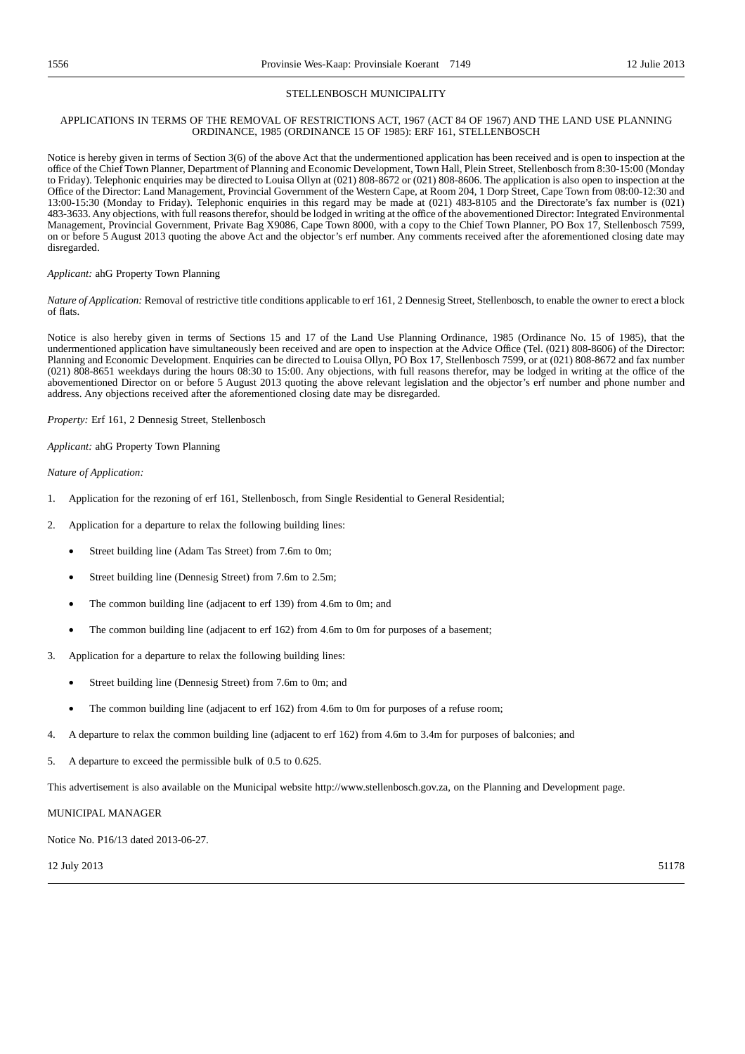#### STELLENBOSCH MUNICIPALITY

#### APPLICATIONS IN TERMS OF THE REMOVAL OF RESTRICTIONS ACT, 1967 (ACT 84 OF 1967) AND THE LAND USE PLANNING ORDINANCE, 1985 (ORDINANCE 15 OF 1985): ERF 161, STELLENBOSCH

Notice is hereby given in terms of Section 3(6) of the above Act that the undermentioned application has been received and is open to inspection at the office of the Chief Town Planner, Department of Planning and Economic Development, Town Hall, Plein Street, Stellenbosch from 8:30-15:00 (Monday to Friday). Telephonic enquiries may be directed to Louisa Ollyn at (021) 808-8672 or (021) 808-8606. The application is also open to inspection at the Office of the Director: Land Management, Provincial Government of the Western Cape, at Room 204, 1 Dorp Street, Cape Town from 08:00-12:30 and 13:00-15:30 (Monday to Friday). Telephonic enquiries in this regard may be made at (021) 483-8105 and the Directorate's fax number is (021) 483-3633. Any objections, with full reasons therefor, should be lodged in writing at the office of the abovementioned Director: Integrated Environmental Management, Provincial Government, Private Bag X9086, Cape Town 8000, with a copy to the Chief Town Planner, PO Box 17, Stellenbosch 7599, on or before 5 August 2013 quoting the above Act and the objector's erf number. Any comments received after the aforementioned closing date may disregarded.

#### *Applicant:* ahG Property Town Planning

*Nature of Application:* Removal of restrictive title conditions applicable to erf 161, 2 Dennesig Street, Stellenbosch, to enable the owner to erect a block of flats.

Notice is also hereby given in terms of Sections 15 and 17 of the Land Use Planning Ordinance, 1985 (Ordinance No. 15 of 1985), that the undermentioned application have simultaneously been received and are open to inspection at the Advice Office (Tel. (021) 808-8606) of the Director: Planning and Economic Development. Enquiries can be directed to Louisa Ollyn, PO Box 17, Stellenbosch 7599, or at (021) 808-8672 and fax number (021) 808-8651 weekdays during the hours 08:30 to 15:00. Any objections, with full reasons therefor, may be lodged in writing at the office of the abovementioned Director on or before 5 August 2013 quoting the above relevant legislation and the objector's erf number and phone number and address. Any objections received after the aforementioned closing date may be disregarded.

*Property:* Erf 161, 2 Dennesig Street, Stellenbosch

*Applicant:* ahG Property Town Planning

*Nature of Application:*

- 1. Application for the rezoning of erf 161, Stellenbosch, from Single Residential to General Residential;
- 2. Application for a departure to relax the following building lines:
	- Street building line (Adam Tas Street) from 7.6m to 0m;
	- Street building line (Dennesig Street) from 7.6m to 2.5m;
	- The common building line (adjacent to erf 139) from 4.6m to 0m; and
	- The common building line (adjacent to erf 162) from 4.6m to 0m for purposes of a basement;
- 3. Application for a departure to relax the following building lines:
	- Street building line (Dennesig Street) from 7.6m to 0m; and
	- The common building line (adjacent to erf 162) from 4.6m to 0m for purposes of a refuse room;
- 4. A departure to relax the common building line (adjacent to erf 162) from 4.6m to 3.4m for purposes of balconies; and

5. A departure to exceed the permissible bulk of 0.5 to 0.625.

This advertisement is also available on the Municipal website http://www.stellenbosch.gov.za, on the Planning and Development page.

MUNICIPAL MANAGER

Notice No. P16/13 dated 2013-06-27.

 $12$  July 2013  $51178$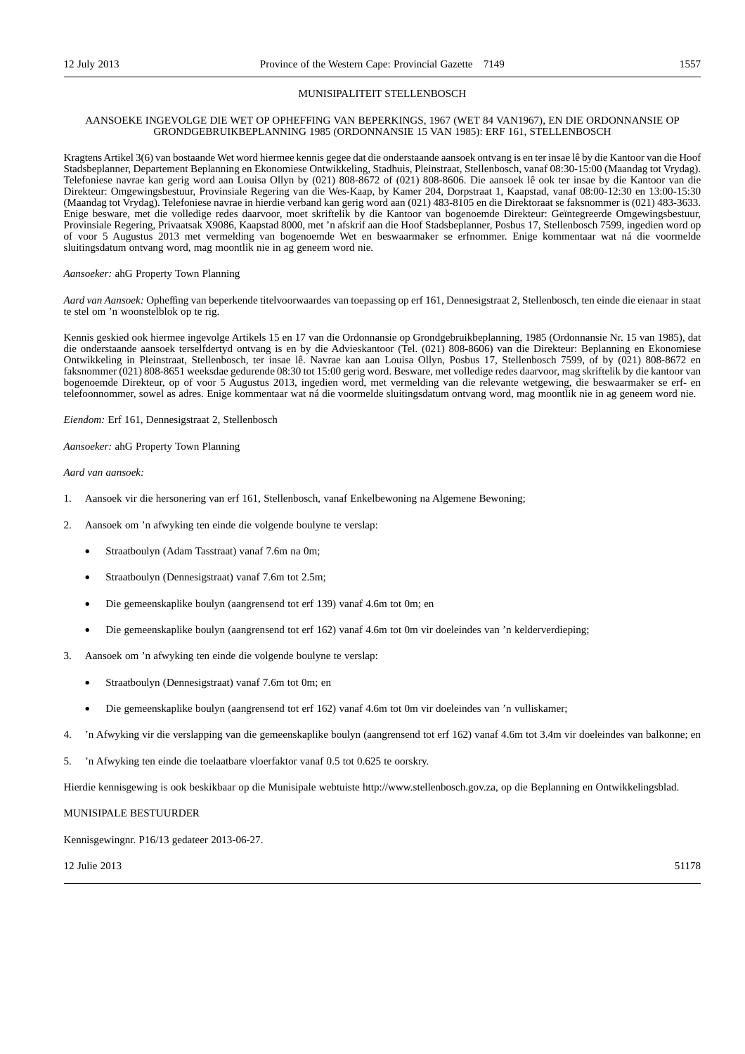#### MUNISIPALITEIT STELLENBOSCH

#### AANSOEKE INGEVOLGE DIE WET OP OPHEFFING VAN BEPERKINGS, 1967 (WET 84 VAN1967), EN DIE ORDONNANSIE OP GRONDGEBRUIKBEPLANNING 1985 (ORDONNANSIE 15 VAN 1985): ERF 161, STELLENBOSCH

Kragtens Artikel 3(6) van bostaande Wet word hiermee kennis gegee dat die onderstaande aansoek ontvang is en ter insae lê by die Kantoor van die Hoof Stadsbeplanner, Departement Beplanning en Ekonomiese Ontwikkeling, Stadhuis, Pleinstraat, Stellenbosch, vanaf 08:30-15:00 (Maandag tot Vrydag). Telefoniese navrae kan gerig word aan Louisa Ollyn by (021) 808-8672 of (021) 808-8606. Die aansoek lê ook ter insae by die Kantoor van die Direkteur: Omgewingsbestuur, Provinsiale Regering van die Wes-Kaap, by Kamer 204, Dorpstraat 1, Kaapstad, vanaf 08:00-12:30 en 13:00-15:30 (Maandag tot Vrydag). Telefoniese navrae in hierdie verband kan gerig word aan (021) 483-8105 en die Direktoraat se faksnommer is (021) 483-3633. Enige besware, met die volledige redes daarvoor, moet skriftelik by die Kantoor van bogenoemde Direkteur: Geïntegreerde Omgewingsbestuur, Provinsiale Regering, Privaatsak X9086, Kaapstad 8000, met 'n afskrif aan die Hoof Stadsbeplanner, Posbus 17, Stellenbosch 7599, ingedien word op of voor 5 Augustus 2013 met vermelding van bogenoemde Wet en beswaarmaker se erfnommer. Enige kommentaar wat ná die voormelde sluitingsdatum ontvang word, mag moontlik nie in ag geneem word nie.

#### *Aansoeker:* ahG Property Town Planning

*Aard van Aansoek:* Opheffing van beperkende titelvoorwaardes van toepassing op erf 161, Dennesigstraat 2, Stellenbosch, ten einde die eienaar in staat te stel om 'n woonstelblok op te rig.

Kennis geskied ook hiermee ingevolge Artikels 15 en 17 van die Ordonnansie op Grondgebruikbeplanning, 1985 (Ordonnansie Nr. 15 van 1985), dat die onderstaande aansoek terselfdertyd ontvang is en by die Advieskantoor (Tel. (021) 808-8606) van die Direkteur: Beplanning en Ekonomiese Ontwikkeling in Pleinstraat, Stellenbosch, ter insae lê. Navrae kan aan Louisa Ollyn, Posbus 17, Stellenbosch 7599, of by (021) 808-8672 en faksnommer (021) 808-8651 weeksdae gedurende 08:30 tot 15:00 gerig word. Besware, met volledige redes daarvoor, mag skriftelik by die kantoor van bogenoemde Direkteur, op of voor 5 Augustus 2013, ingedien word, met vermelding van die relevante wetgewing, die beswaarmaker se erf- en telefoonnommer, sowel as adres. Enige kommentaar wat ná die voormelde sluitingsdatum ontvang word, mag moontlik nie in ag geneem word nie.

*Eiendom:* Erf 161, Dennesigstraat 2, Stellenbosch

*Aansoeker:* ahG Property Town Planning

*Aard van aansoek:*

- 1. Aansoek vir die hersonering van erf 161, Stellenbosch, vanaf Enkelbewoning na Algemene Bewoning;
- 2. Aansoek om 'n afwyking ten einde die volgende boulyne te verslap:
	- Straatboulyn (Adam Tasstraat) vanaf 7.6m na 0m;
	- Straatboulyn (Dennesigstraat) vanaf 7.6m tot 2.5m;
	- Die gemeenskaplike boulyn (aangrensend tot erf 139) vanaf 4.6m tot 0m; en
	- Die gemeenskaplike boulyn (aangrensend tot erf 162) vanaf 4.6m tot 0m vir doeleindes van 'n kelderverdieping;
- Aansoek om 'n afwyking ten einde die volgende boulyne te verslap:
	- Straatboulyn (Dennesigstraat) vanaf 7.6m tot 0m; en
	- Die gemeenskaplike boulyn (aangrensend tot erf 162) vanaf 4.6m tot 0m vir doeleindes van 'n vulliskamer;
- 4. 'n Afwyking vir die verslapping van die gemeenskaplike boulyn (aangrensend tot erf 162) vanaf 4.6m tot 3.4m vir doeleindes van balkonne; en
- 5. 'n Afwyking ten einde die toelaatbare vloerfaktor vanaf 0.5 tot 0.625 te oorskry.

Hierdie kennisgewing is ook beskikbaar op die Munisipale webtuiste http://www.stellenbosch.gov.za, op die Beplanning en Ontwikkelingsblad.

MUNISIPALE BESTUURDER

Kennisgewingnr. P16/13 gedateer 2013-06-27.

 $12 \text{ Julie } 2013$  51178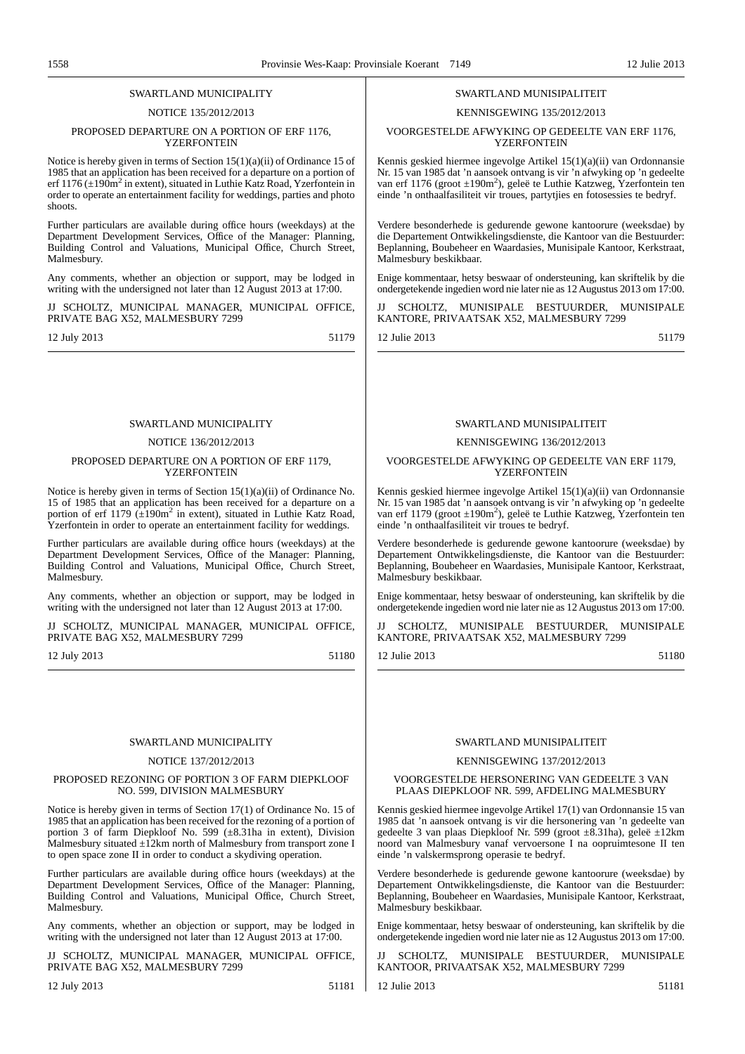#### SWARTLAND MUNICIPALITY

#### NOTICE 135/2012/2013

#### PROPOSED DEPARTURE ON A PORTION OF ERF 1176, **YZERFONTEIN**

Notice is hereby given in terms of Section 15(1)(a)(ii) of Ordinance 15 of 1985 that an application has been received for a departure on a portion of erf 1176 ( $\pm$ 190m<sup>2</sup> in extent), situated in Luthie Katz Road, Yzerfontein in order to operate an entertainment facility for weddings, parties and photo shoots.

Further particulars are available during office hours (weekdays) at the Department Development Services, Office of the Manager: Planning, Building Control and Valuations, Municipal Office, Church Street, Malmesbury.

Any comments, whether an objection or support, may be lodged in writing with the undersigned not later than 12 August 2013 at 17:00.

JJ SCHOLTZ, MUNICIPAL MANAGER, MUNICIPAL OFFICE, PRIVATE BAG X52, MALMESBURY 7299

12 July 2013 51179

### SWARTLAND MUNICIPALITY

#### NOTICE 136/2012/2013

#### PROPOSED DEPARTURE ON A PORTION OF ERF 1179, YZERFONTEIN

Notice is hereby given in terms of Section 15(1)(a)(ii) of Ordinance No. 15 of 1985 that an application has been received for a departure on a portion of erf 1179  $(\pm 190 \text{m}^2)$  in extent), situated in Luthie Katz Road, Yzerfontein in order to operate an entertainment facility for weddings.

Further particulars are available during office hours (weekdays) at the Department Development Services, Office of the Manager: Planning, Building Control and Valuations, Municipal Office, Church Street, Malmesbury.

Any comments, whether an objection or support, may be lodged in writing with the undersigned not later than 12 August 2013 at 17:00.

JJ SCHOLTZ, MUNICIPAL MANAGER, MUNICIPAL OFFICE, PRIVATE BAG X52, MALMESBURY 7299

12 July 2013 51180

#### SWARTLAND MUNICIPALITY

#### NOTICE 137/2012/2013

#### PROPOSED REZONING OF PORTION 3 OF FARM DIEPKLOOF NO. 599, DIVISION MALMESBURY

Notice is hereby given in terms of Section 17(1) of Ordinance No. 15 of 1985 that an application has been received for the rezoning of a portion of portion 3 of farm Diepkloof No. 599  $(\pm 8.31)$ ha in extent), Division Malmesbury situated  $\pm 12$ km north of Malmesbury from transport zone I to open space zone II in order to conduct a skydiving operation.

Further particulars are available during office hours (weekdays) at the Department Development Services, Office of the Manager: Planning, Building Control and Valuations, Municipal Office, Church Street, Malmesbury.

Any comments, whether an objection or support, may be lodged in writing with the undersigned not later than 12 August 2013 at 17:00.

JJ SCHOLTZ, MUNICIPAL MANAGER, MUNICIPAL OFFICE, PRIVATE BAG X52, MALMESBURY 7299

12 July 2013 51181

Malmesbury beskikbaar.

#### SWARTL AND MUNISIPALITEIT

SWARTLAND MUNISIPALITEIT KENNISGEWING 135/2012/2013 VOORGESTELDE AFWYKING OP GEDEELTE VAN ERF 1176, **YZERFONTEIN** Kennis geskied hiermee ingevolge Artikel 15(1)(a)(ii) van Ordonnansie Nr. 15 van 1985 dat 'n aansoek ontvang is vir 'n afwyking op 'n gedeelte van erf 1176 (groot ±190m<sup>2</sup>), geleë te Luthie Katzweg, Yzerfontein ten einde 'n onthaalfasiliteit vir troues, partytjies en fotosessies te bedryf.

Verdere besonderhede is gedurende gewone kantoorure (weeksdae) by die Departement Ontwikkelingsdienste, die Kantoor van die Bestuurder: Beplanning, Boubeheer en Waardasies, Munisipale Kantoor, Kerkstraat,

Enige kommentaar, hetsy beswaar of ondersteuning, kan skriftelik by die ondergetekende ingedien word nie later nie as 12 Augustus 2013 om 17:00. SCHOLTZ, MUNISIPALE BESTUURDER, MUNISIPALE

12 Julie 2013 51179

KANTORE, PRIVAATSAK X52, MALMESBURY 7299

#### KENNISGEWING 136/2012/2013

#### VOORGESTELDE AFWYKING OP GEDEELTE VAN ERF 1179, **YZERFONTEIN**

Kennis geskied hiermee ingevolge Artikel 15(1)(a)(ii) van Ordonnansie Nr. 15 van 1985 dat 'n aansoek ontvang is vir 'n afwyking op 'n gedeelte van erf 1179 (groot ±190m<sup>2</sup>), geleë te Luthie Katzweg, Yzerfontein ten einde 'n onthaalfasiliteit vir troues te bedryf.

Verdere besonderhede is gedurende gewone kantoorure (weeksdae) by Departement Ontwikkelingsdienste, die Kantoor van die Bestuurder: Beplanning, Boubeheer en Waardasies, Munisipale Kantoor, Kerkstraat, Malmesbury beskikbaar.

Enige kommentaar, hetsy beswaar of ondersteuning, kan skriftelik by die ondergetekende ingedien word nie later nie as 12 Augustus 2013 om 17:00.

JJ SCHOLTZ, MUNISIPALE BESTUURDER, MUNISIPALE KANTORE, PRIVAATSAK X52, MALMESBURY 7299

12 Julie 2013 51180

#### SWARTLAND MUNISIPALITEIT

#### KENNISGEWING 137/2012/2013

#### VOORGESTELDE HERSONERING VAN GEDEELTE 3 VAN PLAAS DIEPKLOOF NR. 599, AFDELING MALMESBURY

Kennis geskied hiermee ingevolge Artikel 17(1) van Ordonnansie 15 van 1985 dat 'n aansoek ontvang is vir die hersonering van 'n gedeelte van gedeelte 3 van plaas Diepkloof Nr. 599 (groot ±8.31ha), geleë ±12km noord van Malmesbury vanaf vervoersone I na oopruimtesone II ten einde 'n valskermsprong operasie te bedryf.

Verdere besonderhede is gedurende gewone kantoorure (weeksdae) by Departement Ontwikkelingsdienste, die Kantoor van die Bestuurder: Beplanning, Boubeheer en Waardasies, Munisipale Kantoor, Kerkstraat, Malmesbury beskikbaar.

Enige kommentaar, hetsy beswaar of ondersteuning, kan skriftelik by die ondergetekende ingedien word nie later nie as 12 Augustus 2013 om 17:00.

SCHOLTZ, MUNISIPALE BESTUURDER, MUNISIPALE KANTOOR, PRIVAATSAK X52, MALMESBURY 7299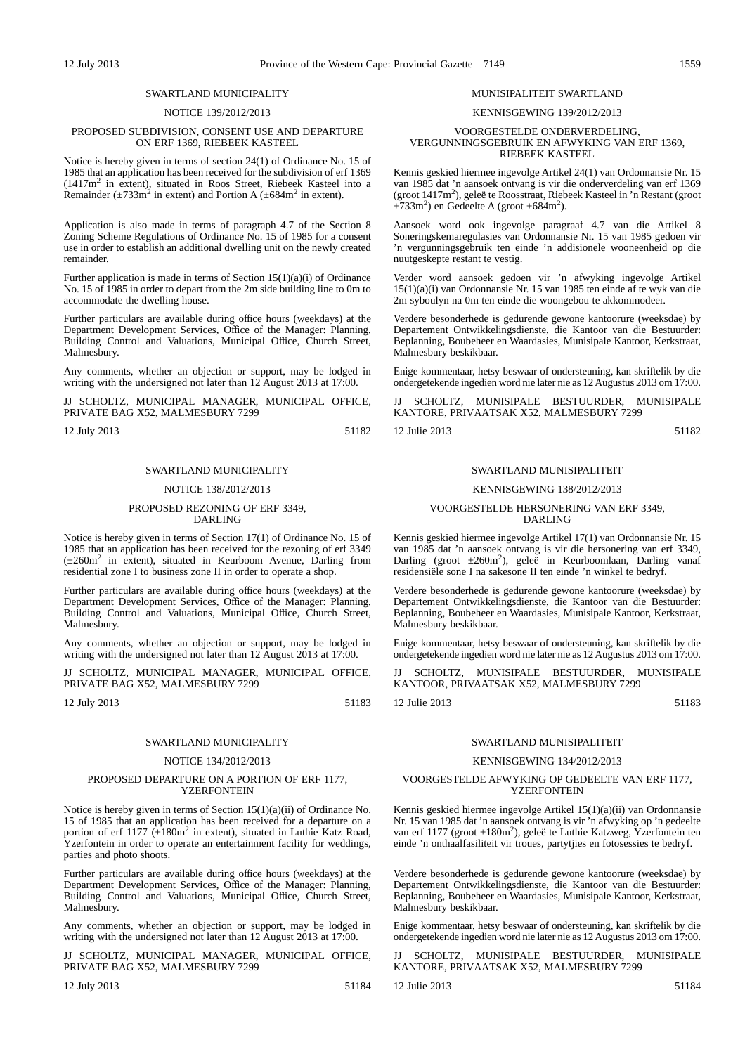#### SWARTLAND MUNICIPALITY

#### NOTICE 139/2012/2013

#### PROPOSED SUBDIVISION, CONSENT USE AND DEPARTURE ON ERF 1369, RIEBEEK KASTEEL

Notice is hereby given in terms of section 24(1) of Ordinance No. 15 of 1985 that an application has been received for the subdivision of erf 1369 (1417m<sup>2</sup> in extent), situated in Roos Street, Riebeek Kasteel into a Remainder ( $\pm$ 733m<sup>2</sup> in extent) and Portion A ( $\pm$ 684m<sup>2</sup> in extent).

Application is also made in terms of paragraph 4.7 of the Section 8 Zoning Scheme Regulations of Ordinance No. 15 of 1985 for a consent use in order to establish an additional dwelling unit on the newly created remainder.

Further application is made in terms of Section 15(1)(a)(i) of Ordinance No. 15 of 1985 in order to depart from the 2m side building line to 0m to accommodate the dwelling house.

Further particulars are available during office hours (weekdays) at the Department Development Services, Office of the Manager: Planning, Building Control and Valuations, Municipal Office, Church Street, Malmesbury.

Any comments, whether an objection or support, may be lodged in writing with the undersigned not later than 12 August 2013 at 17:00.

JJ SCHOLTZ, MUNICIPAL MANAGER, MUNICIPAL OFFICE, PRIVATE BAG X52, MALMESBURY 7299

12 July 2013 51182

### SWARTLAND MUNICIPALITY

### NOTICE 138/2012/2013

#### PROPOSED REZONING OF ERF 3349, DARLING

Notice is hereby given in terms of Section 17(1) of Ordinance No. 15 of 1985 that an application has been received for the rezoning of erf 3349 (±260m<sup>2</sup> in extent), situated in Keurboom Avenue, Darling from residential zone I to business zone II in order to operate a shop.

Further particulars are available during office hours (weekdays) at the Department Development Services, Office of the Manager: Planning, Building Control and Valuations, Municipal Office, Church Street, Malmesbury.

Any comments, whether an objection or support, may be lodged in writing with the undersigned not later than 12 August 2013 at 17:00.

JJ SCHOLTZ, MUNICIPAL MANAGER, MUNICIPAL OFFICE, PRIVATE BAG X52, MALMESBURY 7299

12 July 2013 51183

#### SWARTLAND MUNICIPALITY

#### NOTICE 134/2012/2013

#### PROPOSED DEPARTURE ON A PORTION OF ERF 1177, **YZERFONTEIN**

Notice is hereby given in terms of Section 15(1)(a)(ii) of Ordinance No. 15 of 1985 that an application has been received for a departure on a portion of erf  $1177$  ( $\pm 180$ m<sup>2</sup> in extent), situated in Luthie Katz Road, Yzerfontein in order to operate an entertainment facility for weddings, parties and photo shoots.

Further particulars are available during office hours (weekdays) at the Department Development Services, Office of the Manager: Planning, Building Control and Valuations, Municipal Office, Church Street, Malmesbury.

Any comments, whether an objection or support, may be lodged in writing with the undersigned not later than 12 August 2013 at 17:00.

JJ SCHOLTZ, MUNICIPAL MANAGER, MUNICIPAL OFFICE, PRIVATE BAG X52, MALMESBURY 7299

12 July 2013 51184

### MUNISIPALITEIT SWARTLAND

### KENNISGEWING 139/2012/2013

#### VOORGESTELDE ONDERVERDELING, VERGUNNINGSGEBRUIK EN AFWYKING VAN ERF 1369, RIEBEEK KASTEEL

Kennis geskied hiermee ingevolge Artikel 24(1) van Ordonnansie Nr. 15 van 1985 dat 'n aansoek ontvang is vir die onderverdeling van erf 1369 (groot 1417m<sup>2</sup>), geleë te Roosstraat, Riebeek Kasteel in 'n Restant (groot  $\pm 733$ m<sup>2</sup>) en Gedeelte A (groot  $\pm 684$ m<sup>2</sup>).

Aansoek word ook ingevolge paragraaf 4.7 van die Artikel 8 Soneringskemaregulasies van Ordonnansie Nr. 15 van 1985 gedoen vir 'n vergunningsgebruik ten einde 'n addisionele wooneenheid op die nuutgeskepte restant te vestig.

Verder word aansoek gedoen vir 'n afwyking ingevolge Artikel 15(1)(a)(i) van Ordonnansie Nr. 15 van 1985 ten einde af te wyk van die 2m syboulyn na 0m ten einde die woongebou te akkommodeer.

Verdere besonderhede is gedurende gewone kantoorure (weeksdae) by Departement Ontwikkelingsdienste, die Kantoor van die Bestuurder: Beplanning, Boubeheer en Waardasies, Munisipale Kantoor, Kerkstraat, Malmesbury beskikbaar.

Enige kommentaar, hetsy beswaar of ondersteuning, kan skriftelik by die ondergetekende ingedien word nie later nie as 12 Augustus 2013 om 17:00.

JJ SCHOLTZ, MUNISIPALE BESTUURDER, MUNISIPALE KANTORE, PRIVAATSAK X52, MALMESBURY 7299

#### 12 Julie 2013 51182

#### SWARTLAND MUNISIPALITEIT

### KENNISGEWING 138/2012/2013

#### VOORGESTELDE HERSONERING VAN ERF 3349, DARLING

Kennis geskied hiermee ingevolge Artikel 17(1) van Ordonnansie Nr. 15 van 1985 dat 'n aansoek ontvang is vir die hersonering van erf 3349,<br>Darling (groot ±260m<sup>2</sup>), geleë in Keurboomlaan, Darling vanaf residensiële sone I na sakesone II ten einde 'n winkel te bedryf.

Verdere besonderhede is gedurende gewone kantoorure (weeksdae) by Departement Ontwikkelingsdienste, die Kantoor van die Bestuurder: Beplanning, Boubeheer en Waardasies, Munisipale Kantoor, Kerkstraat, Malmesbury beskikbaar.

Enige kommentaar, hetsy beswaar of ondersteuning, kan skriftelik by die ondergetekende ingedien word nie later nie as 12 Augustus 2013 om 17:00.

SCHOLTZ, MUNISIPALE BESTUURDER, MUNISIPALE KANTOOR, PRIVAATSAK X52, MALMESBURY 7299

12 Julie 2013 51183

#### SWARTLAND MUNISIPALITEIT

#### KENNISGEWING 134/2012/2013

#### VOORGESTELDE AFWYKING OP GEDEELTE VAN ERF 1177, **YZERFONTEIN**

Kennis geskied hiermee ingevolge Artikel 15(1)(a)(ii) van Ordonnansie Nr. 15 van 1985 dat 'n aansoek ontvang is vir 'n afwyking op 'n gedeelte van erf 1177 (groot ±180m<sup>2</sup>), geleë te Luthie Katzweg, Yzerfontein ten einde 'n onthaalfasiliteit vir troues, partytjies en fotosessies te bedryf.

Verdere besonderhede is gedurende gewone kantoorure (weeksdae) by Departement Ontwikkelingsdienste, die Kantoor van die Bestuurder: Beplanning, Boubeheer en Waardasies, Munisipale Kantoor, Kerkstraat, Malmesbury beskikbaar.

Enige kommentaar, hetsy beswaar of ondersteuning, kan skriftelik by die ondergetekende ingedien word nie later nie as 12 Augustus 2013 om 17:00.

SCHOLTZ, MUNISIPALE BESTUURDER, MUNISIPALE KANTORE, PRIVAATSAK X52, MALMESBURY 7299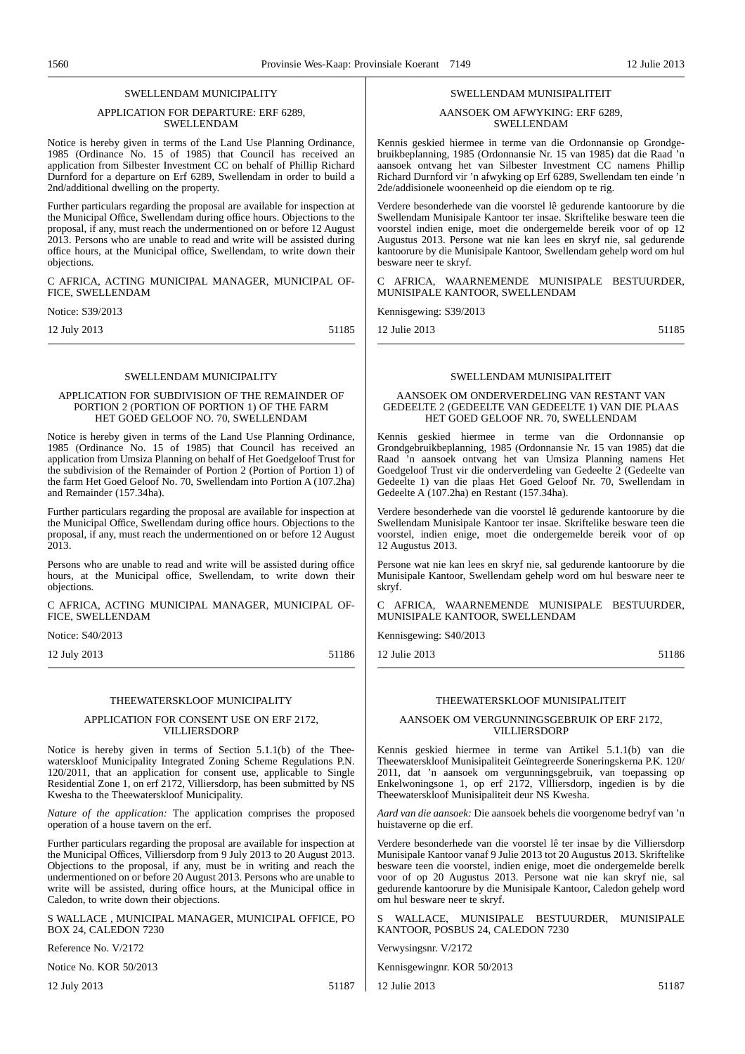#### SWELLENDAM MUNICIPALITY

#### APPLICATION FOR DEPARTURE: ERF 6289, SWELLENDAM

Notice is hereby given in terms of the Land Use Planning Ordinance, 1985 (Ordinance No. 15 of 1985) that Council has received an application from Silbester Investment CC on behalf of Phillip Richard Durnford for a departure on Erf 6289, Swellendam in order to build a 2nd/additional dwelling on the property.

Further particulars regarding the proposal are available for inspection at the Municipal Office, Swellendam during office hours. Objections to the proposal, if any, must reach the undermentioned on or before 12 August 2013. Persons who are unable to read and write will be assisted during office hours, at the Municipal office, Swellendam, to write down their objections.

C AFRICA, ACTING MUNICIPAL MANAGER, MUNICIPAL OF-FICE, SWELLENDAM

Notice: S39/2013

12 July 2013 51185

#### SWELLENDAM MUNICIPALITY

#### APPLICATION FOR SUBDIVISION OF THE REMAINDER OF PORTION 2 (PORTION OF PORTION 1) OF THE FARM HET GOED GELOOF NO. 70, SWELLENDAM

Notice is hereby given in terms of the Land Use Planning Ordinance, 1985 (Ordinance No. 15 of 1985) that Council has received an application from Umsiza Planning on behalf of Het Goedgeloof Trust for the subdivision of the Remainder of Portion 2 (Portion of Portion 1) of the farm Het Goed Geloof No. 70, Swellendam into Portion A (107.2ha) and Remainder (157.34ha).

Further particulars regarding the proposal are available for inspection at the Municipal Office, Swellendam during office hours. Objections to the proposal, if any, must reach the undermentioned on or before 12 August  $2013$ 

Persons who are unable to read and write will be assisted during office hours, at the Municipal office, Swellendam, to write down their objections.

C AFRICA, ACTING MUNICIPAL MANAGER, MUNICIPAL OF-FICE, SWELLENDAM

Notice: S40/2013

12 July 2013 51186

#### THEEWATERSKLOOF MUNICIPALITY

#### APPLICATION FOR CONSENT USE ON ERF 2172, VILLIERSDORP

Notice is hereby given in terms of Section 5.1.1(b) of the Theewaterskloof Municipality Integrated Zoning Scheme Regulations P.N. 120/2011, that an application for consent use, applicable to Single Residential Zone 1, on erf 2172, Villiersdorp, has been submitted by NS Kwesha to the Theewaterskloof Municipality.

*Nature of the application:* The application comprises the proposed operation of a house tavern on the erf.

Further particulars regarding the proposal are available for inspection at the Municipal Offices, Villiersdorp from 9 July 2013 to 20 August 2013. Objections to the proposal, if any, must be in writing and reach the undermentioned on or before 20 August 2013. Persons who are unable to write will be assisted, during office hours, at the Municipal office in Caledon, to write down their objections.

S WALLACE , MUNICIPAL MANAGER, MUNICIPAL OFFICE, PO BOX 24, CALEDON 7230

Reference No. V/2172

Notice No. KOR 50/2013

12 July 2013 51187

#### SWELLENDAM MUNISIPALITEIT

#### AANSOEK OM AFWYKING: ERF 6289, SWELLENDAM

Kennis geskied hiermee in terme van die Ordonnansie op Grondgebruikbeplanning, 1985 (Ordonnansie Nr. 15 van 1985) dat die Raad 'n aansoek ontvang het van Silbester Investment CC namens Phillip Richard Durnford vir 'n afwyking op Erf 6289, Swellendam ten einde 'n 2de/addisionele wooneenheid op die eiendom op te rig.

Verdere besonderhede van die voorstel lê gedurende kantoorure by die Swellendam Munisipale Kantoor ter insae. Skriftelike besware teen die voorstel indien enige, moet die ondergemelde bereik voor of op 12 Augustus 2013. Persone wat nie kan lees en skryf nie, sal gedurende kantoorure by die Munisipale Kantoor, Swellendam gehelp word om hul besware neer te skryf.

AFRICA, WAARNEMENDE MUNISIPALE BESTUURDER, MUNISIPALE KANTOOR, SWELLENDAM

Kennisgewing: S39/2013

12 Julie 2013 51185

#### SWELLENDAM MUNISIPALITEIT

#### AANSOEK OM ONDERVERDELING VAN RESTANT VAN GEDEELTE 2 (GEDEELTE VAN GEDEELTE 1) VAN DIE PLAAS HET GOED GELOOF NR. 70, SWELLENDAM

Kennis geskied hiermee in terme van die Ordonnansie op Grondgebruikbeplanning, 1985 (Ordonnansie Nr. 15 van 1985) dat die Raad 'n aansoek ontvang het van Umsiza Planning namens Het Goedgeloof Trust vir die onderverdeling van Gedeelte 2 (Gedeelte van Gedeelte 1) van die plaas Het Goed Geloof Nr. 70, Swellendam in Gedeelte A (107.2ha) en Restant (157.34ha).

Verdere besonderhede van die voorstel lê gedurende kantoorure by die Swellendam Munisipale Kantoor ter insae. Skriftelike besware teen die voorstel, indien enige, moet die ondergemelde bereik voor of op 12 Augustus 2013.

Persone wat nie kan lees en skryf nie, sal gedurende kantoorure by die Munisipale Kantoor, Swellendam gehelp word om hul besware neer te skryf.

C AFRICA, WAARNEMENDE MUNISIPALE BESTUURDER, MUNISIPALE KANTOOR, SWELLENDAM

Kennisgewing: S40/2013

12 Julie 2013 51186

#### THEEWATERSKLOOF MUNISIPALITEIT

#### AANSOEK OM VERGUNNINGSGEBRUIK OP ERF 2172, VILLIERSDORP

Kennis geskied hiermee in terme van Artikel 5.1.1(b) van die Theewaterskloof Munisipaliteit Geïntegreerde Soneringskerna P.K. 120/ 2011, dat 'n aansoek om vergunningsgebruik, van toepassing op Enkelwoningsone 1, op erf 2172, Vllliersdorp, ingedien is by die Theewaterskloof Munisipaliteit deur NS Kwesha.

*Aard van die aansoek:* Die aansoek behels die voorgenome bedryf van 'n huistaverne op die erf.

Verdere besonderhede van die voorstel lê ter insae by die Villiersdorp Munisipale Kantoor vanaf 9 Julie 2013 tot 20 Augustus 2013. Skriftelike besware teen die voorstel, indien enige, moet die ondergemelde berelk voor of op 20 Augustus 2013. Persone wat nie kan skryf nie, sal gedurende kantoorure by die Munisipale Kantoor, Caledon gehelp word om hul besware neer te skryf.

S WALLACE, MUNISIPALE BESTUURDER, MUNISIPALE KANTOOR, POSBUS 24, CALEDON 7230

Verwysingsnr. V/2172

Kennisgewingnr. KOR 50/2013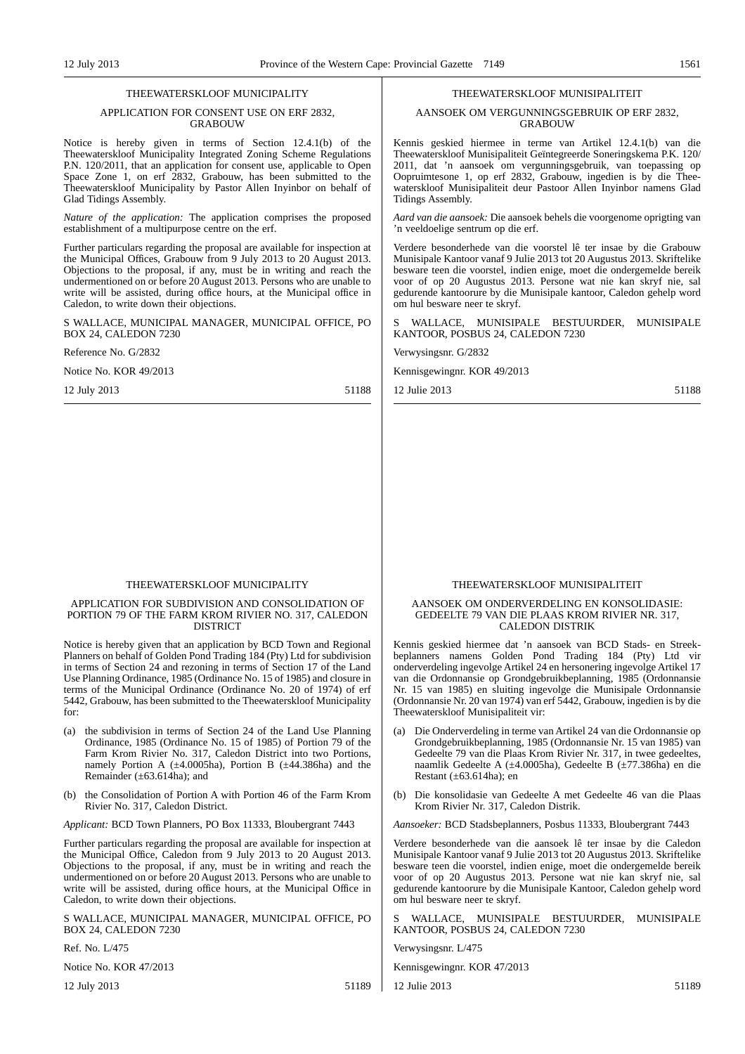#### THEEWATERSKLOOF MUNICIPALITY

#### APPLICATION FOR CONSENT USE ON ERF 2832, GRABOUW

Notice is hereby given in terms of Section 12.4.1(b) of the Theewaterskloof Municipality Integrated Zoning Scheme Regulations P.N. 120/2011, that an application for consent use, applicable to Open Space Zone 1, on erf 2832, Grabouw, has been submitted to the Theewaterskloof Municipality by Pastor Allen Inyinbor on behalf of Glad Tidings Assembly.

*Nature of the application:* The application comprises the proposed establishment of a multipurpose centre on the erf.

Further particulars regarding the proposal are available for inspection at the Municipal Offices, Grabouw from 9 July 2013 to 20 August 2013. Objections to the proposal, if any, must be in writing and reach the undermentioned on or before 20 August 2013. Persons who are unable to write will be assisted, during office hours, at the Municipal office in Caledon, to write down their objections.

S WALLACE, MUNICIPAL MANAGER, MUNICIPAL OFFICE, PO BOX 24, CALEDON 7230

#### Reference No. G/2832

Notice No. KOR 49/2013

12 July 2013 51188

### THEEWATERSKLOOF MUNICIPALITY

#### APPLICATION FOR SUBDIVISION AND CONSOLIDATION OF PORTION 79 OF THE FARM KROM RIVIER NO. 317, CALEDON DISTRICT

Notice is hereby given that an application by BCD Town and Regional Planners on behalf of Golden Pond Trading 184 (Pty) Ltd for subdivision in terms of Section 24 and rezoning in terms of Section 17 of the Land Use Planning Ordinance, 1985 (Ordinance No. 15 of 1985) and closure in terms of the Municipal Ordinance (Ordinance No. 20 of 1974) of erf 5442, Grabouw, has been submitted to the Theewaterskloof Municipality for:

- (a) the subdivision in terms of Section 24 of the Land Use Planning Ordinance, 1985 (Ordinance No. 15 of 1985) of Portion 79 of the Farm Krom Rivier No. 317, Caledon District into two Portions, namely Portion A  $(\pm 4.0005ha)$ , Portion B  $(\pm 44.386ha)$  and the Remainder  $(\pm 63.614ha)$ ; and
- (b) the Consolidation of Portion A with Portion 46 of the Farm Krom Rivier No. 317, Caledon District.

*Applicant:* BCD Town Planners, PO Box 11333, Bloubergrant 7443

Further particulars regarding the proposal are available for inspection at the Municipal Office, Caledon from 9 July 2013 to 20 August 2013. Objections to the proposal, if any, must be in writing and reach the undermentioned on or before 20 August 2013. Persons who are unable to write will be assisted, during office hours, at the Municipal Office in Caledon, to write down their objections.

S WALLACE, MUNICIPAL MANAGER, MUNICIPAL OFFICE, PO BOX 24, CALEDON 7230

 $Ref$  No. L/475

Notice No. KOR 47/2013

12 July 2013 51189

#### THEEWATERSKLOOF MUNISIPALITEIT

#### AANSOEK OM VERGUNNINGSGEBRUIK OP ERF 2832, GRABOUW

Kennis geskied hiermee in terme van Artikel 12.4.1(b) van die Theewaterskloof Munisipaliteit Geïntegreerde Soneringskema P.K. 120/ 2011, dat 'n aansoek om vergunningsgebruik, van toepassing op Oopruimtesone 1, op erf 2832, Grabouw, ingedien is by die Theewaterskloof Munisipaliteit deur Pastoor Allen Inyinbor namens Glad Tidings Assembly.

*Aard van die aansoek:* Die aansoek behels die voorgenome oprigting van 'n veeldoelige sentrum op die erf.

Verdere besonderhede van die voorstel lê ter insae by die Grabouw Munisipale Kantoor vanaf 9 Julie 2013 tot 20 Augustus 2013. Skriftelike besware teen die voorstel, indien enige, moet die ondergemelde bereik voor of op 20 Augustus 2013. Persone wat nie kan skryf nie, sal gedurende kantoorure by die Munisipale kantoor, Caledon gehelp word om hul besware neer te skryf.

WALLACE, MUNISIPALE BESTUURDER, MUNISIPALE KANTOOR, POSBUS 24, CALEDON 7230

Verwysingsnr. G/2832

Kennisgewingnr. KOR 49/2013

12 Julie 2013 51188

THEEWATERSKLOOF MUNISIPALITEIT

#### AANSOEK OM ONDERVERDELING EN KONSOLIDASIE: GEDEELTE 79 VAN DIE PLAAS KROM RIVIER NR. 317, CALEDON DISTRIK

Kennis geskied hiermee dat 'n aansoek van BCD Stads- en Streekbeplanners namens Golden Pond Trading 184 (Pty) Ltd vir onderverdeling ingevolge Artikel 24 en hersonering ingevolge Artikel 17 van die Ordonnansie op Grondgebruikbeplanning, 1985 (Ordonnansie Nr. 15 van 1985) en sluiting ingevolge die Munisipale Ordonnansie (Ordonnansie Nr. 20 van 1974) van erf 5442, Grabouw, ingedien is by die Theewaterskloof Munisipaliteit vir:

- (a) Die Onderverdeling in terme van Artikel 24 van die Ordonnansie op Grondgebruikbeplanning, 1985 (Ordonnansie Nr. 15 van 1985) van Gedeelte 79 van die Plaas Krom Rivier Nr. 317, in twee gedeeltes, naamlik Gedeelte A (±4.0005ha), Gedeelte B (±77.386ha) en die Restant  $(\pm 63.614$ ha); en
- (b) Die konsolidasie van Gedeelte A met Gedeelte 46 van die Plaas Krom Rivier Nr. 317, Caledon Distrik.

*Aansoeker:* BCD Stadsbeplanners, Posbus 11333, Bloubergrant 7443

Verdere besonderhede van die aansoek lê ter insae by die Caledon Munisipale Kantoor vanaf 9 Julie 2013 tot 20 Augustus 2013. Skriftelike besware teen die voorstel, indien enige, moet die ondergemelde bereik voor of op 20 Augustus 2013. Persone wat nie kan skryf nie, sal gedurende kantoorure by die Munisipale Kantoor, Caledon gehelp word om hul besware neer te skryf.

WALLACE, MUNISIPALE BESTUURDER, MUNISIPALE KANTOOR, POSBUS 24, CALEDON 7230

Verwysingsnr. L/475

Kennisgewingnr. KOR 47/2013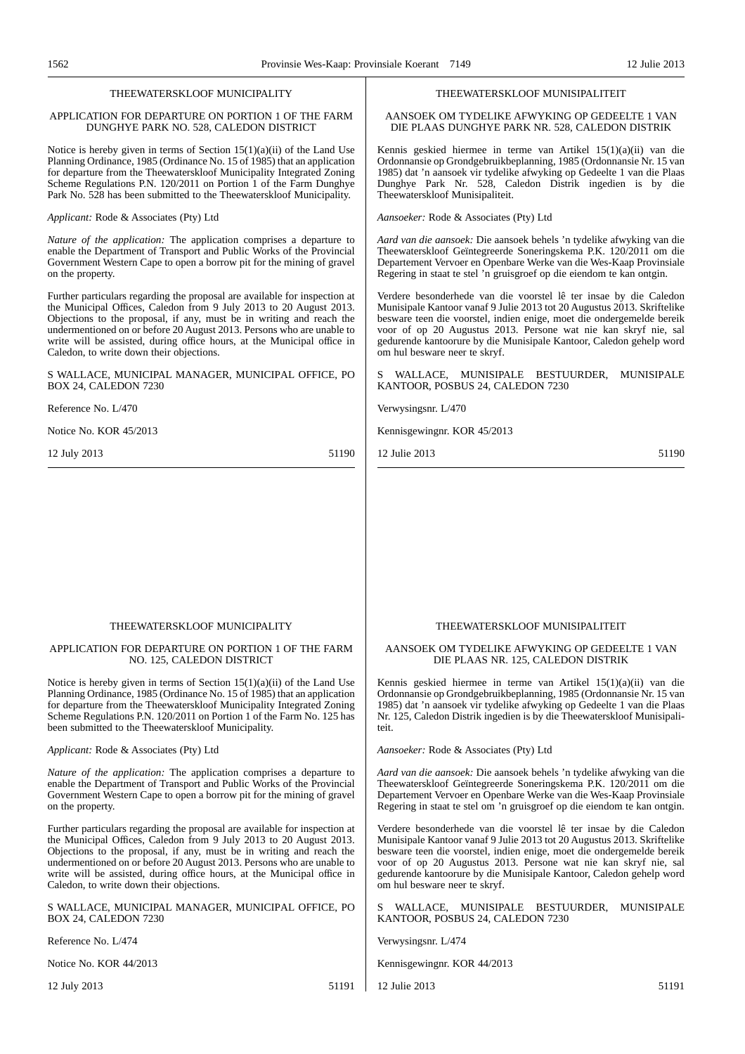#### THEEWATERSKLOOF MUNICIPALITY

#### APPLICATION FOR DEPARTURE ON PORTION 1 OF THE FARM DUNGHYE PARK NO. 528, CALEDON DISTRICT

Notice is hereby given in terms of Section  $15(1)(a)(ii)$  of the Land Use Planning Ordinance, 1985 (Ordinance No. 15 of 1985) that an application for departure from the Theewaterskloof Municipality Integrated Zoning Scheme Regulations P.N. 120/2011 on Portion 1 of the Farm Dunghye Park No. 528 has been submitted to the Theewaterskloof Municipality.

*Applicant:* Rode & Associates (Pty) Ltd

*Nature of the application:* The application comprises a departure to enable the Department of Transport and Public Works of the Provincial Government Western Cape to open a borrow pit for the mining of gravel on the property.

Further particulars regarding the proposal are available for inspection at the Municipal Offices, Caledon from 9 July 2013 to 20 August 2013. Objections to the proposal, if any, must be in writing and reach the undermentioned on or before 20 August 2013. Persons who are unable to write will be assisted, during office hours, at the Municipal office in Caledon, to write down their objections.

S WALLACE, MUNICIPAL MANAGER, MUNICIPAL OFFICE, PO BOX 24, CALEDON 7230

Reference No. L/470

Notice No. KOR 45/2013

12 July 2013 51190

#### THEEWATERSKLOOF MUNISIPALITEIT

AANSOEK OM TYDELIKE AFWYKING OP GEDEELTE 1 VAN DIE PLAAS DUNGHYE PARK NR. 528, CALEDON DISTRIK

Kennis geskied hiermee in terme van Artikel 15(1)(a)(ii) van die Ordonnansie op Grondgebruikbeplanning, 1985 (Ordonnansie Nr. 15 van 1985) dat 'n aansoek vir tydelike afwyking op Gedeelte 1 van die Plaas Dunghye Park Nr. 528, Caledon Distrik ingedien is by die Theewaterskloof Munisipaliteit.

*Aansoeker:* Rode & Associates (Pty) Ltd

*Aard van die aansoek:* Die aansoek behels 'n tydelike afwyking van die Theewaterskloof Geïntegreerde Soneringskema P.K. 120/2011 om die Departement Vervoer en Openbare Werke van die Wes-Kaap Provinsiale Regering in staat te stel 'n gruisgroef op die eiendom te kan ontgin.

Verdere besonderhede van die voorstel lê ter insae by die Caledon Munisipale Kantoor vanaf 9 Julie 2013 tot 20 Augustus 2013. Skriftelike besware teen die voorstel, indien enige, moet die ondergemelde bereik voor of op 20 Augustus 2013. Persone wat nie kan skryf nie, sal gedurende kantoorure by die Munisipale Kantoor, Caledon gehelp word om hul besware neer te skryf.

WALLACE, MUNISIPALE BESTUURDER, MUNISIPALE KANTOOR, POSBUS 24, CALEDON 7230

Verwysingsnr. L/470

Kennisgewingnr. KOR 45/2013

12 Julie 2013 51190

#### THEEWATERSKLOOF MUNICIPALITY

#### APPLICATION FOR DEPARTURE ON PORTION 1 OF THE FARM NO. 125, CALEDON DISTRICT

Notice is hereby given in terms of Section  $15(1)(a)(ii)$  of the Land Use Planning Ordinance, 1985 (Ordinance No. 15 of 1985) that an application for departure from the Theewaterskloof Municipality Integrated Zoning Scheme Regulations P.N. 120/2011 on Portion 1 of the Farm No. 125 has been submitted to the Theewaterskloof Municipality.

*Applicant:* Rode & Associates (Pty) Ltd

*Nature of the application:* The application comprises a departure to enable the Department of Transport and Public Works of the Provincial Government Western Cape to open a borrow pit for the mining of gravel on the property.

Further particulars regarding the proposal are available for inspection at the Municipal Offices, Caledon from 9 July 2013 to 20 August 2013. Objections to the proposal, if any, must be in writing and reach the undermentioned on or before 20 August 2013. Persons who are unable to write will be assisted, during office hours, at the Municipal office in Caledon, to write down their objections.

S WALLACE, MUNICIPAL MANAGER, MUNICIPAL OFFICE, PO BOX 24, CALEDON 7230

Reference No. L/474

Notice No. KOR 44/2013

12 July 2013 51191

#### THEEWATERSKLOOF MUNISIPALITEIT

#### AANSOEK OM TYDELIKE AFWYKING OP GEDEELTE 1 VAN DIE PLAAS NR. 125, CALEDON DISTRIK

Kennis geskied hiermee in terme van Artikel 15(1)(a)(ii) van die Ordonnansie op Grondgebruikbeplanning, 1985 (Ordonnansie Nr. 15 van 1985) dat 'n aansoek vir tydelike afwyking op Gedeelte 1 van die Plaas Nr. 125, Caledon Distrik ingedien is by die Theewaterskloof Munisipaliteit.

*Aansoeker:* Rode & Associates (Pty) Ltd

*Aard van die aansoek:* Die aansoek behels 'n tydelike afwyking van die Theewaterskloof Geïntegreerde Soneringskema P.K. 120/2011 om die Departement Vervoer en Openbare Werke van die Wes-Kaap Provinsiale Regering in staat te stel om 'n gruisgroef op die eiendom te kan ontgin.

Verdere besonderhede van die voorstel lê ter insae by die Caledon Munisipale Kantoor vanaf 9 Julie 2013 tot 20 Augustus 2013. Skriftelike besware teen die voorstel, indien enige, moet die ondergemelde bereik voor of op 20 Augustus 2013. Persone wat nie kan skryf nie, sal gedurende kantoorure by die Munisipale Kantoor, Caledon gehelp word om hul besware neer te skryf.

WALLACE, MUNISIPALE BESTUURDER, MUNISIPALE KANTOOR, POSBUS 24, CALEDON 7230

Verwysingsnr. L/474

Kennisgewingnr. KOR 44/2013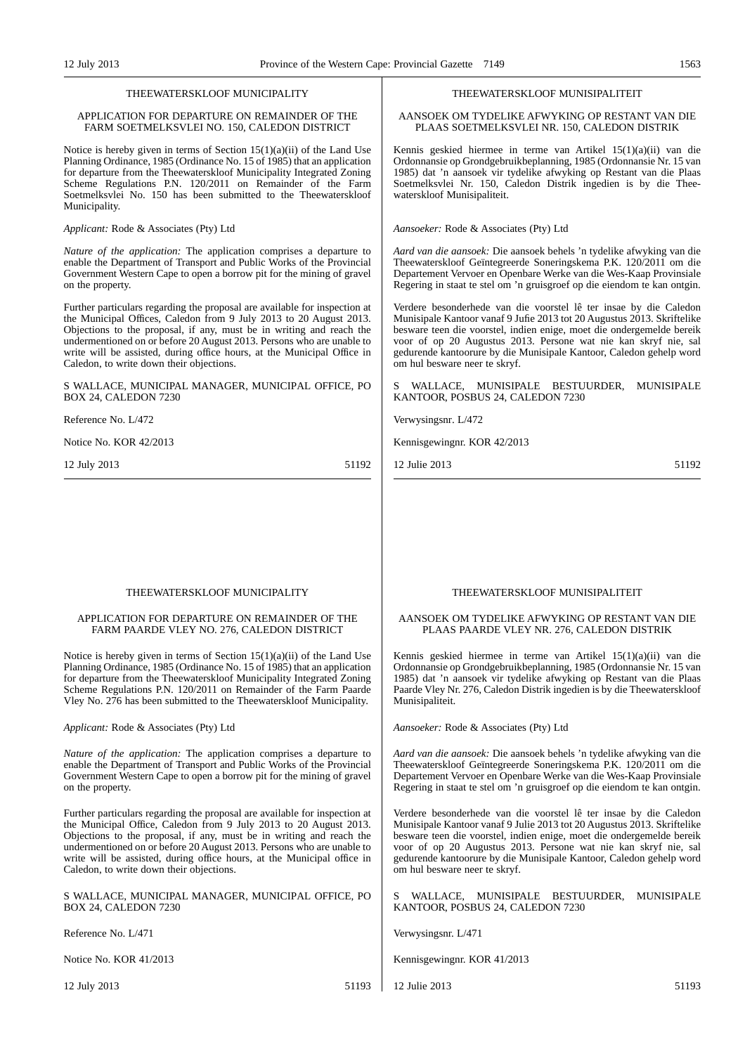#### THEEWATERSKLOOF MUNICIPALITY

#### APPLICATION FOR DEPARTURE ON REMAINDER OF THE FARM SOETMELKSVLEI NO. 150, CALEDON DISTRICT

Notice is hereby given in terms of Section  $15(1)(a)(ii)$  of the Land Use Planning Ordinance, 1985 (Ordinance No. 15 of 1985) that an application for departure from the Theewaterskloof Municipality Integrated Zoning Scheme Regulations P.N. 120/2011 on Remainder of the Farm Soetmelksvlei No. 150 has been submitted to the Theewaterskloof Municipality.

*Applicant:* Rode & Associates (Pty) Ltd

*Nature of the application:* The application comprises a departure to enable the Department of Transport and Public Works of the Provincial Government Western Cape to open a borrow pit for the mining of gravel on the property.

Further particulars regarding the proposal are available for inspection at the Municipal Offices, Caledon from 9 July 2013 to 20 August 2013. Objections to the proposal, if any, must be in writing and reach the undermentioned on or before 20 August 2013. Persons who are unable to write will be assisted, during office hours, at the Municipal Office in Caledon, to write down their objections.

S WALLACE, MUNICIPAL MANAGER, MUNICIPAL OFFICE, PO BOX 24, CALEDON 7230

Reference No. L/472

Notice No. KOR 42/2013

12 July 2013 51192

#### THEEWATERSKLOOF MUNISIPALITEIT

AANSOEK OM TYDELIKE AFWYKING OP RESTANT VAN DIE PLAAS SOETMELKSVLEI NR. 150, CALEDON DISTRIK

Kennis geskied hiermee in terme van Artikel 15(1)(a)(ii) van die Ordonnansie op Grondgebruikbeplanning, 1985 (Ordonnansie Nr. 15 van 1985) dat 'n aansoek vir tydelike afwyking op Restant van die Plaas Soetmelksvlei Nr. 150, Caledon Distrik ingedien is by die Theewaterskloof Munisipaliteit.

*Aansoeker:* Rode & Associates (Pty) Ltd

*Aard van die aansoek:* Die aansoek behels 'n tydelike afwyking van die Theewaterskloof Geïntegreerde Soneringskema P.K. 120/2011 om die Departement Vervoer en Openbare Werke van die Wes-Kaap Provinsiale Regering in staat te stel om 'n gruisgroef op die eiendom te kan ontgin.

Verdere besonderhede van die voorstel lê ter insae by die Caledon Munisipale Kantoor vanaf 9 Jufie 2013 tot 20 Augustus 2013. Skriftelike besware teen die voorstel, indien enige, moet die ondergemelde bereik voor of op 20 Augustus 2013. Persone wat nie kan skryf nie, sal gedurende kantoorure by die Munisipale Kantoor, Caledon gehelp word om hul besware neer te skryf.

S WALLACE, MUNISIPALE BESTUURDER, MUNISIPALE KANTOOR, POSBUS 24, CALEDON 7230

Verwysingsnr. L/472

Kennisgewingnr. KOR 42/2013

12 Julie 2013 51192

#### THEEWATERSKLOOF MUNICIPALITY

#### APPLICATION FOR DEPARTURE ON REMAINDER OF THE FARM PAARDE VLEY NO. 276, CALEDON DISTRICT

Notice is hereby given in terms of Section 15(1)(a)(ii) of the Land Use Planning Ordinance, 1985 (Ordinance No. 15 of 1985) that an application for departure from the Theewaterskloof Municipality Integrated Zoning Scheme Regulations P.N. 120/2011 on Remainder of the Farm Paarde Vley No. 276 has been submitted to the Theewaterskloof Municipality.

*Applicant:* Rode & Associates (Pty) Ltd

*Nature of the application:* The application comprises a departure to enable the Department of Transport and Public Works of the Provincial Government Western Cape to open a borrow pit for the mining of gravel on the property.

Further particulars regarding the proposal are available for inspection at the Municipal Office, Caledon from 9 July 2013 to 20 August 2013. Objections to the proposal, if any, must be in writing and reach the undermentioned on or before 20 August 2013. Persons who are unable to write will be assisted, during office hours, at the Municipal office in Caledon, to write down their objections.

S WALLACE, MUNICIPAL MANAGER, MUNICIPAL OFFICE, PO BOX 24, CALEDON 7230

Reference No. L/471

Notice No. KOR 41/2013

12 July 2013 51193

#### THEEWATERSKLOOF MUNISIPALITEIT

#### AANSOEK OM TYDELIKE AFWYKING OP RESTANT VAN DIE PLAAS PAARDE VLEY NR. 276, CALEDON DISTRIK

Kennis geskied hiermee in terme van Artikel 15(1)(a)(ii) van die Ordonnansie op Grondgebruikbeplanning, 1985 (Ordonnansie Nr. 15 van 1985) dat 'n aansoek vir tydelike afwyking op Restant van die Plaas Paarde Vley Nr. 276, Caledon Distrik ingedien is by die Theewaterskloof Munisipaliteit.

*Aansoeker:* Rode & Associates (Pty) Ltd

*Aard van die aansoek:* Die aansoek behels 'n tydelike afwyking van die Theewaterskloof Geïntegreerde Soneringskema P.K. 120/2011 om die Departement Vervoer en Openbare Werke van die Wes-Kaap Provinsiale Regering in staat te stel om 'n gruisgroef op die eiendom te kan ontgin.

Verdere besonderhede van die voorstel lê ter insae by die Caledon Munisipale Kantoor vanaf 9 Julie 2013 tot 20 Augustus 2013. Skriftelike besware teen die voorstel, indien enige, moet die ondergemelde bereik voor of op 20 Augustus 2013. Persone wat nie kan skryf nie, sal gedurende kantoorure by die Munisipale Kantoor, Caledon gehelp word om hul besware neer te skryf.

S WALLACE, MUNISIPALE BESTUURDER, MUNISIPALE KANTOOR, POSBUS 24, CALEDON 7230

Verwysingsnr. L/471

Kennisgewingnr. KOR 41/2013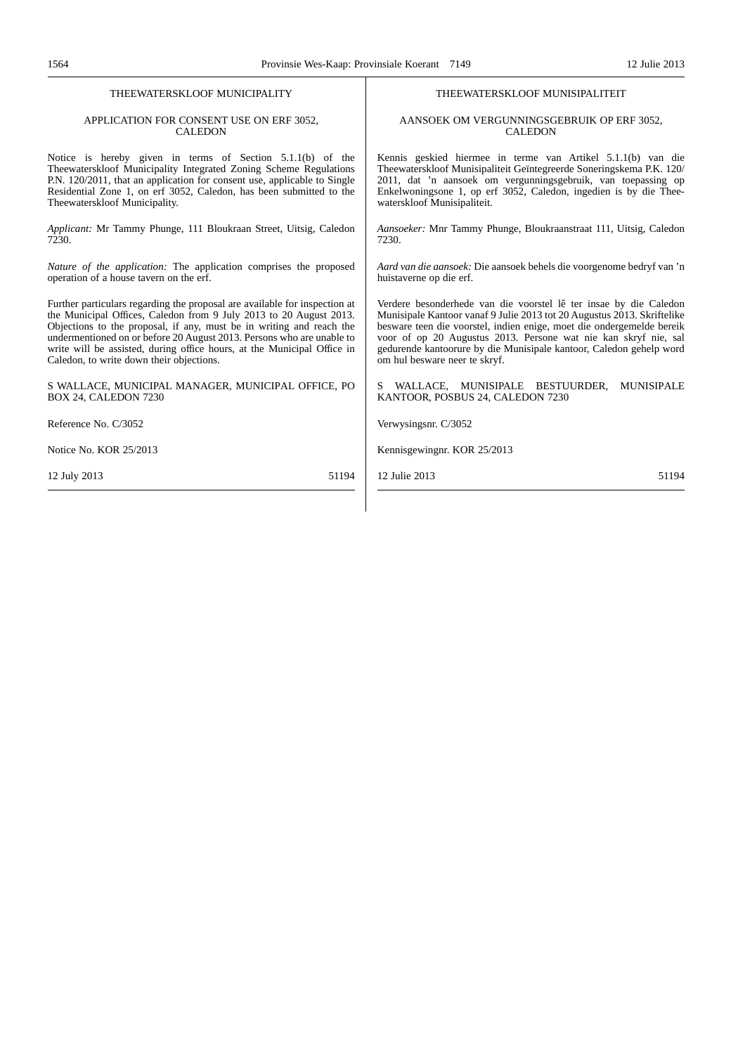#### THEEWATERSKLOOF MUNICIPALITY APPLICATION FOR CONSENT USE ON ERF 3052, CALEDON Notice is hereby given in terms of Section 5.1.1(b) of the Theewaterskloof Municipality Integrated Zoning Scheme Regulations P.N. 120/2011, that an application for consent use, applicable to Single Residential Zone 1, on erf 3052, Caledon, has been submitted to the Theewaterskloof Municipality. *Applicant:* Mr Tammy Phunge, 111 Bloukraan Street, Uitsig, Caledon 7230. *Nature of the application:* The application comprises the proposed operation of a house tavern on the erf. Further particulars regarding the proposal are available for inspection at the Municipal Offices, Caledon from 9 July 2013 to 20 August 2013. Objections to the proposal, if any, must be in writing and reach the undermentioned on or before 20 August 2013. Persons who are unable to write will be assisted, during office hours, at the Municipal Office in Caledon, to write down their objections. S WALLACE, MUNICIPAL MANAGER, MUNICIPAL OFFICE, PO BOX 24, CALEDON 7230 Reference No. C/3052 Notice No. KOR 25/2013 12 July 2013 51194 THEEWATERSKLOOF MUNISIPALITEIT AANSOEK OM VERGUNNINGSGEBRUIK OP ERF 3052, CALEDON Kennis geskied hiermee in terme van Artikel 5.1.1(b) van die Theewaterskloof Munisipaliteit Geïntegreerde Soneringskema P.K. 120/ 2011, dat 'n aansoek om vergunningsgebruik, van toepassing op Enkelwoningsone 1, op erf 3052, Caledon, ingedien is by die Theewaterskloof Munisipaliteit. *Aansoeker:* Mnr Tammy Phunge, Bloukraanstraat 111, Uitsig, Caledon 7230. *Aard van die aansoek:* Die aansoek behels die voorgenome bedryf van 'n huistaverne op die erf. Verdere besonderhede van die voorstel lê ter insae by die Caledon Munisipale Kantoor vanaf 9 Julie 2013 tot 20 Augustus 2013. Skriftelike besware teen die voorstel, indien enige, moet die ondergemelde bereik voor of op 20 Augustus 2013. Persone wat nie kan skryf nie, sal gedurende kantoorure by die Munisipale kantoor, Caledon gehelp word om hul besware neer te skryf. WALLACE, MUNISIPALE BESTUURDER, MUNISIPALE KANTOOR, POSBUS 24, CALEDON 7230 Verwysingsnr. C/3052 Kennisgewingnr. KOR 25/2013 12 Julie 2013 51194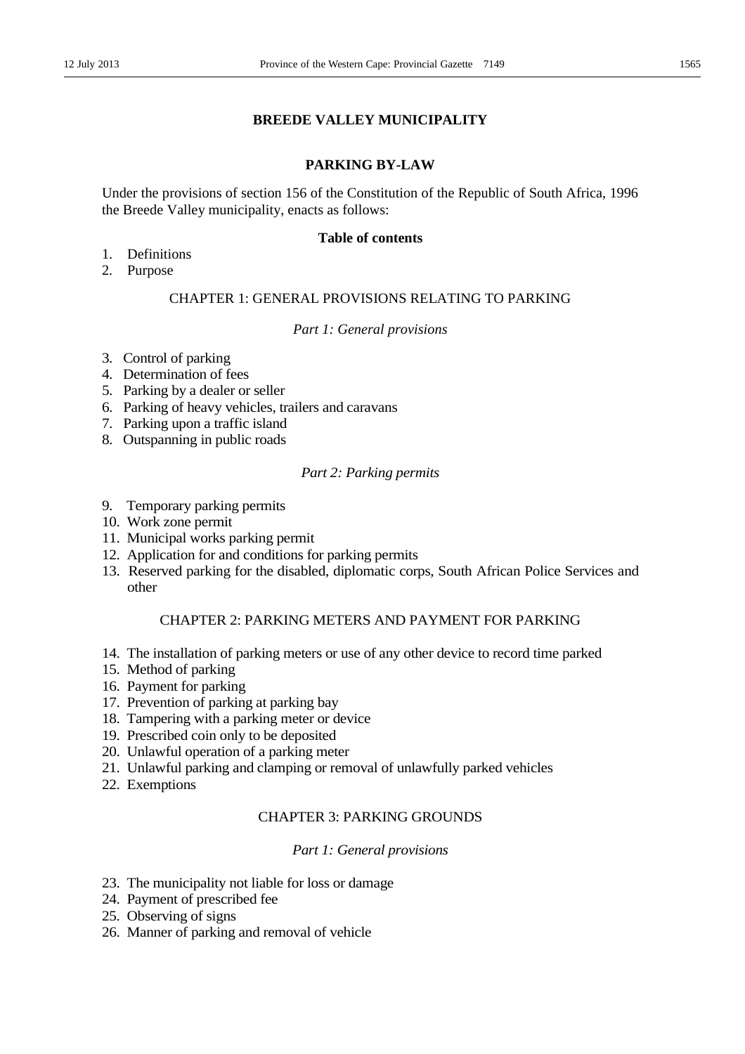### **BREEDE VALLEY MUNICIPALITY**

### **PARKING BY-LAW**

Under the provisions of section 156 of the Constitution of the Republic of South Africa, 1996 the Breede Valley municipality, enacts as follows:

### **Table of contents**

- 1. Definitions
- 2. Purpose

### CHAPTER 1: GENERAL PROVISIONS RELATING TO PARKING

### *Part 1: General provisions*

- 3. Control of parking
- 4. Determination of fees
- 5. Parking by a dealer or seller
- 6. Parking of heavy vehicles, trailers and caravans
- 7. Parking upon a traffic island
- 8. Outspanning in public roads

### *Part 2: Parking permits*

- 9. Temporary parking permits
- 10. Work zone permit
- 11. Municipal works parking permit
- 12. Application for and conditions for parking permits
- 13. Reserved parking for the disabled, diplomatic corps, South African Police Services and other

### CHAPTER 2: PARKING METERS AND PAYMENT FOR PARKING

- 14. The installation of parking meters or use of any other device to record time parked
- 15. Method of parking
- 16. Payment for parking
- 17. Prevention of parking at parking bay
- 18. Tampering with a parking meter or device
- 19. Prescribed coin only to be deposited
- 20. Unlawful operation of a parking meter
- 21. Unlawful parking and clamping or removal of unlawfully parked vehicles
- 22. Exemptions

### CHAPTER 3: PARKING GROUNDS

#### *Part 1: General provisions*

- 23. The municipality not liable for loss or damage
- 24. Payment of prescribed fee
- 25. Observing of signs
- 26. Manner of parking and removal of vehicle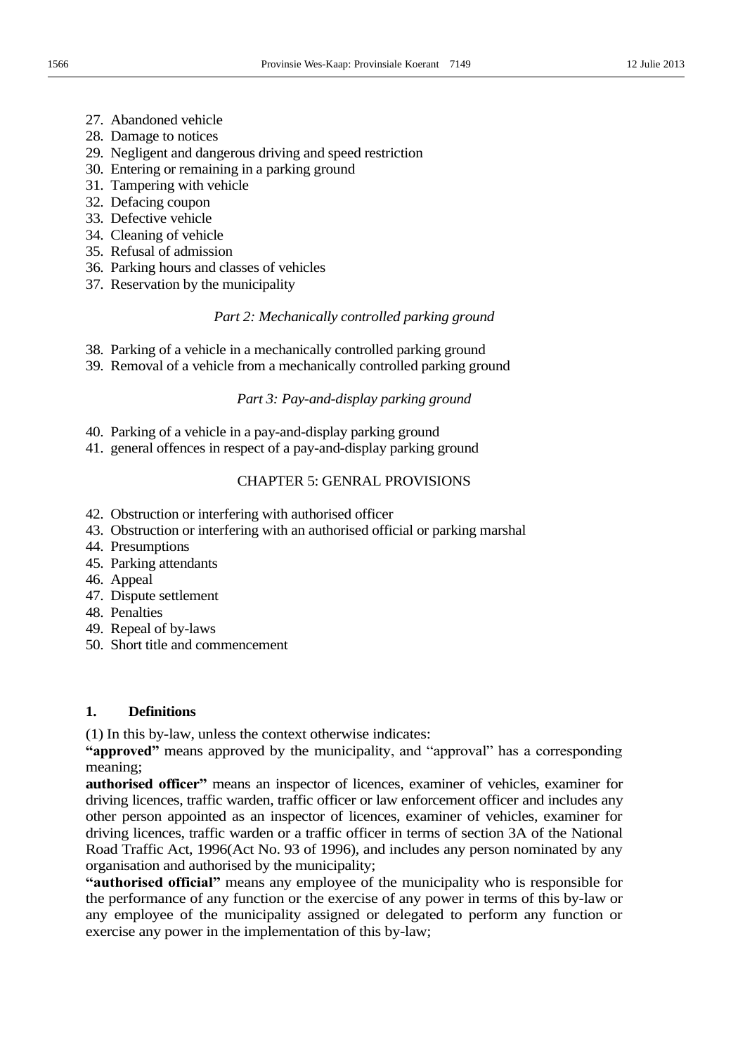- 27. Abandoned vehicle
- 28. Damage to notices
- 29. Negligent and dangerous driving and speed restriction
- 30. Entering or remaining in a parking ground
- 31. Tampering with vehicle
- 32. Defacing coupon
- 33. Defective vehicle
- 34. Cleaning of vehicle
- 35. Refusal of admission
- 36. Parking hours and classes of vehicles
- 37. Reservation by the municipality

### *Part 2: Mechanically controlled parking ground*

- 38. Parking of a vehicle in a mechanically controlled parking ground
- 39. Removal of a vehicle from a mechanically controlled parking ground

### *Part 3: Pay-and-display parking ground*

- 40. Parking of a vehicle in a pay-and-display parking ground
- 41. general offences in respect of a pay-and-display parking ground

### CHAPTER 5: GENRAL PROVISIONS

- 42. Obstruction or interfering with authorised officer
- 43. Obstruction or interfering with an authorised official or parking marshal
- 44. Presumptions
- 45. Parking attendants
- 46. Appeal
- 47. Dispute settlement
- 48. Penalties
- 49. Repeal of by-laws
- 50. Short title and commencement

### **1. Definitions**

(1) In this by-law, unless the context otherwise indicates:

"approved" means approved by the municipality, and "approval" has a corresponding meaning;

authorised officer" means an inspector of licences, examiner of vehicles, examiner for driving licences, traffic warden, traffic officer or law enforcement officer and includes any other person appointed as an inspector of licences, examiner of vehicles, examiner for driving licences, traffic warden or a traffic officer in terms of section 3A of the National Road Traffic Act, 1996(Act No. 93 of 1996), and includes any person nominated by any organisation and authorised by the municipality;

"authorised official" means any employee of the municipality who is responsible for the performance of any function or the exercise of any power in terms of this by-law or any employee of the municipality assigned or delegated to perform any function or exercise any power in the implementation of this by-law;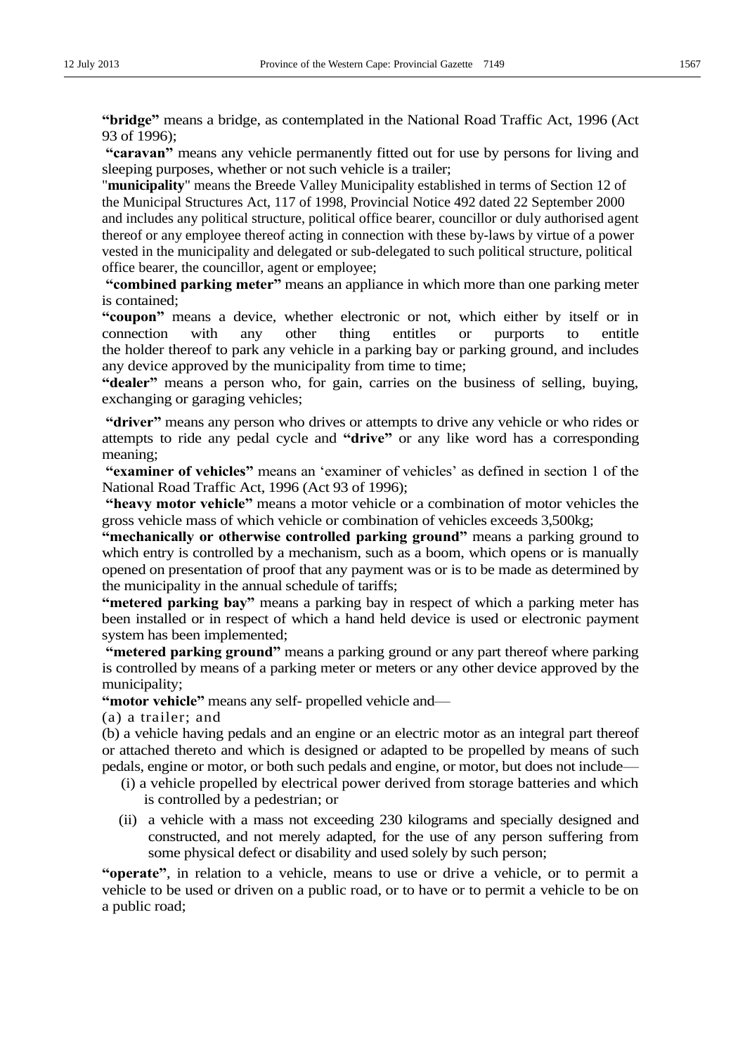"bridge" means a bridge, as contemplated in the National Road Traffic Act, 1996 (Act 93 of 1996);

"caravan" means any vehicle permanently fitted out for use by persons for living and sleeping purposes, whether or not such vehicle is a trailer;

"**municipality**" means the Breede Valley Municipality established in terms of Section 12 of the Municipal Structures Act, 117 of 1998, Provincial Notice 492 dated 22 September 2000 and includes any political structure, political office bearer, councillor or duly authorised agent thereof or any employee thereof acting in connection with these by-laws by virtue of a power vested in the municipality and delegated or sub-delegated to such political structure, political office bearer, the councillor, agent or employee;

**"combined parking meter"** means an appliance in which more than one parking meter is contained;

**"coupon"** means a device, whether electronic or not, which either by itself or in connection with any other thing entitles or purports to entitle the holder thereof to park any vehicle in a parking bay or parking ground, and includes any device approved by the municipality from time to time;

"dealer" means a person who, for gain, carries on the business of selling, buying, exchanging or garaging vehicles;

**"driver"** means any person who drives or attempts to drive any vehicle or who rides or attempts to ride any pedal cycle and **"drive"** or any like word has a corresponding meaning;

"examiner of vehicles" means an 'examiner of vehicles' as defined in section 1 of the National Road Traffic Act, 1996 (Act 93 of 1996);

**"heavy motor vehicle"** means a motor vehicle or a combination of motor vehicles the gross vehicle mass of which vehicle or combination of vehicles exceeds 3,500kg;

**"mechanically or otherwise controlled parking ground"** means a parking ground to which entry is controlled by a mechanism, such as a boom, which opens or is manually opened on presentation of proof that any payment was or is to be made as determined by the municipality in the annual schedule of tariffs;

**"metered parking bay"** means a parking bay in respect of which a parking meter has been installed or in respect of which a hand held device is used or electronic payment system has been implemented;

"metered parking ground" means a parking ground or any part thereof where parking is controlled by means of a parking meter or meters or any other device approved by the municipality;

"motor vehicle" means any self- propelled vehicle and-

(a) a trailer; and

(b) a vehicle having pedals and an engine or an electric motor as an integral part thereof or attached thereto and which is designed or adapted to be propelled by means of such pedals, engine or motor, or both such pedals and engine, or motor, but does not include—

- (i) a vehicle propelled by electrical power derived from storage batteries and which is controlled by a pedestrian; or
- (ii) a vehicle with a mass not exceeding 230 kilograms and specially designed and constructed, and not merely adapted, for the use of any person suffering from some physical defect or disability and used solely by such person;

**"operate"**, in relation to a vehicle, means to use or drive a vehicle, or to permit a vehicle to be used or driven on a public road, or to have or to permit a vehicle to be on a public road;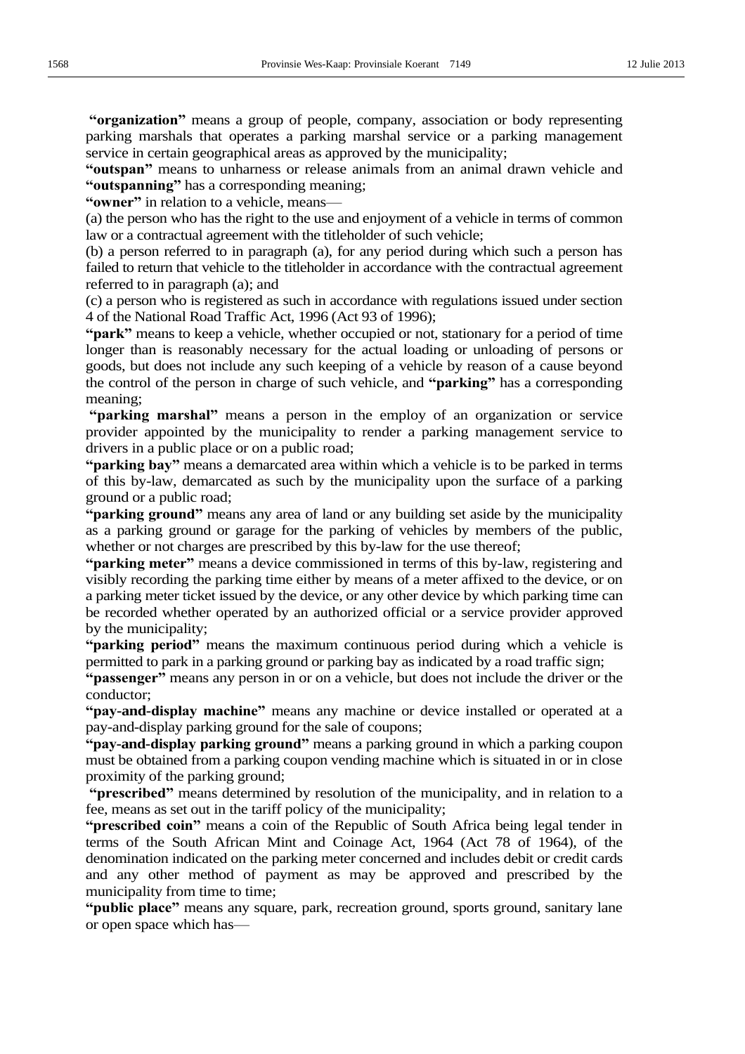**"organization"** means a group of people, company, association or body representing parking marshals that operates a parking marshal service or a parking management service in certain geographical areas as approved by the municipality;

**"outspan"** means to unharness or release animals from an animal drawn vehicle and **"outspanning"** has a corresponding meaning;

**"owner"** in relation to a vehicle, means-

(a) the person who has the right to the use and enjoyment of a vehicle in terms of common law or a contractual agreement with the titleholder of such vehicle;

(b) a person referred to in paragraph (a), for any period during which such a person has failed to return that vehicle to the titleholder in accordance with the contractual agreement referred to in paragraph (a); and

(c) a person who is registered as such in accordance with regulations issued under section 4 of the National Road Traffic Act, 1996 (Act 93 of 1996);

**"park"** means to keep a vehicle, whether occupied or not, stationary for a period of time longer than is reasonably necessary for the actual loading or unloading of persons or goods, but does not include any such keeping of a vehicle by reason of a cause beyond the control of the person in charge of such vehicle, and **"parking"** has a corresponding meaning;

**"parking marshal"** means a person in the employ of an organization or service provider appointed by the municipality to render a parking management service to drivers in a public place or on a public road;

"**parking bay**" means a demarcated area within which a vehicle is to be parked in terms of this by-law, demarcated as such by the municipality upon the surface of a parking ground or a public road;

**"parking ground"** means any area of land or any building set aside by the municipality as a parking ground or garage for the parking of vehicles by members of the public, whether or not charges are prescribed by this by-law for the use thereof;

**"parking meter"** means a device commissioned in terms of this by-law, registering and visibly recording the parking time either by means of a meter affixed to the device, or on a parking meter ticket issued by the device, or any other device by which parking time can be recorded whether operated by an authorized official or a service provider approved by the municipality;

**"parking period"** means the maximum continuous period during which a vehicle is permitted to park in a parking ground or parking bay as indicated by a road traffic sign;

**"passenger"** means any person in or on a vehicle, but does not include the driver or the conductor;

"pay-and-display machine" means any machine or device installed or operated at a pay-and-display parking ground for the sale of coupons;

"pay-and-display parking ground" means a parking ground in which a parking coupon must be obtained from a parking coupon vending machine which is situated in or in close proximity of the parking ground;

"**prescribed**" means determined by resolution of the municipality, and in relation to a fee, means as set out in the tariff policy of the municipality;

**"prescribed coin"** means a coin of the Republic of South Africa being legal tender in terms of the South African Mint and Coinage Act, 1964 (Act 78 of 1964), of the denomination indicated on the parking meter concerned and includes debit or credit cards and any other method of payment as may be approved and prescribed by the municipality from time to time;

**"public place"** means any square, park, recreation ground, sports ground, sanitary lane or open space which has-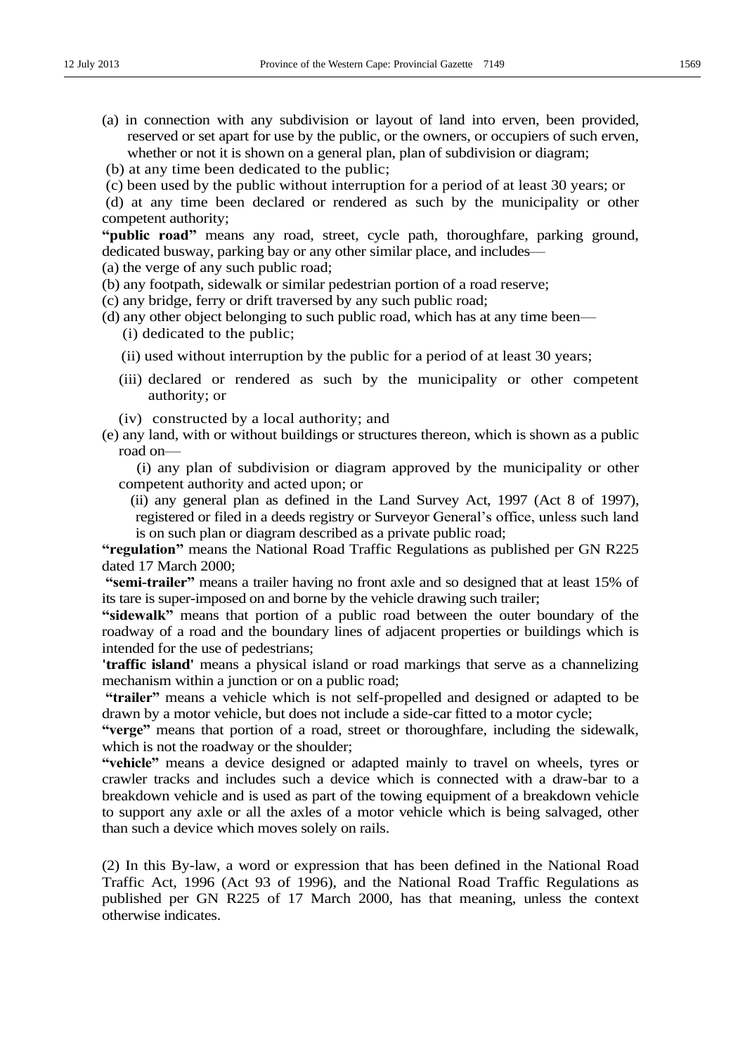- (a) in connection with any subdivision or layout of land into erven, been provided, reserved or set apart for use by the public, or the owners, or occupiers of such erven, whether or not it is shown on a general plan, plan of subdivision or diagram;
- (b) at any time been dedicated to the public;
- (c) been used by the public without interruption for a period of at least 30 years; or
- (d) at any time been declared or rendered as such by the municipality or other competent authority;

"**public road**" means any road, street, cycle path, thoroughfare, parking ground, dedicated busway, parking bay or any other similar place, and includes-

- (a) the verge of any such public road;
- (b) any footpath, sidewalk or similar pedestrian portion of a road reserve;
- (c) any bridge, ferry or drift traversed by any such public road;
- (d) any other object belonging to such public road, which has at any time been— (i) dedicated to the public;
	- (ii) used without interruption by the public for a period of at least 30 years;
	- (iii) declared or rendered as such by the municipality or other competent authority; or
	- (iv) constructed by a local authority; and
- (e) any land, with or without buildings or structures thereon, which is shown as a public road on-

 (i) any plan of subdivision or diagram approved by the municipality or other competent authority and acted upon; or

 (ii) any general plan as defined in the Land Survey Act, 1997 (Act 8 of 1997), registered or filed in a deeds registry or Surveyor General's office, unless such land is on such plan or diagram described as a private public road;

"regulation" means the National Road Traffic Regulations as published per GN R225 dated 17 March 2000;

**"semi-trailer"** means a trailer having no front axle and so designed that at least 15% of its tare is super-imposed on and borne by the vehicle drawing such trailer;

**"sidewalk"** means that portion of a public road between the outer boundary of the roadway of a road and the boundary lines of adjacent properties or buildings which is intended for the use of pedestrians;

**'traffic island'** means a physical island or road markings that serve as a channelizing mechanism within a junction or on a public road;

**"trailer"** means a vehicle which is not self-propelled and designed or adapted to be drawn by a motor vehicle, but does not include a side-car fitted to a motor cycle;

**"verge"** means that portion of a road, street or thoroughfare, including the sidewalk, which is not the roadway or the shoulder;

**"vehicle"** means a device designed or adapted mainly to travel on wheels, tyres or crawler tracks and includes such a device which is connected with a draw-bar to a breakdown vehicle and is used as part of the towing equipment of a breakdown vehicle to support any axle or all the axles of a motor vehicle which is being salvaged, other than such a device which moves solely on rails.

(2) In this By-law, a word or expression that has been defined in the National Road Traffic Act, 1996 (Act 93 of 1996), and the National Road Traffic Regulations as published per GN R225 of 17 March 2000, has that meaning, unless the context otherwise indicates.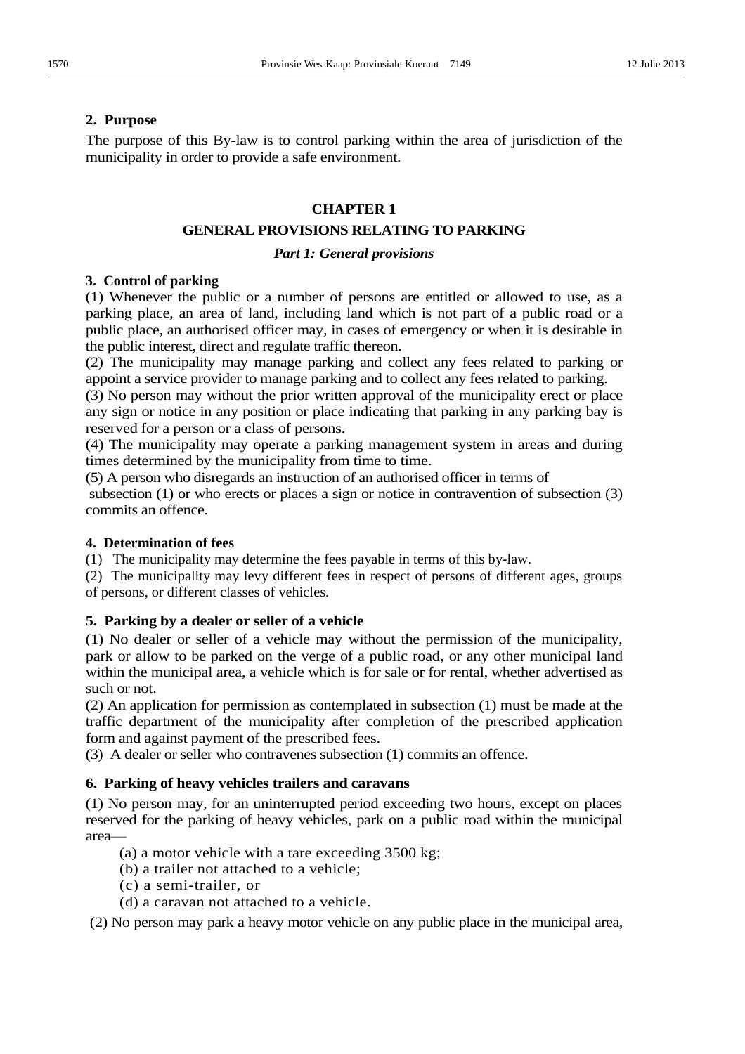### **2. Purpose**

The purpose of this By-law is to control parking within the area of jurisdiction of the municipality in order to provide a safe environment.

### **CHAPTER 1**

### **GENERAL PROVISIONS RELATING TO PARKING**

### *Part 1: General provisions*

### **3. Control of parking**

(1) Whenever the public or a number of persons are entitled or allowed to use, as a parking place, an area of land, including land which is not part of a public road or a public place, an authorised officer may, in cases of emergency or when it is desirable in the public interest, direct and regulate traffic thereon.

(2) The municipality may manage parking and collect any fees related to parking or appoint a service provider to manage parking and to collect any fees related to parking.

(3) No person may without the prior written approval of the municipality erect or place any sign or notice in any position or place indicating that parking in any parking bay is reserved for a person or a class of persons.

(4) The municipality may operate a parking management system in areas and during times determined by the municipality from time to time.

(5) A person who disregards an instruction of an authorised officer in terms of

 subsection (1) or who erects or places a sign or notice in contravention of subsection (3) commits an offence.

### **4. Determination of fees**

(1) The municipality may determine the fees payable in terms of this by-law.

(2) The municipality may levy different fees in respect of persons of different ages, groups of persons, or different classes of vehicles.

### **5. Parking by a dealer or seller of a vehicle**

(1) No dealer or seller of a vehicle may without the permission of the municipality, park or allow to be parked on the verge of a public road, or any other municipal land within the municipal area, a vehicle which is for sale or for rental, whether advertised as such or not.

(2) An application for permission as contemplated in subsection (1) must be made at the traffic department of the municipality after completion of the prescribed application form and against payment of the prescribed fees.

(3) A dealer or seller who contravenes subsection (1) commits an offence.

### **6. Parking of heavy vehicles trailers and caravans**

(1) No person may, for an uninterrupted period exceeding two hours, except on places reserved for the parking of heavy vehicles, park on a public road within the municipal area-

- (a) a motor vehicle with a tare exceeding 3500 kg;
- (b) a trailer not attached to a vehicle;
- (c) a semi-trailer, or
- (d) a caravan not attached to a vehicle.

(2) No person may park a heavy motor vehicle on any public place in the municipal area,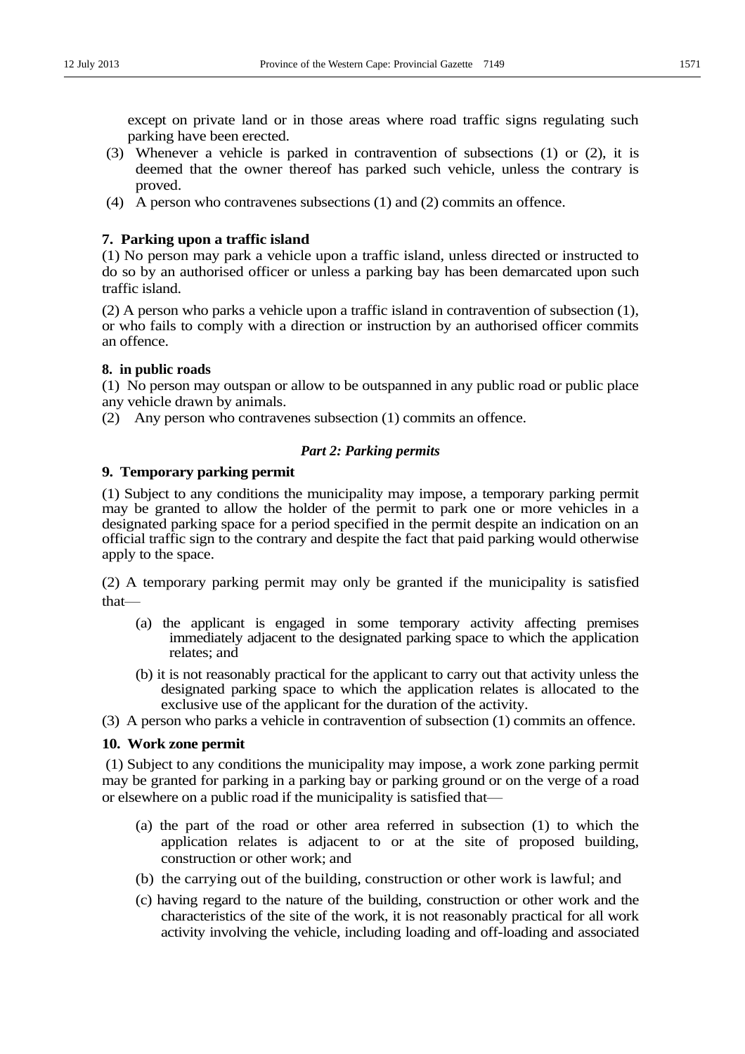except on private land or in those areas where road traffic signs regulating such parking have been erected.

- (3) Whenever a vehicle is parked in contravention of subsections (1) or (2), it is deemed that the owner thereof has parked such vehicle, unless the contrary is proved.
- (4) A person who contravenes subsections (1) and (2) commits an offence.

### **7. Parking upon a traffic island**

(1) No person may park a vehicle upon a traffic island, unless directed or instructed to do so by an authorised officer or unless a parking bay has been demarcated upon such traffic island.

(2) A person who parks a vehicle upon a traffic island in contravention of subsection (1), or who fails to comply with a direction or instruction by an authorised officer commits an offence.

### **8. in public roads**

(1) No person may outspan or allow to be outspanned in any public road or public place any vehicle drawn by animals.

(2) Any person who contravenes subsection (1) commits an offence.

### *Part 2: Parking permits*

### **9. Temporary parking permit**

(1) Subject to any conditions the municipality may impose, a temporary parking permit may be granted to allow the holder of the permit to park one or more vehicles in a designated parking space for a period specified in the permit despite an indication on an official traffic sign to the contrary and despite the fact that paid parking would otherwise apply to the space.

(2) A temporary parking permit may only be granted if the municipality is satisfied that-

- (a) the applicant is engaged in some temporary activity affecting premises immediately adjacent to the designated parking space to which the application relates; and
- (b) it is not reasonably practical for the applicant to carry out that activity unless the designated parking space to which the application relates is allocated to the exclusive use of the applicant for the duration of the activity.
- (3) A person who parks a vehicle in contravention of subsection (1) commits an offence.

### **10. Work zone permit**

(1) Subject to any conditions the municipality may impose, a work zone parking permit may be granted for parking in a parking bay or parking ground or on the verge of a road or elsewhere on a public road if the municipality is satisfied that-

- (a) the part of the road or other area referred in subsection (1) to which the application relates is adjacent to or at the site of proposed building, construction or other work; and
- (b) the carrying out of the building, construction or other work is lawful; and
- (c) having regard to the nature of the building, construction or other work and the characteristics of the site of the work, it is not reasonably practical for all work activity involving the vehicle, including loading and off-loading and associated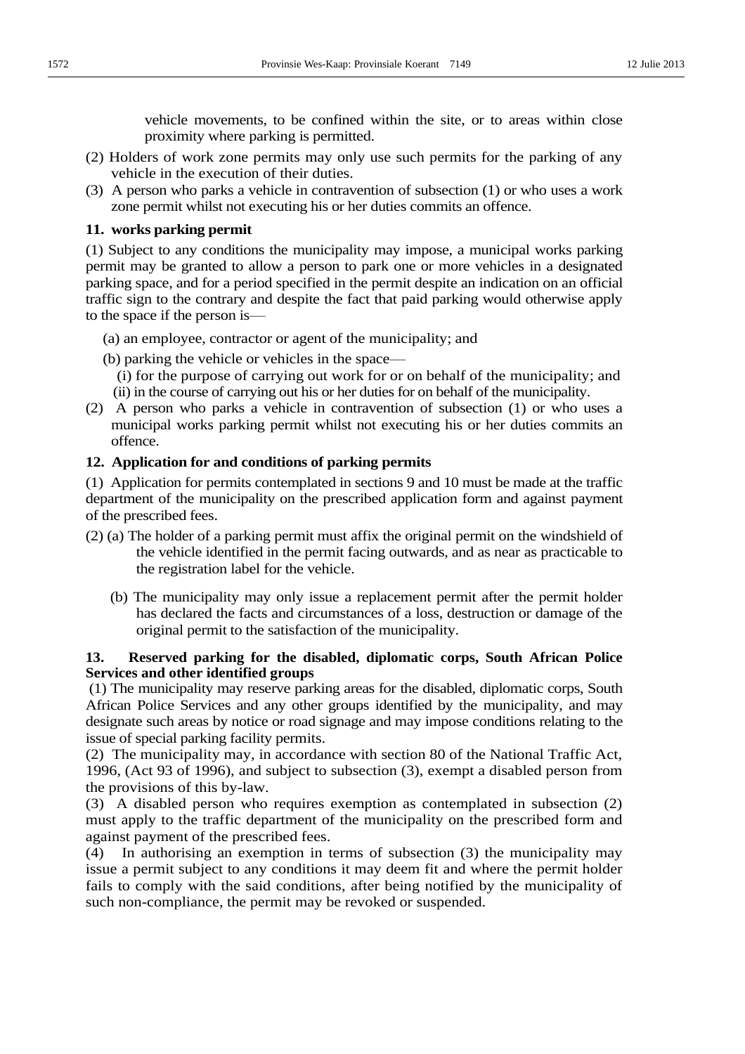vehicle movements, to be confined within the site, or to areas within close proximity where parking is permitted.

- (2) Holders of work zone permits may only use such permits for the parking of any vehicle in the execution of their duties.
- (3) A person who parks a vehicle in contravention of subsection (1) or who uses a work zone permit whilst not executing his or her duties commits an offence.

### **11. works parking permit**

(1) Subject to any conditions the municipality may impose, a municipal works parking permit may be granted to allow a person to park one or more vehicles in a designated parking space, and for a period specified in the permit despite an indication on an official traffic sign to the contrary and despite the fact that paid parking would otherwise apply to the space if the person is —

- (a) an employee, contractor or agent of the municipality; and
- (b) parking the vehicle or vehicles in the space—
	- (i) for the purpose of carrying out work for or on behalf of the municipality; and (ii) in the course of carrying out his or her duties for on behalf of the municipality.
- (2) A person who parks a vehicle in contravention of subsection (1) or who uses a municipal works parking permit whilst not executing his or her duties commits an offence.

### **12. Application for and conditions of parking permits**

(1) Application for permits contemplated in sections 9 and 10 must be made at the traffic department of the municipality on the prescribed application form and against payment of the prescribed fees.

- (2) (a) The holder of a parking permit must affix the original permit on the windshield of the vehicle identified in the permit facing outwards, and as near as practicable to the registration label for the vehicle.
	- (b) The municipality may only issue a replacement permit after the permit holder has declared the facts and circumstances of a loss, destruction or damage of the original permit to the satisfaction of the municipality.

### **13. Reserved parking for the disabled, diplomatic corps, South African Police Services and other identified groups**

(1) The municipality may reserve parking areas for the disabled, diplomatic corps, South African Police Services and any other groups identified by the municipality, and may designate such areas by notice or road signage and may impose conditions relating to the issue of special parking facility permits.

(2) The municipality may, in accordance with section 80 of the National Traffic Act, 1996, (Act 93 of 1996), and subject to subsection (3), exempt a disabled person from the provisions of this by-law.

(3) A disabled person who requires exemption as contemplated in subsection (2) must apply to the traffic department of the municipality on the prescribed form and against payment of the prescribed fees.

(4) In authorising an exemption in terms of subsection (3) the municipality may issue a permit subject to any conditions it may deem fit and where the permit holder fails to comply with the said conditions, after being notified by the municipality of such non-compliance, the permit may be revoked or suspended.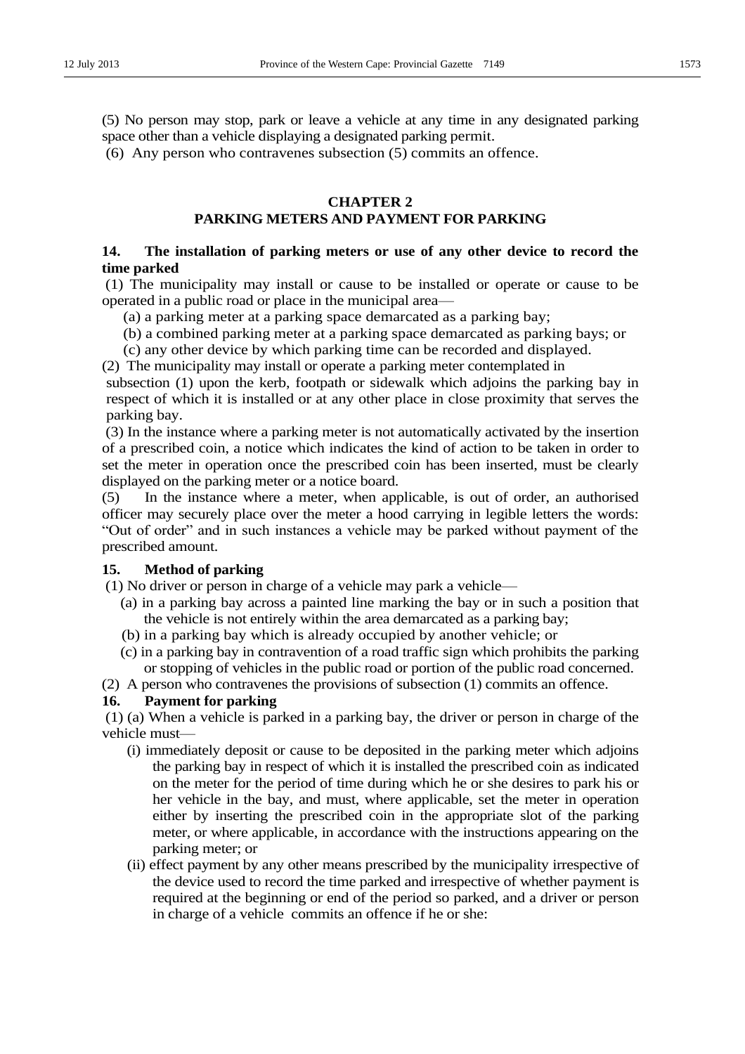(5) No person may stop, park or leave a vehicle at any time in any designated parking space other than a vehicle displaying a designated parking permit.

(6) Any person who contravenes subsection (5) commits an offence.

# **CHAPTER 2**

# **PARKING METERS AND PAYMENT FOR PARKING**

# **14. The installation of parking meters or use of any other device to record the time parked**

(1) The municipality may install or cause to be installed or operate or cause to be operated in a public road or place in the municipal area—

(a) a parking meter at a parking space demarcated as a parking bay;

(b) a combined parking meter at a parking space demarcated as parking bays; or

(c) any other device by which parking time can be recorded and displayed.

(2) The municipality may install or operate a parking meter contemplated in

subsection (1) upon the kerb, footpath or sidewalk which adjoins the parking bay in respect of which it is installed or at any other place in close proximity that serves the parking bay.

 (3) In the instance where a parking meter is not automatically activated by the insertion of a prescribed coin, a notice which indicates the kind of action to be taken in order to set the meter in operation once the prescribed coin has been inserted, must be clearly displayed on the parking meter or a notice board.

(5) In the instance where a meter, when applicable, is out of order, an authorised officer may securely place over the meter a hood carrying in legible letters the words: "Out of order" and in such instances a vehicle may be parked without payment of the prescribed amount.

# **15. Method of parking**

- $(1)$  No driver or person in charge of a vehicle may park a vehicle  $\equiv$ 
	- (a) in a parking bay across a painted line marking the bay or in such a position that the vehicle is not entirely within the area demarcated as a parking bay;
	- (b) in a parking bay which is already occupied by another vehicle; or
	- (c) in a parking bay in contravention of a road traffic sign which prohibits the parking or stopping of vehicles in the public road or portion of the public road concerned.

(2) A person who contravenes the provisions of subsection (1) commits an offence.

### **16. Payment for parking**

(1) (a) When a vehicle is parked in a parking bay, the driver or person in charge of the vehicle must-

- (i) immediately deposit or cause to be deposited in the parking meter which adjoins the parking bay in respect of which it is installed the prescribed coin as indicated on the meter for the period of time during which he or she desires to park his or her vehicle in the bay, and must, where applicable, set the meter in operation either by inserting the prescribed coin in the appropriate slot of the parking meter, or where applicable, in accordance with the instructions appearing on the parking meter; or
- (ii) effect payment by any other means prescribed by the municipality irrespective of the device used to record the time parked and irrespective of whether payment is required at the beginning or end of the period so parked, and a driver or person in charge of a vehicle commits an offence if he or she: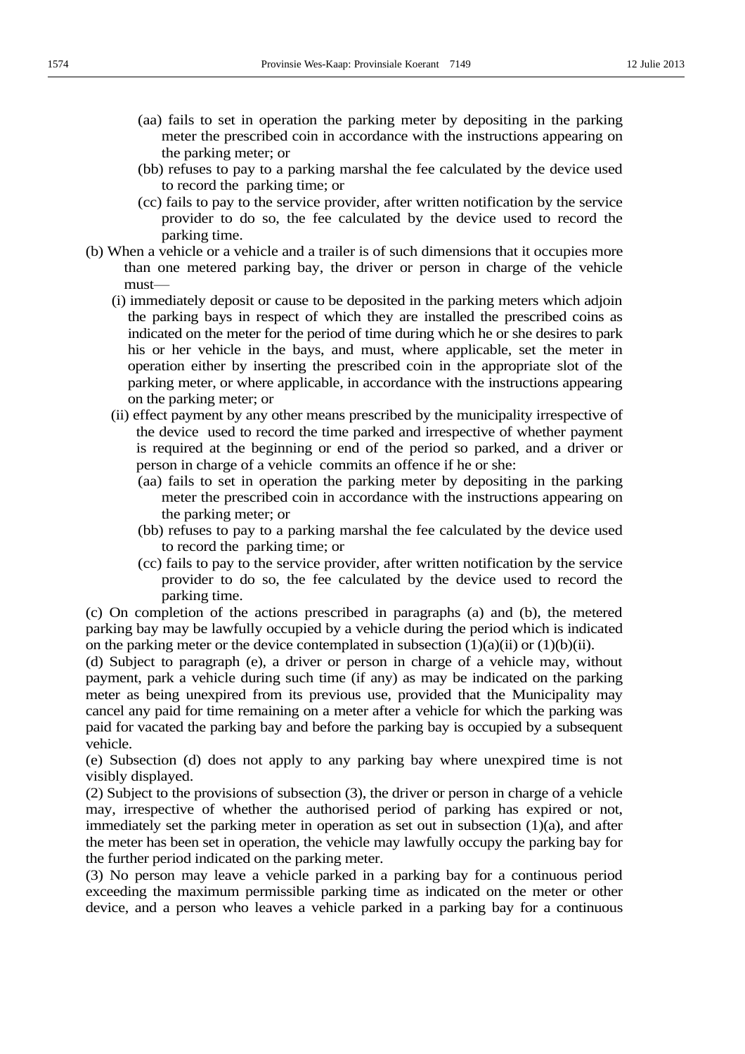- (aa) fails to set in operation the parking meter by depositing in the parking meter the prescribed coin in accordance with the instructions appearing on the parking meter; or
- (bb) refuses to pay to a parking marshal the fee calculated by the device used to record the parking time; or
- (cc) fails to pay to the service provider, after written notification by the service provider to do so, the fee calculated by the device used to record the parking time.
- (b) When a vehicle or a vehicle and a trailer is of such dimensions that it occupies more than one metered parking bay, the driver or person in charge of the vehicle must-
	- (i) immediately deposit or cause to be deposited in the parking meters which adjoin the parking bays in respect of which they are installed the prescribed coins as indicated on the meter for the period of time during which he or she desires to park his or her vehicle in the bays, and must, where applicable, set the meter in operation either by inserting the prescribed coin in the appropriate slot of the parking meter, or where applicable, in accordance with the instructions appearing on the parking meter; or
	- (ii) effect payment by any other means prescribed by the municipality irrespective of the device used to record the time parked and irrespective of whether payment is required at the beginning or end of the period so parked, and a driver or person in charge of a vehicle commits an offence if he or she:
		- (aa) fails to set in operation the parking meter by depositing in the parking meter the prescribed coin in accordance with the instructions appearing on the parking meter; or
		- (bb) refuses to pay to a parking marshal the fee calculated by the device used to record the parking time; or
		- (cc) fails to pay to the service provider, after written notification by the service provider to do so, the fee calculated by the device used to record the parking time.

(c) On completion of the actions prescribed in paragraphs (a) and (b), the metered parking bay may be lawfully occupied by a vehicle during the period which is indicated on the parking meter or the device contemplated in subsection  $(1)(a)(ii)$  or  $(1)(b)(ii)$ .

(d) Subject to paragraph (e), a driver or person in charge of a vehicle may, without payment, park a vehicle during such time (if any) as may be indicated on the parking meter as being unexpired from its previous use, provided that the Municipality may cancel any paid for time remaining on a meter after a vehicle for which the parking was paid for vacated the parking bay and before the parking bay is occupied by a subsequent vehicle.

(e) Subsection (d) does not apply to any parking bay where unexpired time is not visibly displayed.

(2) Subject to the provisions of subsection (3), the driver or person in charge of a vehicle may, irrespective of whether the authorised period of parking has expired or not, immediately set the parking meter in operation as set out in subsection (1)(a), and after the meter has been set in operation, the vehicle may lawfully occupy the parking bay for the further period indicated on the parking meter.

(3) No person may leave a vehicle parked in a parking bay for a continuous period exceeding the maximum permissible parking time as indicated on the meter or other device, and a person who leaves a vehicle parked in a parking bay for a continuous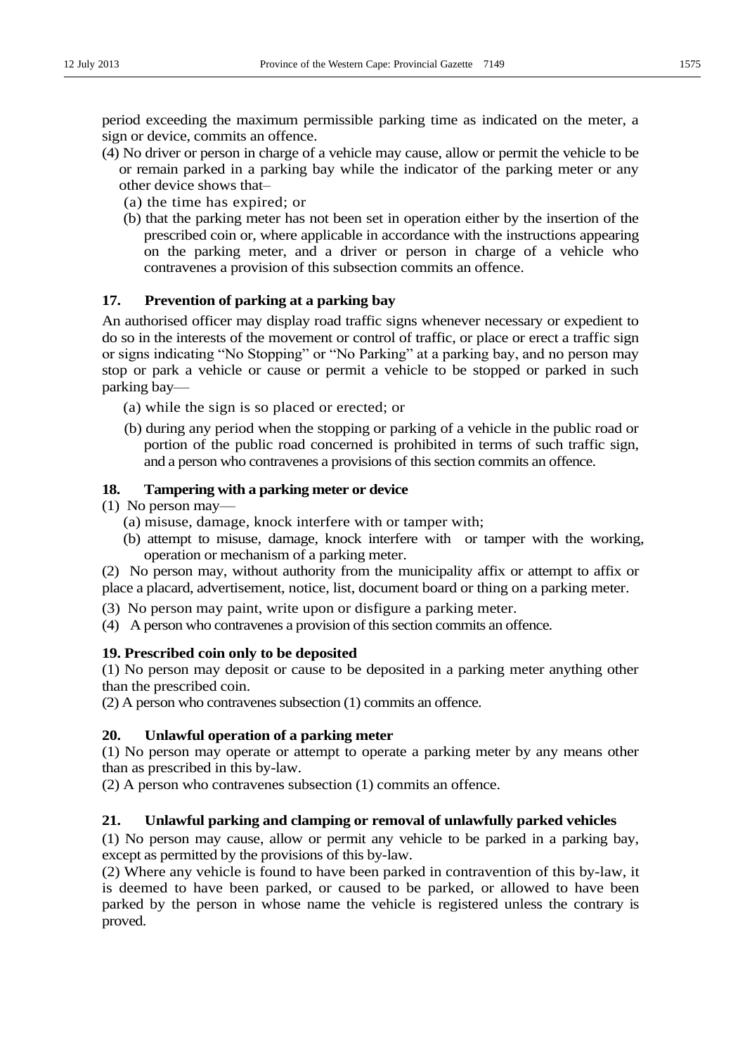period exceeding the maximum permissible parking time as indicated on the meter, a sign or device, commits an offence.

- (4) No driver or person in charge of a vehicle may cause, allow or permit the vehicle to be or remain parked in a parking bay while the indicator of the parking meter or any other device shows that-
	- (a) the time has expired; or
	- (b) that the parking meter has not been set in operation either by the insertion of the prescribed coin or, where applicable in accordance with the instructions appearing on the parking meter, and a driver or person in charge of a vehicle who contravenes a provision of this subsection commits an offence.

# **17. Prevention of parking at a parking bay**

An authorised officer may display road traffic signs whenever necessary or expedient to do so in the interests of the movement or control of traffic, or place or erect a traffic sign or signs indicating "No Stopping" or "No Parking" at a parking bay, and no person may stop or park a vehicle or cause or permit a vehicle to be stopped or parked in such parking bay—

- (a) while the sign is so placed or erected; or
- (b) during any period when the stopping or parking of a vehicle in the public road or portion of the public road concerned is prohibited in terms of such traffic sign, and a person who contravenes a provisions of this section commits an offence.

### **18. Tampering with a parking meter or device**

 $(1)$  No person may-

- (a) misuse, damage, knock interfere with or tamper with;
- (b) attempt to misuse, damage, knock interfere with or tamper with the working, operation or mechanism of a parking meter.

(2) No person may, without authority from the municipality affix or attempt to affix or place a placard, advertisement, notice, list, document board or thing on a parking meter.

- (3) No person may paint, write upon or disfigure a parking meter.
- (4) A person who contravenes a provision of this section commits an offence.

### **19. Prescribed coin only to be deposited**

(1) No person may deposit or cause to be deposited in a parking meter anything other than the prescribed coin.

(2) A person who contravenes subsection (1) commits an offence.

# **20. Unlawful operation of a parking meter**

(1) No person may operate or attempt to operate a parking meter by any means other than as prescribed in this by-law.

(2) A person who contravenes subsection (1) commits an offence.

# **21. Unlawful parking and clamping or removal of unlawfully parked vehicles**

(1) No person may cause, allow or permit any vehicle to be parked in a parking bay, except as permitted by the provisions of this by-law.

(2) Where any vehicle is found to have been parked in contravention of this by-law, it is deemed to have been parked, or caused to be parked, or allowed to have been parked by the person in whose name the vehicle is registered unless the contrary is proved.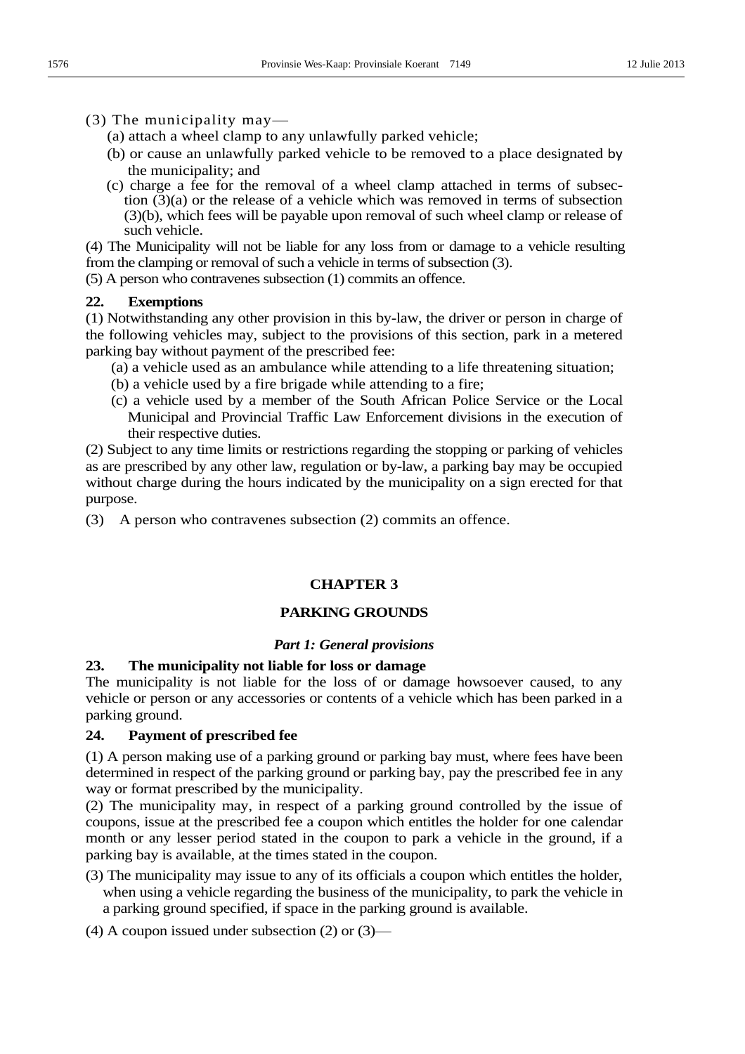- (3) The municipality may—
	- (a) attach a wheel clamp to any unlawfully parked vehicle;
	- (b) or cause an unlawfully parked vehicle to be removed to a place designated by the municipality; and
	- (c) charge a fee for the removal of a wheel clamp attached in terms of subsection (3)(a) or the release of a vehicle which was removed in terms of subsection (3)(b), which fees will be payable upon removal of such wheel clamp or release of such vehicle.

(4) The Municipality will not be liable for any loss from or damage to a vehicle resulting from the clamping or removal of such a vehicle in terms of subsection (3).

(5) A person who contravenes subsection (1) commits an offence.

# **22. Exemptions**

(1) Notwithstanding any other provision in this by-law, the driver or person in charge of the following vehicles may, subject to the provisions of this section, park in a metered parking bay without payment of the prescribed fee:

- (a) a vehicle used as an ambulance while attending to a life threatening situation;
- (b) a vehicle used by a fire brigade while attending to a fire;
- (c) a vehicle used by a member of the South African Police Service or the Local Municipal and Provincial Traffic Law Enforcement divisions in the execution of their respective duties.

(2) Subject to any time limits or restrictions regarding the stopping or parking of vehicles as are prescribed by any other law, regulation or by-law, a parking bay may be occupied without charge during the hours indicated by the municipality on a sign erected for that purpose.

(3) A person who contravenes subsection (2) commits an offence.

# **CHAPTER 3**

# **PARKING GROUNDS**

### *Part 1: General provisions*

# **23. The municipality not liable for loss or damage**

The municipality is not liable for the loss of or damage howsoever caused, to any vehicle or person or any accessories or contents of a vehicle which has been parked in a parking ground.

# **24. Payment of prescribed fee**

(1) A person making use of a parking ground or parking bay must, where fees have been determined in respect of the parking ground or parking bay, pay the prescribed fee in any way or format prescribed by the municipality.

(2) The municipality may, in respect of a parking ground controlled by the issue of coupons, issue at the prescribed fee a coupon which entitles the holder for one calendar month or any lesser period stated in the coupon to park a vehicle in the ground, if a parking bay is available, at the times stated in the coupon.

(3) The municipality may issue to any of its officials a coupon which entitles the holder, when using a vehicle regarding the business of the municipality, to park the vehicle in a parking ground specified, if space in the parking ground is available.

(4) A coupon issued under subsection  $(2)$  or  $(3)$ —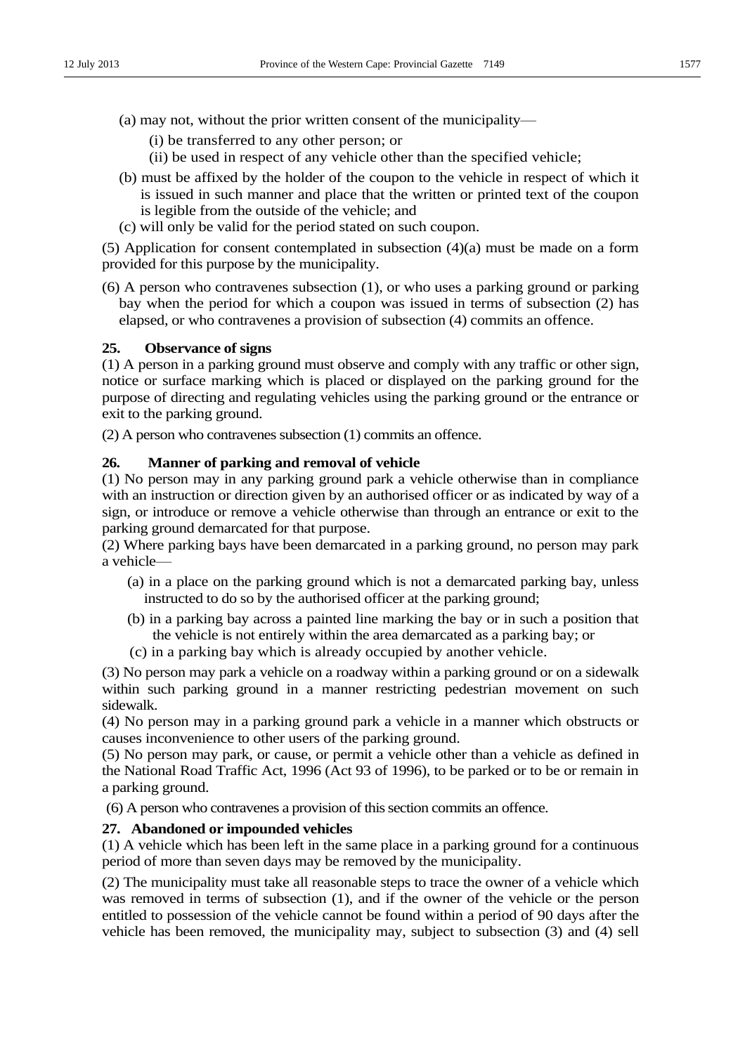- (a) may not, without the prior written consent of the municipality—
	- (i) be transferred to any other person; or
	- (ii) be used in respect of any vehicle other than the specified vehicle;
- (b) must be affixed by the holder of the coupon to the vehicle in respect of which it is issued in such manner and place that the written or printed text of the coupon is legible from the outside of the vehicle; and
- (c) will only be valid for the period stated on such coupon.

(5) Application for consent contemplated in subsection (4)(a) must be made on a form provided for this purpose by the municipality.

(6) A person who contravenes subsection (1), or who uses a parking ground or parking bay when the period for which a coupon was issued in terms of subsection (2) has elapsed, or who contravenes a provision of subsection (4) commits an offence.

### **25. Observance of signs**

(1) A person in a parking ground must observe and comply with any traffic or other sign, notice or surface marking which is placed or displayed on the parking ground for the purpose of directing and regulating vehicles using the parking ground or the entrance or exit to the parking ground.

(2) A person who contravenes subsection (1) commits an offence.

#### **26. Manner of parking and removal of vehicle**

(1) No person may in any parking ground park a vehicle otherwise than in compliance with an instruction or direction given by an authorised officer or as indicated by way of a sign, or introduce or remove a vehicle otherwise than through an entrance or exit to the parking ground demarcated for that purpose.

(2) Where parking bays have been demarcated in a parking ground, no person may park a vehicle-

- (a) in a place on the parking ground which is not a demarcated parking bay, unless instructed to do so by the authorised officer at the parking ground;
- (b) in a parking bay across a painted line marking the bay or in such a position that the vehicle is not entirely within the area demarcated as a parking bay; or
- (c) in a parking bay which is already occupied by another vehicle.

(3) No person may park a vehicle on a roadway within a parking ground or on a sidewalk within such parking ground in a manner restricting pedestrian movement on such sidewalk.

(4) No person may in a parking ground park a vehicle in a manner which obstructs or causes inconvenience to other users of the parking ground.

(5) No person may park, or cause, or permit a vehicle other than a vehicle as defined in the National Road Traffic Act, 1996 (Act 93 of 1996), to be parked or to be or remain in a parking ground.

(6) A person who contravenes a provision of this section commits an offence.

### **27. Abandoned or impounded vehicles**

(1) A vehicle which has been left in the same place in a parking ground for a continuous period of more than seven days may be removed by the municipality.

(2) The municipality must take all reasonable steps to trace the owner of a vehicle which was removed in terms of subsection (1), and if the owner of the vehicle or the person entitled to possession of the vehicle cannot be found within a period of 90 days after the vehicle has been removed, the municipality may, subject to subsection (3) and (4) sell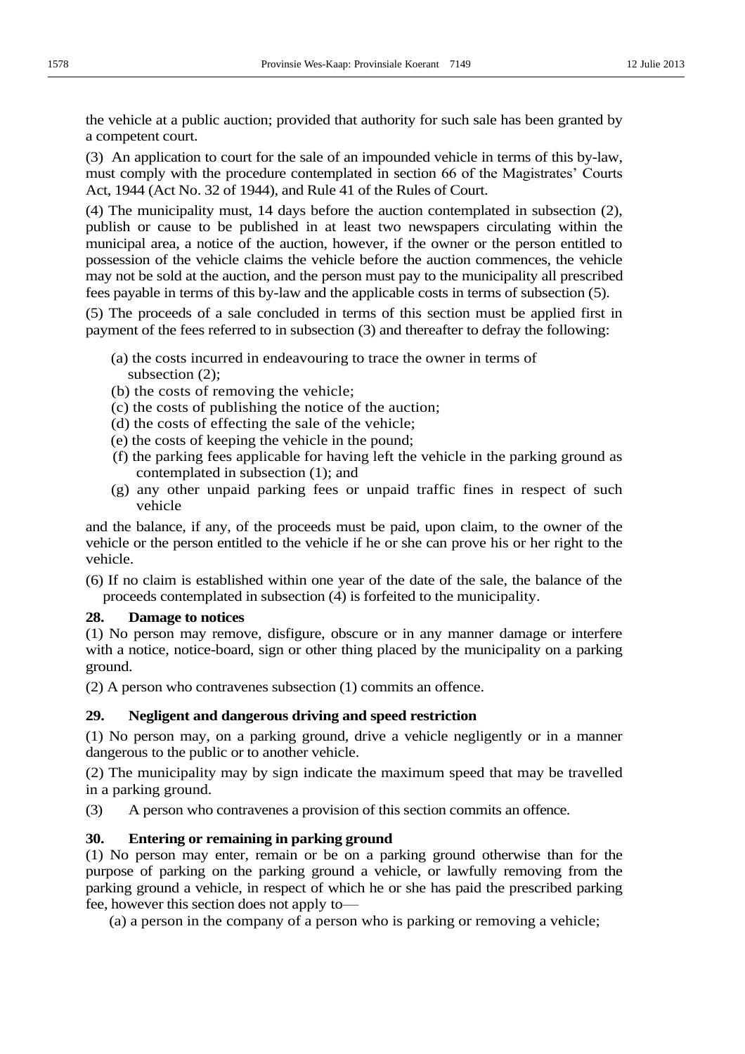the vehicle at a public auction; provided that authority for such sale has been granted by a competent court.

(3) An application to court for the sale of an impounded vehicle in terms of this by-law, must comply with the procedure contemplated in section 66 of the Magistrates' Courts Act, 1944 (Act No. 32 of 1944), and Rule 41 of the Rules of Court.

(4) The municipality must, 14 days before the auction contemplated in subsection (2), publish or cause to be published in at least two newspapers circulating within the municipal area, a notice of the auction, however, if the owner or the person entitled to possession of the vehicle claims the vehicle before the auction commences, the vehicle may not be sold at the auction, and the person must pay to the municipality all prescribed fees payable in terms of this by-law and the applicable costs in terms of subsection (5).

(5) The proceeds of a sale concluded in terms of this section must be applied first in payment of the fees referred to in subsection (3) and thereafter to defray the following:

- (a) the costs incurred in endeavouring to trace the owner in terms of subsection (2);
- (b) the costs of removing the vehicle;
- (c) the costs of publishing the notice of the auction;
- (d) the costs of effecting the sale of the vehicle;
- (e) the costs of keeping the vehicle in the pound;
- (f) the parking fees applicable for having left the vehicle in the parking ground as contemplated in subsection (1); and
- (g) any other unpaid parking fees or unpaid traffic fines in respect of such vehicle

and the balance, if any, of the proceeds must be paid, upon claim, to the owner of the vehicle or the person entitled to the vehicle if he or she can prove his or her right to the vehicle.

(6) If no claim is established within one year of the date of the sale, the balance of the proceeds contemplated in subsection (4) is forfeited to the municipality.

### **28. Damage to notices**

(1) No person may remove, disfigure, obscure or in any manner damage or interfere with a notice, notice-board, sign or other thing placed by the municipality on a parking ground.

(2) A person who contravenes subsection (1) commits an offence.

# **29. Negligent and dangerous driving and speed restriction**

(1) No person may, on a parking ground, drive a vehicle negligently or in a manner dangerous to the public or to another vehicle.

(2) The municipality may by sign indicate the maximum speed that may be travelled in a parking ground.

(3) A person who contravenes a provision of this section commits an offence.

### **30. Entering or remaining in parking ground**

(1) No person may enter, remain or be on a parking ground otherwise than for the purpose of parking on the parking ground a vehicle, or lawfully removing from the parking ground a vehicle, in respect of which he or she has paid the prescribed parking fee, however this section does not apply to—

(a) a person in the company of a person who is parking or removing a vehicle;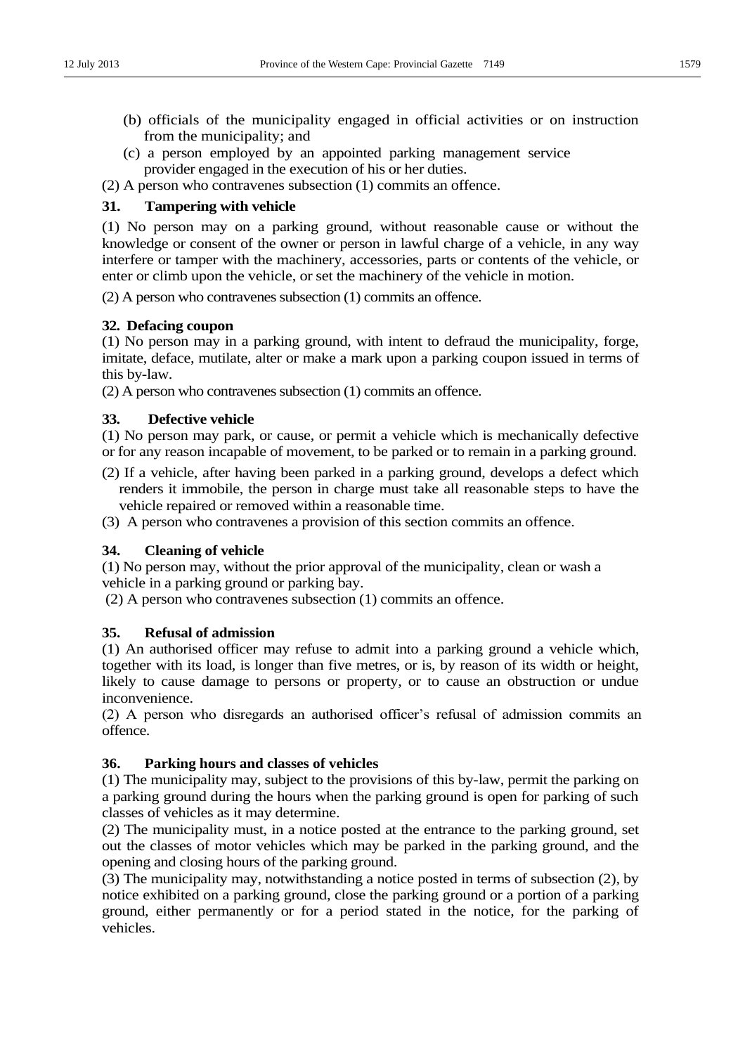- (b) officials of the municipality engaged in official activities or on instruction from the municipality; and
- (c) a person employed by an appointed parking management service provider engaged in the execution of his or her duties.

(2) A person who contravenes subsection (1) commits an offence.

# **31. Tampering with vehicle**

(1) No person may on a parking ground, without reasonable cause or without the knowledge or consent of the owner or person in lawful charge of a vehicle, in any way interfere or tamper with the machinery, accessories, parts or contents of the vehicle, or enter or climb upon the vehicle, or set the machinery of the vehicle in motion.

(2) A person who contravenes subsection (1) commits an offence.

# **32. Defacing coupon**

(1) No person may in a parking ground, with intent to defraud the municipality, forge, imitate, deface, mutilate, alter or make a mark upon a parking coupon issued in terms of this by-law.

(2) A person who contravenes subsection (1) commits an offence.

# **33. Defective vehicle**

(1) No person may park, or cause, or permit a vehicle which is mechanically defective or for any reason incapable of movement, to be parked or to remain in a parking ground.

- (2) If a vehicle, after having been parked in a parking ground, develops a defect which renders it immobile, the person in charge must take all reasonable steps to have the vehicle repaired or removed within a reasonable time.
- (3) A person who contravenes a provision of this section commits an offence.

# **34. Cleaning of vehicle**

(1) No person may, without the prior approval of the municipality, clean or wash a vehicle in a parking ground or parking bay.

(2) A person who contravenes subsection (1) commits an offence.

# **35. Refusal of admission**

(1) An authorised officer may refuse to admit into a parking ground a vehicle which, together with its load, is longer than five metres, or is, by reason of its width or height, likely to cause damage to persons or property, or to cause an obstruction or undue inconvenience.

(2) A person who disregards an authorised officer's refusal of admission commits an offence.

# **36. Parking hours and classes of vehicles**

(1) The municipality may, subject to the provisions of this by-law, permit the parking on a parking ground during the hours when the parking ground is open for parking of such classes of vehicles as it may determine.

(2) The municipality must, in a notice posted at the entrance to the parking ground, set out the classes of motor vehicles which may be parked in the parking ground, and the opening and closing hours of the parking ground.

(3) The municipality may, notwithstanding a notice posted in terms of subsection (2), by notice exhibited on a parking ground, close the parking ground or a portion of a parking ground, either permanently or for a period stated in the notice, for the parking of vehicles.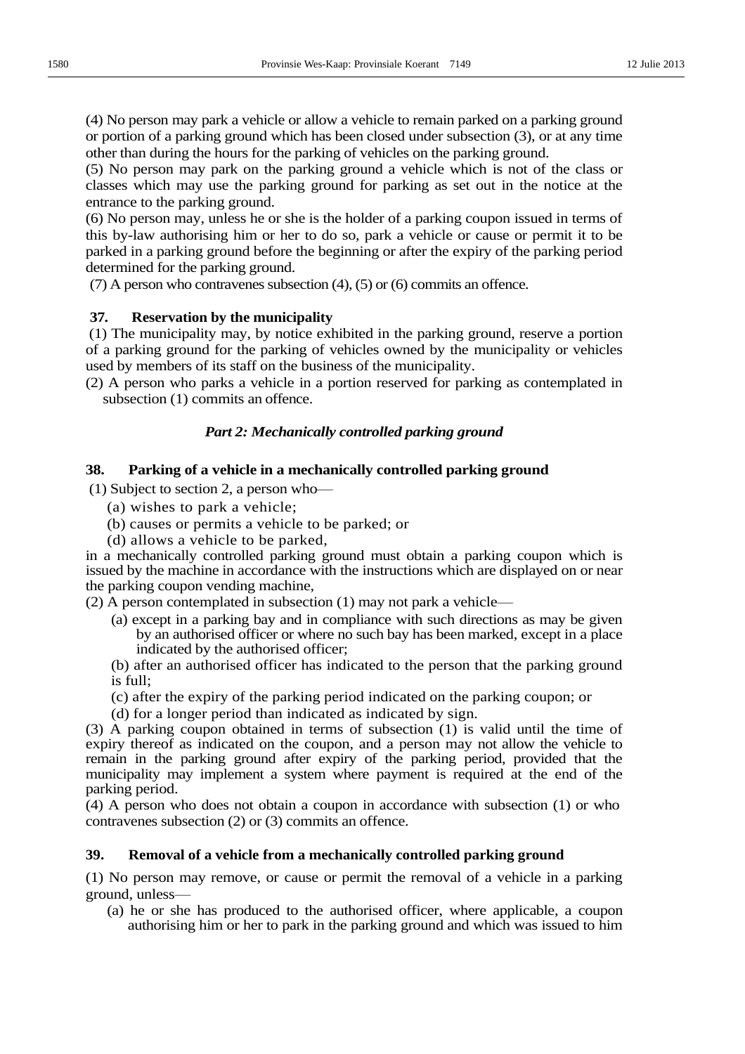(4) No person may park a vehicle or allow a vehicle to remain parked on a parking ground or portion of a parking ground which has been closed under subsection (3), or at any time other than during the hours for the parking of vehicles on the parking ground.

(5) No person may park on the parking ground a vehicle which is not of the class or classes which may use the parking ground for parking as set out in the notice at the entrance to the parking ground.

(6) No person may, unless he or she is the holder of a parking coupon issued in terms of this by-law authorising him or her to do so, park a vehicle or cause or permit it to be parked in a parking ground before the beginning or after the expiry of the parking period determined for the parking ground.

(7) A person who contravenes subsection (4), (5) or (6) commits an offence.

#### **37. Reservation by the municipality**

(1) The municipality may, by notice exhibited in the parking ground, reserve a portion of a parking ground for the parking of vehicles owned by the municipality or vehicles used by members of its staff on the business of the municipality.

(2) A person who parks a vehicle in a portion reserved for parking as contemplated in subsection (1) commits an offence.

#### *Part 2: Mechanically controlled parking ground*

#### **38. Parking of a vehicle in a mechanically controlled parking ground**

 $(1)$  Subject to section 2, a person who-

- (a) wishes to park a vehicle;
- (b) causes or permits a vehicle to be parked; or
- (d) allows a vehicle to be parked,

in a mechanically controlled parking ground must obtain a parking coupon which is issued by the machine in accordance with the instructions which are displayed on or near the parking coupon vending machine,

 $(2)$  A person contemplated in subsection  $(1)$  may not park a vehicle $\rightarrow$ 

- (a) except in a parking bay and in compliance with such directions as may be given by an authorised officer or where no such bay has been marked, except in a place indicated by the authorised officer;
- (b) after an authorised officer has indicated to the person that the parking ground is full;
- (c) after the expiry of the parking period indicated on the parking coupon; or
- (d) for a longer period than indicated as indicated by sign.

(3) A parking coupon obtained in terms of subsection (1) is valid until the time of expiry thereof as indicated on the coupon, and a person may not allow the vehicle to remain in the parking ground after expiry of the parking period, provided that the municipality may implement a system where payment is required at the end of the parking period.

(4) A person who does not obtain a coupon in accordance with subsection (1) or who contravenes subsection (2) or (3) commits an offence.

# **39. Removal of a vehicle from a mechanically controlled parking ground**

(1) No person may remove, or cause or permit the removal of a vehicle in a parking ground, unless-

(a) he or she has produced to the authorised officer, where applicable, a coupon authorising him or her to park in the parking ground and which was issued to him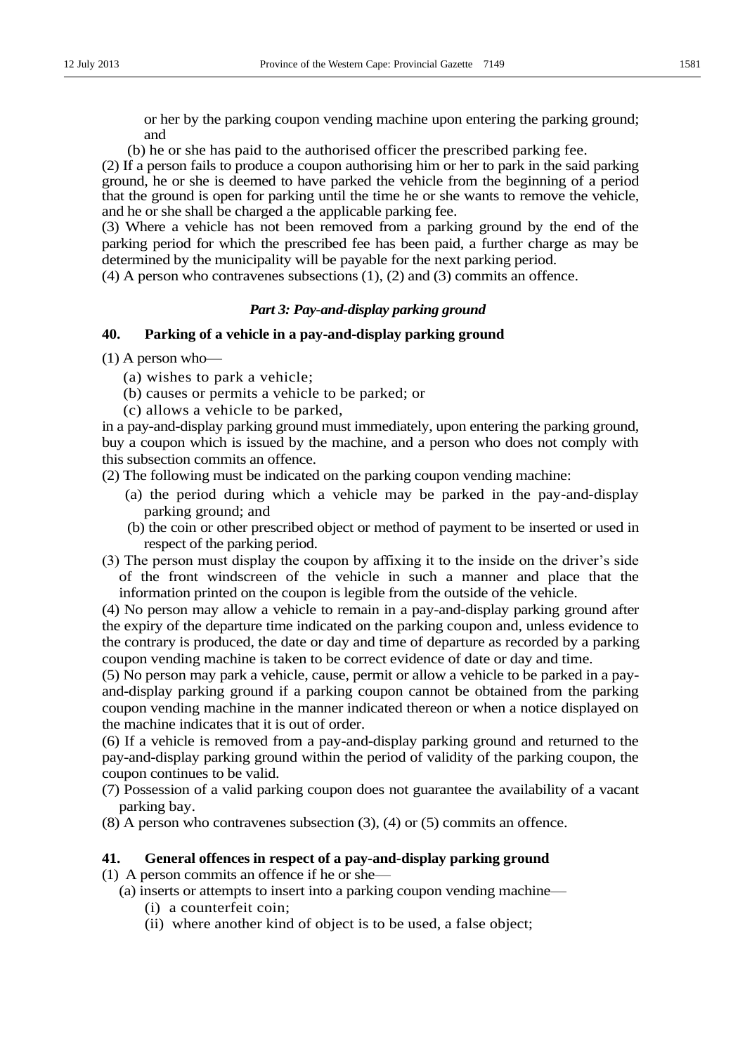or her by the parking coupon vending machine upon entering the parking ground; and

(b) he or she has paid to the authorised officer the prescribed parking fee.

(2) If a person fails to produce a coupon authorising him or her to park in the said parking ground, he or she is deemed to have parked the vehicle from the beginning of a period that the ground is open for parking until the time he or she wants to remove the vehicle, and he or she shall be charged a the applicable parking fee.

(3) Where a vehicle has not been removed from a parking ground by the end of the parking period for which the prescribed fee has been paid, a further charge as may be determined by the municipality will be payable for the next parking period.

(4) A person who contravenes subsections (1), (2) and (3) commits an offence.

### *Part 3: Pay-and-display parking ground*

# **40. Parking of a vehicle in a pay-and-display parking ground**

 $(1)$  A person who—

- (a) wishes to park a vehicle;
- (b) causes or permits a vehicle to be parked; or
- (c) allows a vehicle to be parked,

in a pay-and-display parking ground must immediately, upon entering the parking ground, buy a coupon which is issued by the machine, and a person who does not comply with this subsection commits an offence.

(2) The following must be indicated on the parking coupon vending machine:

- (a) the period during which a vehicle may be parked in the pay-and-display parking ground; and
- (b) the coin or other prescribed object or method of payment to be inserted or used in respect of the parking period.
- (3) The person must display the coupon by affixing it to the inside on the driver's side of the front windscreen of the vehicle in such a manner and place that the information printed on the coupon is legible from the outside of the vehicle.

(4) No person may allow a vehicle to remain in a pay-and-display parking ground after the expiry of the departure time indicated on the parking coupon and, unless evidence to the contrary is produced, the date or day and time of departure as recorded by a parking coupon vending machine is taken to be correct evidence of date or day and time.

(5) No person may park a vehicle, cause, permit or allow a vehicle to be parked in a payand-display parking ground if a parking coupon cannot be obtained from the parking coupon vending machine in the manner indicated thereon or when a notice displayed on the machine indicates that it is out of order.

(6) If a vehicle is removed from a pay-and-display parking ground and returned to the pay-and-display parking ground within the period of validity of the parking coupon, the coupon continues to be valid.

(7) Possession of a valid parking coupon does not guarantee the availability of a vacant parking bay.

(8) A person who contravenes subsection (3), (4) or (5) commits an offence.

### **41. General offences in respect of a pay-and-display parking ground**

 $(1)$  A person commits an offence if he or she—

- $(a)$  inserts or attempts to insert into a parking coupon vending machine—
	- (i) a counterfeit coin;
	- (ii) where another kind of object is to be used, a false object;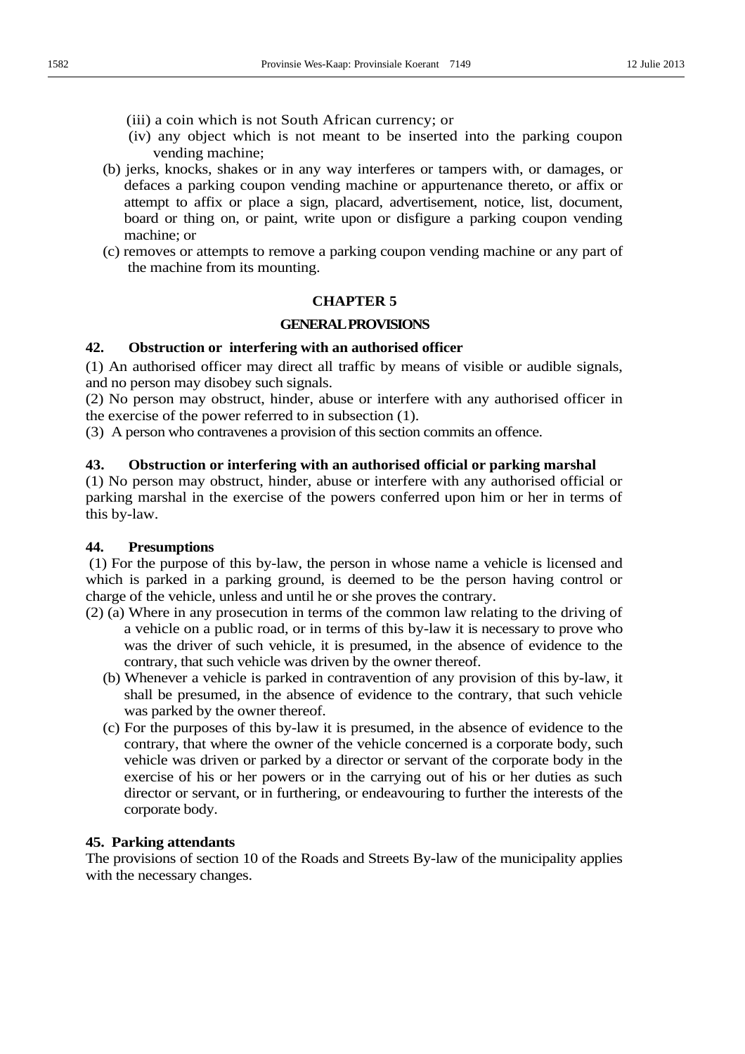- (iii) a coin which is not South African currency; or
- (iv) any object which is not meant to be inserted into the parking coupon vending machine;
- (b) jerks, knocks, shakes or in any way interferes or tampers with, or damages, or defaces a parking coupon vending machine or appurtenance thereto, or affix or attempt to affix or place a sign, placard, advertisement, notice, list, document, board or thing on, or paint, write upon or disfigure a parking coupon vending machine; or
- (c) removes or attempts to remove a parking coupon vending machine or any part of the machine from its mounting.

### **CHAPTER 5**

# **GENERAL PROVISIONS**

# **42. Obstruction or interfering with an authorised officer**

(1) An authorised officer may direct all traffic by means of visible or audible signals, and no person may disobey such signals.

(2) No person may obstruct, hinder, abuse or interfere with any authorised officer in the exercise of the power referred to in subsection (1).

(3) A person who contravenes a provision of this section commits an offence.

# **43. Obstruction or interfering with an authorised official or parking marshal**

(1) No person may obstruct, hinder, abuse or interfere with any authorised official or parking marshal in the exercise of the powers conferred upon him or her in terms of this by-law.

### **44. Presumptions**

(1) For the purpose of this by-law, the person in whose name a vehicle is licensed and which is parked in a parking ground, is deemed to be the person having control or charge of the vehicle, unless and until he or she proves the contrary.

- (2) (a) Where in any prosecution in terms of the common law relating to the driving of a vehicle on a public road, or in terms of this by-law it is necessary to prove who was the driver of such vehicle, it is presumed, in the absence of evidence to the contrary, that such vehicle was driven by the owner thereof.
	- (b) Whenever a vehicle is parked in contravention of any provision of this by-law, it shall be presumed, in the absence of evidence to the contrary, that such vehicle was parked by the owner thereof.
	- (c) For the purposes of this by-law it is presumed, in the absence of evidence to the contrary, that where the owner of the vehicle concerned is a corporate body, such vehicle was driven or parked by a director or servant of the corporate body in the exercise of his or her powers or in the carrying out of his or her duties as such director or servant, or in furthering, or endeavouring to further the interests of the corporate body.

### **45. Parking attendants**

The provisions of section 10 of the Roads and Streets By-law of the municipality applies with the necessary changes.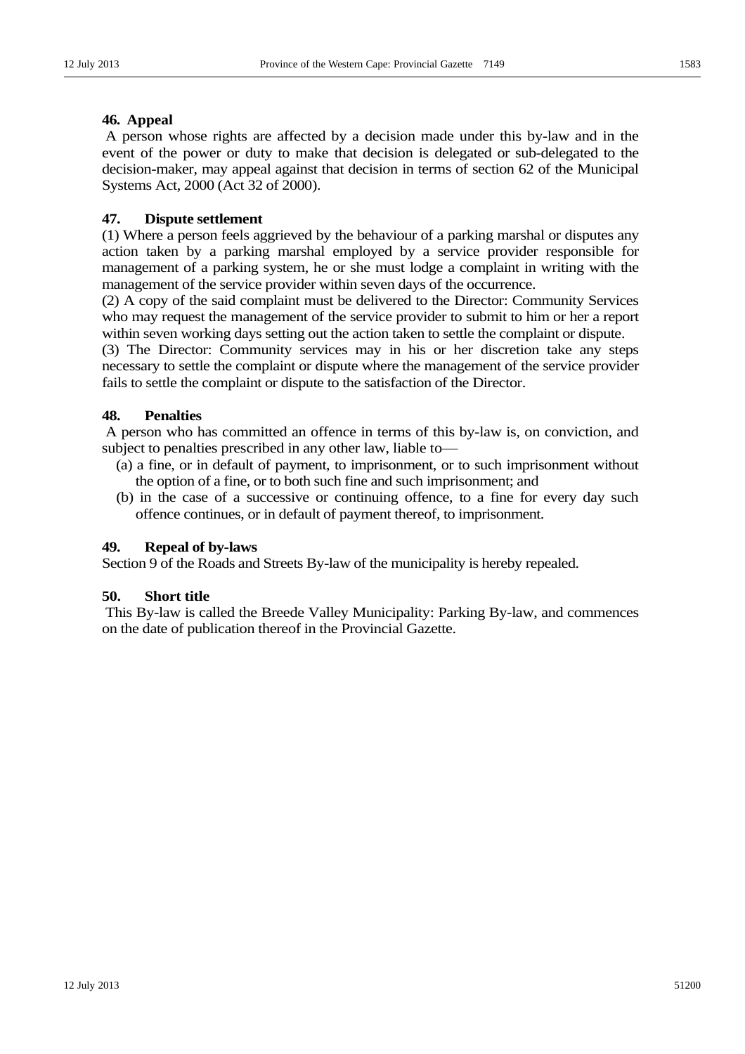A person whose rights are affected by a decision made under this by-law and in the event of the power or duty to make that decision is delegated or sub-delegated to the decision-maker, may appeal against that decision in terms of section 62 of the Municipal Systems Act, 2000 (Act 32 of 2000).

## **47. Dispute settlement**

(1) Where a person feels aggrieved by the behaviour of a parking marshal or disputes any action taken by a parking marshal employed by a service provider responsible for management of a parking system, he or she must lodge a complaint in writing with the management of the service provider within seven days of the occurrence.

(2) A copy of the said complaint must be delivered to the Director: Community Services who may request the management of the service provider to submit to him or her a report within seven working days setting out the action taken to settle the complaint or dispute.

(3) The Director: Community services may in his or her discretion take any steps necessary to settle the complaint or dispute where the management of the service provider fails to settle the complaint or dispute to the satisfaction of the Director.

### **48. Penalties**

A person who has committed an offence in terms of this by-law is, on conviction, and subject to penalties prescribed in any other law, liable to-

- (a) a fine, or in default of payment, to imprisonment, or to such imprisonment without the option of a fine, or to both such fine and such imprisonment; and
- (b) in the case of a successive or continuing offence, to a fine for every day such offence continues, or in default of payment thereof, to imprisonment.

### **49. Repeal of by-laws**

Section 9 of the Roads and Streets By-law of the municipality is hereby repealed.

## **50. Short title**

This By-law is called the Breede Valley Municipality: Parking By-law, and commences on the date of publication thereof in the Provincial Gazette.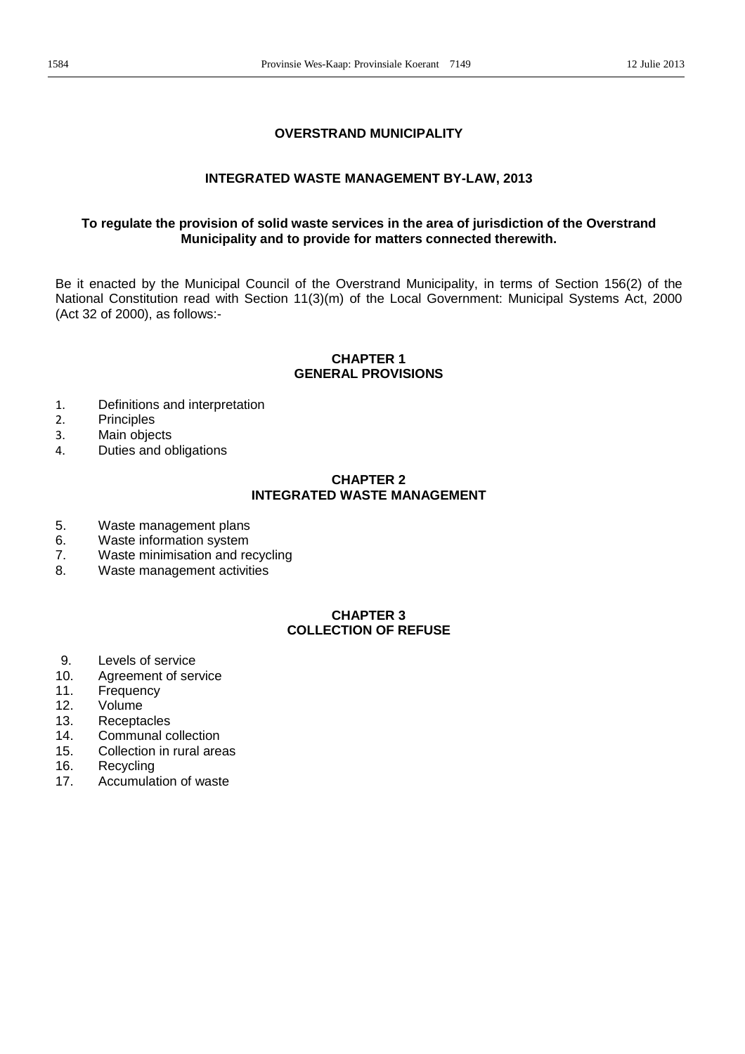# **OVERSTRAND MUNICIPALITY**

## **INTEGRATED WASTE MANAGEMENT BY-LAW, 2013**

# **To regulate the provision of solid waste services in the area of jurisdiction of the Overstrand Municipality and to provide for matters connected therewith.**

Be it enacted by the Municipal Council of the Overstrand Municipality, in terms of Section 156(2) of the National Constitution read with Section 11(3)(m) of the Local Government: Municipal Systems Act, 2000 (Act 32 of 2000), as follows:-

#### **CHAPTER 1 GENERAL PROVISIONS**

- 1. Definitions and interpretation<br>2. Principles
- **Principles**
- 3. Main objects
- 4. Duties and obligations

# **CHAPTER 2 INTEGRATED WASTE MANAGEMENT**

- 5. Waste management plans
- 6. Waste information system
- 7. Waste minimisation and recycling
- 8. Waste management activities

# **CHAPTER 3 COLLECTION OF REFUSE**

- 9. Levels of service
- 10. Agreement of service
- 11. Frequency
- 12. Volume
- 13. Receptacles
- 14. Communal collection
- 15. Collection in rural areas
- 16. Recycling
- 17. Accumulation of waste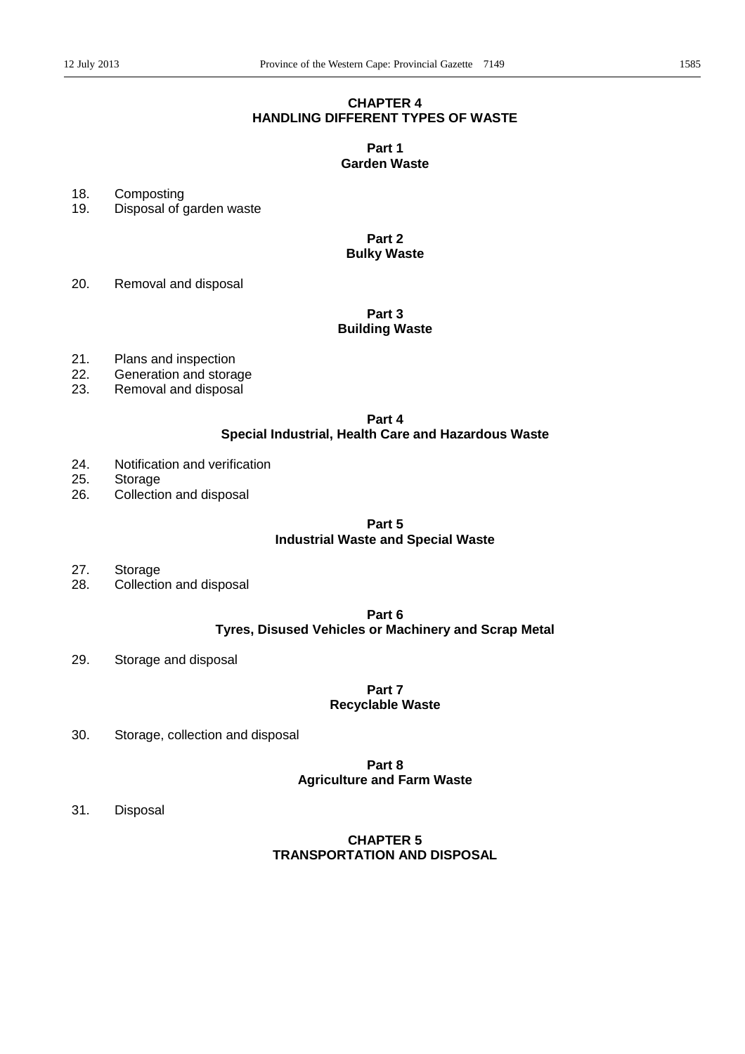# **CHAPTER 4 HANDLING DIFFERENT TYPES OF WASTE**

# **Part 1 Garden Waste**

18. Composting

19. Disposal of garden waste

**Part 2 Bulky Waste** 

20. Removal and disposal

# **Part 3 Building Waste**

- 21. Plans and inspection
- 22. Generation and storage
- 23. Removal and disposal

# **Part 4**

# **Special Industrial, Health Care and Hazardous Waste**

- 24. Notification and verification
- 25. Storage
- 26. Collection and disposal

#### **Part 5**

# **Industrial Waste and Special Waste**

- 27. Storage
- 28. Collection and disposal

# **Part 6 Tyres, Disused Vehicles or Machinery and Scrap Metal**

29. Storage and disposal

### **Part 7 Recyclable Waste**

30. Storage, collection and disposal

# **Part 8 Agriculture and Farm Waste**

31. Disposal

# **CHAPTER 5 TRANSPORTATION AND DISPOSAL**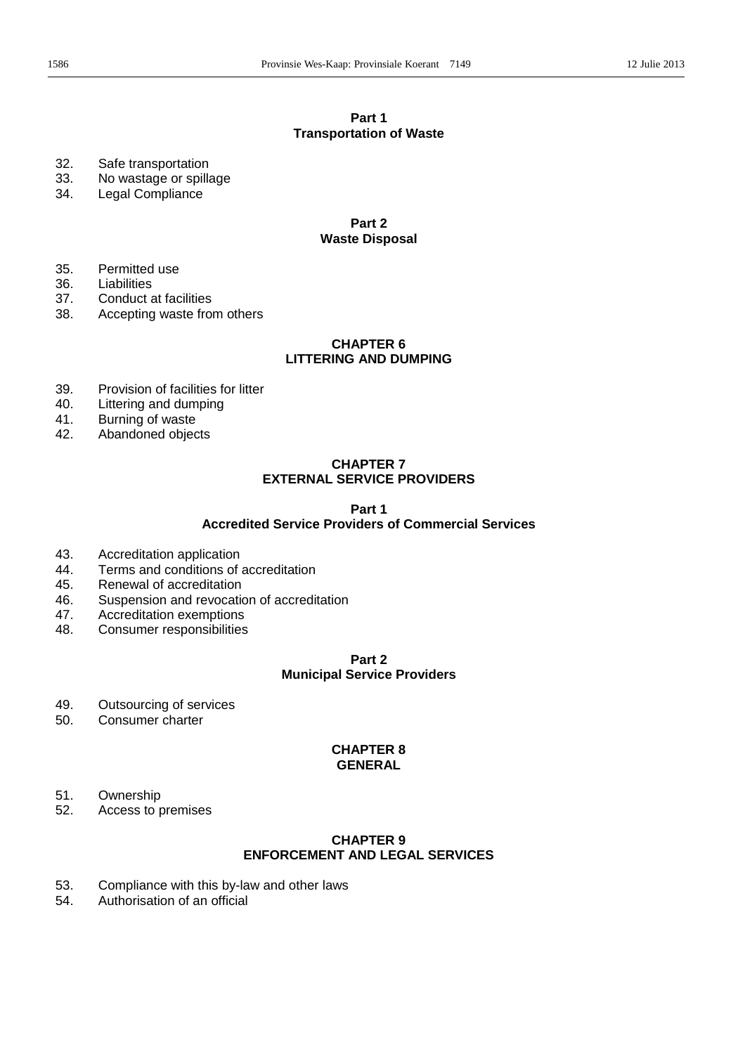# **Part 1 Transportation of Waste**

- 32. Safe transportation
- 33. No wastage or spillage
- 34. Legal Compliance

#### **Part 2 Waste Disposal**

- 35. Permitted use
- 36. Liabilities
- 37. Conduct at facilities<br>38. Accepting waste from
- Accepting waste from others

### **CHAPTER 6 LITTERING AND DUMPING**

- 39. Provision of facilities for litter
- 40. Littering and dumping
- 41. Burning of waste
- 42. Abandoned objects

# **CHAPTER 7 EXTERNAL SERVICE PROVIDERS**

#### **Part 1**

# **Accredited Service Providers of Commercial Services**

- 43. Accreditation application
- 44. Terms and conditions of accreditation
- 45. Renewal of accreditation
- 46. Suspension and revocation of accreditation
- 47. Accreditation exemptions
- 48. Consumer responsibilities

# **Part 2 Municipal Service Providers**

- 49. Outsourcing of services
- 50. Consumer charter

#### **CHAPTER 8 GENERAL**

- 51. Ownership
- 52. Access to premises

# **CHAPTER 9 ENFORCEMENT AND LEGAL SERVICES**

- 53. Compliance with this by-law and other laws<br>54. Authorisation of an official
- Authorisation of an official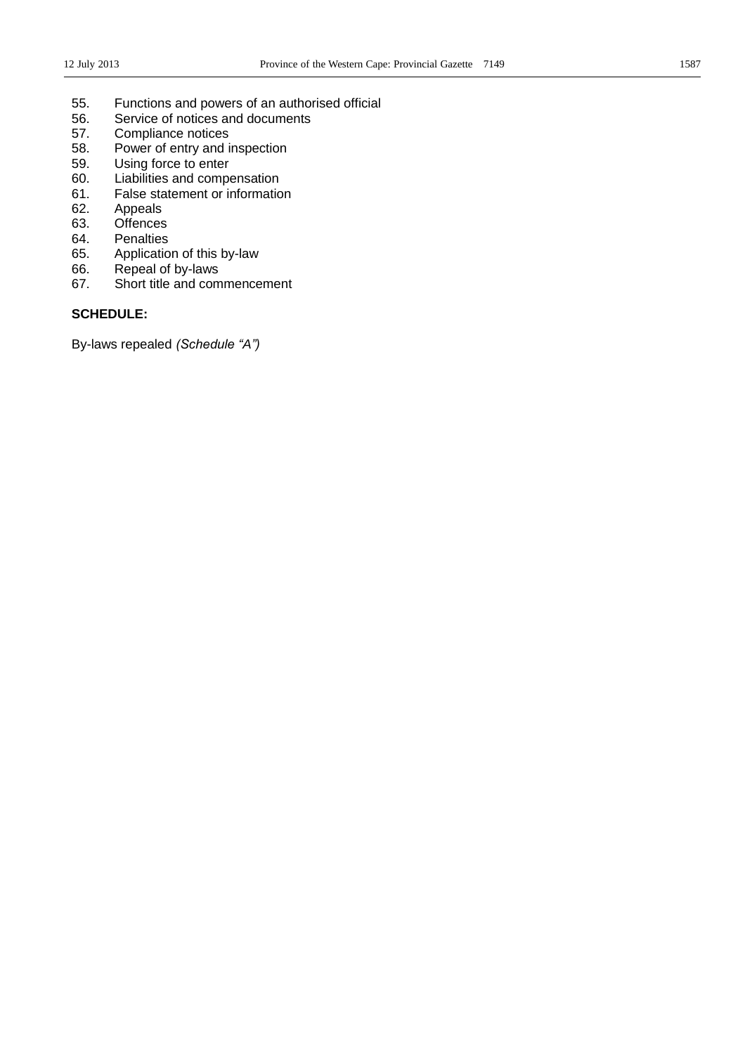- 55. Functions and powers of an authorised official<br>56. Service of notices and documents
- Service of notices and documents
- 57. Compliance notices
- 58. Power of entry and inspection<br>59. Using force to enter
- Using force to enter
- 60. Liabilities and compensation
- 61. False statement or information
- 62. Appeals
- 63. Offences
- 64. Penalties
- 65. Application of this by-law<br>66. Repeal of by-laws
- Repeal of by-laws
- 67. Short title and commencement

### **SCHEDULE:**

By-laws repealed *(Schedule "A")*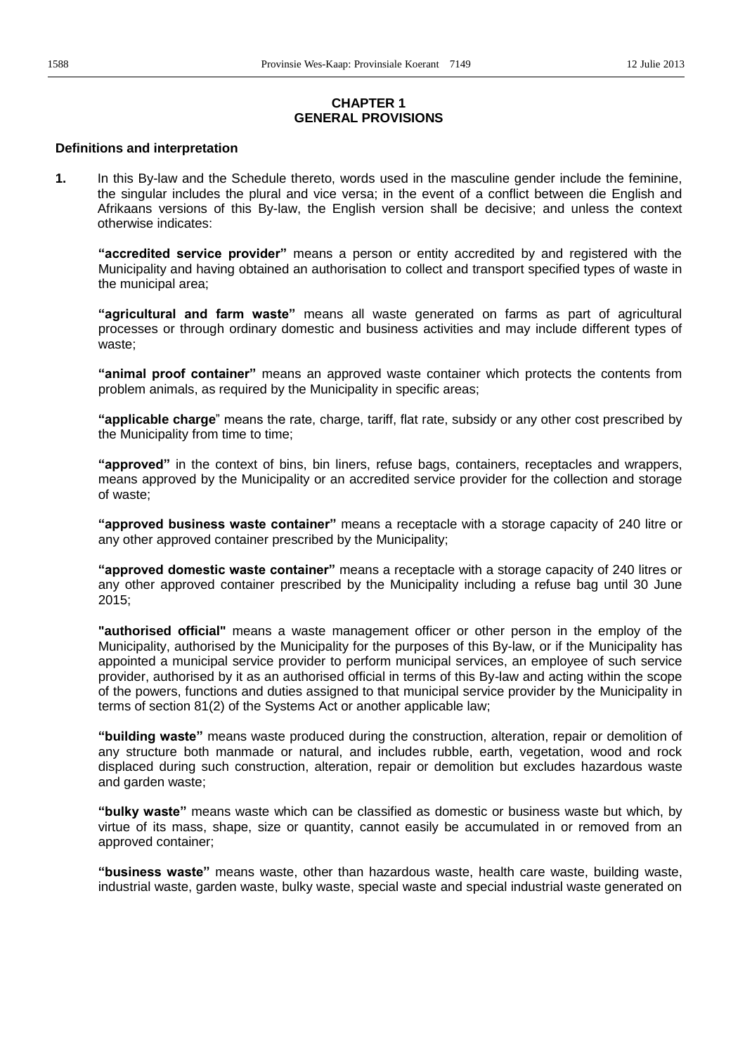# **CHAPTER 1 GENERAL PROVISIONS**

#### **Definitions and interpretation**

**1.** In this By-law and the Schedule thereto, words used in the masculine gender include the feminine, the singular includes the plural and vice versa; in the event of a conflict between die English and Afrikaans versions of this By-law, the English version shall be decisive; and unless the context otherwise indicates:

**"accredited service provider"** means a person or entity accredited by and registered with the Municipality and having obtained an authorisation to collect and transport specified types of waste in the municipal area;

"agricultural and farm waste" means all waste generated on farms as part of agricultural processes or through ordinary domestic and business activities and may include different types of waste;

"animal proof container" means an approved waste container which protects the contents from problem animals, as required by the Municipality in specific areas;

**"applicable charge**" means the rate, charge, tariff, flat rate, subsidy or any other cost prescribed by the Municipality from time to time;

"approved" in the context of bins, bin liners, refuse bags, containers, receptacles and wrappers, means approved by the Municipality or an accredited service provider for the collection and storage of waste;

**"approved business waste container"** means a receptacle with a storage capacity of 240 litre or any other approved container prescribed by the Municipality;

**"approved domestic waste container"** means a receptacle with a storage capacity of 240 litres or any other approved container prescribed by the Municipality including a refuse bag until 30 June 2015;

**"authorised official"** means a waste management officer or other person in the employ of the Municipality, authorised by the Municipality for the purposes of this By-law, or if the Municipality has appointed a municipal service provider to perform municipal services, an employee of such service provider, authorised by it as an authorised official in terms of this By-law and acting within the scope of the powers, functions and duties assigned to that municipal service provider by the Municipality in terms of section 81(2) of the Systems Act or another applicable law;

"building waste" means waste produced during the construction, alteration, repair or demolition of any structure both manmade or natural, and includes rubble, earth, vegetation, wood and rock displaced during such construction, alteration, repair or demolition but excludes hazardous waste and garden waste;

"bulky waste" means waste which can be classified as domestic or business waste but which, by virtue of its mass, shape, size or quantity, cannot easily be accumulated in or removed from an approved container;

"**business waste**" means waste, other than hazardous waste, health care waste, building waste, industrial waste, garden waste, bulky waste, special waste and special industrial waste generated on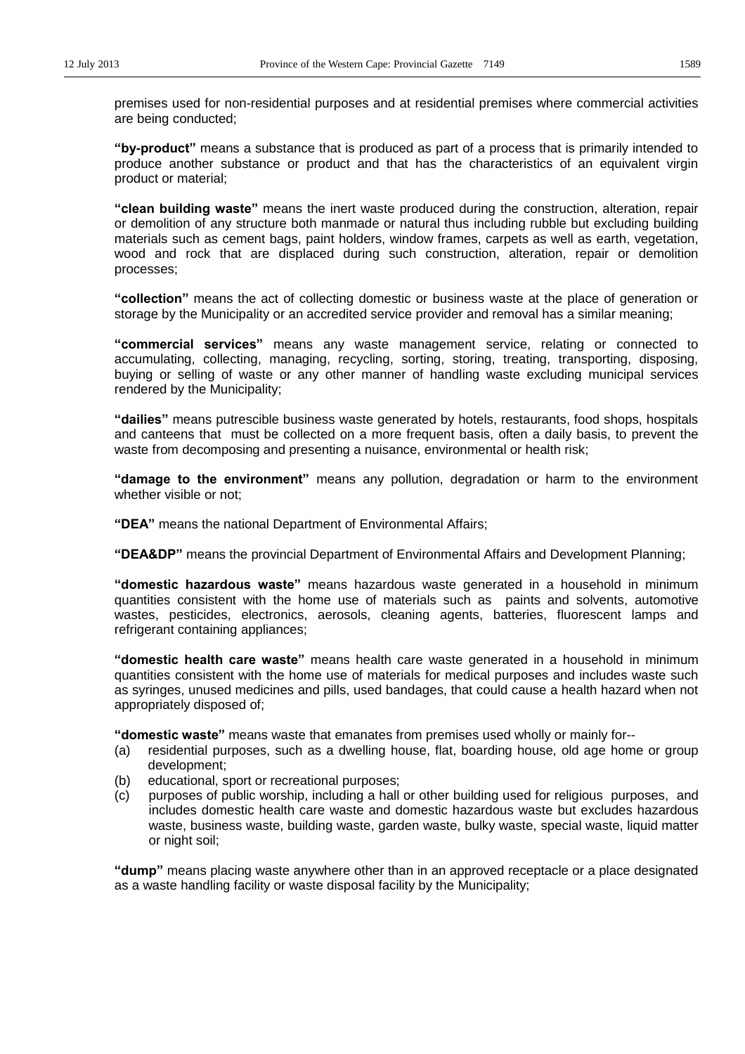premises used for non-residential purposes and at residential premises where commercial activities are being conducted;

"by-product" means a substance that is produced as part of a process that is primarily intended to produce another substance or product and that has the characteristics of an equivalent virgin product or material;

"clean building waste" means the inert waste produced during the construction, alteration, repair or demolition of any structure both manmade or natural thus including rubble but excluding building materials such as cement bags, paint holders, window frames, carpets as well as earth, vegetation, wood and rock that are displaced during such construction, alteration, repair or demolition processes;

**"collection"** means the act of collecting domestic or business waste at the place of generation or storage by the Municipality or an accredited service provider and removal has a similar meaning;

**"commercial services"** means any waste management service, relating or connected to accumulating, collecting, managing, recycling, sorting, storing, treating, transporting, disposing, buying or selling of waste or any other manner of handling waste excluding municipal services rendered by the Municipality;

"dailies" means putrescible business waste generated by hotels, restaurants, food shops, hospitals and canteens that must be collected on a more frequent basis, often a daily basis, to prevent the waste from decomposing and presenting a nuisance, environmental or health risk;

"damage to the environment" means any pollution, degradation or harm to the environment whether visible or not;

**"DEA"** means the national Department of Environmental Affairs;

**"DEA&DP"** means the provincial Department of Environmental Affairs and Development Planning;

"domestic hazardous waste" means hazardous waste generated in a household in minimum quantities consistent with the home use of materials such as paints and solvents, automotive wastes, pesticides, electronics, aerosols, cleaning agents, batteries, fluorescent lamps and refrigerant containing appliances;

"domestic health care waste" means health care waste generated in a household in minimum quantities consistent with the home use of materials for medical purposes and includes waste such as syringes, unused medicines and pills, used bandages, that could cause a health hazard when not appropriately disposed of;

"**domestic waste**" means waste that emanates from premises used wholly or mainly for--

- (a) residential purposes, such as a dwelling house, flat, boarding house, old age home or group development;
- (b) educational, sport or recreational purposes;
- (c) purposes of public worship, including a hall or other building used for religious purposes, and includes domestic health care waste and domestic hazardous waste but excludes hazardous waste, business waste, building waste, garden waste, bulky waste, special waste, liquid matter or night soil;

**"dump"** means placing waste anywhere other than in an approved receptacle or a place designated as a waste handling facility or waste disposal facility by the Municipality;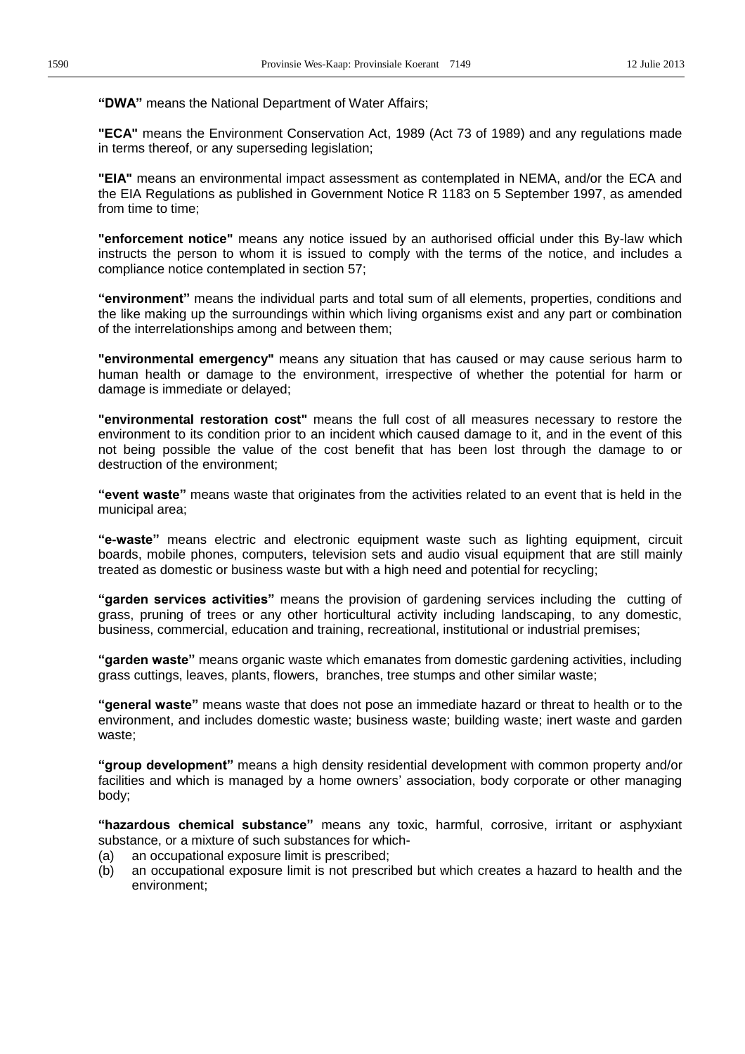"DWA" means the National Department of Water Affairs;

**"ECA"** means the Environment Conservation Act, 1989 (Act 73 of 1989) and any regulations made in terms thereof, or any superseding legislation;

**"EIA"** means an environmental impact assessment as contemplated in NEMA, and/or the ECA and the EIA Regulations as published in Government Notice R 1183 on 5 September 1997, as amended from time to time;

**"enforcement notice"** means any notice issued by an authorised official under this By-law which instructs the person to whom it is issued to comply with the terms of the notice, and includes a compliance notice contemplated in section 57;

**"environment"** means the individual parts and total sum of all elements, properties, conditions and the like making up the surroundings within which living organisms exist and any part or combination of the interrelationships among and between them;

**"environmental emergency"** means any situation that has caused or may cause serious harm to human health or damage to the environment, irrespective of whether the potential for harm or damage is immediate or delayed;

**"environmental restoration cost"** means the full cost of all measures necessary to restore the environment to its condition prior to an incident which caused damage to it, and in the event of this not being possible the value of the cost benefit that has been lost through the damage to or destruction of the environment;

**"event waste"** means waste that originates from the activities related to an event that is held in the municipal area;

"e-waste" means electric and electronic equipment waste such as lighting equipment, circuit boards, mobile phones, computers, television sets and audio visual equipment that are still mainly treated as domestic or business waste but with a high need and potential for recycling;

"garden services activities" means the provision of gardening services including the cutting of grass, pruning of trees or any other horticultural activity including landscaping, to any domestic, business, commercial, education and training, recreational, institutional or industrial premises;

**"garden waste"** means organic waste which emanates from domestic gardening activities, including grass cuttings, leaves, plants, flowers, branches, tree stumps and other similar waste;

"general waste" means waste that does not pose an immediate hazard or threat to health or to the environment, and includes domestic waste; business waste; building waste; inert waste and garden waste;

"**group development**" means a high density residential development with common property and/or facilities and which is managed by a home owners' association, body corporate or other managing body;

"hazardous chemical substance" means any toxic, harmful, corrosive, irritant or asphyxiant substance, or a mixture of such substances for which-

- (a) an occupational exposure limit is prescribed;
- (b) an occupational exposure limit is not prescribed but which creates a hazard to health and the environment;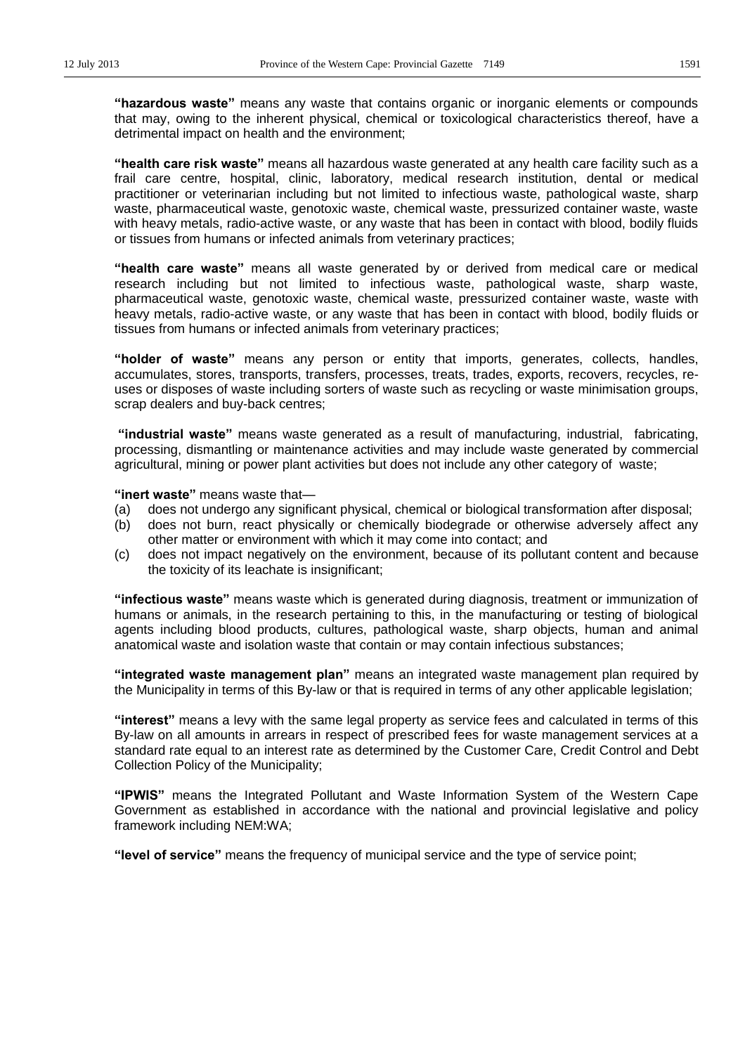"hazardous waste" means any waste that contains organic or inorganic elements or compounds that may, owing to the inherent physical, chemical or toxicological characteristics thereof, have a detrimental impact on health and the environment;

"health care risk waste" means all hazardous waste generated at any health care facility such as a frail care centre, hospital, clinic, laboratory, medical research institution, dental or medical practitioner or veterinarian including but not limited to infectious waste, pathological waste, sharp waste, pharmaceutical waste, genotoxic waste, chemical waste, pressurized container waste, waste with heavy metals, radio-active waste, or any waste that has been in contact with blood, bodily fluids or tissues from humans or infected animals from veterinary practices;

"health care waste" means all waste generated by or derived from medical care or medical research including but not limited to infectious waste, pathological waste, sharp waste, pharmaceutical waste, genotoxic waste, chemical waste, pressurized container waste, waste with heavy metals, radio-active waste, or any waste that has been in contact with blood, bodily fluids or tissues from humans or infected animals from veterinary practices;

"holder of waste" means any person or entity that imports, generates, collects, handles, accumulates, stores, transports, transfers, processes, treats, trades, exports, recovers, recycles, reuses or disposes of waste including sorters of waste such as recycling or waste minimisation groups, scrap dealers and buy-back centres;

"**industrial waste**" means waste generated as a result of manufacturing, industrial, fabricating, processing, dismantling or maintenance activities and may include waste generated by commercial agricultural, mining or power plant activities but does not include any other category of waste;

"**inert waste**" means waste that-

- (a) does not undergo any significant physical, chemical or biological transformation after disposal;
- (b) does not burn, react physically or chemically biodegrade or otherwise adversely affect any other matter or environment with which it may come into contact; and
- (c) does not impact negatively on the environment, because of its pollutant content and because the toxicity of its leachate is insignificant;

"infectious waste" means waste which is generated during diagnosis, treatment or immunization of humans or animals, in the research pertaining to this, in the manufacturing or testing of biological agents including blood products, cultures, pathological waste, sharp objects, human and animal anatomical waste and isolation waste that contain or may contain infectious substances;

**"integrated waste management plan"** means an integrated waste management plan required by the Municipality in terms of this By-law or that is required in terms of any other applicable legislation;

"**interest**" means a levy with the same legal property as service fees and calculated in terms of this By-law on all amounts in arrears in respect of prescribed fees for waste management services at a standard rate equal to an interest rate as determined by the Customer Care, Credit Control and Debt Collection Policy of the Municipality;

"IPWIS" means the Integrated Pollutant and Waste Information System of the Western Cape Government as established in accordance with the national and provincial legislative and policy framework including NEM:WA;

"**level of service**" means the frequency of municipal service and the type of service point;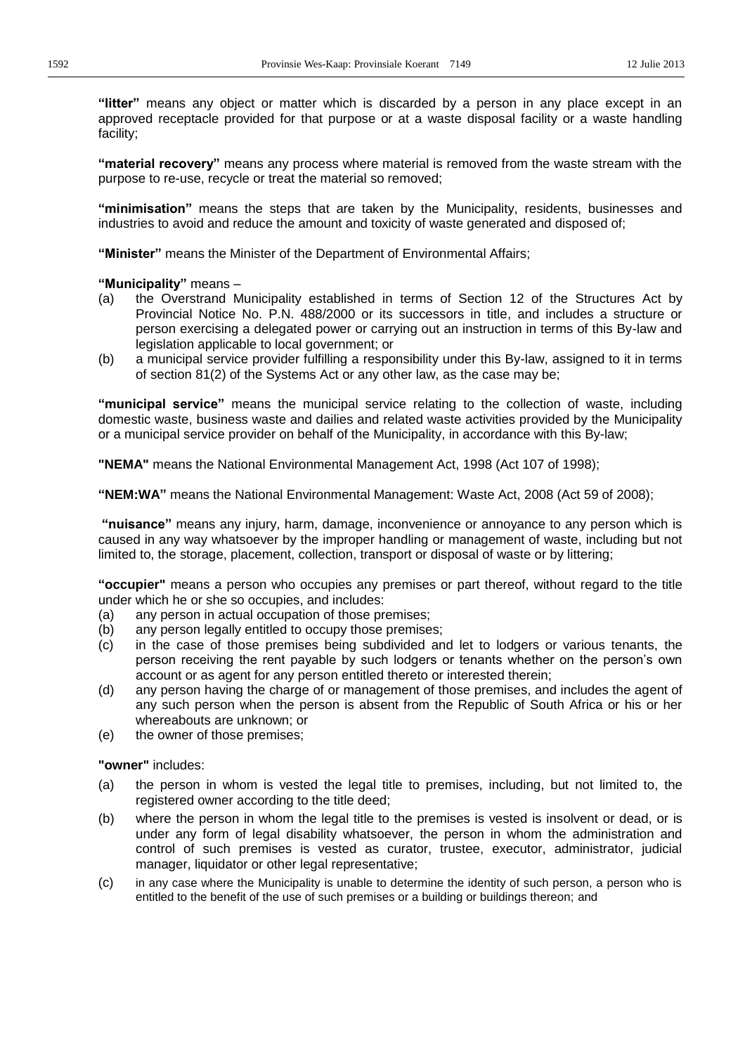"**litter**" means any object or matter which is discarded by a person in any place except in an approved receptacle provided for that purpose or at a waste disposal facility or a waste handling facility;

"material recovery" means any process where material is removed from the waste stream with the purpose to re-use, recycle or treat the material so removed;

"minimisation" means the steps that are taken by the Municipality, residents, businesses and industries to avoid and reduce the amount and toxicity of waste generated and disposed of;

"Minister" means the Minister of the Department of Environmental Affairs;

### "Municipality" means -

- (a) the Overstrand Municipality established in terms of Section 12 of the Structures Act by Provincial Notice No. P.N. 488/2000 or its successors in title, and includes a structure or person exercising a delegated power or carrying out an instruction in terms of this By-law and legislation applicable to local government; or
- (b) a municipal service provider fulfilling a responsibility under this By-law, assigned to it in terms of section 81(2) of the Systems Act or any other law, as the case may be;

"municipal service" means the municipal service relating to the collection of waste, including domestic waste, business waste and dailies and related waste activities provided by the Municipality or a municipal service provider on behalf of the Municipality, in accordance with this By-law;

**"NEMA"** means the National Environmental Management Act, 1998 (Act 107 of 1998);

**³NEM:WA´** means the National Environmental Management: Waste Act, 2008 (Act 59 of 2008);

"nuisance" means any injury, harm, damage, inconvenience or annoyance to any person which is caused in any way whatsoever by the improper handling or management of waste, including but not limited to, the storage, placement, collection, transport or disposal of waste or by littering;

**³occupier"** means a person who occupies any premises or part thereof, without regard to the title under which he or she so occupies, and includes:

- (a) any person in actual occupation of those premises;
- (b) any person legally entitled to occupy those premises;
- (c) in the case of those premises being subdivided and let to lodgers or various tenants, the person receiving the rent payable by such lodgers or tenants whether on the person's own account or as agent for any person entitled thereto or interested therein;
- (d) any person having the charge of or management of those premises, and includes the agent of any such person when the person is absent from the Republic of South Africa or his or her whereabouts are unknown; or
- (e) the owner of those premises;

**"owner"** includes:

- (a) the person in whom is vested the legal title to premises, including, but not limited to, the registered owner according to the title deed;
- (b) where the person in whom the legal title to the premises is vested is insolvent or dead, or is under any form of legal disability whatsoever, the person in whom the administration and control of such premises is vested as curator, trustee, executor, administrator, judicial manager, liquidator or other legal representative;
- (c) in any case where the Municipality is unable to determine the identity of such person, a person who is entitled to the benefit of the use of such premises or a building or buildings thereon; and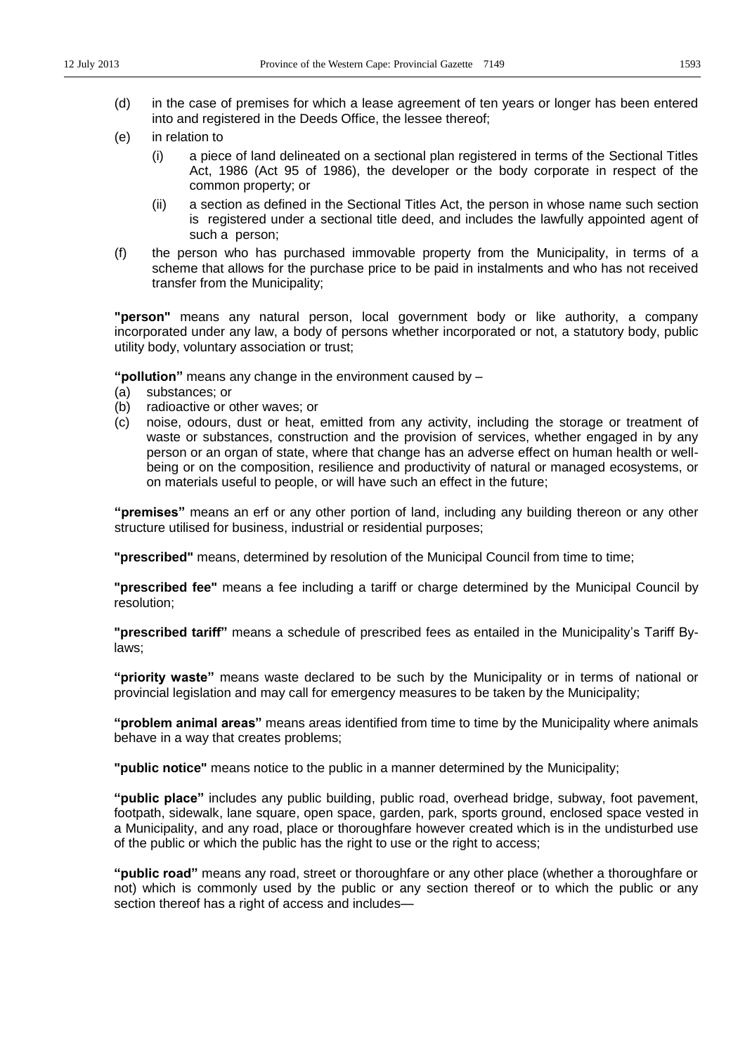- (d) in the case of premises for which a lease agreement of ten years or longer has been entered into and registered in the Deeds Office, the lessee thereof;
- (e) in relation to
	- (i) a piece of land delineated on a sectional plan registered in terms of the Sectional Titles Act, 1986 (Act 95 of 1986), the developer or the body corporate in respect of the common property; or
	- (ii) a section as defined in the Sectional Titles Act, the person in whose name such section is registered under a sectional title deed, and includes the lawfully appointed agent of such a person;
- (f) the person who has purchased immovable property from the Municipality, in terms of a scheme that allows for the purchase price to be paid in instalments and who has not received transfer from the Municipality;

**"person"** means any natural person, local government body or like authority, a company incorporated under any law, a body of persons whether incorporated or not, a statutory body, public utility body, voluntary association or trust;

"**pollution**" means any change in the environment caused by  $-$ 

- (a) substances; or
- (b) radioactive or other waves; or
- (c) noise, odours, dust or heat, emitted from any activity, including the storage or treatment of waste or substances, construction and the provision of services, whether engaged in by any person or an organ of state, where that change has an adverse effect on human health or wellbeing or on the composition, resilience and productivity of natural or managed ecosystems, or on materials useful to people, or will have such an effect in the future;

"**premises**" means an erf or any other portion of land, including any building thereon or any other structure utilised for business, industrial or residential purposes;

**"prescribed"** means, determined by resolution of the Municipal Council from time to time;

**"prescribed fee"** means a fee including a tariff or charge determined by the Municipal Council by resolution;

**"prescribed tariff"** means a schedule of prescribed fees as entailed in the Municipality's Tariff Bylaws;

"priority waste" means waste declared to be such by the Municipality or in terms of national or provincial legislation and may call for emergency measures to be taken by the Municipality;

"**problem animal areas**" means areas identified from time to time by the Municipality where animals behave in a way that creates problems;

**"public notice"** means notice to the public in a manner determined by the Municipality;

"public place" includes any public building, public road, overhead bridge, subway, foot pavement, footpath, sidewalk, lane square, open space, garden, park, sports ground, enclosed space vested in a Municipality, and any road, place or thoroughfare however created which is in the undisturbed use of the public or which the public has the right to use or the right to access;

"public road" means any road, street or thoroughfare or any other place (whether a thoroughfare or not) which is commonly used by the public or any section thereof or to which the public or any section thereof has a right of access and includes-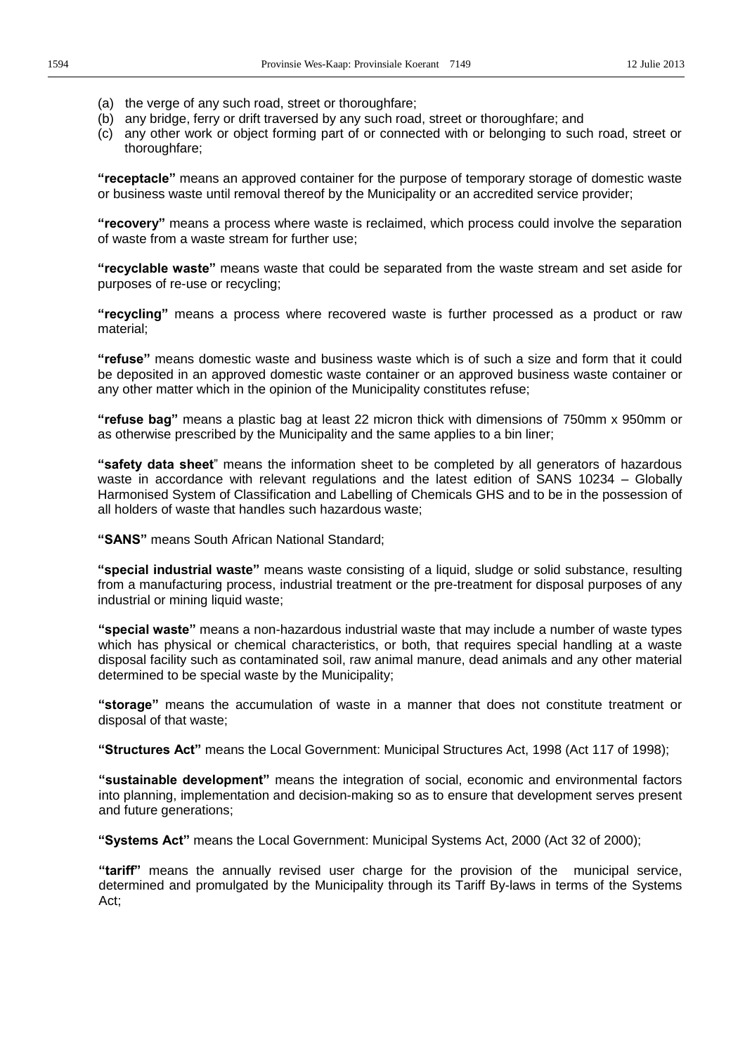- (a) the verge of any such road, street or thoroughfare;
- (b) any bridge, ferry or drift traversed by any such road, street or thoroughfare; and
- (c) any other work or object forming part of or connected with or belonging to such road, street or thoroughfare;

**"receptacle"** means an approved container for the purpose of temporary storage of domestic waste or business waste until removal thereof by the Municipality or an accredited service provider;

**"recovery"** means a process where waste is reclaimed, which process could involve the separation of waste from a waste stream for further use;

"recyclable waste" means waste that could be separated from the waste stream and set aside for purposes of re-use or recycling;

**"recycling**" means a process where recovered waste is further processed as a product or raw material;

"refuse" means domestic waste and business waste which is of such a size and form that it could be deposited in an approved domestic waste container or an approved business waste container or any other matter which in the opinion of the Municipality constitutes refuse;

**"refuse bag"** means a plastic bag at least 22 micron thick with dimensions of 750mm x 950mm or as otherwise prescribed by the Municipality and the same applies to a bin liner;

"**Safety data sheet**" means the information sheet to be completed by all generators of hazardous waste in accordance with relevant regulations and the latest edition of SANS 10234  $-$  Globally Harmonised System of Classification and Labelling of Chemicals GHS and to be in the possession of all holders of waste that handles such hazardous waste;

**³6\$16´** means South African National Standard;

**"special industrial waste"** means waste consisting of a liquid, sludge or solid substance, resulting from a manufacturing process, industrial treatment or the pre-treatment for disposal purposes of any industrial or mining liquid waste;

"special waste" means a non-hazardous industrial waste that may include a number of waste types which has physical or chemical characteristics, or both, that requires special handling at a waste disposal facility such as contaminated soil, raw animal manure, dead animals and any other material determined to be special waste by the Municipality;

"storage" means the accumulation of waste in a manner that does not constitute treatment or disposal of that waste;

"Structures Act" means the Local Government: Municipal Structures Act, 1998 (Act 117 of 1998);

"sustainable development" means the integration of social, economic and environmental factors into planning, implementation and decision-making so as to ensure that development serves present and future generations;

"Systems Act" means the Local Government: Municipal Systems Act, 2000 (Act 32 of 2000);

"tariff" means the annually revised user charge for the provision of the municipal service, determined and promulgated by the Municipality through its Tariff By-laws in terms of the Systems Act;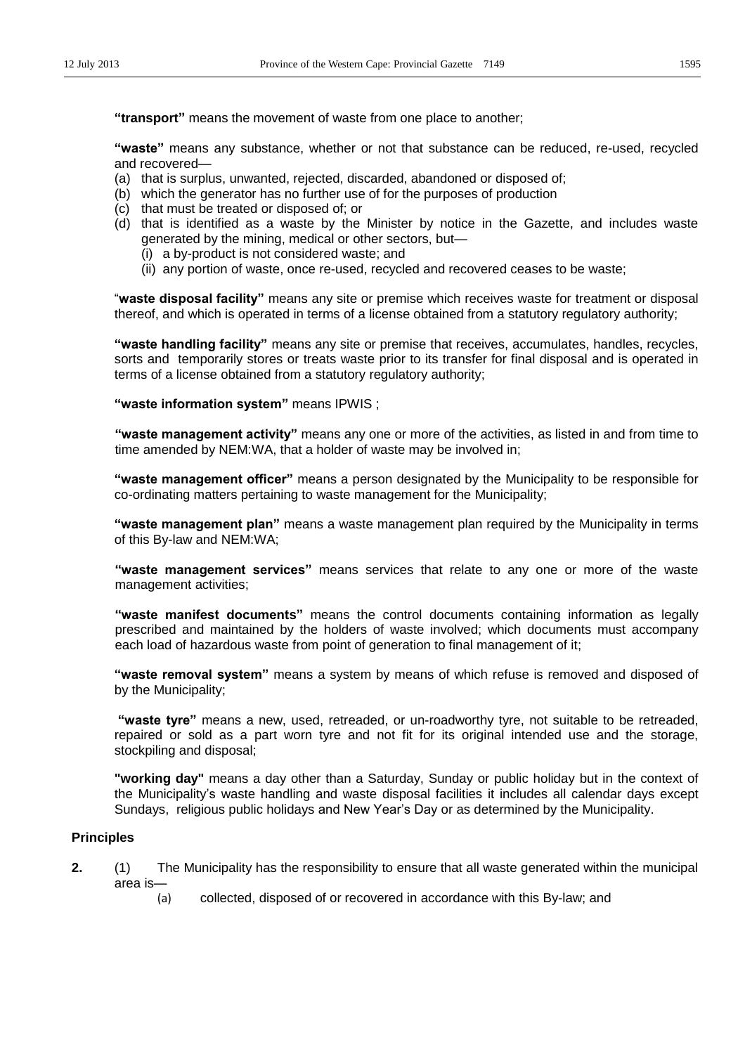**³transport´**means the movement of waste from one place to another;

"waste" means any substance, whether or not that substance can be reduced, re-used, recycled and recovered-

- (a) that is surplus, unwanted, rejected, discarded, abandoned or disposed of;
- (b) which the generator has no further use of for the purposes of production
- (c) that must be treated or disposed of; or
- (d) that is identified as a waste by the Minister by notice in the Gazette, and includes waste generated by the mining, medical or other sectors, but-
	- (i) a by-product is not considered waste; and
	- (ii) any portion of waste, once re-used, recycled and recovered ceases to be waste;

"waste disposal facility" means any site or premise which receives waste for treatment or disposal thereof, and which is operated in terms of a license obtained from a statutory regulatory authority;

"waste handling facility" means any site or premise that receives, accumulates, handles, recycles, sorts and temporarily stores or treats waste prior to its transfer for final disposal and is operated in terms of a license obtained from a statutory regulatory authority;

"waste information system" means IPWIS ;

"waste management activity" means any one or more of the activities, as listed in and from time to time amended by NEM:WA, that a holder of waste may be involved in;

"waste management officer" means a person designated by the Municipality to be responsible for co-ordinating matters pertaining to waste management for the Municipality;

**"waste management plan"** means a waste management plan required by the Municipality in terms of this By-law and NEM:WA;

"waste management services" means services that relate to any one or more of the waste management activities;

"waste manifest documents" means the control documents containing information as legally prescribed and maintained by the holders of waste involved; which documents must accompany each load of hazardous waste from point of generation to final management of it;

**"waste removal system**" means a system by means of which refuse is removed and disposed of by the Municipality;

"waste tyre" means a new, used, retreaded, or un-roadworthy tyre, not suitable to be retreaded, repaired or sold as a part worn tyre and not fit for its original intended use and the storage, stockpiling and disposal;

**"working day"** means a day other than a Saturday, Sunday or public holiday but in the context of the Municipality's waste handling and waste disposal facilities it includes all calendar days except Sundays, religious public holidays and New Year's Day or as determined by the Municipality.

#### **Principles**

- **2.** (1) The Municipality has the responsibility to ensure that all waste generated within the municipal area is-
	- (a) collected, disposed of or recovered in accordance with this By-law; and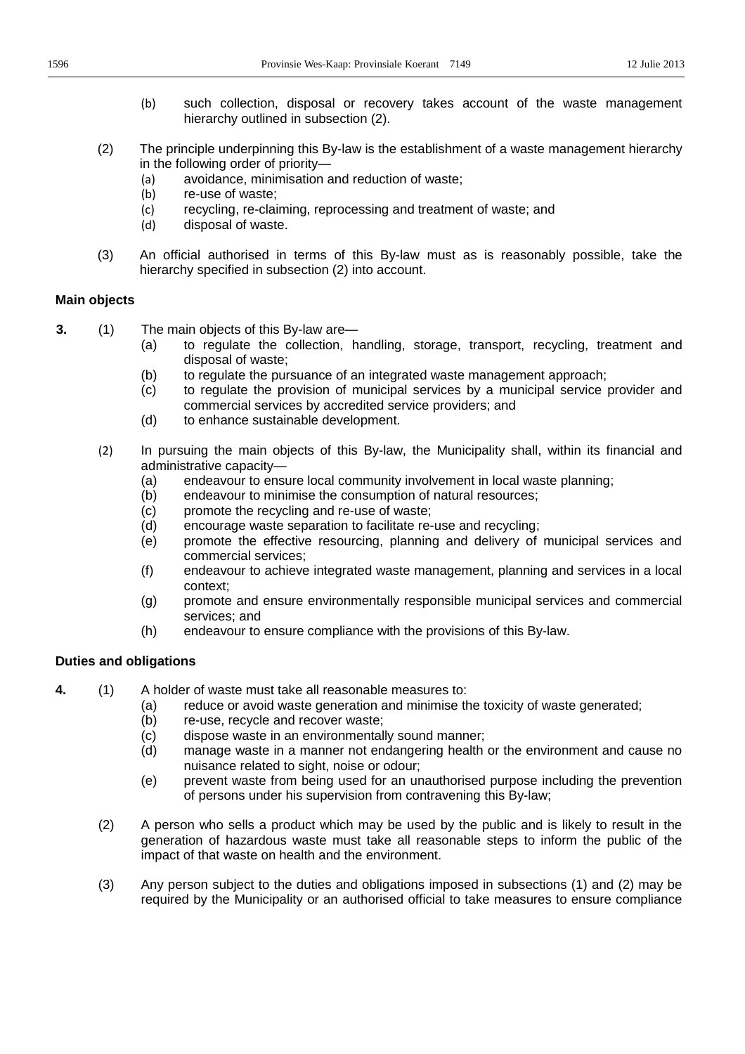- (b) such collection, disposal or recovery takes account of the waste management hierarchy outlined in subsection (2).
- (2) The principle underpinning this By-law is the establishment of a waste management hierarchy in the following order of priority-
	- (a) avoidance, minimisation and reduction of waste;
	- (b) re-use of waste;
	- (c) recycling, re-claiming, reprocessing and treatment of waste; and
	- (d) disposal of waste.
- (3) An official authorised in terms of this By-law must as is reasonably possible, take the hierarchy specified in subsection (2) into account.

#### **Main objects**

- **3.** (1) The main objects of this By-law are—
	- (a) to regulate the collection, handling, storage, transport, recycling, treatment and disposal of waste;
	- (b) to regulate the pursuance of an integrated waste management approach;
	- (c) to regulate the provision of municipal services by a municipal service provider and commercial services by accredited service providers; and
	- (d) to enhance sustainable development.
	- (2) In pursuing the main objects of this By-law, the Municipality shall, within its financial and administrative capacity-
		- (a) endeavour to ensure local community involvement in local waste planning;
		- (b) endeavour to minimise the consumption of natural resources;
		- (c) promote the recycling and re-use of waste;
		- (d) encourage waste separation to facilitate re-use and recycling;
		- (e) promote the effective resourcing, planning and delivery of municipal services and commercial services;
		- (f) endeavour to achieve integrated waste management, planning and services in a local context;
		- (g) promote and ensure environmentally responsible municipal services and commercial services; and
		- (h) endeavour to ensure compliance with the provisions of this By-law.

### **Duties and obligations**

- **4.** (1) A holder of waste must take all reasonable measures to:
	- (a) reduce or avoid waste generation and minimise the toxicity of waste generated;
	- (b) re-use, recycle and recover waste;
	- (c) dispose waste in an environmentally sound manner;
	- (d) manage waste in a manner not endangering health or the environment and cause no nuisance related to sight, noise or odour;
	- (e) prevent waste from being used for an unauthorised purpose including the prevention of persons under his supervision from contravening this By-law;
	- (2) A person who sells a product which may be used by the public and is likely to result in the generation of hazardous waste must take all reasonable steps to inform the public of the impact of that waste on health and the environment.
	- (3) Any person subject to the duties and obligations imposed in subsections (1) and (2) may be required by the Municipality or an authorised official to take measures to ensure compliance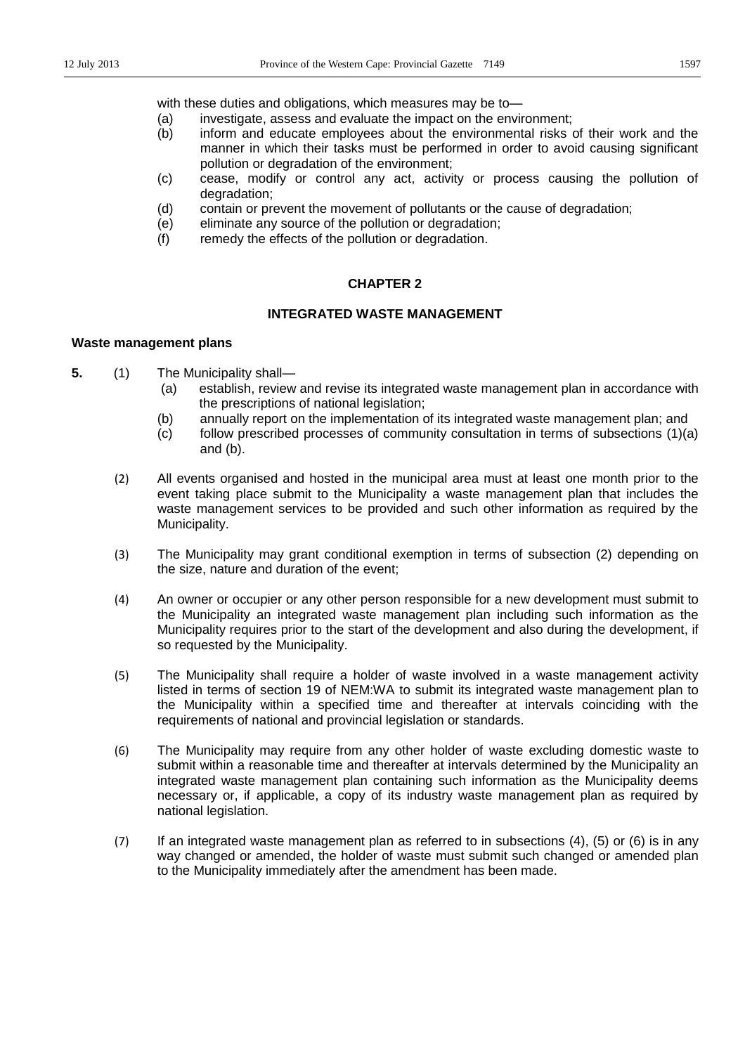with these duties and obligations, which measures may be to-

- (a) investigate, assess and evaluate the impact on the environment;
- (b) inform and educate employees about the environmental risks of their work and the manner in which their tasks must be performed in order to avoid causing significant pollution or degradation of the environment;
- (c) cease, modify or control any act, activity or process causing the pollution of degradation;
- (d) contain or prevent the movement of pollutants or the cause of degradation;
- (e) eliminate any source of the pollution or degradation;
- (f) remedy the effects of the pollution or degradation.

#### **CHAPTER 2**

### **INTEGRATED WASTE MANAGEMENT**

#### **Waste management plans**

- **5.** (1) The Municipality shall—
	- (a) establish, review and revise its integrated waste management plan in accordance with the prescriptions of national legislation;
	- (b) annually report on the implementation of its integrated waste management plan; and
	- (c) follow prescribed processes of community consultation in terms of subsections (1)(a) and (b).
	- (2) All events organised and hosted in the municipal area must at least one month prior to the event taking place submit to the Municipality a waste management plan that includes the waste management services to be provided and such other information as required by the Municipality.
	- (3) The Municipality may grant conditional exemption in terms of subsection (2) depending on the size, nature and duration of the event;
	- (4) An owner or occupier or any other person responsible for a new development must submit to the Municipality an integrated waste management plan including such information as the Municipality requires prior to the start of the development and also during the development, if so requested by the Municipality.
	- (5) The Municipality shall require a holder of waste involved in a waste management activity listed in terms of section 19 of NEM:WA to submit its integrated waste management plan to the Municipality within a specified time and thereafter at intervals coinciding with the requirements of national and provincial legislation or standards.
	- (6) The Municipality may require from any other holder of waste excluding domestic waste to submit within a reasonable time and thereafter at intervals determined by the Municipality an integrated waste management plan containing such information as the Municipality deems necessary or, if applicable, a copy of its industry waste management plan as required by national legislation.
	- (7) If an integrated waste management plan as referred to in subsections (4), (5) or (6) is in any way changed or amended, the holder of waste must submit such changed or amended plan to the Municipality immediately after the amendment has been made.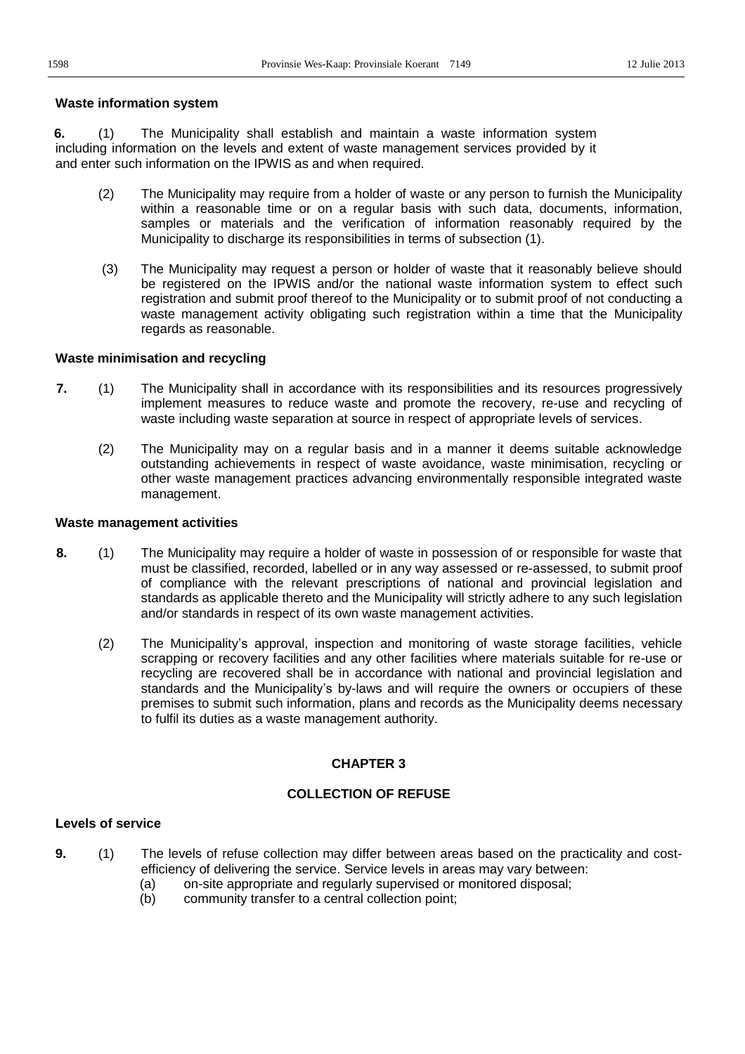#### **Waste information system**

**6.** (1) The Municipality shall establish and maintain a waste information system including information on the levels and extent of waste management services provided by it and enter such information on the IPWIS as and when required.

- (2) The Municipality may require from a holder of waste or any person to furnish the Municipality within a reasonable time or on a regular basis with such data, documents, information, samples or materials and the verification of information reasonably required by the Municipality to discharge its responsibilities in terms of subsection (1).
- (3) The Municipality may request a person or holder of waste that it reasonably believe should be registered on the IPWIS and/or the national waste information system to effect such registration and submit proof thereof to the Municipality or to submit proof of not conducting a waste management activity obligating such registration within a time that the Municipality regards as reasonable.

#### **Waste minimisation and recycling**

- **7.** (1) The Municipality shall in accordance with its responsibilities and its resources progressively implement measures to reduce waste and promote the recovery, re-use and recycling of waste including waste separation at source in respect of appropriate levels of services.
	- (2) The Municipality may on a regular basis and in a manner it deems suitable acknowledge outstanding achievements in respect of waste avoidance, waste minimisation, recycling or other waste management practices advancing environmentally responsible integrated waste management.

#### **Waste management activities**

- **8.** (1) The Municipality may require a holder of waste in possession of or responsible for waste that must be classified, recorded, labelled or in any way assessed or re-assessed, to submit proof of compliance with the relevant prescriptions of national and provincial legislation and standards as applicable thereto and the Municipality will strictly adhere to any such legislation and/or standards in respect of its own waste management activities.
	- (2) The Municipality's approval, inspection and monitoring of waste storage facilities, vehicle scrapping or recovery facilities and any other facilities where materials suitable for re-use or recycling are recovered shall be in accordance with national and provincial legislation and standards and the Municipality's by-laws and will require the owners or occupiers of these premises to submit such information, plans and records as the Municipality deems necessary to fulfil its duties as a waste management authority.

### **CHAPTER 3**

#### **COLLECTION OF REFUSE**

# **Levels of service**

- **9.** (1) The levels of refuse collection may differ between areas based on the practicality and costefficiency of delivering the service. Service levels in areas may vary between:
	- (a) on-site appropriate and regularly supervised or monitored disposal;
	- (b) community transfer to a central collection point;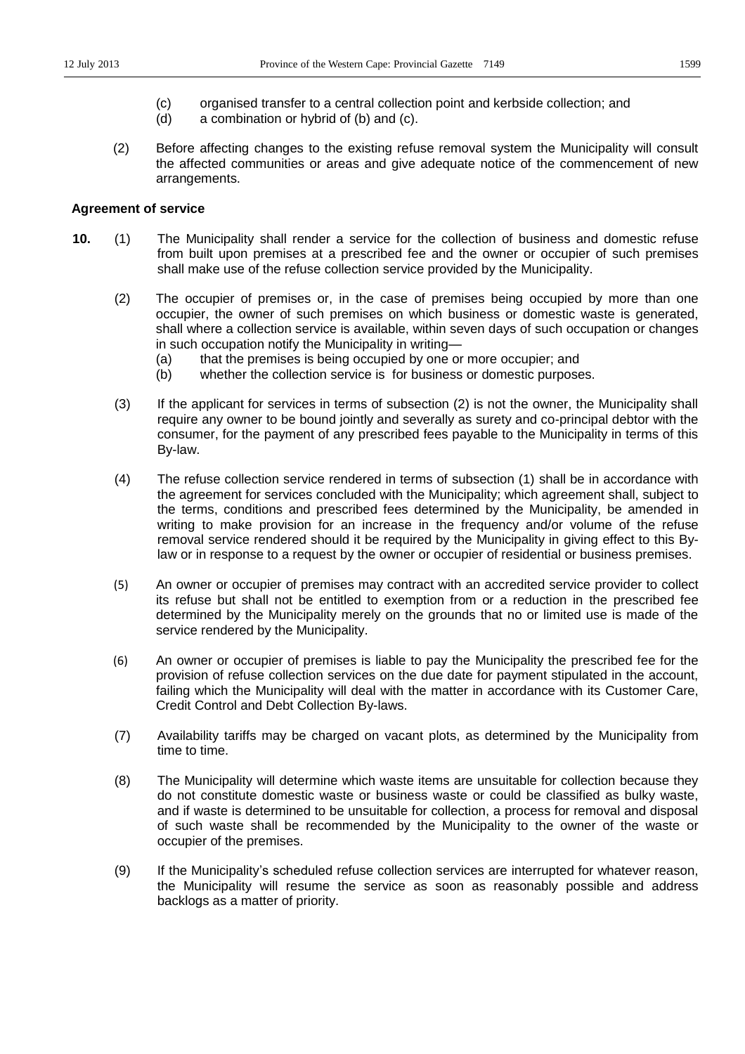- (c) organised transfer to a central collection point and kerbside collection; and
- (d) a combination or hybrid of (b) and (c).
- (2) Before affecting changes to the existing refuse removal system the Municipality will consult the affected communities or areas and give adequate notice of the commencement of new arrangements.

#### **Agreement of service**

- **10.** (1) The Municipality shall render a service for the collection of business and domestic refuse from built upon premises at a prescribed fee and the owner or occupier of such premises shall make use of the refuse collection service provided by the Municipality.
	- (2) The occupier of premises or, in the case of premises being occupied by more than one occupier, the owner of such premises on which business or domestic waste is generated, shall where a collection service is available, within seven days of such occupation or changes in such occupation notify the Municipality in writing-
		- (a) that the premises is being occupied by one or more occupier; and
		- (b) whether the collection service is for business or domestic purposes.
	- (3) If the applicant for services in terms of subsection (2) is not the owner, the Municipality shall require any owner to be bound jointly and severally as surety and co-principal debtor with the consumer, for the payment of any prescribed fees payable to the Municipality in terms of this By-law.
	- (4) The refuse collection service rendered in terms of subsection (1) shall be in accordance with the agreement for services concluded with the Municipality; which agreement shall, subject to the terms, conditions and prescribed fees determined by the Municipality, be amended in writing to make provision for an increase in the frequency and/or volume of the refuse removal service rendered should it be required by the Municipality in giving effect to this Bylaw or in response to a request by the owner or occupier of residential or business premises.
	- (5) An owner or occupier of premises may contract with an accredited service provider to collect its refuse but shall not be entitled to exemption from or a reduction in the prescribed fee determined by the Municipality merely on the grounds that no or limited use is made of the service rendered by the Municipality.
	- (6) An owner or occupier of premises is liable to pay the Municipality the prescribed fee for the provision of refuse collection services on the due date for payment stipulated in the account, failing which the Municipality will deal with the matter in accordance with its Customer Care, Credit Control and Debt Collection By-laws.
	- (7) Availability tariffs may be charged on vacant plots, as determined by the Municipality from time to time.
	- (8) The Municipality will determine which waste items are unsuitable for collection because they do not constitute domestic waste or business waste or could be classified as bulky waste, and if waste is determined to be unsuitable for collection, a process for removal and disposal of such waste shall be recommended by the Municipality to the owner of the waste or occupier of the premises.
	- (9) If the Municipality's scheduled refuse collection services are interrupted for whatever reason, the Municipality will resume the service as soon as reasonably possible and address backlogs as a matter of priority.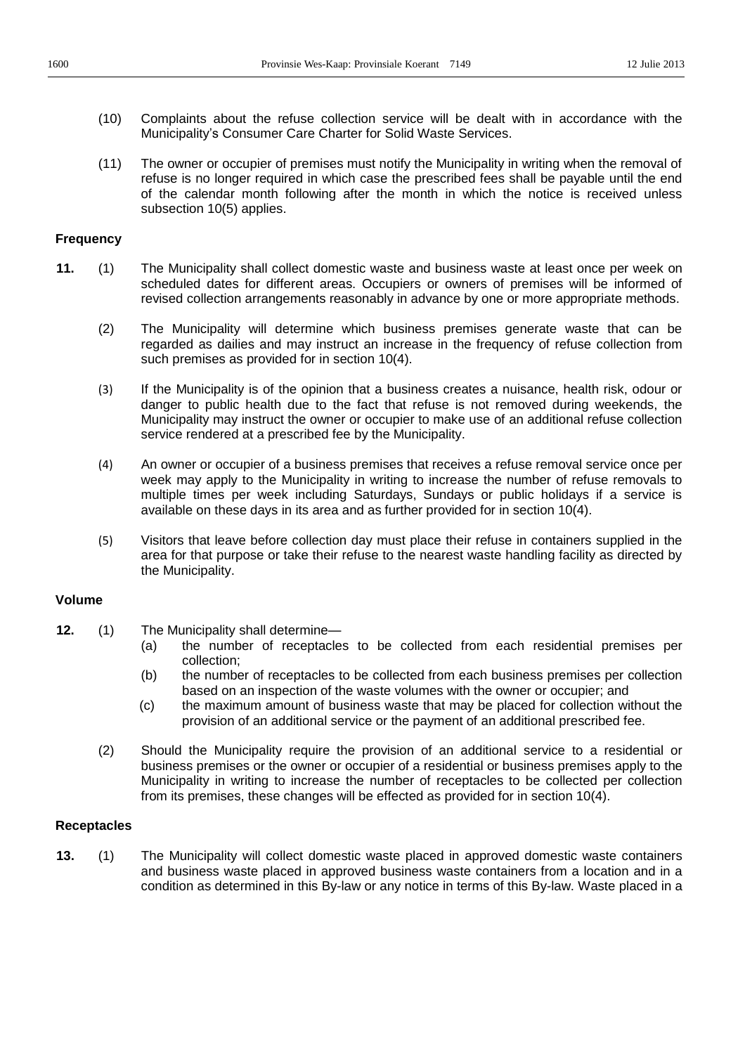- (10) Complaints about the refuse collection service will be dealt with in accordance with the Municipality's Consumer Care Charter for Solid Waste Services.
- (11) The owner or occupier of premises must notify the Municipality in writing when the removal of refuse is no longer required in which case the prescribed fees shall be payable until the end of the calendar month following after the month in which the notice is received unless subsection 10(5) applies.

### **Frequency**

- **11.** (1) The Municipality shall collect domestic waste and business waste at least once per week on scheduled dates for different areas. Occupiers or owners of premises will be informed of revised collection arrangements reasonably in advance by one or more appropriate methods.
	- (2) The Municipality will determine which business premises generate waste that can be regarded as dailies and may instruct an increase in the frequency of refuse collection from such premises as provided for in section 10(4).
	- (3) If the Municipality is of the opinion that a business creates a nuisance, health risk, odour or danger to public health due to the fact that refuse is not removed during weekends, the Municipality may instruct the owner or occupier to make use of an additional refuse collection service rendered at a prescribed fee by the Municipality.
	- (4) An owner or occupier of a business premises that receives a refuse removal service once per week may apply to the Municipality in writing to increase the number of refuse removals to multiple times per week including Saturdays, Sundays or public holidays if a service is available on these days in its area and as further provided for in section 10(4).
	- (5) Visitors that leave before collection day must place their refuse in containers supplied in the area for that purpose or take their refuse to the nearest waste handling facility as directed by the Municipality.

# **Volume**

- **12.** (1) The Municipality shall determine-
	- (a) the number of receptacles to be collected from each residential premises per collection;
	- (b) the number of receptacles to be collected from each business premises per collection based on an inspection of the waste volumes with the owner or occupier; and
	- (c) the maximum amount of business waste that may be placed for collection without the provision of an additional service or the payment of an additional prescribed fee.
	- (2) Should the Municipality require the provision of an additional service to a residential or business premises or the owner or occupier of a residential or business premises apply to the Municipality in writing to increase the number of receptacles to be collected per collection from its premises, these changes will be effected as provided for in section 10(4).

# **Receptacles**

**13.** (1) The Municipality will collect domestic waste placed in approved domestic waste containers and business waste placed in approved business waste containers from a location and in a condition as determined in this By-law or any notice in terms of this By-law. Waste placed in a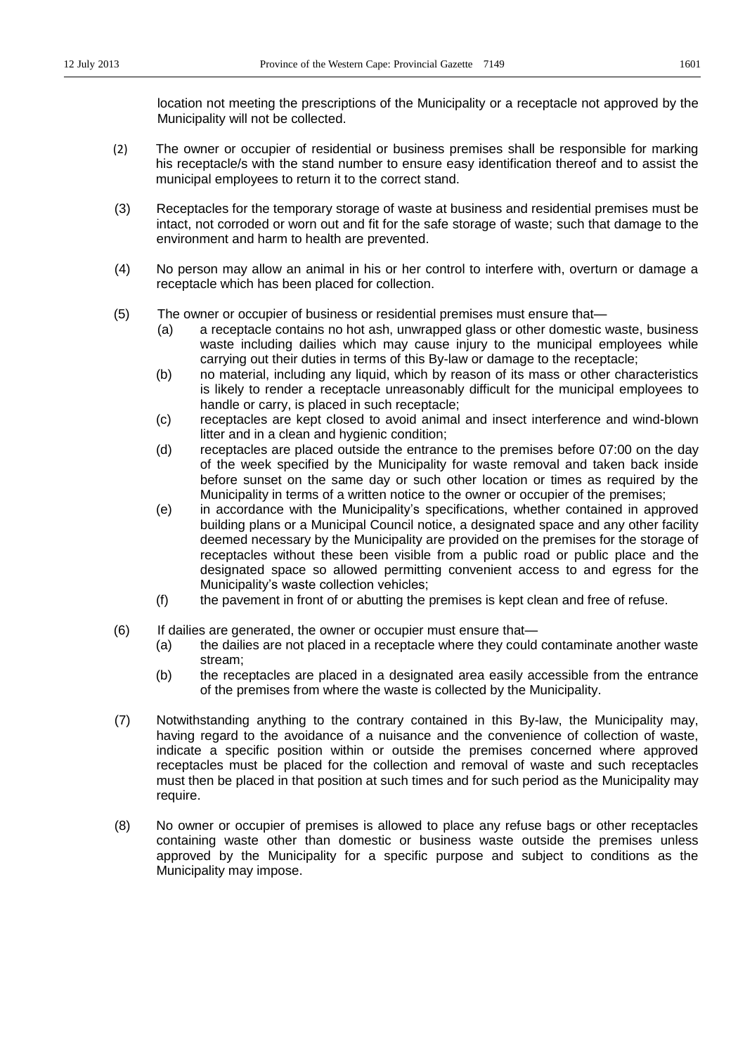location not meeting the prescriptions of the Municipality or a receptacle not approved by the Municipality will not be collected.

- (2) The owner or occupier of residential or business premises shall be responsible for marking his receptacle/s with the stand number to ensure easy identification thereof and to assist the municipal employees to return it to the correct stand.
- (3) Receptacles for the temporary storage of waste at business and residential premises must be intact, not corroded or worn out and fit for the safe storage of waste; such that damage to the environment and harm to health are prevented.
- (4) No person may allow an animal in his or her control to interfere with, overturn or damage a receptacle which has been placed for collection.
- (5) The owner or occupier of business or residential premises must ensure that-
	- (a) a receptacle contains no hot ash, unwrapped glass or other domestic waste, business waste including dailies which may cause injury to the municipal employees while carrying out their duties in terms of this By-law or damage to the receptacle;
	- (b) no material, including any liquid, which by reason of its mass or other characteristics is likely to render a receptacle unreasonably difficult for the municipal employees to handle or carry, is placed in such receptacle;
	- (c) receptacles are kept closed to avoid animal and insect interference and wind-blown litter and in a clean and hygienic condition;
	- (d) receptacles are placed outside the entrance to the premises before 07:00 on the day of the week specified by the Municipality for waste removal and taken back inside before sunset on the same day or such other location or times as required by the Municipality in terms of a written notice to the owner or occupier of the premises;
	- $(e)$  in accordance with the Municipality's specifications, whether contained in approved building plans or a Municipal Council notice, a designated space and any other facility deemed necessary by the Municipality are provided on the premises for the storage of receptacles without these been visible from a public road or public place and the designated space so allowed permitting convenient access to and egress for the Municipality's waste collection vehicles;
	- (f) the pavement in front of or abutting the premises is kept clean and free of refuse.
- (6) If dailies are generated, the owner or occupier must ensure that-
	- (a) the dailies are not placed in a receptacle where they could contaminate another waste stream;
	- (b) the receptacles are placed in a designated area easily accessible from the entrance of the premises from where the waste is collected by the Municipality.
- (7) Notwithstanding anything to the contrary contained in this By-law, the Municipality may, having regard to the avoidance of a nuisance and the convenience of collection of waste, indicate a specific position within or outside the premises concerned where approved receptacles must be placed for the collection and removal of waste and such receptacles must then be placed in that position at such times and for such period as the Municipality may require.
- (8) No owner or occupier of premises is allowed to place any refuse bags or other receptacles containing waste other than domestic or business waste outside the premises unless approved by the Municipality for a specific purpose and subject to conditions as the Municipality may impose.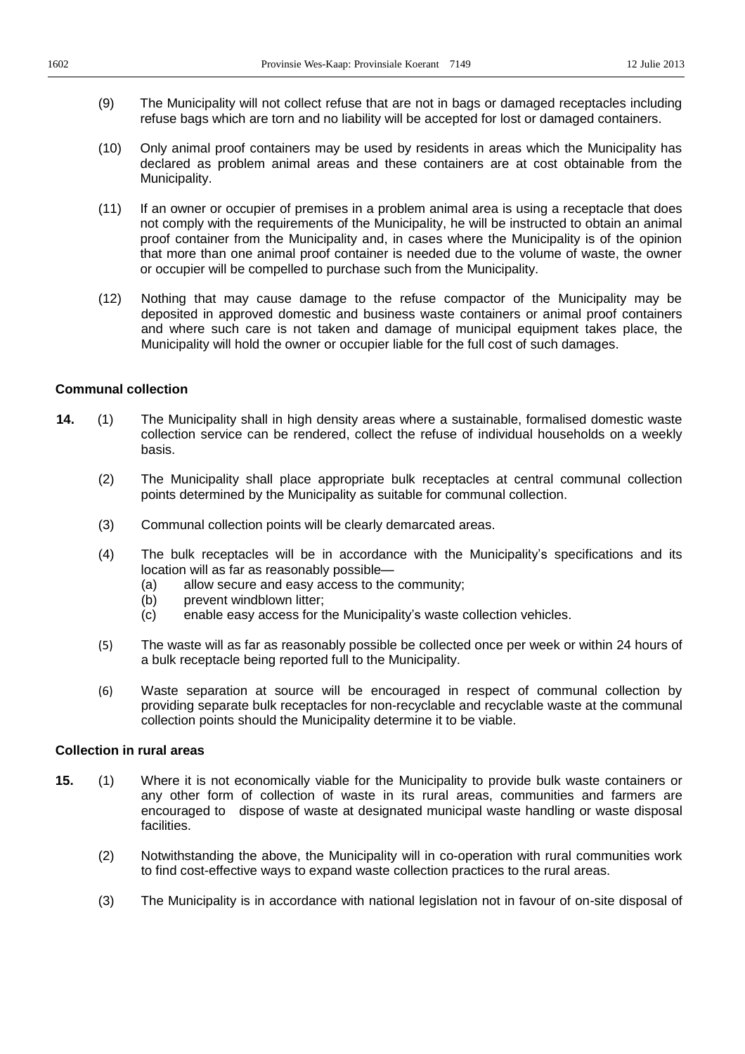- (9) The Municipality will not collect refuse that are not in bags or damaged receptacles including refuse bags which are torn and no liability will be accepted for lost or damaged containers.
- (10) Only animal proof containers may be used by residents in areas which the Municipality has declared as problem animal areas and these containers are at cost obtainable from the Municipality.
- (11) If an owner or occupier of premises in a problem animal area is using a receptacle that does not comply with the requirements of the Municipality, he will be instructed to obtain an animal proof container from the Municipality and, in cases where the Municipality is of the opinion that more than one animal proof container is needed due to the volume of waste, the owner or occupier will be compelled to purchase such from the Municipality.
- (12) Nothing that may cause damage to the refuse compactor of the Municipality may be deposited in approved domestic and business waste containers or animal proof containers and where such care is not taken and damage of municipal equipment takes place, the Municipality will hold the owner or occupier liable for the full cost of such damages.

### **Communal collection**

- **14.** (1) The Municipality shall in high density areas where a sustainable, formalised domestic waste collection service can be rendered, collect the refuse of individual households on a weekly basis.
	- (2) The Municipality shall place appropriate bulk receptacles at central communal collection points determined by the Municipality as suitable for communal collection.
	- (3) Communal collection points will be clearly demarcated areas.
	- $(4)$  The bulk receptacles will be in accordance with the Municipality's specifications and its location will as far as reasonably possible-
		- (a) allow secure and easy access to the community;
		- (b) prevent windblown litter;
		- (c) enable easy access for the Municipality's waste collection vehicles.
	- (5) The waste will as far as reasonably possible be collected once per week or within 24 hours of a bulk receptacle being reported full to the Municipality.
	- (6) Waste separation at source will be encouraged in respect of communal collection by providing separate bulk receptacles for non-recyclable and recyclable waste at the communal collection points should the Municipality determine it to be viable.

#### **Collection in rural areas**

- **15.** (1) Where it is not economically viable for the Municipality to provide bulk waste containers or any other form of collection of waste in its rural areas, communities and farmers are encouraged to dispose of waste at designated municipal waste handling or waste disposal facilities.
	- (2) Notwithstanding the above, the Municipality will in co-operation with rural communities work to find cost-effective ways to expand waste collection practices to the rural areas.
	- (3) The Municipality is in accordance with national legislation not in favour of on-site disposal of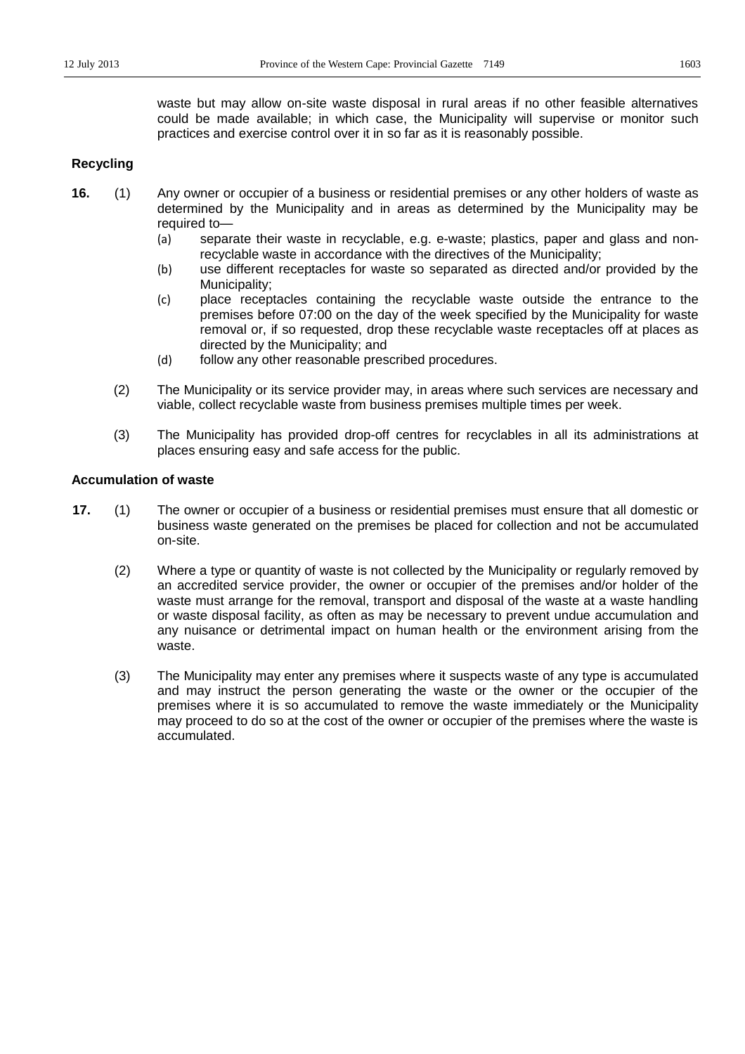waste but may allow on-site waste disposal in rural areas if no other feasible alternatives could be made available; in which case, the Municipality will supervise or monitor such practices and exercise control over it in so far as it is reasonably possible.

# **Recycling**

- **16.** (1) Any owner or occupier of a business or residential premises or any other holders of waste as determined by the Municipality and in areas as determined by the Municipality may be required to-
	- (a) separate their waste in recyclable, e.g. e-waste; plastics, paper and glass and nonrecyclable waste in accordance with the directives of the Municipality;
	- (b) use different receptacles for waste so separated as directed and/or provided by the Municipality;
	- (c) place receptacles containing the recyclable waste outside the entrance to the premises before 07:00 on the day of the week specified by the Municipality for waste removal or, if so requested, drop these recyclable waste receptacles off at places as directed by the Municipality; and
	- (d) follow any other reasonable prescribed procedures.
	- (2) The Municipality or its service provider may, in areas where such services are necessary and viable, collect recyclable waste from business premises multiple times per week.
	- (3) The Municipality has provided drop-off centres for recyclables in all its administrations at places ensuring easy and safe access for the public.

#### **Accumulation of waste**

- **17.** (1) The owner or occupier of a business or residential premises must ensure that all domestic or business waste generated on the premises be placed for collection and not be accumulated on-site.
	- (2) Where a type or quantity of waste is not collected by the Municipality or regularly removed by an accredited service provider, the owner or occupier of the premises and/or holder of the waste must arrange for the removal, transport and disposal of the waste at a waste handling or waste disposal facility, as often as may be necessary to prevent undue accumulation and any nuisance or detrimental impact on human health or the environment arising from the waste.
	- (3) The Municipality may enter any premises where it suspects waste of any type is accumulated and may instruct the person generating the waste or the owner or the occupier of the premises where it is so accumulated to remove the waste immediately or the Municipality may proceed to do so at the cost of the owner or occupier of the premises where the waste is accumulated.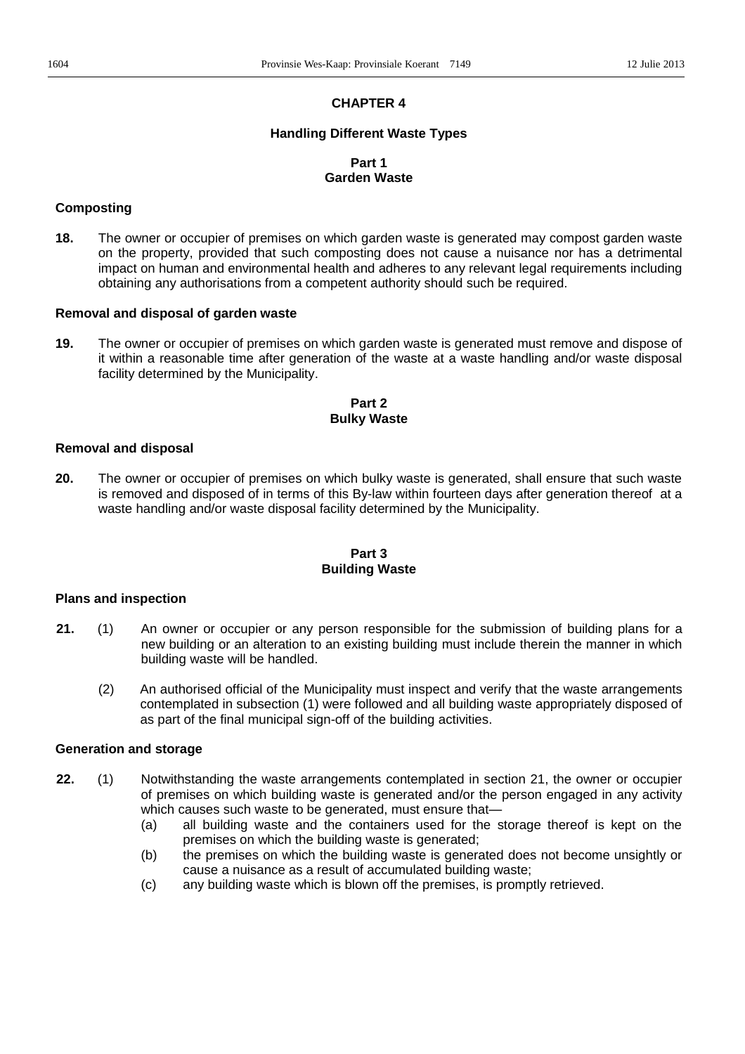# **CHAPTER 4**

#### **Handling Different Waste Types**

# **Part 1 Garden Waste**

### **Composting**

**18.** The owner or occupier of premises on which garden waste is generated may compost garden waste on the property, provided that such composting does not cause a nuisance nor has a detrimental impact on human and environmental health and adheres to any relevant legal requirements including obtaining any authorisations from a competent authority should such be required.

#### **Removal and disposal of garden waste**

**19.** The owner or occupier of premises on which garden waste is generated must remove and dispose of it within a reasonable time after generation of the waste at a waste handling and/or waste disposal facility determined by the Municipality.

# **Part 2 Bulky Waste**

#### **Removal and disposal**

**20.** The owner or occupier of premises on which bulky waste is generated, shall ensure that such waste is removed and disposed of in terms of this By-law within fourteen days after generation thereof at a waste handling and/or waste disposal facility determined by the Municipality.

### **Part 3 Building Waste**

#### **Plans and inspection**

- **21.** (1) An owner or occupier or any person responsible for the submission of building plans for a new building or an alteration to an existing building must include therein the manner in which building waste will be handled.
	- (2) An authorised official of the Municipality must inspect and verify that the waste arrangements contemplated in subsection (1) were followed and all building waste appropriately disposed of as part of the final municipal sign-off of the building activities.

#### **Generation and storage**

- **22.** (1) Notwithstanding the waste arrangements contemplated in section 21, the owner or occupier of premises on which building waste is generated and/or the person engaged in any activity which causes such waste to be generated, must ensure that-
	- (a) all building waste and the containers used for the storage thereof is kept on the premises on which the building waste is generated;
	- (b) the premises on which the building waste is generated does not become unsightly or cause a nuisance as a result of accumulated building waste;
	- (c) any building waste which is blown off the premises, is promptly retrieved.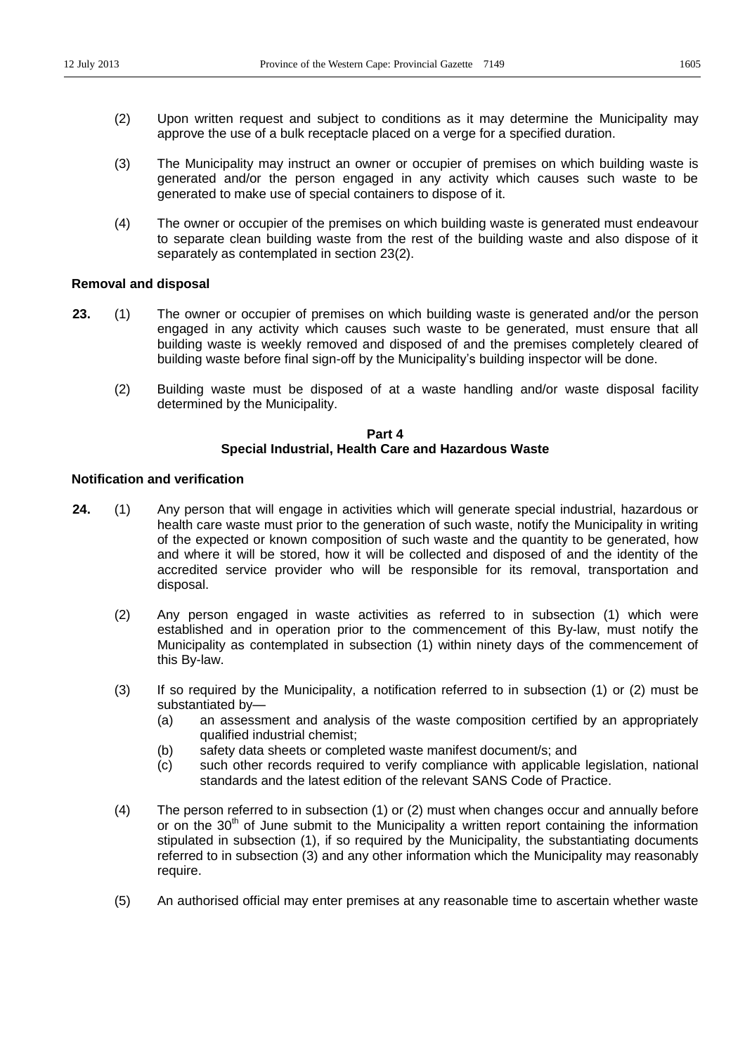- (2) Upon written request and subject to conditions as it may determine the Municipality may approve the use of a bulk receptacle placed on a verge for a specified duration.
- (3) The Municipality may instruct an owner or occupier of premises on which building waste is generated and/or the person engaged in any activity which causes such waste to be generated to make use of special containers to dispose of it.
- (4) The owner or occupier of the premises on which building waste is generated must endeavour to separate clean building waste from the rest of the building waste and also dispose of it separately as contemplated in section 23(2).

### **Removal and disposal**

- **23.** (1) The owner or occupier of premises on which building waste is generated and/or the person engaged in any activity which causes such waste to be generated, must ensure that all building waste is weekly removed and disposed of and the premises completely cleared of building waste before final sign-off by the Municipality's building inspector will be done.
	- (2) Building waste must be disposed of at a waste handling and/or waste disposal facility determined by the Municipality.

#### **Part 4 Special Industrial, Health Care and Hazardous Waste**

## **Notification and verification**

- **24.** (1) Any person that will engage in activities which will generate special industrial, hazardous or health care waste must prior to the generation of such waste, notify the Municipality in writing of the expected or known composition of such waste and the quantity to be generated, how and where it will be stored, how it will be collected and disposed of and the identity of the accredited service provider who will be responsible for its removal, transportation and disposal.
	- (2) Any person engaged in waste activities as referred to in subsection (1) which were established and in operation prior to the commencement of this By-law, must notify the Municipality as contemplated in subsection (1) within ninety days of the commencement of this By-law.
	- (3) If so required by the Municipality, a notification referred to in subsection (1) or (2) must be substantiated by-
		- (a) an assessment and analysis of the waste composition certified by an appropriately qualified industrial chemist;
		- (b) safety data sheets or completed waste manifest document/s; and
		- (c) such other records required to verify compliance with applicable legislation, national standards and the latest edition of the relevant SANS Code of Practice.
	- (4) The person referred to in subsection (1) or (2) must when changes occur and annually before or on the  $30<sup>th</sup>$  of June submit to the Municipality a written report containing the information stipulated in subsection (1), if so required by the Municipality, the substantiating documents referred to in subsection (3) and any other information which the Municipality may reasonably require.
	- (5) An authorised official may enter premises at any reasonable time to ascertain whether waste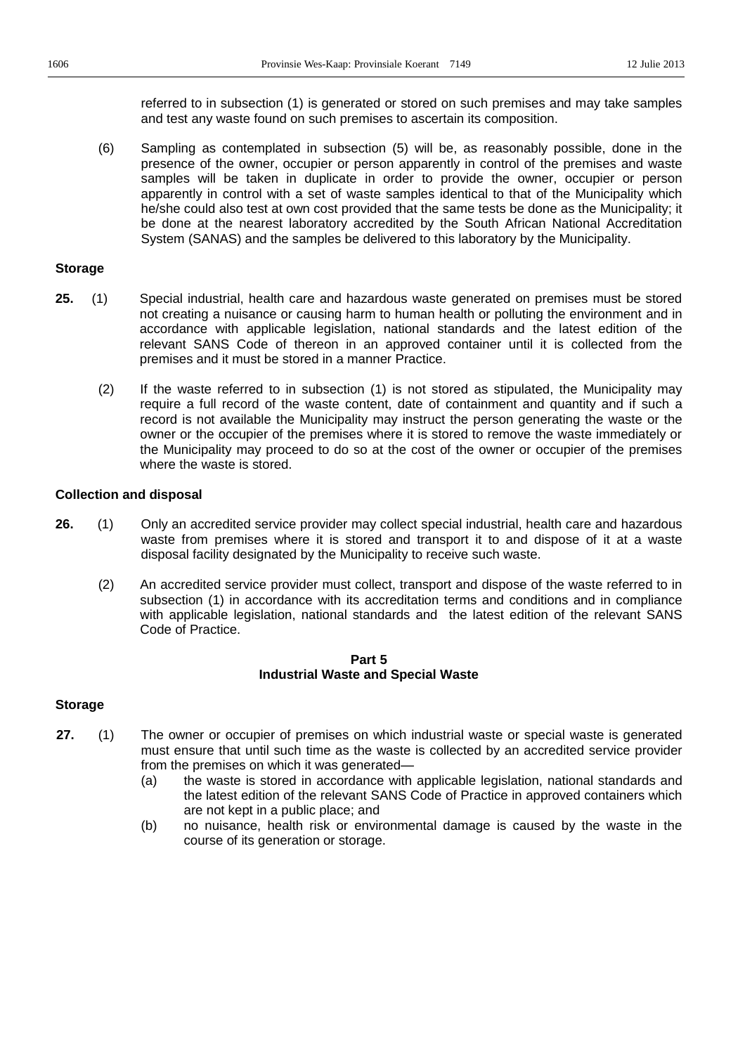referred to in subsection (1) is generated or stored on such premises and may take samples and test any waste found on such premises to ascertain its composition.

(6) Sampling as contemplated in subsection (5) will be, as reasonably possible, done in the presence of the owner, occupier or person apparently in control of the premises and waste samples will be taken in duplicate in order to provide the owner, occupier or person apparently in control with a set of waste samples identical to that of the Municipality which he/she could also test at own cost provided that the same tests be done as the Municipality; it be done at the nearest laboratory accredited by the South African National Accreditation System (SANAS) and the samples be delivered to this laboratory by the Municipality.

### **Storage**

- **25.** (1) Special industrial, health care and hazardous waste generated on premises must be stored not creating a nuisance or causing harm to human health or polluting the environment and in accordance with applicable legislation, national standards and the latest edition of the relevant SANS Code of thereon in an approved container until it is collected from the premises and it must be stored in a manner Practice.
	- (2) If the waste referred to in subsection (1) is not stored as stipulated, the Municipality may require a full record of the waste content, date of containment and quantity and if such a record is not available the Municipality may instruct the person generating the waste or the owner or the occupier of the premises where it is stored to remove the waste immediately or the Municipality may proceed to do so at the cost of the owner or occupier of the premises where the waste is stored.

#### **Collection and disposal**

- **26.** (1) Only an accredited service provider may collect special industrial, health care and hazardous waste from premises where it is stored and transport it to and dispose of it at a waste disposal facility designated by the Municipality to receive such waste.
	- (2) An accredited service provider must collect, transport and dispose of the waste referred to in subsection (1) in accordance with its accreditation terms and conditions and in compliance with applicable legislation, national standards and the latest edition of the relevant SANS Code of Practice.

#### **Part 5 Industrial Waste and Special Waste**

### **Storage**

- **27.** (1) The owner or occupier of premises on which industrial waste or special waste is generated must ensure that until such time as the waste is collected by an accredited service provider from the premises on which it was generated—
	- (a) the waste is stored in accordance with applicable legislation, national standards and the latest edition of the relevant SANS Code of Practice in approved containers which are not kept in a public place; and
	- (b) no nuisance, health risk or environmental damage is caused by the waste in the course of its generation or storage.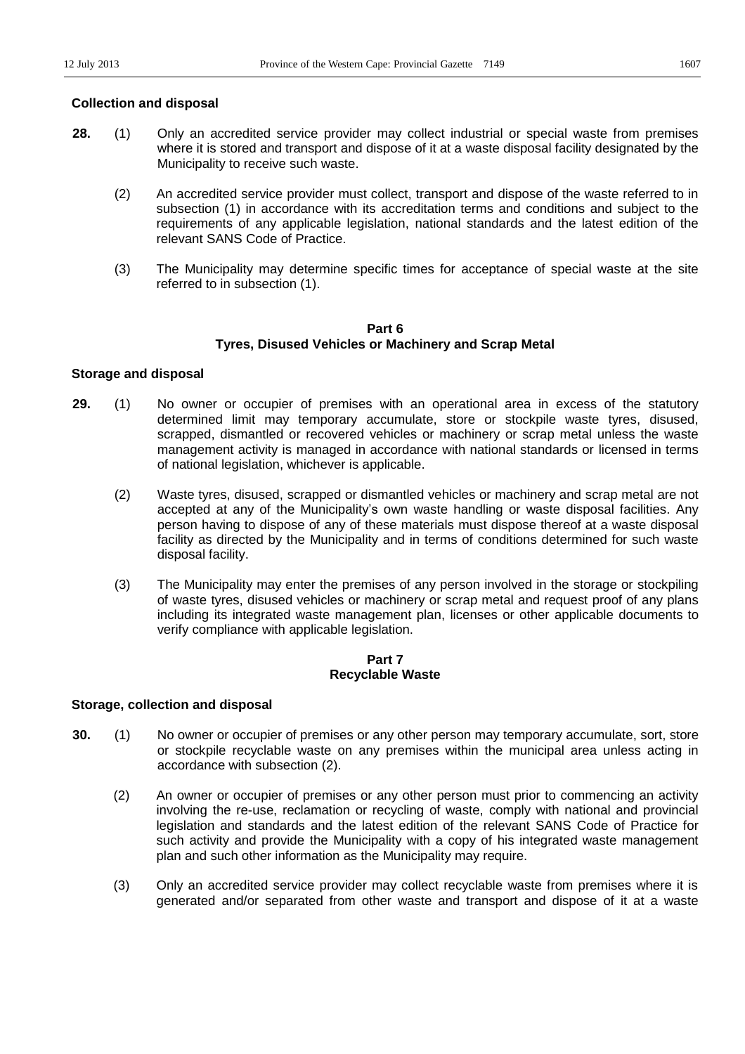# **Collection and disposal**

- **28.** (1) Only an accredited service provider may collect industrial or special waste from premises where it is stored and transport and dispose of it at a waste disposal facility designated by the Municipality to receive such waste.
	- (2) An accredited service provider must collect, transport and dispose of the waste referred to in subsection (1) in accordance with its accreditation terms and conditions and subject to the requirements of any applicable legislation, national standards and the latest edition of the relevant SANS Code of Practice.
	- (3) The Municipality may determine specific times for acceptance of special waste at the site referred to in subsection (1).

# **Part 6 Tyres, Disused Vehicles or Machinery and Scrap Metal**

# **Storage and disposal**

- **29.** (1) No owner or occupier of premises with an operational area in excess of the statutory determined limit may temporary accumulate, store or stockpile waste tyres, disused, scrapped, dismantled or recovered vehicles or machinery or scrap metal unless the waste management activity is managed in accordance with national standards or licensed in terms of national legislation, whichever is applicable.
	- (2) Waste tyres, disused, scrapped or dismantled vehicles or machinery and scrap metal are not accepted at any of the Municipality's own waste handling or waste disposal facilities. Any person having to dispose of any of these materials must dispose thereof at a waste disposal facility as directed by the Municipality and in terms of conditions determined for such waste disposal facility.
	- (3) The Municipality may enter the premises of any person involved in the storage or stockpiling of waste tyres, disused vehicles or machinery or scrap metal and request proof of any plans including its integrated waste management plan, licenses or other applicable documents to verify compliance with applicable legislation.

# **Part 7 Recyclable Waste**

### **Storage, collection and disposal**

- **30.** (1) No owner or occupier of premises or any other person may temporary accumulate, sort, store or stockpile recyclable waste on any premises within the municipal area unless acting in accordance with subsection (2).
	- (2) An owner or occupier of premises or any other person must prior to commencing an activity involving the re-use, reclamation or recycling of waste, comply with national and provincial legislation and standards and the latest edition of the relevant SANS Code of Practice for such activity and provide the Municipality with a copy of his integrated waste management plan and such other information as the Municipality may require.
	- (3) Only an accredited service provider may collect recyclable waste from premises where it is generated and/or separated from other waste and transport and dispose of it at a waste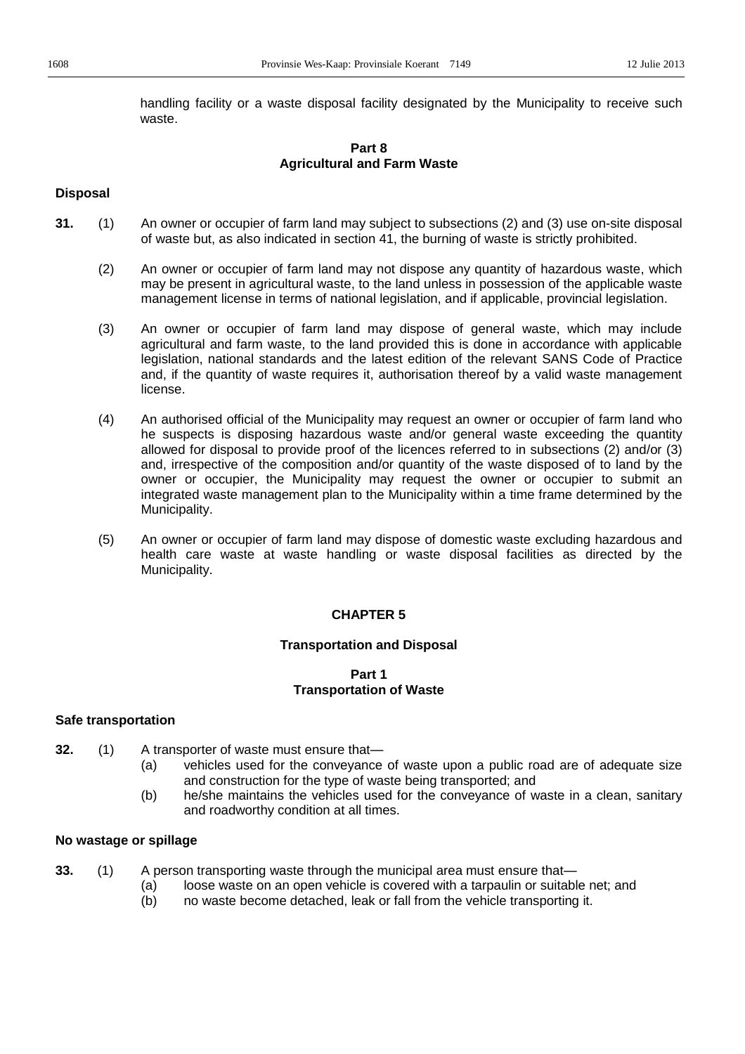handling facility or a waste disposal facility designated by the Municipality to receive such waste.

# **Part 8 Agricultural and Farm Waste**

#### **Disposal**

- **31.** (1) An owner or occupier of farm land may subject to subsections (2) and (3) use on-site disposal of waste but, as also indicated in section 41, the burning of waste is strictly prohibited.
	- (2) An owner or occupier of farm land may not dispose any quantity of hazardous waste, which may be present in agricultural waste, to the land unless in possession of the applicable waste management license in terms of national legislation, and if applicable, provincial legislation.
	- (3) An owner or occupier of farm land may dispose of general waste, which may include agricultural and farm waste, to the land provided this is done in accordance with applicable legislation, national standards and the latest edition of the relevant SANS Code of Practice and, if the quantity of waste requires it, authorisation thereof by a valid waste management license.
	- (4) An authorised official of the Municipality may request an owner or occupier of farm land who he suspects is disposing hazardous waste and/or general waste exceeding the quantity allowed for disposal to provide proof of the licences referred to in subsections (2) and/or (3) and, irrespective of the composition and/or quantity of the waste disposed of to land by the owner or occupier, the Municipality may request the owner or occupier to submit an integrated waste management plan to the Municipality within a time frame determined by the Municipality.
	- (5) An owner or occupier of farm land may dispose of domestic waste excluding hazardous and health care waste at waste handling or waste disposal facilities as directed by the Municipality.

### **CHAPTER 5**

#### **Transportation and Disposal**

#### **Part 1 Transportation of Waste**

#### **Safe transportation**

- **32.** (1) A transporter of waste must ensure that-
	- (a) vehicles used for the conveyance of waste upon a public road are of adequate size and construction for the type of waste being transported; and
	- (b) he/she maintains the vehicles used for the conveyance of waste in a clean, sanitary and roadworthy condition at all times.

## **No wastage or spillage**

- **33.** (1) A person transporting waste through the municipal area must ensure that
	- (a) loose waste on an open vehicle is covered with a tarpaulin or suitable net; and
	- (b) no waste become detached, leak or fall from the vehicle transporting it.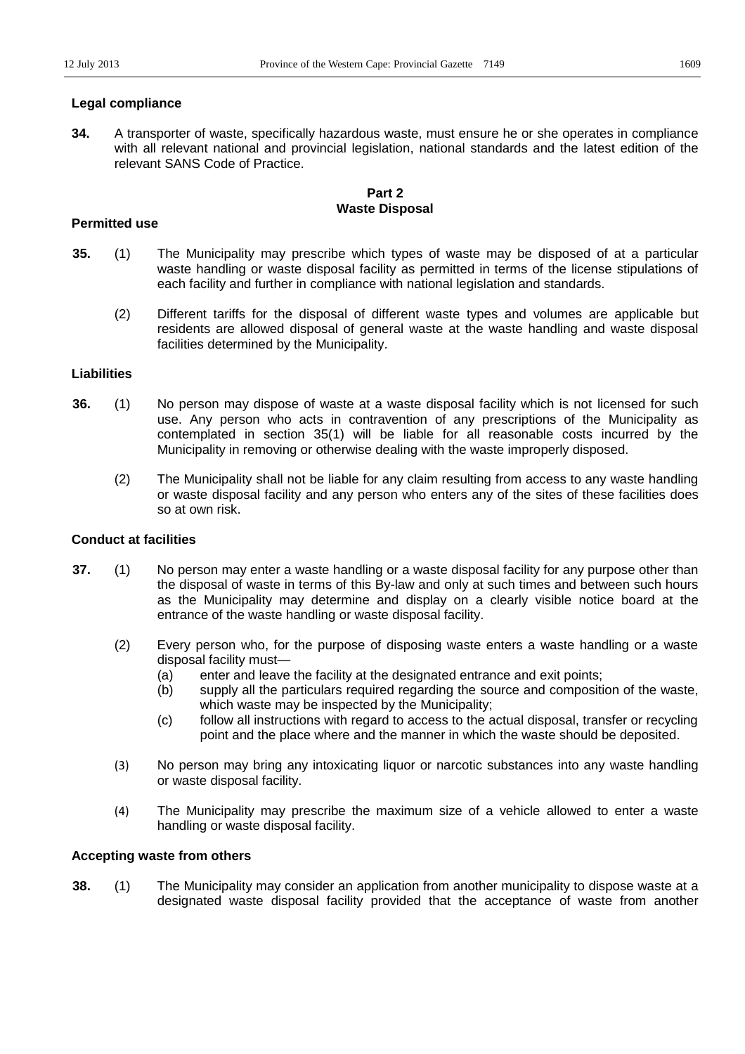**34.** A transporter of waste, specifically hazardous waste, must ensure he or she operates in compliance with all relevant national and provincial legislation, national standards and the latest edition of the relevant SANS Code of Practice.

## **Part 2 Waste Disposal**

## **Permitted use**

- **35.** (1) The Municipality may prescribe which types of waste may be disposed of at a particular waste handling or waste disposal facility as permitted in terms of the license stipulations of each facility and further in compliance with national legislation and standards.
	- (2) Different tariffs for the disposal of different waste types and volumes are applicable but residents are allowed disposal of general waste at the waste handling and waste disposal facilities determined by the Municipality.

## **Liabilities**

- **36.** (1) No person may dispose of waste at a waste disposal facility which is not licensed for such use. Any person who acts in contravention of any prescriptions of the Municipality as contemplated in section 35(1) will be liable for all reasonable costs incurred by the Municipality in removing or otherwise dealing with the waste improperly disposed.
	- (2) The Municipality shall not be liable for any claim resulting from access to any waste handling or waste disposal facility and any person who enters any of the sites of these facilities does so at own risk.

## **Conduct at facilities**

- **37.** (1) No person may enter a waste handling or a waste disposal facility for any purpose other than the disposal of waste in terms of this By-law and only at such times and between such hours as the Municipality may determine and display on a clearly visible notice board at the entrance of the waste handling or waste disposal facility.
	- (2) Every person who, for the purpose of disposing waste enters a waste handling or a waste disposal facility must-
		- (a) enter and leave the facility at the designated entrance and exit points;
		- (b) supply all the particulars required regarding the source and composition of the waste, which waste may be inspected by the Municipality;
		- (c) follow all instructions with regard to access to the actual disposal, transfer or recycling point and the place where and the manner in which the waste should be deposited.
	- (3) No person may bring any intoxicating liquor or narcotic substances into any waste handling or waste disposal facility.
	- (4) The Municipality may prescribe the maximum size of a vehicle allowed to enter a waste handling or waste disposal facility.

## **Accepting waste from others**

**38.** (1) The Municipality may consider an application from another municipality to dispose waste at a designated waste disposal facility provided that the acceptance of waste from another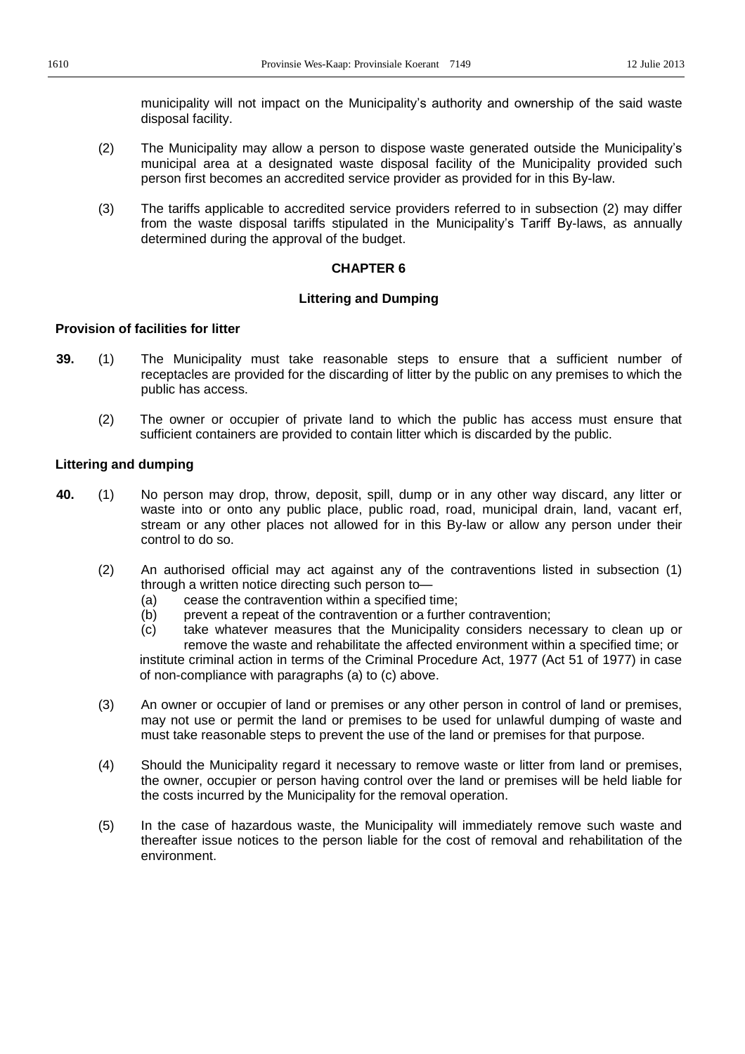municipality will not impact on the Municipality's authority and ownership of the said waste disposal facility.

- (2) The Municipality may allow a person to dispose waste generated outside the Municipality's municipal area at a designated waste disposal facility of the Municipality provided such person first becomes an accredited service provider as provided for in this By-law.
- (3) The tariffs applicable to accredited service providers referred to in subsection (2) may differ from the waste disposal tariffs stipulated in the Municipality's Tariff By-laws, as annually determined during the approval of the budget.

## **CHAPTER 6**

## **Littering and Dumping**

## **Provision of facilities for litter**

- **39.** (1) The Municipality must take reasonable steps to ensure that a sufficient number of receptacles are provided for the discarding of litter by the public on any premises to which the public has access.
	- (2) The owner or occupier of private land to which the public has access must ensure that sufficient containers are provided to contain litter which is discarded by the public.

## **Littering and dumping**

- **40.** (1) No person may drop, throw, deposit, spill, dump or in any other way discard, any litter or waste into or onto any public place, public road, road, municipal drain, land, vacant erf, stream or any other places not allowed for in this By-law or allow any person under their control to do so.
	- (2) An authorised official may act against any of the contraventions listed in subsection (1) through a written notice directing such person to $-$ 
		- (a) cease the contravention within a specified time;
		- (b) prevent a repeat of the contravention or a further contravention;
		- (c) take whatever measures that the Municipality considers necessary to clean up or remove the waste and rehabilitate the affected environment within a specified time; or institute criminal action in terms of the Criminal Procedure Act, 1977 (Act 51 of 1977) in case of non-compliance with paragraphs (a) to (c) above.
	- (3) An owner or occupier of land or premises or any other person in control of land or premises, may not use or permit the land or premises to be used for unlawful dumping of waste and must take reasonable steps to prevent the use of the land or premises for that purpose.
	- (4) Should the Municipality regard it necessary to remove waste or litter from land or premises, the owner, occupier or person having control over the land or premises will be held liable for the costs incurred by the Municipality for the removal operation.
	- (5) In the case of hazardous waste, the Municipality will immediately remove such waste and thereafter issue notices to the person liable for the cost of removal and rehabilitation of the environment.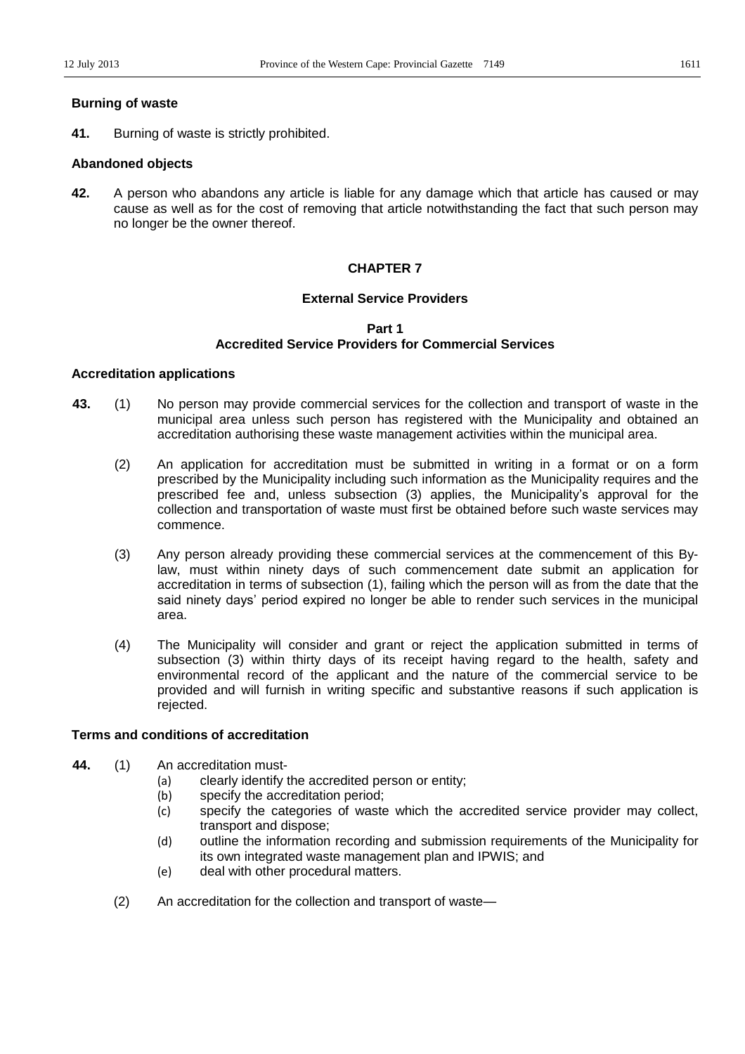## **Burning of waste**

**41.** Burning of waste is strictly prohibited.

## **Abandoned objects**

**42.** A person who abandons any article is liable for any damage which that article has caused or may cause as well as for the cost of removing that article notwithstanding the fact that such person may no longer be the owner thereof.

## **CHAPTER 7**

## **External Service Providers**

## **Part 1 Accredited Service Providers for Commercial Services**

## **Accreditation applications**

- **43.** (1) No person may provide commercial services for the collection and transport of waste in the municipal area unless such person has registered with the Municipality and obtained an accreditation authorising these waste management activities within the municipal area.
	- (2) An application for accreditation must be submitted in writing in a format or on a form prescribed by the Municipality including such information as the Municipality requires and the prescribed fee and, unless subsection (3) applies, the Municipality's approval for the collection and transportation of waste must first be obtained before such waste services may commence.
	- (3) Any person already providing these commercial services at the commencement of this Bylaw, must within ninety days of such commencement date submit an application for accreditation in terms of subsection (1), failing which the person will as from the date that the said ninety days' period expired no longer be able to render such services in the municipal area.
	- (4) The Municipality will consider and grant or reject the application submitted in terms of subsection (3) within thirty days of its receipt having regard to the health, safety and environmental record of the applicant and the nature of the commercial service to be provided and will furnish in writing specific and substantive reasons if such application is rejected.

## **Terms and conditions of accreditation**

- **44.** (1) An accreditation must-
	- (a) clearly identify the accredited person or entity;
	- (b) specify the accreditation period;
	- (c) specify the categories of waste which the accredited service provider may collect, transport and dispose;
	- (d) outline the information recording and submission requirements of the Municipality for its own integrated waste management plan and IPWIS; and
	- (e) deal with other procedural matters.
	- $(2)$  An accreditation for the collection and transport of waste-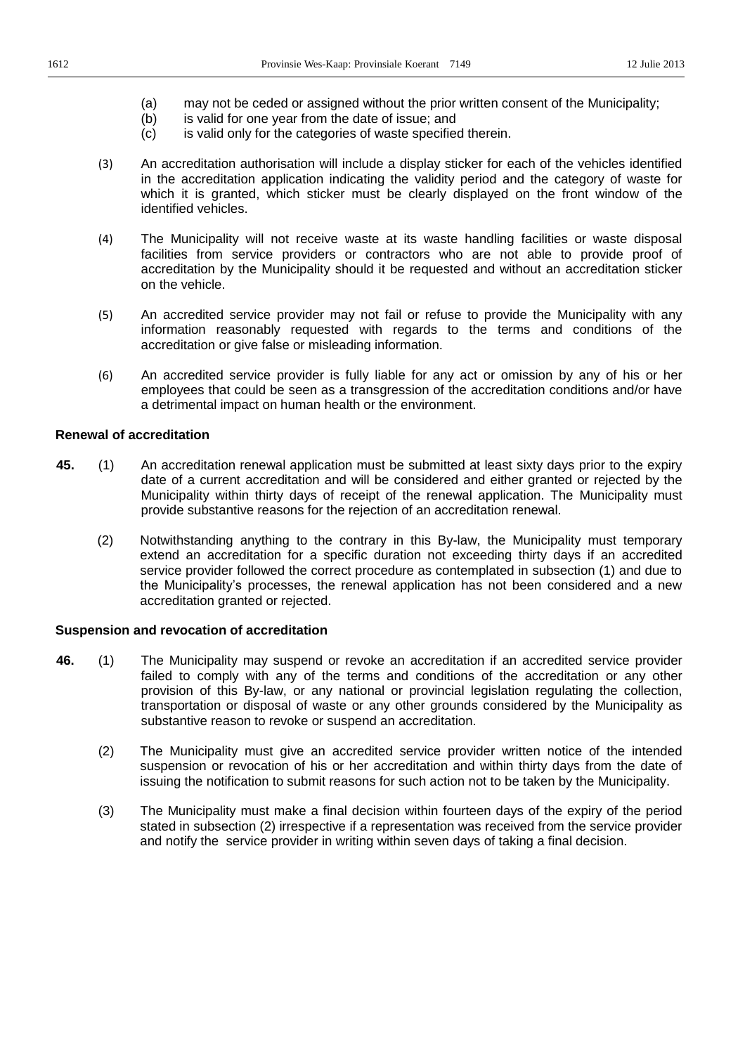- (a) may not be ceded or assigned without the prior written consent of the Municipality;
- (b) is valid for one year from the date of issue; and
- (c) is valid only for the categories of waste specified therein.
- (3) An accreditation authorisation will include a display sticker for each of the vehicles identified in the accreditation application indicating the validity period and the category of waste for which it is granted, which sticker must be clearly displayed on the front window of the identified vehicles.
- (4) The Municipality will not receive waste at its waste handling facilities or waste disposal facilities from service providers or contractors who are not able to provide proof of accreditation by the Municipality should it be requested and without an accreditation sticker on the vehicle.
- (5) An accredited service provider may not fail or refuse to provide the Municipality with any information reasonably requested with regards to the terms and conditions of the accreditation or give false or misleading information.
- (6) An accredited service provider is fully liable for any act or omission by any of his or her employees that could be seen as a transgression of the accreditation conditions and/or have a detrimental impact on human health or the environment.

## **Renewal of accreditation**

- **45.** (1) An accreditation renewal application must be submitted at least sixty days prior to the expiry date of a current accreditation and will be considered and either granted or rejected by the Municipality within thirty days of receipt of the renewal application. The Municipality must provide substantive reasons for the rejection of an accreditation renewal.
	- (2) Notwithstanding anything to the contrary in this By-law, the Municipality must temporary extend an accreditation for a specific duration not exceeding thirty days if an accredited service provider followed the correct procedure as contemplated in subsection (1) and due to the Municipality's processes, the renewal application has not been considered and a new accreditation granted or rejected.

## **Suspension and revocation of accreditation**

- **46.** (1) The Municipality may suspend or revoke an accreditation if an accredited service provider failed to comply with any of the terms and conditions of the accreditation or any other provision of this By-law, or any national or provincial legislation regulating the collection, transportation or disposal of waste or any other grounds considered by the Municipality as substantive reason to revoke or suspend an accreditation.
	- (2) The Municipality must give an accredited service provider written notice of the intended suspension or revocation of his or her accreditation and within thirty days from the date of issuing the notification to submit reasons for such action not to be taken by the Municipality.
	- (3) The Municipality must make a final decision within fourteen days of the expiry of the period stated in subsection (2) irrespective if a representation was received from the service provider and notify the service provider in writing within seven days of taking a final decision.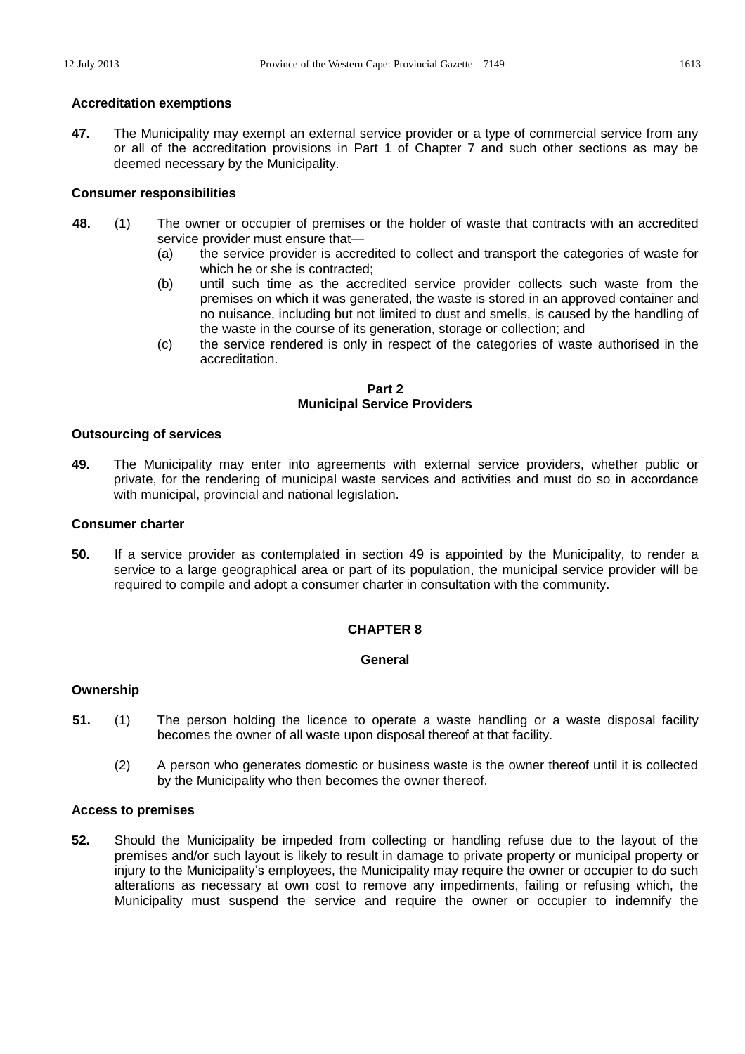## **Accreditation exemptions**

**47.** The Municipality may exempt an external service provider or a type of commercial service from any or all of the accreditation provisions in Part 1 of Chapter 7 and such other sections as may be deemed necessary by the Municipality.

## **Consumer responsibilities**

- **48.** (1) The owner or occupier of premises or the holder of waste that contracts with an accredited service provider must ensure that-
	- (a) the service provider is accredited to collect and transport the categories of waste for which he or she is contracted;
	- (b) until such time as the accredited service provider collects such waste from the premises on which it was generated, the waste is stored in an approved container and no nuisance, including but not limited to dust and smells, is caused by the handling of the waste in the course of its generation, storage or collection; and
	- (c) the service rendered is only in respect of the categories of waste authorised in the accreditation.

## **Part 2 Municipal Service Providers**

## **Outsourcing of services**

**49.** The Municipality may enter into agreements with external service providers, whether public or private, for the rendering of municipal waste services and activities and must do so in accordance with municipal, provincial and national legislation.

## **Consumer charter**

**50.** If a service provider as contemplated in section 49 is appointed by the Municipality, to render a service to a large geographical area or part of its population, the municipal service provider will be required to compile and adopt a consumer charter in consultation with the community.

## **CHAPTER 8**

## **General**

## **Ownership**

- **51.** (1) The person holding the licence to operate a waste handling or a waste disposal facility becomes the owner of all waste upon disposal thereof at that facility.
	- (2) A person who generates domestic or business waste is the owner thereof until it is collected by the Municipality who then becomes the owner thereof.

## **Access to premises**

**52.** Should the Municipality be impeded from collecting or handling refuse due to the layout of the premises and/or such layout is likely to result in damage to private property or municipal property or injury to the Municipality's employees, the Municipality may require the owner or occupier to do such alterations as necessary at own cost to remove any impediments, failing or refusing which, the Municipality must suspend the service and require the owner or occupier to indemnify the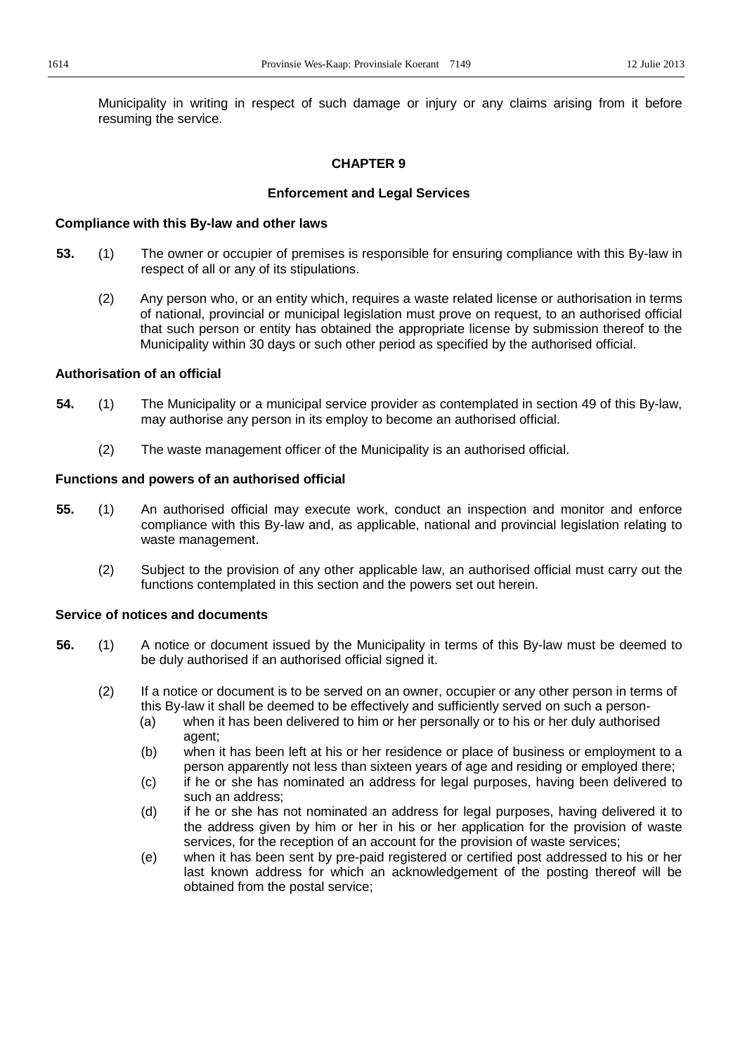Municipality in writing in respect of such damage or injury or any claims arising from it before resuming the service.

## **CHAPTER 9**

## **Enforcement and Legal Services**

### **Compliance with this By-law and other laws**

- **53.** (1) The owner or occupier of premises is responsible for ensuring compliance with this By-law in respect of all or any of its stipulations.
	- (2) Any person who, or an entity which, requires a waste related license or authorisation in terms of national, provincial or municipal legislation must prove on request, to an authorised official that such person or entity has obtained the appropriate license by submission thereof to the Municipality within 30 days or such other period as specified by the authorised official.

## **Authorisation of an official**

- **54.** (1) The Municipality or a municipal service provider as contemplated in section 49 of this By-law, may authorise any person in its employ to become an authorised official.
	- (2) The waste management officer of the Municipality is an authorised official.

## **Functions and powers of an authorised official**

- **55.** (1) An authorised official may execute work, conduct an inspection and monitor and enforce compliance with this By-law and, as applicable, national and provincial legislation relating to waste management.
	- (2) Subject to the provision of any other applicable law, an authorised official must carry out the functions contemplated in this section and the powers set out herein.

## **Service of notices and documents**

- **56.** (1) A notice or document issued by the Municipality in terms of this By-law must be deemed to be duly authorised if an authorised official signed it.
	- (2) If a notice or document is to be served on an owner, occupier or any other person in terms of this By-law it shall be deemed to be effectively and sufficiently served on such a person-
		- (a) when it has been delivered to him or her personally or to his or her duly authorised agent;
		- (b) when it has been left at his or her residence or place of business or employment to a person apparently not less than sixteen years of age and residing or employed there;
		- (c) if he or she has nominated an address for legal purposes, having been delivered to such an address;
		- (d) if he or she has not nominated an address for legal purposes, having delivered it to the address given by him or her in his or her application for the provision of waste services, for the reception of an account for the provision of waste services;
		- (e) when it has been sent by pre-paid registered or certified post addressed to his or her last known address for which an acknowledgement of the posting thereof will be obtained from the postal service;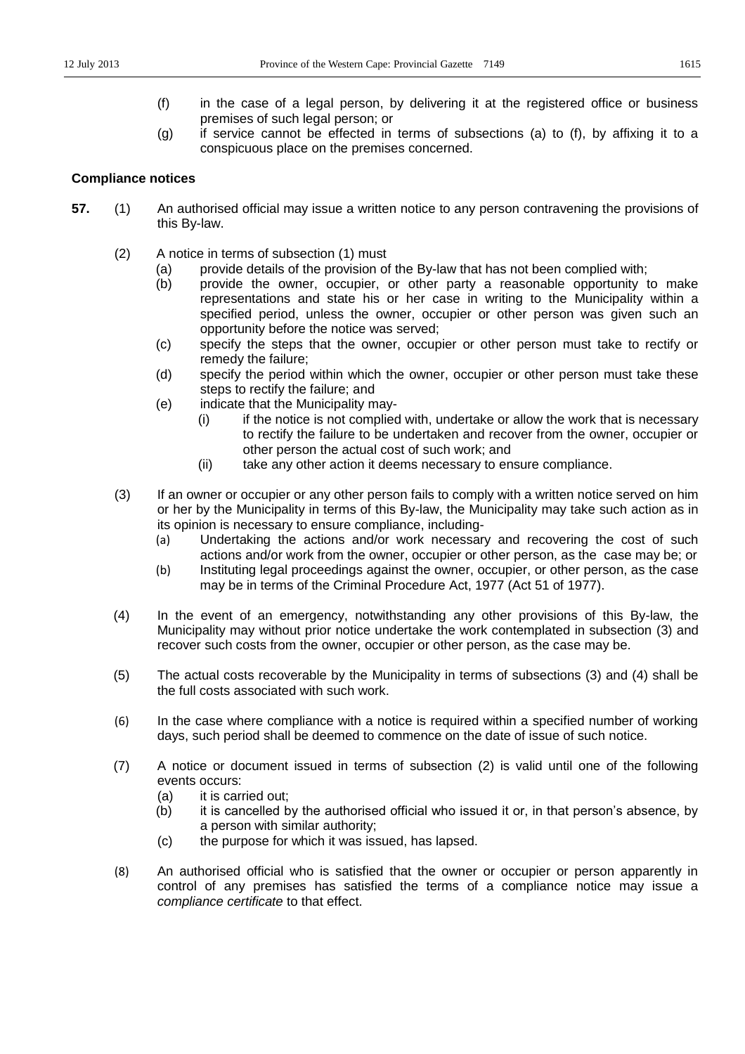- (f) in the case of a legal person, by delivering it at the registered office or business premises of such legal person; or
- (g) if service cannot be effected in terms of subsections (a) to (f), by affixing it to a conspicuous place on the premises concerned.

## **Compliance notices**

- **57.** (1) An authorised official may issue a written notice to any person contravening the provisions of this By-law.
	- (2) A notice in terms of subsection (1) must
		- (a) provide details of the provision of the By-law that has not been complied with;
		- (b) provide the owner, occupier, or other party a reasonable opportunity to make representations and state his or her case in writing to the Municipality within a specified period, unless the owner, occupier or other person was given such an opportunity before the notice was served;
		- (c) specify the steps that the owner, occupier or other person must take to rectify or remedy the failure;
		- (d) specify the period within which the owner, occupier or other person must take these steps to rectify the failure; and
		- (e) indicate that the Municipality may-
			- (i) if the notice is not complied with, undertake or allow the work that is necessary to rectify the failure to be undertaken and recover from the owner, occupier or other person the actual cost of such work; and
			- (ii) take any other action it deems necessary to ensure compliance.
	- (3) If an owner or occupier or any other person fails to comply with a written notice served on him or her by the Municipality in terms of this By-law, the Municipality may take such action as in its opinion is necessary to ensure compliance, including-
		- (a) Undertaking the actions and/or work necessary and recovering the cost of such actions and/or work from the owner, occupier or other person, as the case may be; or
		- (b) Instituting legal proceedings against the owner, occupier, or other person, as the case may be in terms of the Criminal Procedure Act, 1977 (Act 51 of 1977).
	- (4) In the event of an emergency, notwithstanding any other provisions of this By-law, the Municipality may without prior notice undertake the work contemplated in subsection (3) and recover such costs from the owner, occupier or other person, as the case may be.
	- (5) The actual costs recoverable by the Municipality in terms of subsections (3) and (4) shall be the full costs associated with such work.
	- (6) In the case where compliance with a notice is required within a specified number of working days, such period shall be deemed to commence on the date of issue of such notice.
	- (7) A notice or document issued in terms of subsection (2) is valid until one of the following events occurs:
		- (a) it is carried out;
		- (b) it is cancelled by the authorised official who issued it or, in that person's absence, by a person with similar authority;
		- (c) the purpose for which it was issued, has lapsed.
	- (8) An authorised official who is satisfied that the owner or occupier or person apparently in control of any premises has satisfied the terms of a compliance notice may issue a *compliance certificate* to that effect.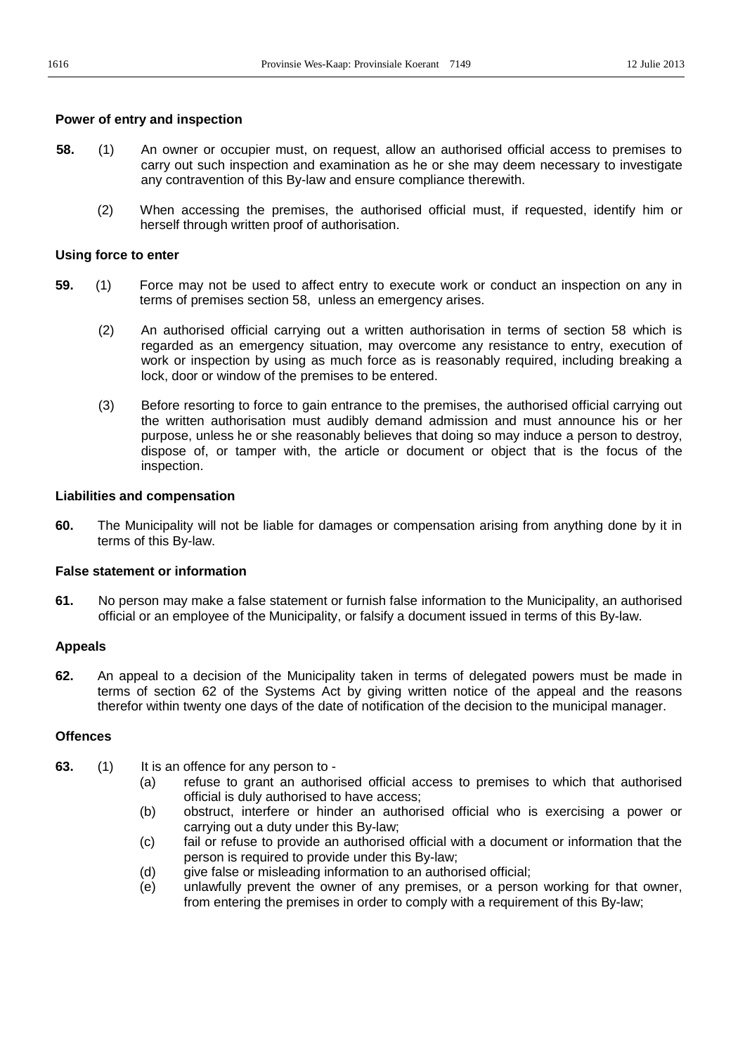## **Power of entry and inspection**

- **58.** (1) An owner or occupier must, on request, allow an authorised official access to premises to carry out such inspection and examination as he or she may deem necessary to investigate any contravention of this By-law and ensure compliance therewith.
	- (2) When accessing the premises, the authorised official must, if requested, identify him or herself through written proof of authorisation.

## **Using force to enter**

- **59.** (1) Force may not be used to affect entry to execute work or conduct an inspection on any in terms of premises section 58, unless an emergency arises.
	- (2) An authorised official carrying out a written authorisation in terms of section 58 which is regarded as an emergency situation, may overcome any resistance to entry, execution of work or inspection by using as much force as is reasonably required, including breaking a lock, door or window of the premises to be entered.
	- (3) Before resorting to force to gain entrance to the premises, the authorised official carrying out the written authorisation must audibly demand admission and must announce his or her purpose, unless he or she reasonably believes that doing so may induce a person to destroy, dispose of, or tamper with, the article or document or object that is the focus of the inspection.

## **Liabilities and compensation**

**60.** The Municipality will not be liable for damages or compensation arising from anything done by it in terms of this By-law.

## **False statement or information**

**61.** No person may make a false statement or furnish false information to the Municipality, an authorised official or an employee of the Municipality, or falsify a document issued in terms of this By-law.

## **Appeals**

**62.** An appeal to a decision of the Municipality taken in terms of delegated powers must be made in terms of section 62 of the Systems Act by giving written notice of the appeal and the reasons therefor within twenty one days of the date of notification of the decision to the municipal manager.

## **Offences**

- **63.** (1) It is an offence for any person to
	- (a) refuse to grant an authorised official access to premises to which that authorised official is duly authorised to have access;
	- (b) obstruct, interfere or hinder an authorised official who is exercising a power or carrying out a duty under this By-law;
	- (c) fail or refuse to provide an authorised official with a document or information that the person is required to provide under this By-law;
	- (d) give false or misleading information to an authorised official;
	- (e) unlawfully prevent the owner of any premises, or a person working for that owner, from entering the premises in order to comply with a requirement of this By-law;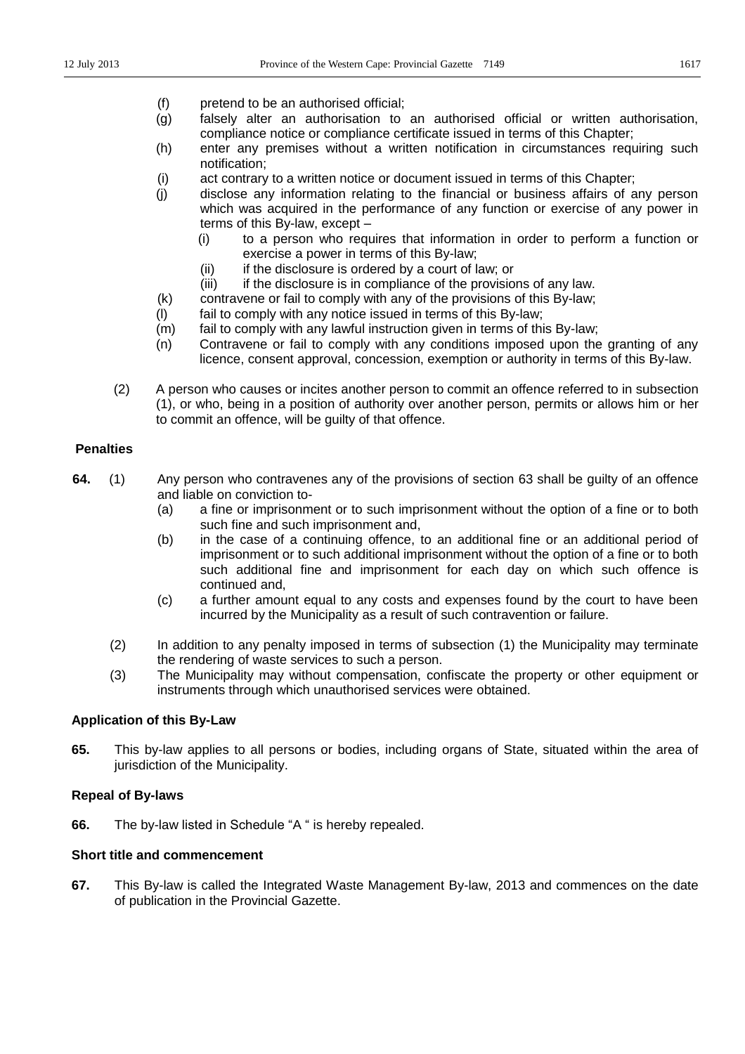- (f) pretend to be an authorised official;
- (g) falsely alter an authorisation to an authorised official or written authorisation, compliance notice or compliance certificate issued in terms of this Chapter;
- (h) enter any premises without a written notification in circumstances requiring such notification;
- (i) act contrary to a written notice or document issued in terms of this Chapter;
- (j) disclose any information relating to the financial or business affairs of any person which was acquired in the performance of any function or exercise of any power in terms of this By-law, except  $-$ 
	- (i) to a person who requires that information in order to perform a function or exercise a power in terms of this By-law;
	- (ii) if the disclosure is ordered by a court of law; or
	- (iii) if the disclosure is in compliance of the provisions of any law.
- (k) contravene or fail to comply with any of the provisions of this By-law;
- (l) fail to comply with any notice issued in terms of this By-law;
- (m) fail to comply with any lawful instruction given in terms of this By-law;
- (n) Contravene or fail to comply with any conditions imposed upon the granting of any licence, consent approval, concession, exemption or authority in terms of this By-law.
- (2) A person who causes or incites another person to commit an offence referred to in subsection (1), or who, being in a position of authority over another person, permits or allows him or her to commit an offence, will be guilty of that offence.

## **Penalties**

- **64.** (1) Any person who contravenes any of the provisions of section 63 shall be guilty of an offence and liable on conviction to-
	- (a) a fine or imprisonment or to such imprisonment without the option of a fine or to both such fine and such imprisonment and,
	- (b) in the case of a continuing offence, to an additional fine or an additional period of imprisonment or to such additional imprisonment without the option of a fine or to both such additional fine and imprisonment for each day on which such offence is continued and,
	- (c) a further amount equal to any costs and expenses found by the court to have been incurred by the Municipality as a result of such contravention or failure.
	- (2) In addition to any penalty imposed in terms of subsection (1) the Municipality may terminate the rendering of waste services to such a person.
	- (3) The Municipality may without compensation, confiscate the property or other equipment or instruments through which unauthorised services were obtained.

## **Application of this By-Law**

**65.** This by-law applies to all persons or bodies, including organs of State, situated within the area of jurisdiction of the Municipality.

## **Repeal of By-laws**

**66.** The by-law listed in Schedule "A " is hereby repealed.

## **Short title and commencement**

**67.** This By-law is called the Integrated Waste Management By-law, 2013 and commences on the date of publication in the Provincial Gazette.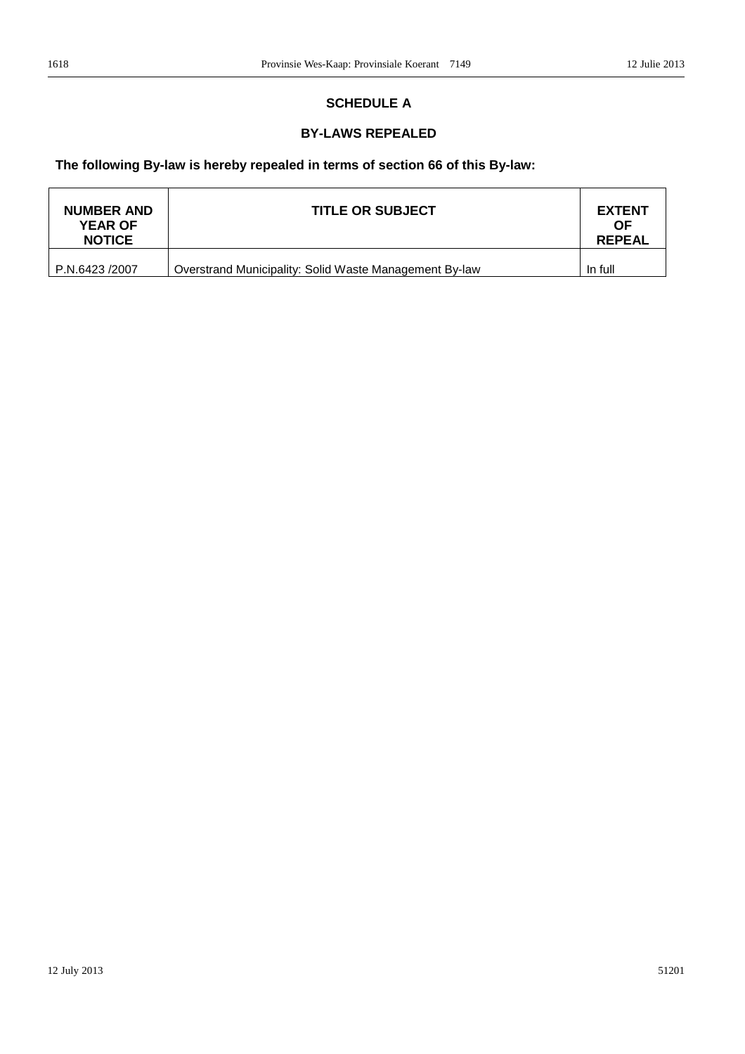## **SCHEDULE A**

## **BY-LAWS REPEALED**

## **The following By-law is hereby repealed in terms of section 66 of this By-law:**

| <b>NUMBER AND</b><br><b>YEAR OF</b><br><b>NOTICE</b> | <b>TITLE OR SUBJECT</b>                                | <b>EXTENT</b><br><b>OF</b><br><b>REPEAL</b> |
|------------------------------------------------------|--------------------------------------------------------|---------------------------------------------|
| P.N.6423 /2007                                       | Overstrand Municipality: Solid Waste Management By-law | In full                                     |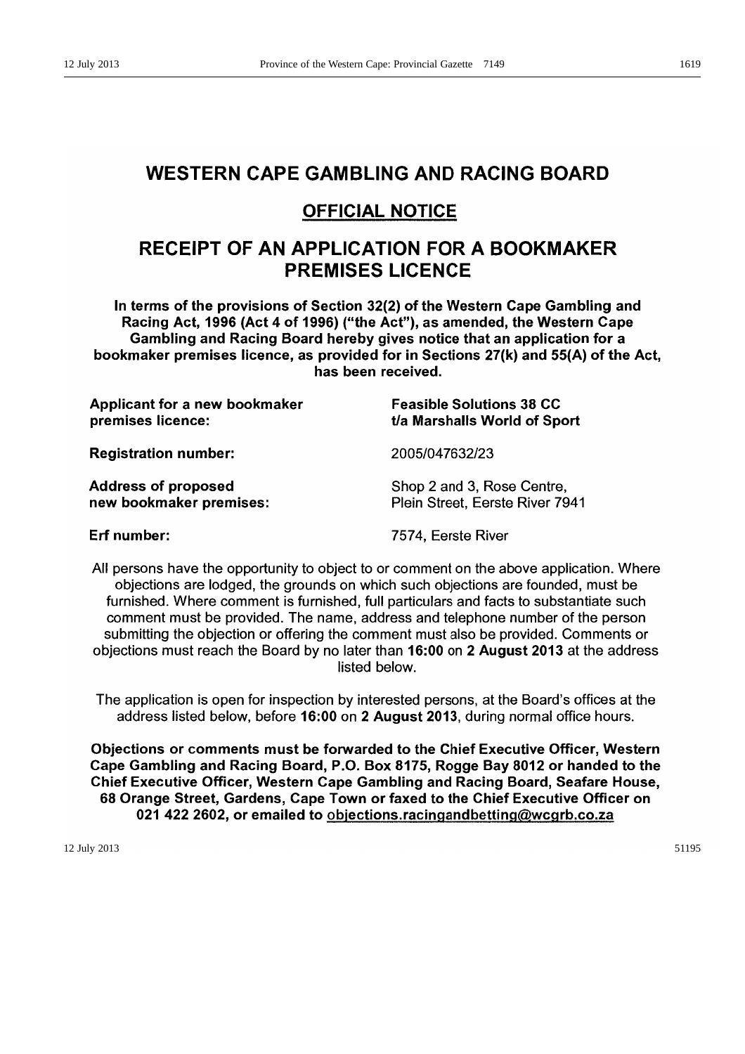## **WESTERN CAPE GAMBLING AND RACING BOARD**

## **OFFICIAL NOTICE**

## RECEIPT OF AN APPLICATION FOR A BOOKMAKER **PREMISES LICENCE**

In terms of the provisions of Section 32(2) of the Western Cape Gambling and Racing Act, 1996 (Act 4 of 1996) ("the Act"), as amended, the Western Cape Gambling and Racing Board hereby gives notice that an application for a bookmaker premises licence, as provided for in Sections 27(k) and 55(A) of the Act, has been received.

| <b>Applicant for a new bookmaker</b> | <b>Feasible Solutions 38 CC</b> |
|--------------------------------------|---------------------------------|
| premises licence:                    | t/a Marshalls World of Sport    |
| <b>Registration number:</b>          | 2005/047632/23                  |
| <b>Address of proposed</b>           | Shop 2 and 3, Rose Centre,      |
| new bookmaker premises:              | Plein Street, Eerste River 7941 |

Erf number:

7574, Eerste River

All persons have the opportunity to object to or comment on the above application. Where objections are lodged, the grounds on which such objections are founded, must be furnished. Where comment is furnished, full particulars and facts to substantiate such comment must be provided. The name, address and telephone number of the person submitting the objection or offering the comment must also be provided. Comments or objections must reach the Board by no later than 16:00 on 2 August 2013 at the address listed below.

The application is open for inspection by interested persons, at the Board's offices at the address listed below, before 16:00 on 2 August 2013, during normal office hours.

Objections or comments must be forwarded to the Chief Executive Officer, Western Cape Gambling and Racing Board, P.O. Box 8175, Rogge Bay 8012 or handed to the Chief Executive Officer, Western Cape Gambling and Racing Board, Seafare House, 68 Orange Street, Gardens, Cape Town or faxed to the Chief Executive Officer on 021 422 2602, or emailed to objections.racingandbetting@wcgrb.co.za

12 July 2013 51195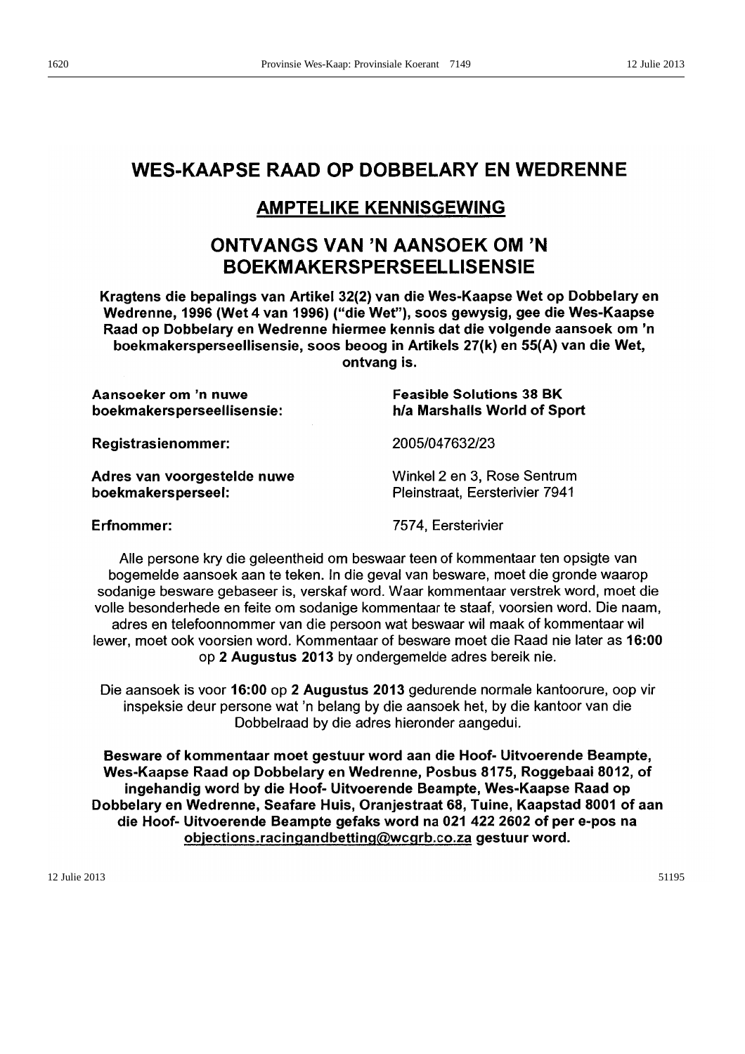# **WES-KAAPSE RAAD OP DOBBELARY EN WEDRENNE**

## **AMPTELIKE KENNISGEWING**

# **ONTVANGS VAN 'N AANSOEK OM 'N BOEKMAKERSPERSEELLISENSIE**

Kragtens die bepalings van Artikel 32(2) van die Wes-Kaapse Wet op Dobbelary en Wedrenne, 1996 (Wet 4 van 1996) ("die Wet"), soos gewysig, gee die Wes-Kaapse Raad op Dobbelary en Wedrenne hiermee kennis dat die volgende aansoek om 'n boekmakersperseellisensie, soos beoog in Artikels 27(k) en 55(A) van die Wet, ontvang is.

Aansoeker om 'n nuwe **Feasible Solutions 38 BK** h/a Marshalls World of Sport boekmakersperseellisensie: **Registrasienommer:** 2005/047632/23 Winkel 2 en 3. Rose Sentrum Adres van voorgestelde nuwe boekmakersperseel: Pleinstraat, Eersterivier 7941 **Erfnommer:** 7574, Eersterivier

Alle persone kry die geleentheid om beswaar teen of kommentaar ten opsigte van bogemelde aansoek aan te teken. In die geval van besware, moet die gronde waarop sodanige besware gebaseer is, verskaf word. Waar kommentaar verstrek word, moet die volle besonderhede en feite om sodanige kommentaar te staaf, voorsien word. Die naam, adres en telefoonnommer van die persoon wat beswaar wil maak of kommentaar wil lewer, moet ook voorsien word. Kommentaar of besware moet die Raad nie later as 16:00 op 2 Augustus 2013 by ondergemelde adres bereik nie.

Die aansoek is voor 16:00 op 2 Augustus 2013 gedurende normale kantoorure, oop vir inspeksie deur persone wat 'n belang by die aansoek het, by die kantoor van die Dobbelraad by die adres hieronder aangedui.

Besware of kommentaar moet gestuur word aan die Hoof- Uitvoerende Beampte, Wes-Kaapse Raad op Dobbelary en Wedrenne, Posbus 8175, Roggebaai 8012, of ingehandig word by die Hoof- Uitvoerende Beampte, Wes-Kaapse Raad op Dobbelary en Wedrenne, Seafare Huis, Oranjestraat 68, Tuine, Kaapstad 8001 of aan die Hoof- Uitvoerende Beampte gefaks word na 021 422 2602 of per e-pos na objections.racingandbetting@wcgrb.co.za gestuur word.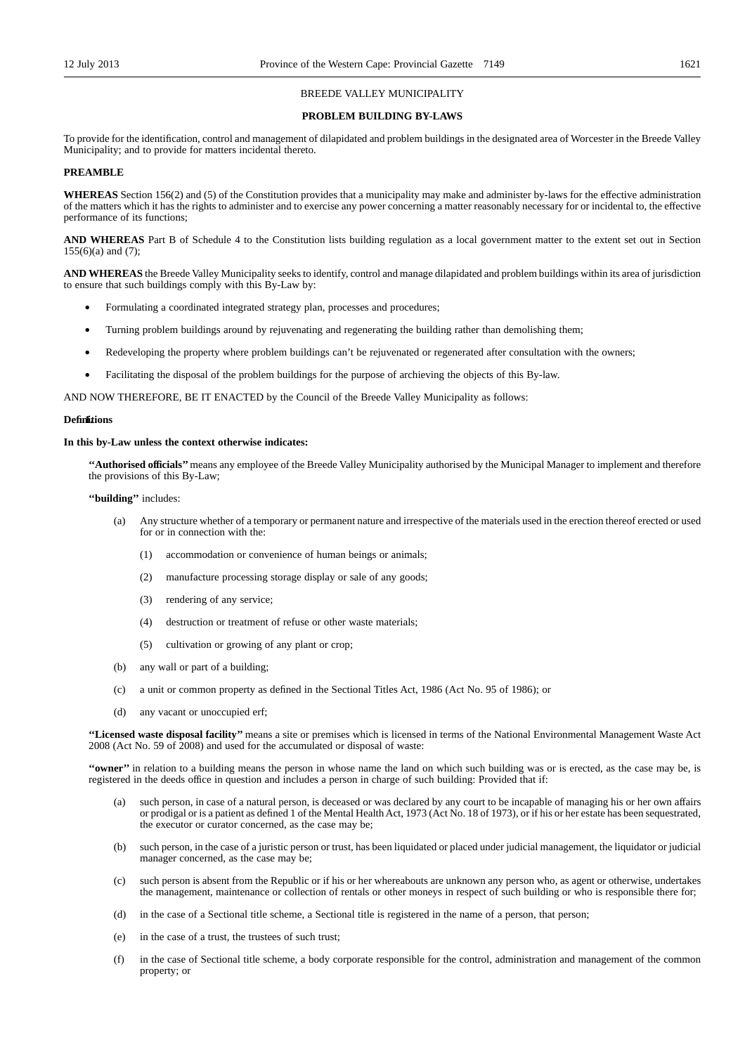### BREEDE VALLEY MUNICIPALITY

### **PROBLEM BUILDING BY-LAWS**

To provide for the identification, control and management of dilapidated and problem buildings in the designated area of Worcester in the Breede Valley Municipality; and to provide for matters incidental thereto.

### **PREAMBLE**

**WHEREAS** Section 156(2) and (5) of the Constitution provides that a municipality may make and administer by-laws for the effective administration of the matters which it has the rights to administer and to exercise any power concerning a matter reasonably necessary for or incidental to, the effective performance of its functions;

**AND WHEREAS** Part B of Schedule 4 to the Constitution lists building regulation as a local government matter to the extent set out in Section  $155(6)(a)$  and  $(7)$ ;

**AND WHEREAS** the Breede Valley Municipality seeks to identify, control and manage dilapidated and problem buildings within its area of jurisdiction to ensure that such buildings comply with this By-Law by:

- Formulating a coordinated integrated strategy plan, processes and procedures;
- Turning problem buildings around by rejuvenating and regenerating the building rather than demolishing them;
- Redeveloping the property where problem buildings can't be rejuvenated or regenerated after consultation with the owners;
- Facilitating the disposal of the problem buildings for the purpose of archieving the objects of this By-law.

AND NOW THEREFORE, BE IT ENACTED by the Council of the Breede Valley Municipality as follows:

### Definitions

### **In this by-Law unless the context otherwise indicates:**

**''Authorised officials''**means any employee of the Breede Valley Municipality authorised by the Municipal Manager to implement and therefore the provisions of this By-Law;

### **''building''** includes:

- (a) Any structure whether of a temporary or permanent nature and irrespective of the materials used in the erection thereof erected or used for or in connection with the:
	- (1) accommodation or convenience of human beings or animals;
	- (2) manufacture processing storage display or sale of any goods;
	- (3) rendering of any service;
	- (4) destruction or treatment of refuse or other waste materials;
	- (5) cultivation or growing of any plant or crop;
- (b) any wall or part of a building;
- (c) a unit or common property as defined in the Sectional Titles Act, 1986 (Act No. 95 of 1986); or
- (d) any vacant or unoccupied erf;

**''Licensed waste disposal facility''** means a site or premises which is licensed in terms of the National Environmental Management Waste Act 2008 (Act No. 59 of 2008) and used for the accumulated or disposal of waste:

**''owner''** in relation to a building means the person in whose name the land on which such building was or is erected, as the case may be, is registered in the deeds office in question and includes a person in charge of such building: Provided that if:

- (a) such person, in case of a natural person, is deceased or was declared by any court to be incapable of managing his or her own affairs or prodigal or is a patient as defined 1 of the Mental Health Act, 1973 (Act No. 18 of 1973), or if his or her estate has been sequestrated, the executor or curator concerned, as the case may be;
- (b) such person, in the case of a juristic person or trust, has been liquidated or placed under judicial management, the liquidator or judicial manager concerned, as the case may be;
- (c) such person is absent from the Republic or if his or her whereabouts are unknown any person who, as agent or otherwise, undertakes the management, maintenance or collection of rentals or other moneys in respect of such building or who is responsible there for;
- (d) in the case of a Sectional title scheme, a Sectional title is registered in the name of a person, that person;
- (e) in the case of a trust, the trustees of such trust;
- (f) in the case of Sectional title scheme, a body corporate responsible for the control, administration and management of the common property; or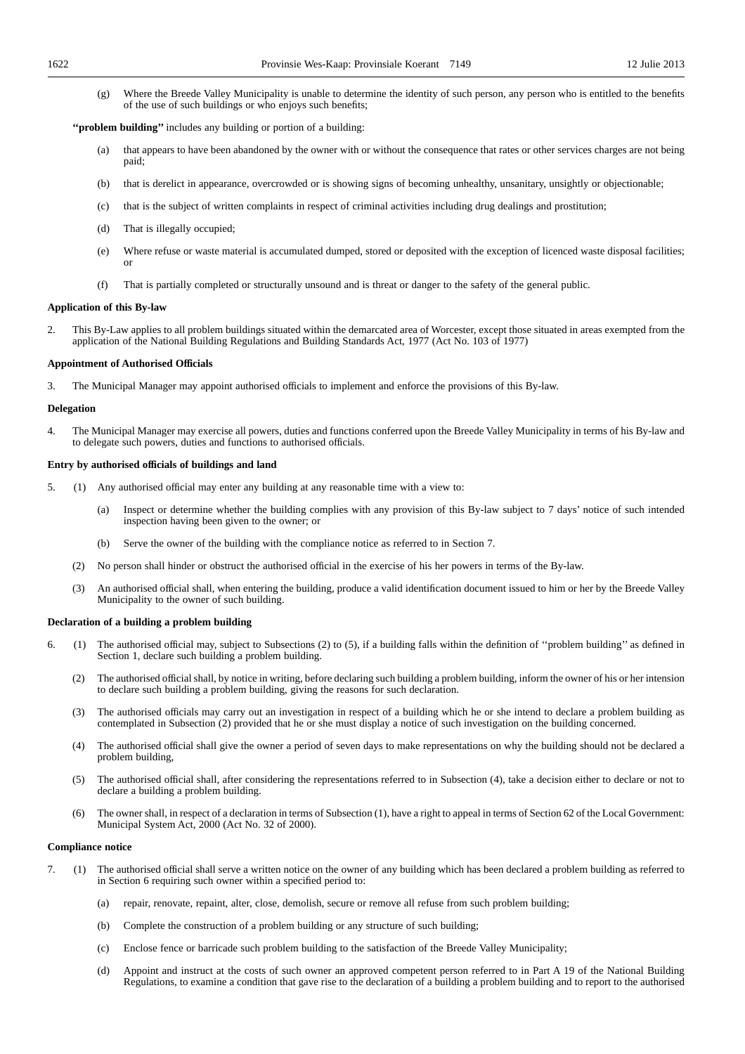(g) Where the Breede Valley Municipality is unable to determine the identity of such person, any person who is entitled to the benefits of the use of such buildings or who enjoys such benefits;

**''problem building''** includes any building or portion of a building:

- (a) that appears to have been abandoned by the owner with or without the consequence that rates or other services charges are not being paid;
- (b) that is derelict in appearance, overcrowded or is showing signs of becoming unhealthy, unsanitary, unsightly or objectionable;
- (c) that is the subject of written complaints in respect of criminal activities including drug dealings and prostitution;
- (d) That is illegally occupied;
- (e) Where refuse or waste material is accumulated dumped, stored or deposited with the exception of licenced waste disposal facilities; or
- (f) That is partially completed or structurally unsound and is threat or danger to the safety of the general public.

### **Application of this By-law**

2. This By-Law applies to all problem buildings situated within the demarcated area of Worcester, except those situated in areas exempted from the application of the National Building Regulations and Building Standards Act, 1977 (Act No. 103 of 1977)

### **Appointment of Authorised Officials**

3. The Municipal Manager may appoint authorised officials to implement and enforce the provisions of this By-law.

### **Delegation**

4. The Municipal Manager may exercise all powers, duties and functions conferred upon the Breede Valley Municipality in terms of his By-law and to delegate such powers, duties and functions to authorised officials.

### **Entry by authorised officials of buildings and land**

- 5. (1) Any authorised official may enter any building at any reasonable time with a view to:
	- (a) Inspect or determine whether the building complies with any provision of this By-law subject to 7 days' notice of such intended inspection having been given to the owner; or
	- (b) Serve the owner of the building with the compliance notice as referred to in Section 7.
	- (2) No person shall hinder or obstruct the authorised official in the exercise of his her powers in terms of the By-law.
	- (3) An authorised official shall, when entering the building, produce a valid identification document issued to him or her by the Breede Valley Municipality to the owner of such building.

### **Declaration of a building a problem building**

- 6. (1) The authorised official may, subject to Subsections (2) to (5), if a building falls within the definition of ''problem building'' as defined in Section 1, declare such building a problem building.
	- (2) The authorised official shall, by notice in writing, before declaring such building a problem building, inform the owner of his or her intension to declare such building a problem building, giving the reasons for such declaration.
	- (3) The authorised officials may carry out an investigation in respect of a building which he or she intend to declare a problem building as contemplated in Subsection (2) provided that he or she must display a notice of such investigation on the building concerned.
	- (4) The authorised official shall give the owner a period of seven days to make representations on why the building should not be declared a problem building,
	- (5) The authorised official shall, after considering the representations referred to in Subsection (4), take a decision either to declare or not to declare a building a problem building.
	- (6) The owner shall, in respect of a declaration in terms of Subsection (1), have a right to appeal in terms of Section 62 of the Local Government: Municipal System Act, 2000 (Act No. 32 of 2000).

### **Compliance notice**

- 7. (1) The authorised official shall serve a written notice on the owner of any building which has been declared a problem building as referred to in Section 6 requiring such owner within a specified period to:
	- (a) repair, renovate, repaint, alter, close, demolish, secure or remove all refuse from such problem building;
	- (b) Complete the construction of a problem building or any structure of such building;
	- (c) Enclose fence or barricade such problem building to the satisfaction of the Breede Valley Municipality;
	- (d) Appoint and instruct at the costs of such owner an approved competent person referred to in Part A 19 of the National Building Regulations, to examine a condition that gave rise to the declaration of a building a problem building and to report to the authorised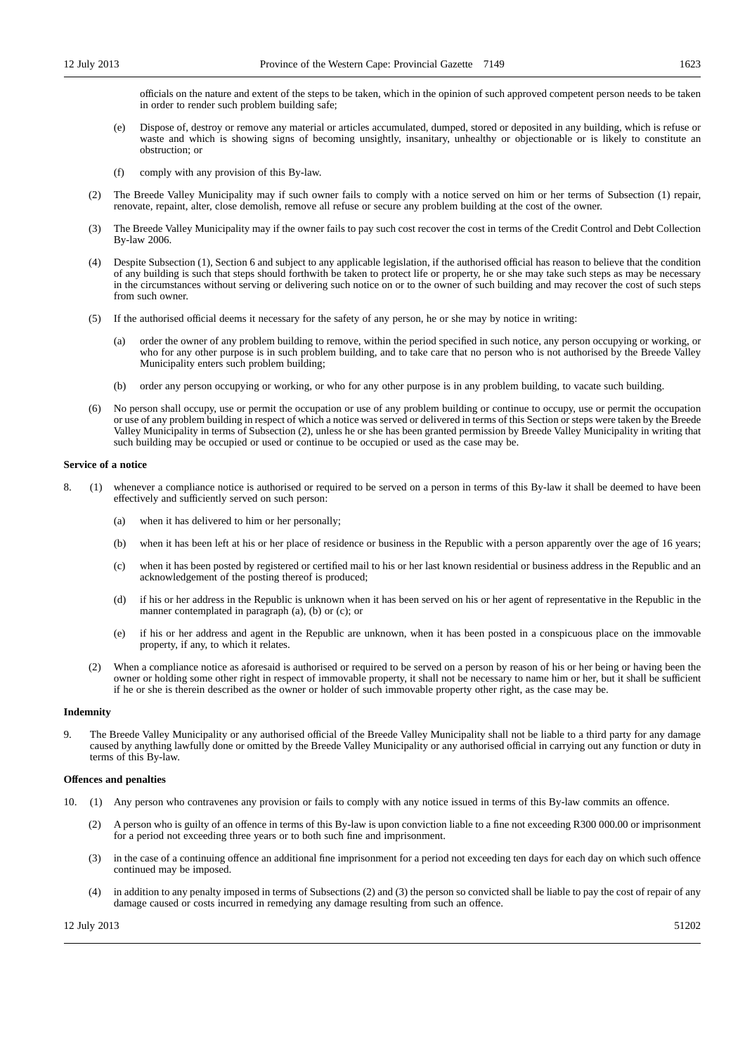officials on the nature and extent of the steps to be taken, which in the opinion of such approved competent person needs to be taken in order to render such problem building safe;

- (e) Dispose of, destroy or remove any material or articles accumulated, dumped, stored or deposited in any building, which is refuse or waste and which is showing signs of becoming unsightly, insanitary, unhealthy or objectionable or is likely to constitute an obstruction; or
- (f) comply with any provision of this By-law.
- (2) The Breede Valley Municipality may if such owner fails to comply with a notice served on him or her terms of Subsection (1) repair, renovate, repaint, alter, close demolish, remove all refuse or secure any problem building at the cost of the owner.
- (3) The Breede Valley Municipality may if the owner fails to pay such cost recover the cost in terms of the Credit Control and Debt Collection By-law 2006.
- Despite Subsection (1), Section 6 and subject to any applicable legislation, if the authorised official has reason to believe that the condition of any building is such that steps should forthwith be taken to protect life or property, he or she may take such steps as may be necessary in the circumstances without serving or delivering such notice on or to the owner of such building and may recover the cost of such steps from such owner.
- (5) If the authorised official deems it necessary for the safety of any person, he or she may by notice in writing:
	- (a) order the owner of any problem building to remove, within the period specified in such notice, any person occupying or working, or who for any other purpose is in such problem building, and to take care that no person who is not authorised by the Breede Valley Municipality enters such problem building;
	- (b) order any person occupying or working, or who for any other purpose is in any problem building, to vacate such building.
- (6) No person shall occupy, use or permit the occupation or use of any problem building or continue to occupy, use or permit the occupation or use of any problem building in respect of which a notice was served or delivered in terms of this Section or steps were taken by the Breede Valley Municipality in terms of Subsection (2), unless he or she has been granted permission by Breede Valley Municipality in writing that such building may be occupied or used or continue to be occupied or used as the case may be.

#### **Service of a notice**

- 8. (1) whenever a compliance notice is authorised or required to be served on a person in terms of this By-law it shall be deemed to have been effectively and sufficiently served on such person:
	- (a) when it has delivered to him or her personally;
	- (b) when it has been left at his or her place of residence or business in the Republic with a person apparently over the age of 16 years;
	- (c) when it has been posted by registered or certified mail to his or her last known residential or business address in the Republic and an acknowledgement of the posting thereof is produced;
	- (d) if his or her address in the Republic is unknown when it has been served on his or her agent of representative in the Republic in the manner contemplated in paragraph (a), (b) or (c); or
	- (e) if his or her address and agent in the Republic are unknown, when it has been posted in a conspicuous place on the immovable property, if any, to which it relates.
	- (2) When a compliance notice as aforesaid is authorised or required to be served on a person by reason of his or her being or having been the owner or holding some other right in respect of immovable property, it shall not be necessary to name him or her, but it shall be sufficient if he or she is therein described as the owner or holder of such immovable property other right, as the case may be.

### **Indemnity**

9. The Breede Valley Municipality or any authorised official of the Breede Valley Municipality shall not be liable to a third party for any damage caused by anything lawfully done or omitted by the Breede Valley Municipality or any authorised official in carrying out any function or duty in terms of this By-law.

### **Offences and penalties**

- 10. (1) Any person who contravenes any provision or fails to comply with any notice issued in terms of this By-law commits an offence.
	- (2) A person who is guilty of an offence in terms of this By-law is upon conviction liable to a fine not exceeding R300 000.00 or imprisonment for a period not exceeding three years or to both such fine and imprisonment.
	- (3) in the case of a continuing offence an additional fine imprisonment for a period not exceeding ten days for each day on which such offence continued may be imposed.
	- (4) in addition to any penalty imposed in terms of Subsections (2) and (3) the person so convicted shall be liable to pay the cost of repair of any damage caused or costs incurred in remedying any damage resulting from such an offence.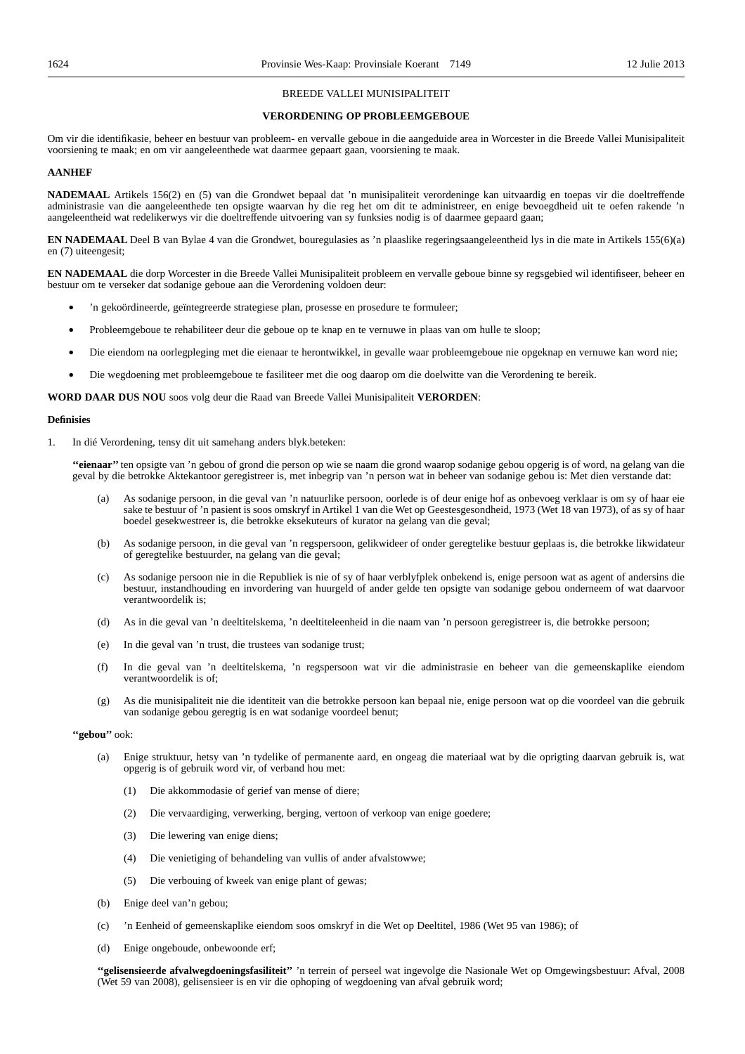### BREEDE VALLEI MUNISIPALITEIT

### **VERORDENING OP PROBLEEMGEBOUE**

Om vir die identifikasie, beheer en bestuur van probleem- en vervalle geboue in die aangeduide area in Worcester in die Breede Vallei Munisipaliteit voorsiening te maak; en om vir aangeleenthede wat daarmee gepaart gaan, voorsiening te maak.

### **AANHEF**

**NADEMAAL** Artikels 156(2) en (5) van die Grondwet bepaal dat 'n munisipaliteit verordeninge kan uitvaardig en toepas vir die doeltreffende administrasie van die aangeleenthede ten opsigte waarvan hy die reg het om dit te administreer, en enige bevoegdheid uit te oefen rakende 'n aangeleentheid wat redelikerwys vir die doeltreffende uitvoering van sy funksies nodig is of daarmee gepaard gaan;

**EN NADEMAAL** Deel B van Bylae 4 van die Grondwet, bouregulasies as 'n plaaslike regeringsaangeleentheid lys in die mate in Artikels 155(6)(a) en (7) uiteengesit;

**EN NADEMAAL** die dorp Worcester in die Breede Vallei Munisipaliteit probleem en vervalle geboue binne sy regsgebied wil identifiseer, beheer en bestuur om te verseker dat sodanige geboue aan die Verordening voldoen deur:

- 'n gekoördineerde, geïntegreerde strategiese plan, prosesse en prosedure te formuleer;
- Probleemgeboue te rehabiliteer deur die geboue op te knap en te vernuwe in plaas van om hulle te sloop;
- Die eiendom na oorlegpleging met die eienaar te herontwikkel, in gevalle waar probleemgeboue nie opgeknap en vernuwe kan word nie;
- Die wegdoening met probleemgeboue te fasiliteer met die oog daarop om die doelwitte van die Verordening te bereik.

**WORD DAAR DUS NOU** soos volg deur die Raad van Breede Vallei Munisipaliteit **VERORDEN**:

### **Definisies**

1. In dié Verordening, tensy dit uit samehang anders blyk.beteken:

**''eienaar''** ten opsigte van 'n gebou of grond die person op wie se naam die grond waarop sodanige gebou opgerig is of word, na gelang van die geval by die betrokke Aktekantoor geregistreer is, met inbegrip van 'n person wat in beheer van sodanige gebou is: Met dien verstande dat:

- (a) As sodanige persoon, in die geval van 'n natuurlike persoon, oorlede is of deur enige hof as onbevoeg verklaar is om sy of haar eie sake te bestuur of 'n pasient is soos omskryf in Artikel 1 van die Wet op Geestesgesondheid, 1973 (Wet 18 van 1973), of as sy of haar boedel gesekwestreer is, die betrokke eksekuteurs of kurator na gelang van die geval;
- (b) As sodanige persoon, in die geval van 'n regspersoon, gelikwideer of onder geregtelike bestuur geplaas is, die betrokke likwidateur of geregtelike bestuurder, na gelang van die geval;
- (c) As sodanige persoon nie in die Republiek is nie of sy of haar verblyfplek onbekend is, enige persoon wat as agent of andersins die bestuur, instandhouding en invordering van huurgeld of ander gelde ten opsigte van sodanige gebou onderneem of wat daarvoor verantwoordelik is;
- (d) As in die geval van 'n deeltitelskema, 'n deeltiteleenheid in die naam van 'n persoon geregistreer is, die betrokke persoon;
- (e) In die geval van 'n trust, die trustees van sodanige trust;
- (f) In die geval van 'n deeltitelskema, 'n regspersoon wat vir die administrasie en beheer van die gemeenskaplike eiendom verantwoordelik is of;
- (g) As die munisipaliteit nie die identiteit van die betrokke persoon kan bepaal nie, enige persoon wat op die voordeel van die gebruik van sodanige gebou geregtig is en wat sodanige voordeel benut;

## **''gebou''** ook:

- (a) Enige struktuur, hetsy van 'n tydelike of permanente aard, en ongeag die materiaal wat by die oprigting daarvan gebruik is, wat opgerig is of gebruik word vir, of verband hou met:
	- (1) Die akkommodasie of gerief van mense of diere;
	- (2) Die vervaardiging, verwerking, berging, vertoon of verkoop van enige goedere;
	- (3) Die lewering van enige diens;
	- (4) Die venietiging of behandeling van vullis of ander afvalstowwe;
	- (5) Die verbouing of kweek van enige plant of gewas;
- (b) Enige deel van'n gebou;
- (c) 'n Eenheid of gemeenskaplike eiendom soos omskryf in die Wet op Deeltitel, 1986 (Wet 95 van 1986); of
- (d) Enige ongeboude, onbewoonde erf;

**''gelisensieerde afvalwegdoeningsfasiliteit''** 'n terrein of perseel wat ingevolge die Nasionale Wet op Omgewingsbestuur: Afval, 2008 (Wet 59 van 2008), gelisensieer is en vir die ophoping of wegdoening van afval gebruik word;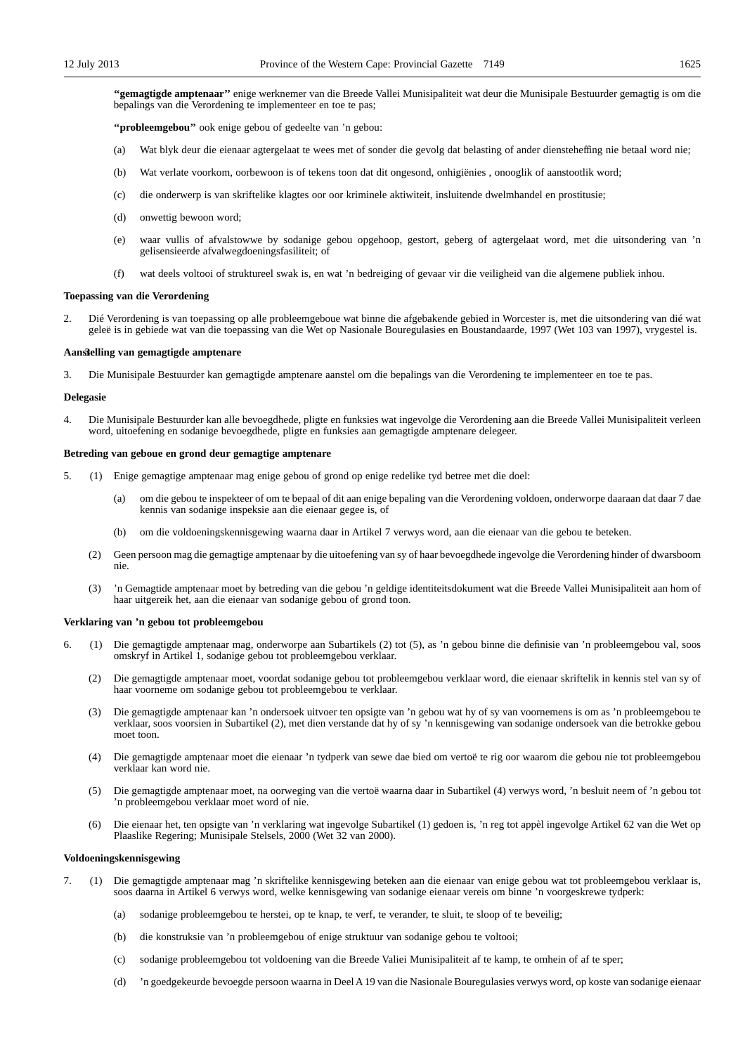**''gemagtigde amptenaar''** enige werknemer van die Breede Vallei Munisipaliteit wat deur die Munisipale Bestuurder gemagtig is om die bepalings van die Verordening te implementeer en toe te pas;

**''probleemgebou''** ook enige gebou of gedeelte van 'n gebou:

- (a) Wat blyk deur die eienaar agtergelaat te wees met of sonder die gevolg dat belasting of ander diensteheffing nie betaal word nie;
- (b) Wat verlate voorkom, oorbewoon is of tekens toon dat dit ongesond, onhigiënies , onooglik of aanstootlik word;
- (c) die onderwerp is van skriftelike klagtes oor oor kriminele aktiwiteit, insluitende dwelmhandel en prostitusie;
- (d) onwettig bewoon word;
- (e) waar vullis of afvalstowwe by sodanige gebou opgehoop, gestort, geberg of agtergelaat word, met die uitsondering van 'n gelisensieerde afvalwegdoeningsfasiliteit; of
- (f) wat deels voltooi of struktureel swak is, en wat 'n bedreiging of gevaar vir die veiligheid van die algemene publiek inhou.

### **Toepassing van die Verordening**

2. Dié Verordening is van toepassing op alle probleemgeboue wat binne die afgebakende gebied in Worcester is, met die uitsondering van dié wat geleë is in gebiede wat van die toepassing van die Wet op Nasionale Bouregulasies en Boustandaarde, 1997 (Wet 103 van 1997), vrygestel is.

### **Aanstelling van gemagtigde amptenare 3**

3. Die Munisipale Bestuurder kan gemagtigde amptenare aanstel om die bepalings van die Verordening te implementeer en toe te pas.

### **Delegasie**

4. Die Munisipale Bestuurder kan alle bevoegdhede, pligte en funksies wat ingevolge die Verordening aan die Breede Vallei Munisipaliteit verleen word, uitoefening en sodanige bevoegdhede, pligte en funksies aan gemagtigde amptenare delegeer.

### **Betreding van geboue en grond deur gemagtige amptenare**

- 5. (1) Enige gemagtige amptenaar mag enige gebou of grond op enige redelike tyd betree met die doel:
	- (a) om die gebou te inspekteer of om te bepaal of dit aan enige bepaling van die Verordening voldoen, onderworpe daaraan dat daar 7 dae kennis van sodanige inspeksie aan die eienaar gegee is, of
	- (b) om die voldoeningskennisgewing waarna daar in Artikel 7 verwys word, aan die eienaar van die gebou te beteken.
	- (2) Geen persoon mag die gemagtige amptenaar by die uitoefening van sy of haar bevoegdhede ingevolge die Verordening hinder of dwarsboom nie.
	- (3) 'n Gemagtide amptenaar moet by betreding van die gebou 'n geldige identiteitsdokument wat die Breede Vallei Munisipaliteit aan hom of haar uitgereik het, aan die eienaar van sodanige gebou of grond toon.

### **Verklaring van 'n gebou tot probleemgebou**

- 6. (1) Die gemagtigde amptenaar mag, onderworpe aan Subartikels (2) tot (5), as 'n gebou binne die definisie van 'n probleemgebou val, soos omskryf in Artikel 1, sodanige gebou tot probleemgebou verklaar.
	- (2) Die gemagtigde amptenaar moet, voordat sodanige gebou tot probleemgebou verklaar word, die eienaar skriftelik in kennis stel van sy of haar voorneme om sodanige gebou tot probleemgebou te verklaar.
	- (3) Die gemagtigde amptenaar kan 'n ondersoek uitvoer ten opsigte van 'n gebou wat hy of sy van voornemens is om as 'n probleemgebou te verklaar, soos voorsien in Subartikel (2), met dien verstande dat hy of sy 'n kennisgewing van sodanige ondersoek van die betrokke gebou moet toon.
	- (4) Die gemagtigde amptenaar moet die eienaar 'n tydperk van sewe dae bied om vertoë te rig oor waarom die gebou nie tot probleemgebou verklaar kan word nie.
	- (5) Die gemagtigde amptenaar moet, na oorweging van die vertoë waarna daar in Subartikel (4) verwys word, 'n besluit neem of 'n gebou tot 'n probleemgebou verklaar moet word of nie.
	- (6) Die eienaar het, ten opsigte van 'n verklaring wat ingevolge Subartikel (1) gedoen is, 'n reg tot appèl ingevolge Artikel 62 van die Wet op Plaaslike Regering; Munisipale Stelsels, 2000 (Wet 32 van 2000).

#### **Voldoeningskennisgewing**

- 7. (1) Die gemagtigde amptenaar mag 'n skriftelike kennisgewing beteken aan die eienaar van enige gebou wat tot probleemgebou verklaar is, soos daarna in Artikel 6 verwys word, welke kennisgewing van sodanige eienaar vereis om binne 'n voorgeskrewe tydperk:
	- (a) sodanige probleemgebou te herstei, op te knap, te verf, te verander, te sluit, te sloop of te beveilig;
	- (b) die konstruksie van 'n probleemgebou of enige struktuur van sodanige gebou te voltooi;
	- (c) sodanige probleemgebou tot voldoening van die Breede Valiei Munisipaliteit af te kamp, te omhein of af te sper;
	- (d) 'n goedgekeurde bevoegde persoon waarna in Deel A 19 van die Nasionale Bouregulasies verwys word, op koste van sodanige eienaar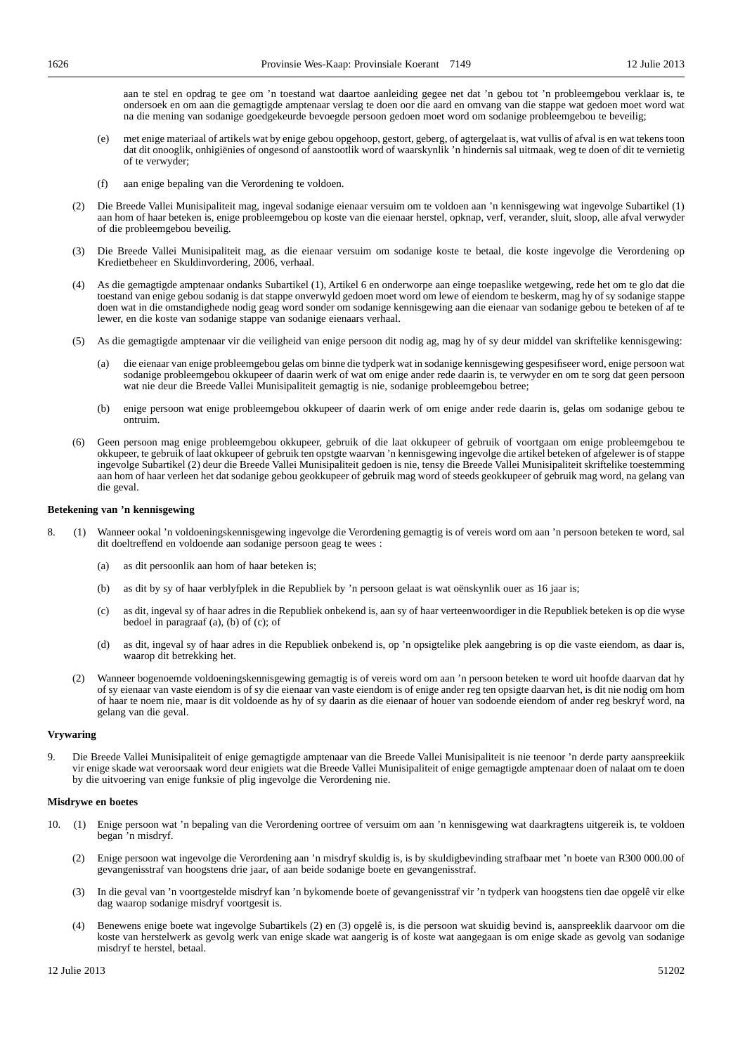aan te stel en opdrag te gee om 'n toestand wat daartoe aanleiding gegee net dat 'n gebou tot 'n probleemgebou verklaar is, te ondersoek en om aan die gemagtigde amptenaar verslag te doen oor die aard en omvang van die stappe wat gedoen moet word wat na die mening van sodanige goedgekeurde bevoegde persoon gedoen moet word om sodanige probleemgebou te beveilig;

- (e) met enige materiaal of artikels wat by enige gebou opgehoop, gestort, geberg, of agtergelaat is, wat vullis of afval is en wat tekens toon dat dit onooglik, onhigiënies of ongesond of aanstootlik word of waarskynlik 'n hindernis sal uitmaak, weg te doen of dit te vernietig of te verwyder;
- (f) aan enige bepaling van die Verordening te voldoen.
- (2) Die Breede Vallei Munisipaliteit mag, ingeval sodanige eienaar versuim om te voldoen aan 'n kennisgewing wat ingevolge Subartikel (1) aan hom of haar beteken is, enige probleemgebou op koste van die eienaar herstel, opknap, verf, verander, sluit, sloop, alle afval verwyder of die probleemgebou beveilig.
- (3) Die Breede Vallei Munisipaliteit mag, as die eienaar versuim om sodanige koste te betaal, die koste ingevolge die Verordening op Kredietbeheer en Skuldinvordering, 2006, verhaal.
- (4) As die gemagtigde amptenaar ondanks Subartikel (1), Artikel 6 en onderworpe aan einge toepaslike wetgewing, rede het om te glo dat die toestand van enige gebou sodanig is dat stappe onverwyld gedoen moet word om lewe of eiendom te beskerm, mag hy of sy sodanige stappe doen wat in die omstandighede nodig geag word sonder om sodanige kennisgewing aan die eienaar van sodanige gebou te beteken of af te lewer, en die koste van sodanige stappe van sodanige eienaars verhaal.
- (5) As die gemagtigde amptenaar vir die veiligheid van enige persoon dit nodig ag, mag hy of sy deur middel van skriftelike kennisgewing:
	- (a) die eienaar van enige probleemgebou gelas om binne die tydperk wat in sodanige kennisgewing gespesifiseer word, enige persoon wat sodanige probleemgebou okkupeer of daarin werk of wat om enige ander rede daarin is, te verwyder en om te sorg dat geen persoon wat nie deur die Breede Vallei Munisipaliteit gemagtig is nie, sodanige probleemgebou betree;
	- (b) enige persoon wat enige probleemgebou okkupeer of daarin werk of om enige ander rede daarin is, gelas om sodanige gebou te ontruim.
- (6) Geen persoon mag enige probleemgebou okkupeer, gebruik of die laat okkupeer of gebruik of voortgaan om enige probleemgebou te okkupeer, te gebruik of laat okkupeer of gebruik ten opstgte waarvan 'n kennisgewing ingevolge die artikel beteken of afgelewer is of stappe ingevolge Subartikel (2) deur die Breede Vallei Munisipaliteit gedoen is nie, tensy die Breede Vallei Munisipaliteit skriftelike toestemming aan hom of haar verleen het dat sodanige gebou geokkupeer of gebruik mag word of steeds geokkupeer of gebruik mag word, na gelang van die geval.

### **Betekening van 'n kennisgewing**

- 8. (1) Wanneer ookal 'n voldoeningskennisgewing ingevolge die Verordening gemagtig is of vereis word om aan 'n persoon beteken te word, sal dit doeltreffend en voldoende aan sodanige persoon geag te wees :
	- (a) as dit persoonlik aan hom of haar beteken is;
	- (b) as dit by sy of haar verblyfplek in die Republiek by 'n persoon gelaat is wat oënskynlik ouer as 16 jaar is;
	- (c) as dit, ingeval sy of haar adres in die Republiek onbekend is, aan sy of haar verteenwoordiger in die Republiek beteken is op die wyse bedoel in paragraaf (a), (b) of (c); of
	- (d) as dit, ingeval sy of haar adres in die Republiek onbekend is, op 'n opsigtelike plek aangebring is op die vaste eiendom, as daar is, waarop dit betrekking het.
	- (2) Wanneer bogenoemde voldoeningskennisgewing gemagtig is of vereis word om aan 'n persoon beteken te word uit hoofde daarvan dat hy of sy eienaar van vaste eiendom is of sy die eienaar van vaste eiendom is of enige ander reg ten opsigte daarvan het, is dit nie nodig om hom of haar te noem nie, maar is dit voldoende as hy of sy daarin as die eienaar of houer van sodoende eiendom of ander reg beskryf word, na gelang van die geval.

### **Vrywaring**

9. Die Breede Vallei Munisipaliteit of enige gemagtigde amptenaar van die Breede Vallei Munisipaliteit is nie teenoor 'n derde party aanspreekiik vir enige skade wat veroorsaak word deur enigiets wat die Breede Vallei Munisipaliteit of enige gemagtigde amptenaar doen of nalaat om te doen by die uitvoering van enige funksie of plig ingevolge die Verordening nie.

### **Misdrywe en boetes**

- 10. (1) Enige persoon wat 'n bepaling van die Verordening oortree of versuim om aan 'n kennisgewing wat daarkragtens uitgereik is, te voldoen began 'n misdryf.
	- (2) Enige persoon wat ingevolge die Verordening aan 'n misdryf skuldig is, is by skuldigbevinding strafbaar met 'n boete van R300 000.00 of gevangenisstraf van hoogstens drie jaar, of aan beide sodanige boete en gevangenisstraf.
	- (3) In die geval van 'n voortgestelde misdryf kan 'n bykomende boete of gevangenisstraf vir 'n tydperk van hoogstens tien dae opgelê vir elke dag waarop sodanige misdryf voortgesit is.
	- (4) Benewens enige boete wat ingevolge Subartikels (2) en (3) opgelê is, is die persoon wat skuidig bevind is, aanspreeklik daarvoor om die koste van herstelwerk as gevolg werk van enige skade wat aangerig is of koste wat aangegaan is om enige skade as gevolg van sodanige misdryf te herstel, betaal.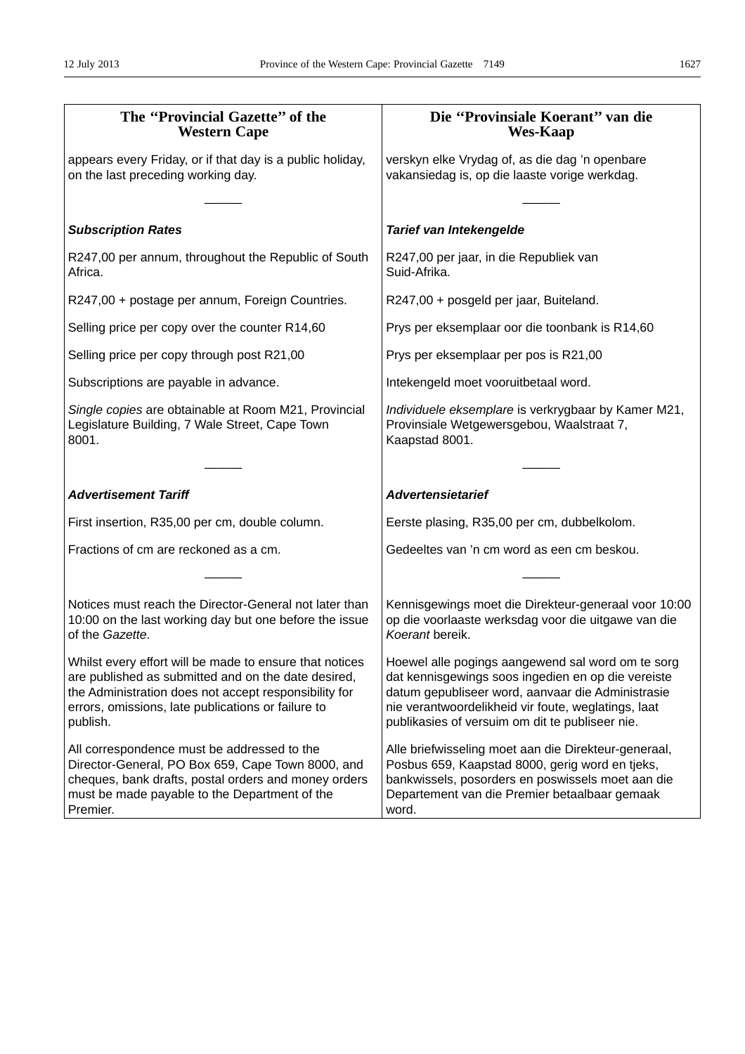| The "Provincial Gazette" of the<br><b>Western Cape</b>                                                                                                                                                                                    | Die "Provinsiale Koerant" van die<br><b>Wes-Kaap</b>                                                                                                                                                                                                                   |
|-------------------------------------------------------------------------------------------------------------------------------------------------------------------------------------------------------------------------------------------|------------------------------------------------------------------------------------------------------------------------------------------------------------------------------------------------------------------------------------------------------------------------|
| appears every Friday, or if that day is a public holiday,<br>on the last preceding working day.                                                                                                                                           | verskyn elke Vrydag of, as die dag 'n openbare<br>vakansiedag is, op die laaste vorige werkdag.                                                                                                                                                                        |
| <b>Subscription Rates</b>                                                                                                                                                                                                                 | Tarief van Intekengelde                                                                                                                                                                                                                                                |
| R247,00 per annum, throughout the Republic of South<br>Africa.                                                                                                                                                                            | R247,00 per jaar, in die Republiek van<br>Suid-Afrika.                                                                                                                                                                                                                 |
| R247,00 + postage per annum, Foreign Countries.                                                                                                                                                                                           | R247,00 + posgeld per jaar, Buiteland.                                                                                                                                                                                                                                 |
| Selling price per copy over the counter R14,60                                                                                                                                                                                            | Prys per eksemplaar oor die toonbank is R14,60                                                                                                                                                                                                                         |
| Selling price per copy through post R21,00                                                                                                                                                                                                | Prys per eksemplaar per pos is R21,00                                                                                                                                                                                                                                  |
| Subscriptions are payable in advance.                                                                                                                                                                                                     | Intekengeld moet vooruitbetaal word.                                                                                                                                                                                                                                   |
| Single copies are obtainable at Room M21, Provincial<br>Legislature Building, 7 Wale Street, Cape Town<br>8001.                                                                                                                           | Individuele eksemplare is verkrygbaar by Kamer M21,<br>Provinsiale Wetgewersgebou, Waalstraat 7,<br>Kaapstad 8001.                                                                                                                                                     |
|                                                                                                                                                                                                                                           |                                                                                                                                                                                                                                                                        |
| <b>Advertisement Tariff</b>                                                                                                                                                                                                               | <b>Advertensietarief</b>                                                                                                                                                                                                                                               |
| First insertion, R35,00 per cm, double column.                                                                                                                                                                                            | Eerste plasing, R35,00 per cm, dubbelkolom.                                                                                                                                                                                                                            |
| Fractions of cm are reckoned as a cm.                                                                                                                                                                                                     | Gedeeltes van 'n cm word as een cm beskou.                                                                                                                                                                                                                             |
|                                                                                                                                                                                                                                           |                                                                                                                                                                                                                                                                        |
| Notices must reach the Director-General not later than<br>10:00 on the last working day but one before the issue<br>of the Gazette.                                                                                                       | Kennisgewings moet die Direkteur-generaal voor 10:00<br>op die voorlaaste werksdag voor die uitgawe van die<br>Koerant bereik.                                                                                                                                         |
| Whilst every effort will be made to ensure that notices<br>are published as submitted and on the date desired,<br>the Administration does not accept responsibility for<br>errors, omissions, late publications or failure to<br>publish. | Hoewel alle pogings aangewend sal word om te sorg<br>dat kennisgewings soos ingedien en op die vereiste<br>datum gepubliseer word, aanvaar die Administrasie<br>nie verantwoordelikheid vir foute, weglatings, laat<br>publikasies of versuim om dit te publiseer nie. |
| All correspondence must be addressed to the<br>Director-General, PO Box 659, Cape Town 8000, and<br>cheques, bank drafts, postal orders and money orders<br>must be made payable to the Department of the<br>Premier.                     | Alle briefwisseling moet aan die Direkteur-generaal,<br>Posbus 659, Kaapstad 8000, gerig word en tjeks,<br>bankwissels, posorders en poswissels moet aan die<br>Departement van die Premier betaalbaar gemaak<br>word.                                                 |